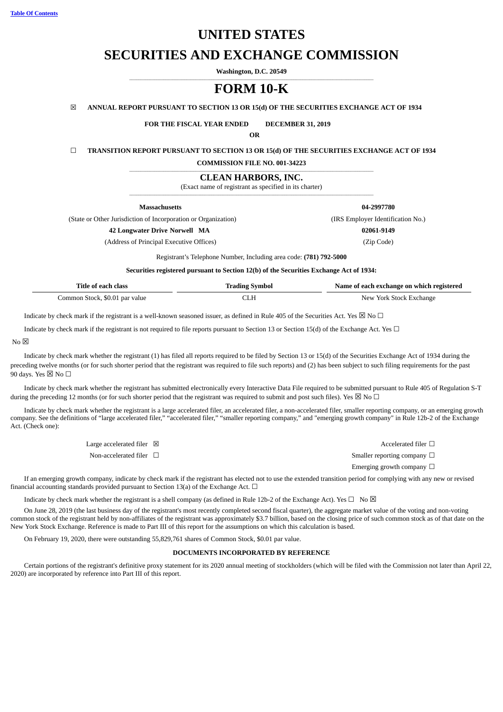**Table Of [Contents](#page-1-0)**

# **UNITED STATES**

# **SECURITIES AND EXCHANGE COMMISSION**

**Washington, D.C. 20549** \_\_\_\_\_\_\_\_\_\_\_\_\_\_\_\_\_\_\_\_\_\_\_\_\_\_\_\_\_\_\_\_\_\_\_\_\_\_\_\_\_\_\_\_\_\_\_\_\_\_\_\_\_\_\_\_\_\_\_\_\_\_\_\_\_\_\_\_\_\_\_\_\_\_\_\_\_\_\_\_\_\_\_\_\_\_\_\_\_\_\_\_\_\_\_\_\_\_\_\_\_\_\_\_\_\_\_

# **FORM 10-K**

☒ **ANNUAL REPORT PURSUANT TO SECTION 13 OR 15(d) OF THE SECURITIES EXCHANGE ACT OF 1934**

**FOR THE FISCAL YEAR ENDED DECEMBER 31, 2019**

**OR**

☐ **TRANSITION REPORT PURSUANT TO SECTION 13 OR 15(d) OF THE SECURITIES EXCHANGE ACT OF 1934 COMMISSION FILE NO. 001-34223**

#### \_\_\_\_\_\_\_\_\_\_\_\_\_\_\_\_\_\_\_\_\_\_\_\_\_\_\_\_\_\_\_\_\_\_\_\_\_\_\_\_\_\_\_\_\_\_\_\_\_\_\_\_\_\_\_\_\_\_\_\_\_\_\_\_\_\_\_\_\_\_\_\_\_\_\_\_\_\_\_\_\_\_\_\_\_\_\_\_\_\_\_\_\_\_\_\_\_\_\_\_\_\_\_\_\_\_\_ **CLEAN HARBORS, INC.**

(Exact name of registrant as specified in its charter) \_\_\_\_\_\_\_\_\_\_\_\_\_\_\_\_\_\_\_\_\_\_\_\_\_\_\_\_\_\_\_\_\_\_\_\_\_\_\_\_\_\_\_\_\_\_\_\_\_\_\_\_\_\_\_\_\_\_\_\_\_\_\_\_\_\_\_\_\_\_\_\_\_\_\_\_\_\_\_\_\_\_\_\_\_\_\_\_\_\_\_\_\_\_\_\_\_\_\_\_\_\_\_\_\_\_\_

| Massachusetts | 04-2997780 |
|---------------|------------|
|---------------|------------|

(State or Other Jurisdiction of Incorporation or Organization) (IRS Employer Identification No.)

**42 Longwater Drive Norwell MA 02061-9149**

(Address of Principal Executive Offices) (Zip Code)

Registrant's Telephone Number, Including area code: **(781) 792-5000**

**Securities registered pursuant to Section 12(b) of the Securities Exchange Act of 1934:**

| Title of each class            | <b>Trading Symbol</b> | Name of each exchange on which registered |
|--------------------------------|-----------------------|-------------------------------------------|
| Common Stock, \$0.01 par value |                       | New York Stock Exchange                   |

Indicate by check mark if the registrant is a well-known seasoned issuer, as defined in Rule 405 of the Securities Act. Yes  $\boxtimes$  No  $\Box$ 

Indicate by check mark if the registrant is not required to file reports pursuant to Section 13 or Section 15(d) of the Exchange Act. Yes  $\Box$ 

#### $N_0$   $\overline{X}$

Indicate by check mark whether the registrant (1) has filed all reports required to be filed by Section 13 or 15(d) of the Securities Exchange Act of 1934 during the preceding twelve months (or for such shorter period that the registrant was required to file such reports) and (2) has been subject to such filing requirements for the past 90 days. Yes  $\boxtimes$  No  $\Box$ 

Indicate by check mark whether the registrant has submitted electronically every Interactive Data File required to be submitted pursuant to Rule 405 of Regulation S-T during the preceding 12 months (or for such shorter period that the registrant was required to submit and post such files). Yes  $\boxtimes$  No  $\Box$ 

Indicate by check mark whether the registrant is a large accelerated filer, an accelerated filer, a non-accelerated filer, smaller reporting company, or an emerging growth company. See the definitions of "large accelerated filer," "accelerated filer," "smaller reporting company," and "emerging growth company" in Rule 12b-2 of the Exchange Act. (Check one):

| Accelerated filer $\Box$         | Large accelerated filer $\boxtimes$ |
|----------------------------------|-------------------------------------|
| Smaller reporting company $\Box$ | Non-accelerated filer $\Box$        |
| Emerging growth company $\Box$   |                                     |

If an emerging growth company, indicate by check mark if the registrant has elected not to use the extended transition period for complying with any new or revised financial accounting standards provided pursuant to Section 13(a) of the Exchange Act.  $\Box$ 

Indicate by check mark whether the registrant is a shell company (as defined in Rule 12b-2 of the Exchange Act). Yes  $\Box$  No  $\boxtimes$ 

On June 28, 2019 (the last business day of the registrant's most recently completed second fiscal quarter), the aggregate market value of the voting and non-voting common stock of the registrant held by non-affiliates of the registrant was approximately \$3.7 billion, based on the closing price of such common stock as of that date on the New York Stock Exchange. Reference is made to Part III of this report for the assumptions on which this calculation is based.

On February 19, 2020, there were outstanding 55,829,761 shares of Common Stock, \$0.01 par value.

## **DOCUMENTS INCORPORATED BY REFERENCE**

Certain portions of the registrant's definitive proxy statement for its 2020 annual meeting of stockholders (which will be filed with the Commission not later than April 22, 2020) are incorporated by reference into Part III of this report.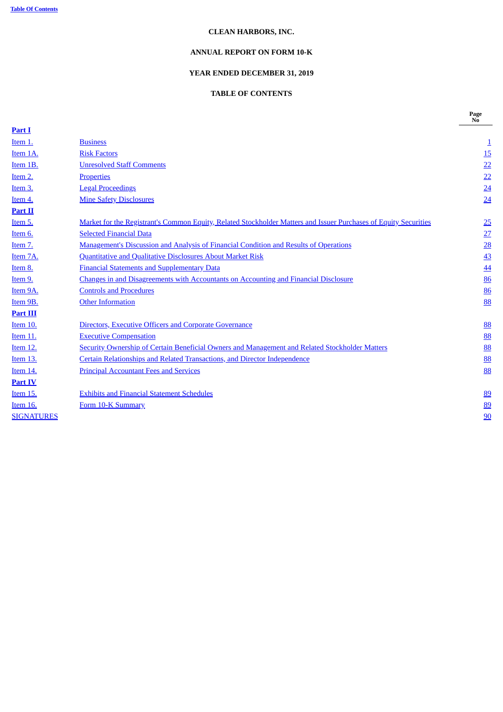## **CLEAN HARBORS, INC.**

## **ANNUAL REPORT ON FORM 10-K**

## **YEAR ENDED DECEMBER 31, 2019**

## **TABLE OF CONTENTS**

<span id="page-1-0"></span>

|                   |                                                                                                                  | Page<br>N <sub>0</sub> |
|-------------------|------------------------------------------------------------------------------------------------------------------|------------------------|
| <b>Part I</b>     |                                                                                                                  |                        |
| Item 1.           | <b>Business</b>                                                                                                  | $\overline{1}$         |
| Item 1A.          | <b>Risk Factors</b>                                                                                              | 15                     |
| Item 1B.          | <b>Unresolved Staff Comments</b>                                                                                 | 22                     |
| Item 2.           | <b>Properties</b>                                                                                                | 22                     |
| Item 3.           | <b>Legal Proceedings</b>                                                                                         | 24                     |
| Item 4.           | <b>Mine Safety Disclosures</b>                                                                                   | 24                     |
| Part II           |                                                                                                                  |                        |
| Item 5.           | Market for the Registrant's Common Equity, Related Stockholder Matters and Issuer Purchases of Equity Securities | 25                     |
| Item 6.           | <b>Selected Financial Data</b>                                                                                   | 27                     |
| Item 7.           | Management's Discussion and Analysis of Financial Condition and Results of Operations                            | 28                     |
| Item 7A.          | Quantitative and Qualitative Disclosures About Market Risk                                                       | 43                     |
| Item 8.           | <b>Financial Statements and Supplementary Data</b>                                                               | 44                     |
| Item 9.           | Changes in and Disagreements with Accountants on Accounting and Financial Disclosure                             | 86                     |
| Item 9A.          | <b>Controls and Procedures</b>                                                                                   | 86                     |
| Item 9B.          | <b>Other Information</b>                                                                                         | 88                     |
| Part III          |                                                                                                                  |                        |
| Item 10.          | <b>Directors, Executive Officers and Corporate Governance</b>                                                    | 88                     |
| Item 11.          | <b>Executive Compensation</b>                                                                                    | 88                     |
| Item 12.          | Security Ownership of Certain Beneficial Owners and Management and Related Stockholder Matters                   | 88                     |
| Item 13.          | Certain Relationships and Related Transactions, and Director Independence                                        | 88                     |
| Item 14.          | <b>Principal Accountant Fees and Services</b>                                                                    | 88                     |
| <b>Part IV</b>    |                                                                                                                  |                        |
| Item 15.          | <b>Exhibits and Financial Statement Schedules</b>                                                                | 89                     |
| Item 16.          | Form 10-K Summary                                                                                                | 89                     |
| <b>SIGNATURES</b> |                                                                                                                  | 90                     |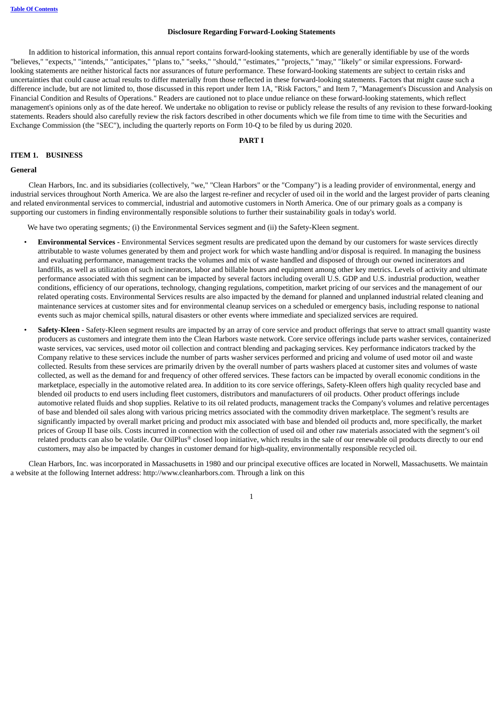## **Disclosure Regarding Forward-Looking Statements**

In addition to historical information, this annual report contains forward-looking statements, which are generally identifiable by use of the words "believes," "expects," "intends," "anticipates," "plans to," "seeks," "should," "estimates," "projects," "may," "likely" or similar expressions. Forwardlooking statements are neither historical facts nor assurances of future performance. These forward-looking statements are subject to certain risks and uncertainties that could cause actual results to differ materially from those reflected in these forward-looking statements. Factors that might cause such a difference include, but are not limited to, those discussed in this report under Item 1A, "Risk Factors," and Item 7, "Management's Discussion and Analysis on Financial Condition and Results of Operations." Readers are cautioned not to place undue reliance on these forward-looking statements, which reflect management's opinions only as of the date hereof. We undertake no obligation to revise or publicly release the results of any revision to these forward-looking statements. Readers should also carefully review the risk factors described in other documents which we file from time to time with the Securities and Exchange Commission (the "SEC"), including the quarterly reports on Form 10-Q to be filed by us during 2020.

## **PART I**

#### <span id="page-2-1"></span><span id="page-2-0"></span>**ITEM 1. BUSINESS**

#### **General**

Clean Harbors, Inc. and its subsidiaries (collectively, "we," "Clean Harbors" or the "Company") is a leading provider of environmental, energy and industrial services throughout North America. We are also the largest re-refiner and recycler of used oil in the world and the largest provider of parts cleaning and related environmental services to commercial, industrial and automotive customers in North America. One of our primary goals as a company is supporting our customers in finding environmentally responsible solutions to further their sustainability goals in today's world.

We have two operating segments*;* (i) the Environmental Services segment and (ii) the Safety-Kleen segment.

- **Environmental Services -** Environmental Services segment results are predicated upon the demand by our customers for waste services directly attributable to waste volumes generated by them and project work for which waste handling and/or disposal is required. In managing the business and evaluating performance, management tracks the volumes and mix of waste handled and disposed of through our owned incinerators and landfills, as well as utilization of such incinerators, labor and billable hours and equipment among other key metrics. Levels of activity and ultimate performance associated with this segment can be impacted by several factors including overall U.S. GDP and U.S. industrial production, weather conditions, efficiency of our operations, technology, changing regulations, competition, market pricing of our services and the management of our related operating costs. Environmental Services results are also impacted by the demand for planned and unplanned industrial related cleaning and maintenance services at customer sites and for environmental cleanup services on a scheduled or emergency basis, including response to national events such as major chemical spills, natural disasters or other events where immediate and specialized services are required.
- **Safety-Kleen -** Safety-Kleen segment results are impacted by an array of core service and product offerings that serve to attract small quantity waste producers as customers and integrate them into the Clean Harbors waste network. Core service offerings include parts washer services, containerized waste services, vac services, used motor oil collection and contract blending and packaging services. Key performance indicators tracked by the Company relative to these services include the number of parts washer services performed and pricing and volume of used motor oil and waste collected. Results from these services are primarily driven by the overall number of parts washers placed at customer sites and volumes of waste collected, as well as the demand for and frequency of other offered services. These factors can be impacted by overall economic conditions in the marketplace, especially in the automotive related area. In addition to its core service offerings, Safety-Kleen offers high quality recycled base and blended oil products to end users including fleet customers, distributors and manufacturers of oil products. Other product offerings include automotive related fluids and shop supplies. Relative to its oil related products, management tracks the Company's volumes and relative percentages of base and blended oil sales along with various pricing metrics associated with the commodity driven marketplace. The segment's results are significantly impacted by overall market pricing and product mix associated with base and blended oil products and, more specifically, the market prices of Group II base oils. Costs incurred in connection with the collection of used oil and other raw materials associated with the segment's oil related products can also be volatile. Our OilPlus® closed loop initiative, which results in the sale of our renewable oil products directly to our end customers, may also be impacted by changes in customer demand for high-quality, environmentally responsible recycled oil.

Clean Harbors, Inc. was incorporated in Massachusetts in 1980 and our principal executive offices are located in Norwell, Massachusetts. We maintain a website at the following Internet address: http://www.cleanharbors.com. Through a link on this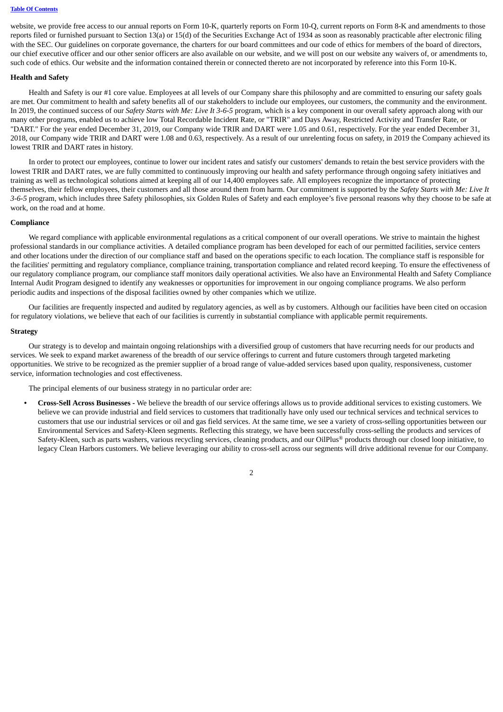website, we provide free access to our annual reports on Form 10-K, quarterly reports on Form 10-O, current reports on Form 8-K and amendments to those reports filed or furnished pursuant to Section 13(a) or 15(d) of the Securities Exchange Act of 1934 as soon as reasonably practicable after electronic filing with the SEC. Our guidelines on corporate governance, the charters for our board committees and our code of ethics for members of the board of directors, our chief executive officer and our other senior officers are also available on our website, and we will post on our website any waivers of, or amendments to, such code of ethics. Our website and the information contained therein or connected thereto are not incorporated by reference into this Form 10-K.

## **Health and Safety**

Health and Safety is our #1 core value. Employees at all levels of our Company share this philosophy and are committed to ensuring our safety goals are met. Our commitment to health and safety benefits all of our stakeholders to include our employees, our customers, the community and the environment. In 2019, the continued success of our *Safety Starts with Me: Live It 3-6-5* program, which is a key component in our overall safety approach along with our many other programs, enabled us to achieve low Total Recordable Incident Rate, or "TRIR" and Days Away, Restricted Activity and Transfer Rate, or "DART." For the year ended December 31, 2019, our Company wide TRIR and DART were 1.05 and 0.61, respectively. For the year ended December 31, 2018, our Company wide TRIR and DART were 1.08 and 0.63, respectively. As a result of our unrelenting focus on safety, in 2019 the Company achieved its lowest TRIR and DART rates in history.

In order to protect our employees, continue to lower our incident rates and satisfy our customers' demands to retain the best service providers with the lowest TRIR and DART rates, we are fully committed to continuously improving our health and safety performance through ongoing safety initiatives and training as well as technological solutions aimed at keeping all of our 14,400 employees safe. All employees recognize the importance of protecting themselves, their fellow employees, their customers and all those around them from harm. Our commitment is supported by the *Safety Starts with Me: Live It 3-6-5* program, which includes three Safety philosophies, six Golden Rules of Safety and each employee's five personal reasons why they choose to be safe at work, on the road and at home.

#### **Compliance**

We regard compliance with applicable environmental regulations as a critical component of our overall operations. We strive to maintain the highest professional standards in our compliance activities. A detailed compliance program has been developed for each of our permitted facilities, service centers and other locations under the direction of our compliance staff and based on the operations specific to each location. The compliance staff is responsible for the facilities' permitting and regulatory compliance, compliance training, transportation compliance and related record keeping. To ensure the effectiveness of our regulatory compliance program, our compliance staff monitors daily operational activities. We also have an Environmental Health and Safety Compliance Internal Audit Program designed to identify any weaknesses or opportunities for improvement in our ongoing compliance programs. We also perform periodic audits and inspections of the disposal facilities owned by other companies which we utilize.

Our facilities are frequently inspected and audited by regulatory agencies, as well as by customers. Although our facilities have been cited on occasion for regulatory violations, we believe that each of our facilities is currently in substantial compliance with applicable permit requirements.

#### **Strategy**

Our strategy is to develop and maintain ongoing relationships with a diversified group of customers that have recurring needs for our products and services. We seek to expand market awareness of the breadth of our service offerings to current and future customers through targeted marketing opportunities. We strive to be recognized as the premier supplier of a broad range of value-added services based upon quality, responsiveness, customer service, information technologies and cost effectiveness.

The principal elements of our business strategy in no particular order are:

**• Cross-Sell Across Businesses -** We believe the breadth of our service offerings allows us to provide additional services to existing customers. We believe we can provide industrial and field services to customers that traditionally have only used our technical services and technical services to customers that use our industrial services or oil and gas field services. At the same time, we see a variety of cross-selling opportunities between our Environmental Services and Safety-Kleen segments. Reflecting this strategy, we have been successfully cross-selling the products and services of Safety-Kleen, such as parts washers, various recycling services, cleaning products, and our OilPlus® products through our closed loop initiative, to legacy Clean Harbors customers. We believe leveraging our ability to cross-sell across our segments will drive additional revenue for our Company.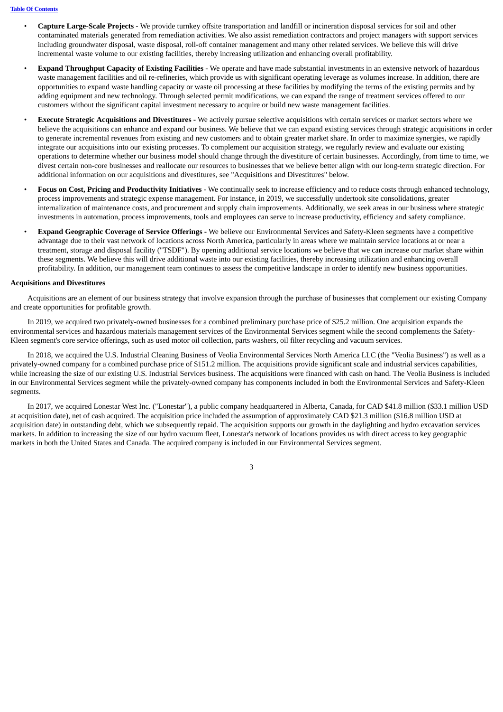- **Capture Large-Scale Projects -** We provide turnkey offsite transportation and landfill or incineration disposal services for soil and other contaminated materials generated from remediation activities. We also assist remediation contractors and project managers with support services including groundwater disposal, waste disposal, roll-off container management and many other related services. We believe this will drive incremental waste volume to our existing facilities, thereby increasing utilization and enhancing overall profitability.
- **Expand Throughput Capacity of Existing Facilities -** We operate and have made substantial investments in an extensive network of hazardous waste management facilities and oil re-refineries, which provide us with significant operating leverage as volumes increase. In addition, there are opportunities to expand waste handling capacity or waste oil processing at these facilities by modifying the terms of the existing permits and by adding equipment and new technology. Through selected permit modifications, we can expand the range of treatment services offered to our customers without the significant capital investment necessary to acquire or build new waste management facilities.
- **Execute Strategic Acquisitions and Divestitures -** We actively pursue selective acquisitions with certain services or market sectors where we believe the acquisitions can enhance and expand our business. We believe that we can expand existing services through strategic acquisitions in order to generate incremental revenues from existing and new customers and to obtain greater market share. In order to maximize synergies, we rapidly integrate our acquisitions into our existing processes. To complement our acquisition strategy, we regularly review and evaluate our existing operations to determine whether our business model should change through the divestiture of certain businesses. Accordingly, from time to time, we divest certain non-core businesses and reallocate our resources to businesses that we believe better align with our long-term strategic direction. For additional information on our acquisitions and divestitures, see "Acquisitions and Divestitures" below.
- **Focus on Cost, Pricing and Productivity Initiatives -** We continually seek to increase efficiency and to reduce costs through enhanced technology, process improvements and strategic expense management. For instance, in 2019, we successfully undertook site consolidations, greater internalization of maintenance costs, and procurement and supply chain improvements. Additionally, we seek areas in our business where strategic investments in automation, process improvements, tools and employees can serve to increase productivity, efficiency and safety compliance.
- **Expand Geographic Coverage of Service Offerings -** We believe our Environmental Services and Safety-Kleen segments have a competitive advantage due to their vast network of locations across North America, particularly in areas where we maintain service locations at or near a treatment, storage and disposal facility ("TSDF"). By opening additional service locations we believe that we can increase our market share within these segments. We believe this will drive additional waste into our existing facilities, thereby increasing utilization and enhancing overall profitability. In addition, our management team continues to assess the competitive landscape in order to identify new business opportunities.

#### **Acquisitions and Divestitures**

Acquisitions are an element of our business strategy that involve expansion through the purchase of businesses that complement our existing Company and create opportunities for profitable growth.

In 2019, we acquired two privately-owned businesses for a combined preliminary purchase price of \$25.2 million. One acquisition expands the environmental services and hazardous materials management services of the Environmental Services segment while the second complements the Safety-Kleen segment's core service offerings, such as used motor oil collection, parts washers, oil filter recycling and vacuum services.

In 2018, we acquired the U.S. Industrial Cleaning Business of Veolia Environmental Services North America LLC (the "Veolia Business") as well as a privately-owned company for a combined purchase price of \$151.2 million. The acquisitions provide significant scale and industrial services capabilities, while increasing the size of our existing U.S. Industrial Services business. The acquisitions were financed with cash on hand. The Veolia Business is included in our Environmental Services segment while the privately-owned company has components included in both the Environmental Services and Safety-Kleen segments.

In 2017, we acquired Lonestar West Inc. ("Lonestar"), a public company headquartered in Alberta, Canada, for CAD \$41.8 million (\$33.1 million USD at acquisition date), net of cash acquired. The acquisition price included the assumption of approximately CAD \$21.3 million (\$16.8 million USD at acquisition date) in outstanding debt, which we subsequently repaid. The acquisition supports our growth in the daylighting and hydro excavation services markets. In addition to increasing the size of our hydro vacuum fleet, Lonestar's network of locations provides us with direct access to key geographic markets in both the United States and Canada. The acquired company is included in our Environmental Services segment.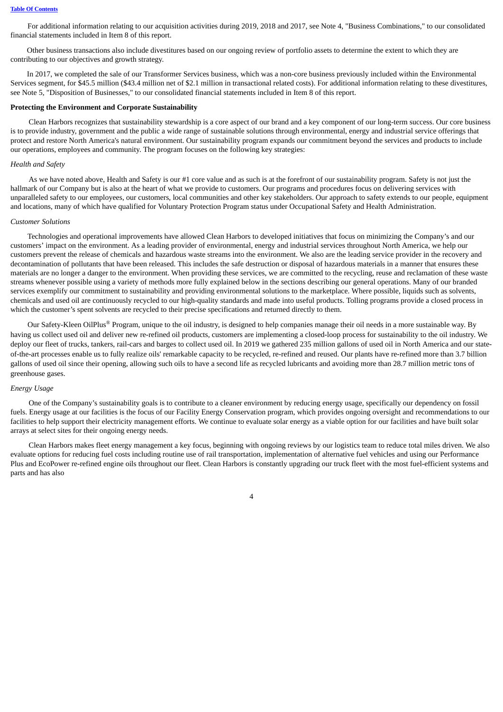For additional information relating to our acquisition activities during 2019, 2018 and 2017, see Note 4, "Business Combinations," to our consolidated financial statements included in Item 8 of this report.

Other business transactions also include divestitures based on our ongoing review of portfolio assets to determine the extent to which they are contributing to our objectives and growth strategy.

In 2017, we completed the sale of our Transformer Services business, which was a non-core business previously included within the Environmental Services segment, for \$45.5 million (\$43.4 million net of \$2.1 million in transactional related costs). For additional information relating to these divestitures, see Note 5, "Disposition of Businesses," to our consolidated financial statements included in Item 8 of this report.

## **Protecting the Environment and Corporate Sustainability**

Clean Harbors recognizes that sustainability stewardship is a core aspect of our brand and a key component of our long-term success. Our core business is to provide industry, government and the public a wide range of sustainable solutions through environmental, energy and industrial service offerings that protect and restore North America's natural environment. Our sustainability program expands our commitment beyond the services and products to include our operations, employees and community. The program focuses on the following key strategies:

## *Health and Safety*

As we have noted above, Health and Safety is our #1 core value and as such is at the forefront of our sustainability program. Safety is not just the hallmark of our Company but is also at the heart of what we provide to customers. Our programs and procedures focus on delivering services with unparalleled safety to our employees, our customers, local communities and other key stakeholders. Our approach to safety extends to our people, equipment and locations, many of which have qualified for Voluntary Protection Program status under Occupational Safety and Health Administration.

### *Customer Solutions*

Technologies and operational improvements have allowed Clean Harbors to developed initiatives that focus on minimizing the Company's and our customers' impact on the environment. As a leading provider of environmental, energy and industrial services throughout North America, we help our customers prevent the release of chemicals and hazardous waste streams into the environment. We also are the leading service provider in the recovery and decontamination of pollutants that have been released. This includes the safe destruction or disposal of hazardous materials in a manner that ensures these materials are no longer a danger to the environment. When providing these services, we are committed to the recycling, reuse and reclamation of these waste streams whenever possible using a variety of methods more fully explained below in the sections describing our general operations. Many of our branded services exemplify our commitment to sustainability and providing environmental solutions to the marketplace. Where possible, liquids such as solvents, chemicals and used oil are continuously recycled to our high-quality standards and made into useful products. Tolling programs provide a closed process in which the customer's spent solvents are recycled to their precise specifications and returned directly to them.

Our Safety-Kleen OilPlus® Program, unique to the oil industry, is designed to help companies manage their oil needs in a more sustainable way. By having us collect used oil and deliver new re-refined oil products, customers are implementing a closed-loop process for sustainability to the oil industry. We deploy our fleet of trucks, tankers, rail-cars and barges to collect used oil. In 2019 we gathered 235 million gallons of used oil in North America and our stateof-the-art processes enable us to fully realize oils' remarkable capacity to be recycled, re-refined and reused. Our plants have re-refined more than 3.7 billion gallons of used oil since their opening, allowing such oils to have a second life as recycled lubricants and avoiding more than 28.7 million metric tons of greenhouse gases.

## *Energy Usage*

One of the Company's sustainability goals is to contribute to a cleaner environment by reducing energy usage, specifically our dependency on fossil fuels. Energy usage at our facilities is the focus of our Facility Energy Conservation program, which provides ongoing oversight and recommendations to our facilities to help support their electricity management efforts. We continue to evaluate solar energy as a viable option for our facilities and have built solar arrays at select sites for their ongoing energy needs.

Clean Harbors makes fleet energy management a key focus, beginning with ongoing reviews by our logistics team to reduce total miles driven. We also evaluate options for reducing fuel costs including routine use of rail transportation, implementation of alternative fuel vehicles and using our Performance Plus and EcoPower re-refined engine oils throughout our fleet. Clean Harbors is constantly upgrading our truck fleet with the most fuel-efficient systems and parts and has also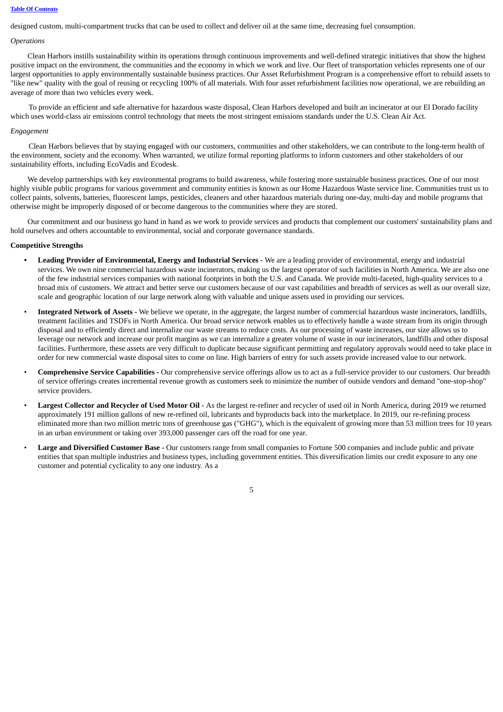#### **Table Of [Contents](#page-1-0)**

designed custom, multi-compartment trucks that can be used to collect and deliver oil at the same time, decreasing fuel consumption.

#### *Operations*

Clean Harbors instills sustainability within its operations through continuous improvements and well-defined strategic initiatives that show the highest positive impact on the environment, the communities and the economy in which we work and live. Our fleet of transportation vehicles represents one of our largest opportunities to apply environmentally sustainable business practices. Our Asset Refurbishment Program is a comprehensive effort to rebuild assets to "like new" quality with the goal of reusing or recycling 100% of all materials. With four asset refurbishment facilities now operational, we are rebuilding an average of more than two vehicles every week.

To provide an efficient and safe alternative for hazardous waste disposal, Clean Harbors developed and built an incinerator at our El Dorado facility which uses world-class air emissions control technology that meets the most stringent emissions standards under the U.S. Clean Air Act.

#### *Engagement*

Clean Harbors believes that by staying engaged with our customers, communities and other stakeholders, we can contribute to the long-term health of the environment, society and the economy. When warranted, we utilize formal reporting platforms to inform customers and other stakeholders of our sustainability efforts, including EcoVadis and Ecodesk.

We develop partnerships with key environmental programs to build awareness, while fostering more sustainable business practices. One of our most highly visible public programs for various government and community entities is known as our Home Hazardous Waste service line. Communities trust us to collect paints, solvents, batteries, fluorescent lamps, pesticides, cleaners and other hazardous materials during one-day, multi-day and mobile programs that otherwise might be improperly disposed of or become dangerous to the communities where they are stored.

Our commitment and our business go hand in hand as we work to provide services and products that complement our customers' sustainability plans and hold ourselves and others accountable to environmental, social and corporate governance standards.

#### **Competitive Strengths**

- **• Leading Provider of Environmental, Energy and Industrial Services -** We are a leading provider of environmental, energy and industrial services. We own nine commercial hazardous waste incinerators, making us the largest operator of such facilities in North America. We are also one of the few industrial services companies with national footprints in both the U.S. and Canada. We provide multi-faceted, high-quality services to a broad mix of customers. We attract and better serve our customers because of our vast capabilities and breadth of services as well as our overall size, scale and geographic location of our large network along with valuable and unique assets used in providing our services.
- **Integrated Network of Assets -** We believe we operate, in the aggregate, the largest number of commercial hazardous waste incinerators, landfills, treatment facilities and TSDFs in North America. Our broad service network enables us to effectively handle a waste stream from its origin through disposal and to efficiently direct and internalize our waste streams to reduce costs. As our processing of waste increases, our size allows us to leverage our network and increase our profit margins as we can internalize a greater volume of waste in our incinerators, landfills and other disposal facilities. Furthermore, these assets are very difficult to duplicate because significant permitting and regulatory approvals would need to take place in order for new commercial waste disposal sites to come on line. High barriers of entry for such assets provide increased value to our network.
- **Comprehensive Service Capabilities -** Our comprehensive service offerings allow us to act as a full-service provider to our customers. Our breadth of service offerings creates incremental revenue growth as customers seek to minimize the number of outside vendors and demand "one-stop-shop" service providers.
- **Largest Collector and Recycler of Used Motor Oil -** As the largest re-refiner and recycler of used oil in North America, during 2019 we returned approximately 191 million gallons of new re-refined oil, lubricants and byproducts back into the marketplace. In 2019, our re-refining process eliminated more than two million metric tons of greenhouse gas ("GHG"), which is the equivalent of growing more than 53 million trees for 10 years in an urban environment or taking over 393,000 passenger cars off the road for one year.
- **Large and Diversified Customer Base -** Our customers range from small companies to Fortune 500 companies and include public and private entities that span multiple industries and business types, including government entities. This diversification limits our credit exposure to any one customer and potential cyclicality to any one industry. As a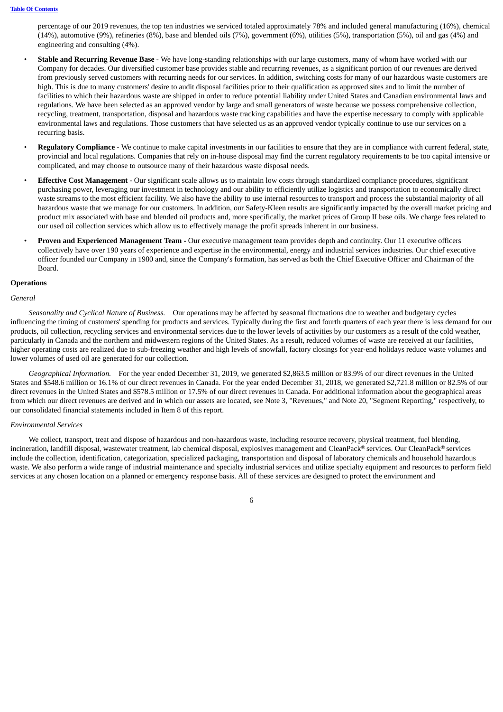percentage of our 2019 revenues, the top ten industries we serviced totaled approximately 78% and included general manufacturing (16%), chemical (14%), automotive (9%), refineries (8%), base and blended oils (7%), government (6%), utilities (5%), transportation (5%), oil and gas (4%) and engineering and consulting (4%).

- **Stable and Recurring Revenue Base -** We have long-standing relationships with our large customers, many of whom have worked with our Company for decades. Our diversified customer base provides stable and recurring revenues, as a significant portion of our revenues are derived from previously served customers with recurring needs for our services. In addition, switching costs for many of our hazardous waste customers are high. This is due to many customers' desire to audit disposal facilities prior to their qualification as approved sites and to limit the number of facilities to which their hazardous waste are shipped in order to reduce potential liability under United States and Canadian environmental laws and regulations. We have been selected as an approved vendor by large and small generators of waste because we possess comprehensive collection, recycling, treatment, transportation, disposal and hazardous waste tracking capabilities and have the expertise necessary to comply with applicable environmental laws and regulations. Those customers that have selected us as an approved vendor typically continue to use our services on a recurring basis.
- **Regulatory Compliance -** We continue to make capital investments in our facilities to ensure that they are in compliance with current federal, state, provincial and local regulations. Companies that rely on in-house disposal may find the current regulatory requirements to be too capital intensive or complicated, and may choose to outsource many of their hazardous waste disposal needs.
- **Effective Cost Management -** Our significant scale allows us to maintain low costs through standardized compliance procedures, significant purchasing power, leveraging our investment in technology and our ability to efficiently utilize logistics and transportation to economically direct waste streams to the most efficient facility. We also have the ability to use internal resources to transport and process the substantial majority of all hazardous waste that we manage for our customers. In addition, our Safety-Kleen results are significantly impacted by the overall market pricing and product mix associated with base and blended oil products and, more specifically, the market prices of Group II base oils. We charge fees related to our used oil collection services which allow us to effectively manage the profit spreads inherent in our business.
- **Proven and Experienced Management Team -** Our executive management team provides depth and continuity. Our 11 executive officers collectively have over 190 years of experience and expertise in the environmental, energy and industrial services industries. Our chief executive officer founded our Company in 1980 and, since the Company's formation, has served as both the Chief Executive Officer and Chairman of the Board.

#### **Operations**

#### *General*

*Seasonality and Cyclical Nature of Business.* Our operations may be affected by seasonal fluctuations due to weather and budgetary cycles influencing the timing of customers' spending for products and services. Typically during the first and fourth quarters of each year there is less demand for our products, oil collection, recycling services and environmental services due to the lower levels of activities by our customers as a result of the cold weather, particularly in Canada and the northern and midwestern regions of the United States. As a result, reduced volumes of waste are received at our facilities, higher operating costs are realized due to sub-freezing weather and high levels of snowfall, factory closings for year-end holidays reduce waste volumes and lower volumes of used oil are generated for our collection.

*Geographical Information.* For the year ended December 31, 2019, we generated \$2,863.5 million or 83.9% of our direct revenues in the United States and \$548.6 million or 16.1% of our direct revenues in Canada. For the year ended December 31, 2018, we generated \$2,721.8 million or 82.5% of our direct revenues in the United States and \$578.5 million or 17.5% of our direct revenues in Canada. For additional information about the geographical areas from which our direct revenues are derived and in which our assets are located, see Note 3, "Revenues," and Note 20, "Segment Reporting," respectively, to our consolidated financial statements included in Item 8 of this report.

### *Environmental Services*

We collect, transport, treat and dispose of hazardous and non-hazardous waste, including resource recovery, physical treatment, fuel blending, incineration, landfill disposal, wastewater treatment, lab chemical disposal, explosives management and CleanPack® services. Our CleanPack® services include the collection, identification, categorization, specialized packaging, transportation and disposal of laboratory chemicals and household hazardous waste. We also perform a wide range of industrial maintenance and specialty industrial services and utilize specialty equipment and resources to perform field services at any chosen location on a planned or emergency response basis. All of these services are designed to protect the environment and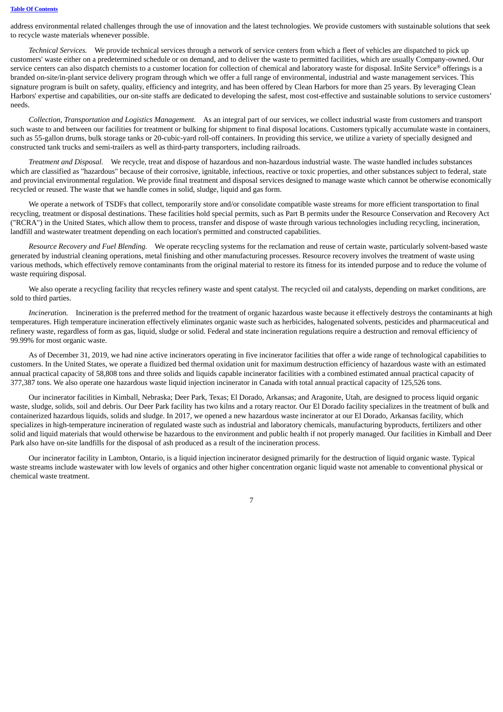address environmental related challenges through the use of innovation and the latest technologies. We provide customers with sustainable solutions that seek to recycle waste materials whenever possible.

*Technical Services.* We provide technical services through a network of service centers from which a fleet of vehicles are dispatched to pick up customers' waste either on a predetermined schedule or on demand, and to deliver the waste to permitted facilities, which are usually Company-owned. Our service centers can also dispatch chemists to a customer location for collection of chemical and laboratory waste for disposal. InSite Service® offerings is a branded on-site/in-plant service delivery program through which we offer a full range of environmental, industrial and waste management services. This signature program is built on safety, quality, efficiency and integrity, and has been offered by Clean Harbors for more than 25 years. By leveraging Clean Harbors' expertise and capabilities, our on-site staffs are dedicated to developing the safest, most cost-effective and sustainable solutions to service customers' needs.

*Collection, Transportation and Logistics Management.* As an integral part of our services, we collect industrial waste from customers and transport such waste to and between our facilities for treatment or bulking for shipment to final disposal locations. Customers typically accumulate waste in containers, such as 55-gallon drums, bulk storage tanks or 20-cubic-yard roll-off containers. In providing this service, we utilize a variety of specially designed and constructed tank trucks and semi-trailers as well as third-party transporters, including railroads.

*Treatment and Disposal.* We recycle, treat and dispose of hazardous and non-hazardous industrial waste. The waste handled includes substances which are classified as "hazardous" because of their corrosive, ignitable, infectious, reactive or toxic properties, and other substances subject to federal, state and provincial environmental regulation. We provide final treatment and disposal services designed to manage waste which cannot be otherwise economically recycled or reused. The waste that we handle comes in solid, sludge, liquid and gas form.

We operate a network of TSDFs that collect, temporarily store and/or consolidate compatible waste streams for more efficient transportation to final recycling, treatment or disposal destinations. These facilities hold special permits, such as Part B permits under the Resource Conservation and Recovery Act ("RCRA") in the United States, which allow them to process, transfer and dispose of waste through various technologies including recycling, incineration, landfill and wastewater treatment depending on each location's permitted and constructed capabilities.

*Resource Recovery and Fuel Blending.* We operate recycling systems for the reclamation and reuse of certain waste, particularly solvent-based waste generated by industrial cleaning operations, metal finishing and other manufacturing processes. Resource recovery involves the treatment of waste using various methods, which effectively remove contaminants from the original material to restore its fitness for its intended purpose and to reduce the volume of waste requiring disposal.

We also operate a recycling facility that recycles refinery waste and spent catalyst. The recycled oil and catalysts, depending on market conditions, are sold to third parties.

*Incineration.* Incineration is the preferred method for the treatment of organic hazardous waste because it effectively destroys the contaminants at high temperatures. High temperature incineration effectively eliminates organic waste such as herbicides, halogenated solvents, pesticides and pharmaceutical and refinery waste, regardless of form as gas, liquid, sludge or solid. Federal and state incineration regulations require a destruction and removal efficiency of 99.99% for most organic waste.

As of December 31, 2019, we had nine active incinerators operating in five incinerator facilities that offer a wide range of technological capabilities to customers. In the United States, we operate a fluidized bed thermal oxidation unit for maximum destruction efficiency of hazardous waste with an estimated annual practical capacity of 58,808 tons and three solids and liquids capable incinerator facilities with a combined estimated annual practical capacity of 377,387 tons. We also operate one hazardous waste liquid injection incinerator in Canada with total annual practical capacity of 125,526 tons.

Our incinerator facilities in Kimball, Nebraska; Deer Park, Texas; El Dorado, Arkansas; and Aragonite, Utah, are designed to process liquid organic waste, sludge, solids, soil and debris. Our Deer Park facility has two kilns and a rotary reactor. Our El Dorado facility specializes in the treatment of bulk and containerized hazardous liquids, solids and sludge. In 2017, we opened a new hazardous waste incinerator at our El Dorado, Arkansas facility, which specializes in high-temperature incineration of regulated waste such as industrial and laboratory chemicals, manufacturing byproducts, fertilizers and other solid and liquid materials that would otherwise be hazardous to the environment and public health if not properly managed. Our facilities in Kimball and Deer Park also have on-site landfills for the disposal of ash produced as a result of the incineration process.

Our incinerator facility in Lambton, Ontario, is a liquid injection incinerator designed primarily for the destruction of liquid organic waste. Typical waste streams include wastewater with low levels of organics and other higher concentration organic liquid waste not amenable to conventional physical or chemical waste treatment.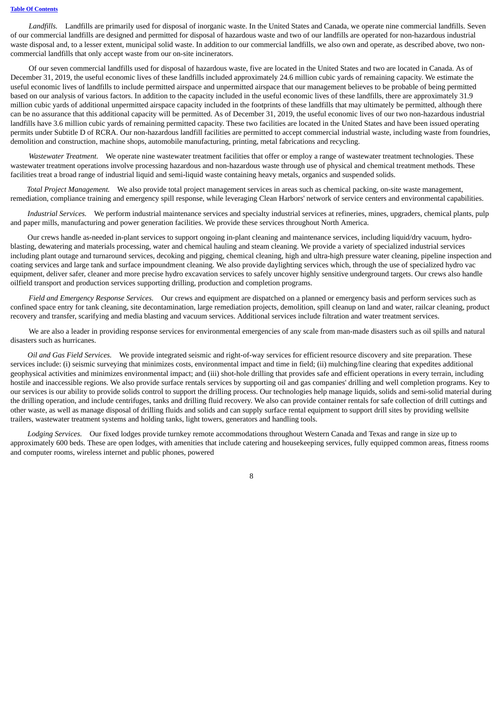*Landfills.* Landfills are primarily used for disposal of inorganic waste. In the United States and Canada, we operate nine commercial landfills. Seven of our commercial landfills are designed and permitted for disposal of hazardous waste and two of our landfills are operated for non-hazardous industrial waste disposal and, to a lesser extent, municipal solid waste. In addition to our commercial landfills, we also own and operate, as described above, two noncommercial landfills that only accept waste from our on-site incinerators.

Of our seven commercial landfills used for disposal of hazardous waste, five are located in the United States and two are located in Canada. As of December 31, 2019, the useful economic lives of these landfills included approximately 24.6 million cubic yards of remaining capacity. We estimate the useful economic lives of landfills to include permitted airspace and unpermitted airspace that our management believes to be probable of being permitted based on our analysis of various factors. In addition to the capacity included in the useful economic lives of these landfills, there are approximately 31.9 million cubic yards of additional unpermitted airspace capacity included in the footprints of these landfills that may ultimately be permitted, although there can be no assurance that this additional capacity will be permitted. As of December 31, 2019, the useful economic lives of our two non-hazardous industrial landfills have 3.6 million cubic yards of remaining permitted capacity. These two facilities are located in the United States and have been issued operating permits under Subtitle D of RCRA. Our non-hazardous landfill facilities are permitted to accept commercial industrial waste, including waste from foundries, demolition and construction, machine shops, automobile manufacturing, printing, metal fabrications and recycling.

*Wastewater Treatment.* We operate nine wastewater treatment facilities that offer or employ a range of wastewater treatment technologies. These wastewater treatment operations involve processing hazardous and non-hazardous waste through use of physical and chemical treatment methods. These facilities treat a broad range of industrial liquid and semi-liquid waste containing heavy metals, organics and suspended solids.

*Total Project Management.* We also provide total project management services in areas such as chemical packing, on-site waste management, remediation, compliance training and emergency spill response, while leveraging Clean Harbors' network of service centers and environmental capabilities.

*Industrial Services.* We perform industrial maintenance services and specialty industrial services at refineries, mines, upgraders, chemical plants, pulp and paper mills, manufacturing and power generation facilities. We provide these services throughout North America.

Our crews handle as-needed in-plant services to support ongoing in-plant cleaning and maintenance services, including liquid/dry vacuum, hydroblasting, dewatering and materials processing, water and chemical hauling and steam cleaning. We provide a variety of specialized industrial services including plant outage and turnaround services, decoking and pigging, chemical cleaning, high and ultra-high pressure water cleaning, pipeline inspection and coating services and large tank and surface impoundment cleaning. We also provide daylighting services which, through the use of specialized hydro vac equipment, deliver safer, cleaner and more precise hydro excavation services to safely uncover highly sensitive underground targets. Our crews also handle oilfield transport and production services supporting drilling, production and completion programs.

*Field and Emergency Response Services.* Our crews and equipment are dispatched on a planned or emergency basis and perform services such as confined space entry for tank cleaning, site decontamination, large remediation projects, demolition, spill cleanup on land and water, railcar cleaning, product recovery and transfer, scarifying and media blasting and vacuum services. Additional services include filtration and water treatment services.

We are also a leader in providing response services for environmental emergencies of any scale from man-made disasters such as oil spills and natural disasters such as hurricanes.

*Oil and Gas Field Services.* We provide integrated seismic and right-of-way services for efficient resource discovery and site preparation. These services include: (i) seismic surveying that minimizes costs, environmental impact and time in field; (ii) mulching/line clearing that expedites additional geophysical activities and minimizes environmental impact; and (iii) shot-hole drilling that provides safe and efficient operations in every terrain, including hostile and inaccessible regions. We also provide surface rentals services by supporting oil and gas companies' drilling and well completion programs. Key to our services is our ability to provide solids control to support the drilling process. Our technologies help manage liquids, solids and semi-solid material during the drilling operation, and include centrifuges, tanks and drilling fluid recovery. We also can provide container rentals for safe collection of drill cuttings and other waste, as well as manage disposal of drilling fluids and solids and can supply surface rental equipment to support drill sites by providing wellsite trailers, wastewater treatment systems and holding tanks, light towers, generators and handling tools.

*Lodging Services.* Our fixed lodges provide turnkey remote accommodations throughout Western Canada and Texas and range in size up to approximately 600 beds. These are open lodges, with amenities that include catering and housekeeping services, fully equipped common areas, fitness rooms and computer rooms, wireless internet and public phones, powered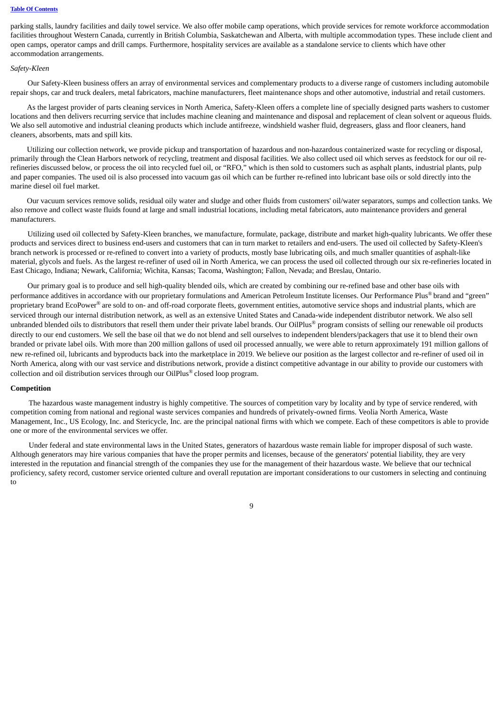#### **Table Of [Contents](#page-1-0)**

parking stalls, laundry facilities and daily towel service. We also offer mobile camp operations, which provide services for remote workforce accommodation facilities throughout Western Canada, currently in British Columbia, Saskatchewan and Alberta, with multiple accommodation types. These include client and open camps, operator camps and drill camps. Furthermore, hospitality services are available as a standalone service to clients which have other accommodation arrangements.

## *Safety-Kleen*

Our Safety-Kleen business offers an array of environmental services and complementary products to a diverse range of customers including automobile repair shops, car and truck dealers, metal fabricators, machine manufacturers, fleet maintenance shops and other automotive, industrial and retail customers.

As the largest provider of parts cleaning services in North America, Safety-Kleen offers a complete line of specially designed parts washers to customer locations and then delivers recurring service that includes machine cleaning and maintenance and disposal and replacement of clean solvent or aqueous fluids. We also sell automotive and industrial cleaning products which include antifreeze, windshield washer fluid, degreasers, glass and floor cleaners, hand cleaners, absorbents, mats and spill kits.

Utilizing our collection network, we provide pickup and transportation of hazardous and non-hazardous containerized waste for recycling or disposal, primarily through the Clean Harbors network of recycling, treatment and disposal facilities. We also collect used oil which serves as feedstock for our oil rerefineries discussed below, or process the oil into recycled fuel oil, or "RFO," which is then sold to customers such as asphalt plants, industrial plants, pulp and paper companies. The used oil is also processed into vacuum gas oil which can be further re-refined into lubricant base oils or sold directly into the marine diesel oil fuel market.

Our vacuum services remove solids, residual oily water and sludge and other fluids from customers' oil/water separators, sumps and collection tanks. We also remove and collect waste fluids found at large and small industrial locations, including metal fabricators, auto maintenance providers and general manufacturers.

Utilizing used oil collected by Safety-Kleen branches, we manufacture, formulate, package, distribute and market high-quality lubricants. We offer these products and services direct to business end-users and customers that can in turn market to retailers and end-users. The used oil collected by Safety-Kleen's branch network is processed or re-refined to convert into a variety of products, mostly base lubricating oils, and much smaller quantities of asphalt-like material, glycols and fuels. As the largest re-refiner of used oil in North America, we can process the used oil collected through our six re-refineries located in East Chicago, Indiana; Newark, California; Wichita, Kansas; Tacoma, Washington; Fallon, Nevada; and Breslau, Ontario.

Our primary goal is to produce and sell high-quality blended oils, which are created by combining our re-refined base and other base oils with performance additives in accordance with our proprietary formulations and American Petroleum Institute licenses. Our Performance Plus® brand and "green" proprietary brand EcoPower® are sold to on- and off-road corporate fleets, government entities, automotive service shops and industrial plants, which are serviced through our internal distribution network, as well as an extensive United States and Canada-wide independent distributor network. We also sell unbranded blended oils to distributors that resell them under their private label brands. Our OilPlus® program consists of selling our renewable oil products directly to our end customers. We sell the base oil that we do not blend and sell ourselves to independent blenders/packagers that use it to blend their own branded or private label oils. With more than 200 million gallons of used oil processed annually, we were able to return approximately 191 million gallons of new re-refined oil, lubricants and byproducts back into the marketplace in 2019. We believe our position as the largest collector and re-refiner of used oil in North America, along with our vast service and distributions network, provide a distinct competitive advantage in our ability to provide our customers with collection and oil distribution services through our OilPlus® closed loop program.

#### **Competition**

The hazardous waste management industry is highly competitive. The sources of competition vary by locality and by type of service rendered, with competition coming from national and regional waste services companies and hundreds of privately-owned firms. Veolia North America, Waste Management, Inc., US Ecology, Inc. and Stericycle, Inc. are the principal national firms with which we compete. Each of these competitors is able to provide one or more of the environmental services we offer.

Under federal and state environmental laws in the United States, generators of hazardous waste remain liable for improper disposal of such waste. Although generators may hire various companies that have the proper permits and licenses, because of the generators' potential liability, they are very interested in the reputation and financial strength of the companies they use for the management of their hazardous waste. We believe that our technical proficiency, safety record, customer service oriented culture and overall reputation are important considerations to our customers in selecting and continuing to

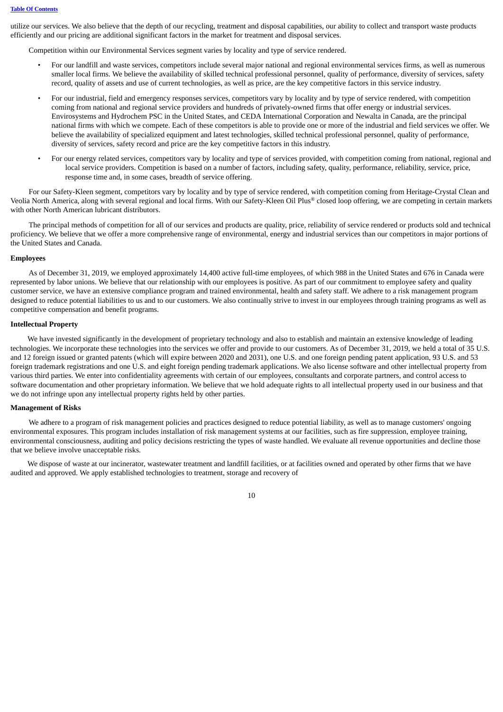utilize our services. We also believe that the depth of our recycling, treatment and disposal capabilities, our ability to collect and transport waste products efficiently and our pricing are additional significant factors in the market for treatment and disposal services.

Competition within our Environmental Services segment varies by locality and type of service rendered.

- For our landfill and waste services, competitors include several major national and regional environmental services firms, as well as numerous smaller local firms. We believe the availability of skilled technical professional personnel, quality of performance, diversity of services, safety record, quality of assets and use of current technologies, as well as price, are the key competitive factors in this service industry.
- For our industrial, field and emergency responses services, competitors vary by locality and by type of service rendered, with competition coming from national and regional service providers and hundreds of privately-owned firms that offer energy or industrial services. Envirosystems and Hydrochem PSC in the United States, and CEDA International Corporation and Newalta in Canada, are the principal national firms with which we compete. Each of these competitors is able to provide one or more of the industrial and field services we offer. We believe the availability of specialized equipment and latest technologies, skilled technical professional personnel, quality of performance, diversity of services, safety record and price are the key competitive factors in this industry.
- For our energy related services, competitors vary by locality and type of services provided, with competition coming from national, regional and local service providers. Competition is based on a number of factors, including safety, quality, performance, reliability, service, price, response time and, in some cases, breadth of service offering.

For our Safety-Kleen segment, competitors vary by locality and by type of service rendered, with competition coming from Heritage-Crystal Clean and Veolia North America, along with several regional and local firms. With our Safety-Kleen Oil Plus® closed loop offering, we are competing in certain markets with other North American lubricant distributors.

The principal methods of competition for all of our services and products are quality, price, reliability of service rendered or products sold and technical proficiency. We believe that we offer a more comprehensive range of environmental, energy and industrial services than our competitors in major portions of the United States and Canada.

#### **Employees**

As of December 31, 2019, we employed approximately 14,400 active full-time employees, of which 988 in the United States and 676 in Canada were represented by labor unions. We believe that our relationship with our employees is positive. As part of our commitment to employee safety and quality customer service, we have an extensive compliance program and trained environmental, health and safety staff. We adhere to a risk management program designed to reduce potential liabilities to us and to our customers. We also continually strive to invest in our employees through training programs as well as competitive compensation and benefit programs.

#### **Intellectual Property**

We have invested significantly in the development of proprietary technology and also to establish and maintain an extensive knowledge of leading technologies. We incorporate these technologies into the services we offer and provide to our customers. As of December 31, 2019, we held a total of 35 U.S. and 12 foreign issued or granted patents (which will expire between 2020 and 2031), one U.S. and one foreign pending patent application, 93 U.S. and 53 foreign trademark registrations and one U.S. and eight foreign pending trademark applications. We also license software and other intellectual property from various third parties. We enter into confidentiality agreements with certain of our employees, consultants and corporate partners, and control access to software documentation and other proprietary information. We believe that we hold adequate rights to all intellectual property used in our business and that we do not infringe upon any intellectual property rights held by other parties.

#### **Management of Risks**

We adhere to a program of risk management policies and practices designed to reduce potential liability, as well as to manage customers' ongoing environmental exposures. This program includes installation of risk management systems at our facilities, such as fire suppression, employee training, environmental consciousness, auditing and policy decisions restricting the types of waste handled. We evaluate all revenue opportunities and decline those that we believe involve unacceptable risks.

We dispose of waste at our incinerator, wastewater treatment and landfill facilities, or at facilities owned and operated by other firms that we have audited and approved. We apply established technologies to treatment, storage and recovery of

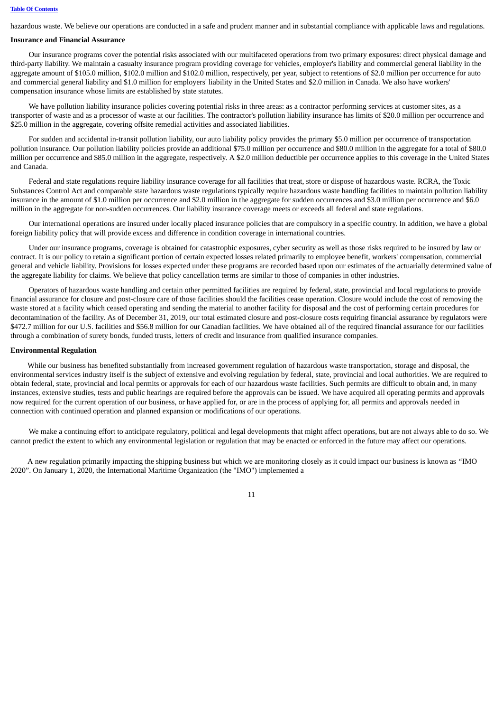hazardous waste. We believe our operations are conducted in a safe and prudent manner and in substantial compliance with applicable laws and regulations.

### **Insurance and Financial Assurance**

Our insurance programs cover the potential risks associated with our multifaceted operations from two primary exposures: direct physical damage and third-party liability. We maintain a casualty insurance program providing coverage for vehicles, employer's liability and commercial general liability in the aggregate amount of \$105.0 million, \$102.0 million and \$102.0 million, respectively, per year, subject to retentions of \$2.0 million per occurrence for auto and commercial general liability and \$1.0 million for employers' liability in the United States and \$2.0 million in Canada. We also have workers' compensation insurance whose limits are established by state statutes.

We have pollution liability insurance policies covering potential risks in three areas: as a contractor performing services at customer sites, as a transporter of waste and as a processor of waste at our facilities. The contractor's pollution liability insurance has limits of \$20.0 million per occurrence and \$25.0 million in the aggregate, covering offsite remedial activities and associated liabilities.

For sudden and accidental in-transit pollution liability, our auto liability policy provides the primary \$5.0 million per occurrence of transportation pollution insurance. Our pollution liability policies provide an additional \$75.0 million per occurrence and \$80.0 million in the aggregate for a total of \$80.0 million per occurrence and \$85.0 million in the aggregate, respectively. A \$2.0 million deductible per occurrence applies to this coverage in the United States and Canada.

Federal and state regulations require liability insurance coverage for all facilities that treat, store or dispose of hazardous waste. RCRA, the Toxic Substances Control Act and comparable state hazardous waste regulations typically require hazardous waste handling facilities to maintain pollution liability insurance in the amount of \$1.0 million per occurrence and \$2.0 million in the aggregate for sudden occurrences and \$3.0 million per occurrence and \$6.0 million in the aggregate for non-sudden occurrences. Our liability insurance coverage meets or exceeds all federal and state regulations.

Our international operations are insured under locally placed insurance policies that are compulsory in a specific country. In addition, we have a global foreign liability policy that will provide excess and difference in condition coverage in international countries.

Under our insurance programs, coverage is obtained for catastrophic exposures, cyber security as well as those risks required to be insured by law or contract. It is our policy to retain a significant portion of certain expected losses related primarily to employee benefit, workers' compensation, commercial general and vehicle liability. Provisions for losses expected under these programs are recorded based upon our estimates of the actuarially determined value of the aggregate liability for claims. We believe that policy cancellation terms are similar to those of companies in other industries.

Operators of hazardous waste handling and certain other permitted facilities are required by federal, state, provincial and local regulations to provide financial assurance for closure and post-closure care of those facilities should the facilities cease operation. Closure would include the cost of removing the waste stored at a facility which ceased operating and sending the material to another facility for disposal and the cost of performing certain procedures for decontamination of the facility. As of December 31, 2019, our total estimated closure and post-closure costs requiring financial assurance by regulators were \$472.7 million for our U.S. facilities and \$56.8 million for our Canadian facilities. We have obtained all of the required financial assurance for our facilities through a combination of surety bonds, funded trusts, letters of credit and insurance from qualified insurance companies.

#### **Environmental Regulation**

While our business has benefited substantially from increased government regulation of hazardous waste transportation, storage and disposal, the environmental services industry itself is the subject of extensive and evolving regulation by federal, state, provincial and local authorities. We are required to obtain federal, state, provincial and local permits or approvals for each of our hazardous waste facilities. Such permits are difficult to obtain and, in many instances, extensive studies, tests and public hearings are required before the approvals can be issued. We have acquired all operating permits and approvals now required for the current operation of our business, or have applied for, or are in the process of applying for, all permits and approvals needed in connection with continued operation and planned expansion or modifications of our operations.

We make a continuing effort to anticipate regulatory, political and legal developments that might affect operations, but are not always able to do so. We cannot predict the extent to which any environmental legislation or regulation that may be enacted or enforced in the future may affect our operations.

A new regulation primarily impacting the shipping business but which we are monitoring closely as it could impact our business is known as *"*IMO 2020". On January 1, 2020, the International Maritime Organization (the "IMO") implemented a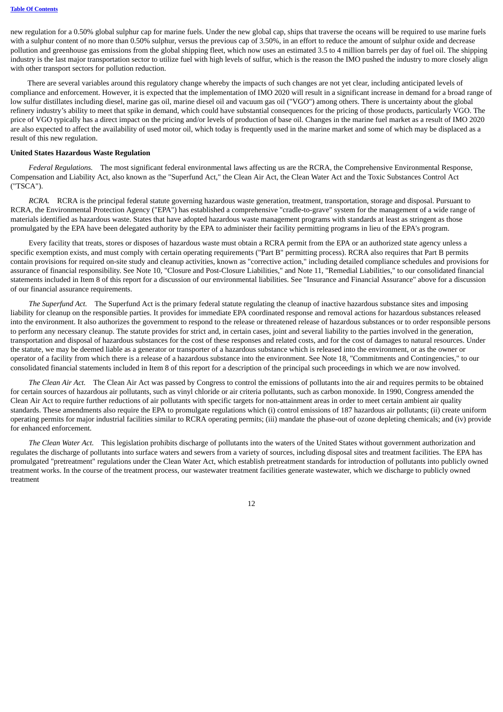new regulation for a 0.50% global sulphur cap for marine fuels. Under the new global cap, ships that traverse the oceans will be required to use marine fuels with a sulphur content of no more than 0.50% sulphur, versus the previous cap of 3.50%, in an effort to reduce the amount of sulphur oxide and decrease pollution and greenhouse gas emissions from the global shipping fleet, which now uses an estimated 3.5 to 4 million barrels per day of fuel oil. The shipping industry is the last major transportation sector to utilize fuel with high levels of sulfur, which is the reason the IMO pushed the industry to more closely align with other transport sectors for pollution reduction.

There are several variables around this regulatory change whereby the impacts of such changes are not yet clear, including anticipated levels of compliance and enforcement. However, it is expected that the implementation of IMO 2020 will result in a significant increase in demand for a broad range of low sulfur distillates including diesel, marine gas oil, marine diesel oil and vacuum gas oil ("VGO") among others. There is uncertainty about the global refinery industry's ability to meet that spike in demand, which could have substantial consequences for the pricing of those products, particularly VGO. The price of VGO typically has a direct impact on the pricing and/or levels of production of base oil. Changes in the marine fuel market as a result of IMO 2020 are also expected to affect the availability of used motor oil, which today is frequently used in the marine market and some of which may be displaced as a result of this new regulation.

## **United States Hazardous Waste Regulation**

*Federal Regulations.* The most significant federal environmental laws affecting us are the RCRA, the Comprehensive Environmental Response, Compensation and Liability Act, also known as the "Superfund Act," the Clean Air Act, the Clean Water Act and the Toxic Substances Control Act ("TSCA").

*RCRA.* RCRA is the principal federal statute governing hazardous waste generation, treatment, transportation, storage and disposal. Pursuant to RCRA, the Environmental Protection Agency ("EPA") has established a comprehensive "cradle-to-grave" system for the management of a wide range of materials identified as hazardous waste. States that have adopted hazardous waste management programs with standards at least as stringent as those promulgated by the EPA have been delegated authority by the EPA to administer their facility permitting programs in lieu of the EPA's program.

Every facility that treats, stores or disposes of hazardous waste must obtain a RCRA permit from the EPA or an authorized state agency unless a specific exemption exists, and must comply with certain operating requirements ("Part B" permitting process). RCRA also requires that Part B permits contain provisions for required on-site study and cleanup activities, known as "corrective action," including detailed compliance schedules and provisions for assurance of financial responsibility. See Note 10, "Closure and Post-Closure Liabilities," and Note 11, "Remedial Liabilities," to our consolidated financial statements included in Item 8 of this report for a discussion of our environmental liabilities. See "Insurance and Financial Assurance" above for a discussion of our financial assurance requirements.

*The Superfund Act.* The Superfund Act is the primary federal statute regulating the cleanup of inactive hazardous substance sites and imposing liability for cleanup on the responsible parties. It provides for immediate EPA coordinated response and removal actions for hazardous substances released into the environment. It also authorizes the government to respond to the release or threatened release of hazardous substances or to order responsible persons to perform any necessary cleanup. The statute provides for strict and, in certain cases, joint and several liability to the parties involved in the generation, transportation and disposal of hazardous substances for the cost of these responses and related costs, and for the cost of damages to natural resources. Under the statute, we may be deemed liable as a generator or transporter of a hazardous substance which is released into the environment, or as the owner or operator of a facility from which there is a release of a hazardous substance into the environment. See Note 18, "Commitments and Contingencies," to our consolidated financial statements included in Item 8 of this report for a description of the principal such proceedings in which we are now involved.

*The Clean Air Act.* The Clean Air Act was passed by Congress to control the emissions of pollutants into the air and requires permits to be obtained for certain sources of hazardous air pollutants, such as vinyl chloride or air criteria pollutants, such as carbon monoxide. In 1990, Congress amended the Clean Air Act to require further reductions of air pollutants with specific targets for non-attainment areas in order to meet certain ambient air quality standards. These amendments also require the EPA to promulgate regulations which (i) control emissions of 187 hazardous air pollutants; (ii) create uniform operating permits for major industrial facilities similar to RCRA operating permits; (iii) mandate the phase-out of ozone depleting chemicals; and (iv) provide for enhanced enforcement.

*The Clean Water Act.* This legislation prohibits discharge of pollutants into the waters of the United States without government authorization and regulates the discharge of pollutants into surface waters and sewers from a variety of sources, including disposal sites and treatment facilities. The EPA has promulgated "pretreatment" regulations under the Clean Water Act, which establish pretreatment standards for introduction of pollutants into publicly owned treatment works. In the course of the treatment process, our wastewater treatment facilities generate wastewater, which we discharge to publicly owned treatment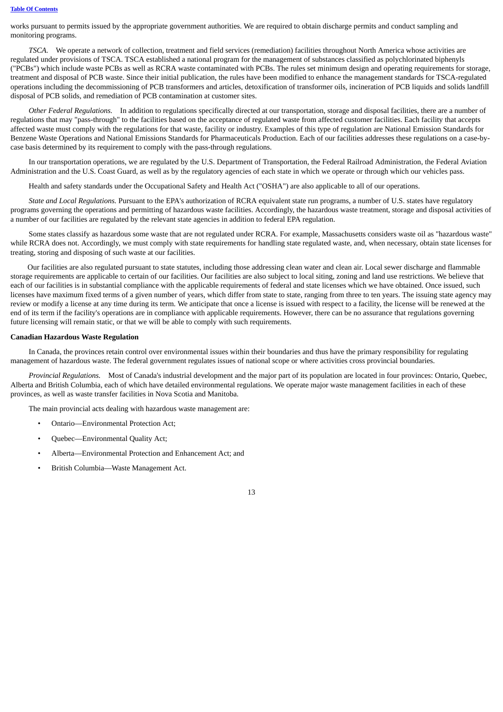works pursuant to permits issued by the appropriate government authorities. We are required to obtain discharge permits and conduct sampling and monitoring programs.

*TSCA.* We operate a network of collection, treatment and field services (remediation) facilities throughout North America whose activities are regulated under provisions of TSCA. TSCA established a national program for the management of substances classified as polychlorinated biphenyls ("PCBs") which include waste PCBs as well as RCRA waste contaminated with PCBs. The rules set minimum design and operating requirements for storage, treatment and disposal of PCB waste. Since their initial publication, the rules have been modified to enhance the management standards for TSCA-regulated operations including the decommissioning of PCB transformers and articles, detoxification of transformer oils, incineration of PCB liquids and solids landfill disposal of PCB solids, and remediation of PCB contamination at customer sites.

*Other Federal Regulations.* In addition to regulations specifically directed at our transportation, storage and disposal facilities, there are a number of regulations that may "pass-through" to the facilities based on the acceptance of regulated waste from affected customer facilities. Each facility that accepts affected waste must comply with the regulations for that waste, facility or industry. Examples of this type of regulation are National Emission Standards for Benzene Waste Operations and National Emissions Standards for Pharmaceuticals Production. Each of our facilities addresses these regulations on a case-bycase basis determined by its requirement to comply with the pass-through regulations.

In our transportation operations, we are regulated by the U.S. Department of Transportation, the Federal Railroad Administration, the Federal Aviation Administration and the U.S. Coast Guard, as well as by the regulatory agencies of each state in which we operate or through which our vehicles pass.

Health and safety standards under the Occupational Safety and Health Act ("OSHA") are also applicable to all of our operations.

*State and Local Regulations.* Pursuant to the EPA's authorization of RCRA equivalent state run programs, a number of U.S. states have regulatory programs governing the operations and permitting of hazardous waste facilities. Accordingly, the hazardous waste treatment, storage and disposal activities of a number of our facilities are regulated by the relevant state agencies in addition to federal EPA regulation.

Some states classify as hazardous some waste that are not regulated under RCRA. For example, Massachusetts considers waste oil as "hazardous waste" while RCRA does not. Accordingly, we must comply with state requirements for handling state regulated waste, and, when necessary, obtain state licenses for treating, storing and disposing of such waste at our facilities.

Our facilities are also regulated pursuant to state statutes, including those addressing clean water and clean air. Local sewer discharge and flammable storage requirements are applicable to certain of our facilities. Our facilities are also subject to local siting, zoning and land use restrictions. We believe that each of our facilities is in substantial compliance with the applicable requirements of federal and state licenses which we have obtained. Once issued, such licenses have maximum fixed terms of a given number of years, which differ from state to state, ranging from three to ten years. The issuing state agency may review or modify a license at any time during its term. We anticipate that once a license is issued with respect to a facility, the license will be renewed at the end of its term if the facility's operations are in compliance with applicable requirements. However, there can be no assurance that regulations governing future licensing will remain static, or that we will be able to comply with such requirements.

## **Canadian Hazardous Waste Regulation**

In Canada, the provinces retain control over environmental issues within their boundaries and thus have the primary responsibility for regulating management of hazardous waste. The federal government regulates issues of national scope or where activities cross provincial boundaries.

*Provincial Regulations.* Most of Canada's industrial development and the major part of its population are located in four provinces: Ontario, Quebec, Alberta and British Columbia, each of which have detailed environmental regulations. We operate major waste management facilities in each of these provinces, as well as waste transfer facilities in Nova Scotia and Manitoba.

The main provincial acts dealing with hazardous waste management are:

- Ontario—Environmental Protection Act;
- Quebec—Environmental Quality Act;
- Alberta—Environmental Protection and Enhancement Act; and
- British Columbia—Waste Management Act.

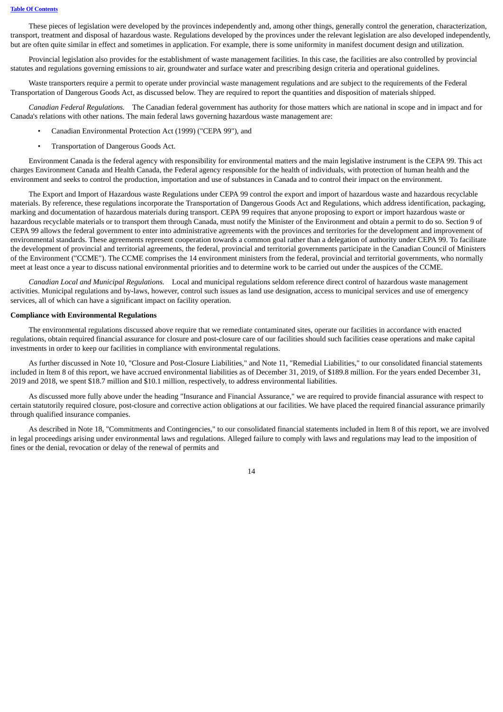These pieces of legislation were developed by the provinces independently and, among other things, generally control the generation, characterization, transport, treatment and disposal of hazardous waste. Regulations developed by the provinces under the relevant legislation are also developed independently, but are often quite similar in effect and sometimes in application. For example, there is some uniformity in manifest document design and utilization.

Provincial legislation also provides for the establishment of waste management facilities. In this case, the facilities are also controlled by provincial statutes and regulations governing emissions to air, groundwater and surface water and prescribing design criteria and operational guidelines.

Waste transporters require a permit to operate under provincial waste management regulations and are subject to the requirements of the Federal Transportation of Dangerous Goods Act, as discussed below. They are required to report the quantities and disposition of materials shipped.

*Canadian Federal Regulations.* The Canadian federal government has authority for those matters which are national in scope and in impact and for Canada's relations with other nations. The main federal laws governing hazardous waste management are:

- Canadian Environmental Protection Act (1999) ("CEPA 99"), and
- Transportation of Dangerous Goods Act.

Environment Canada is the federal agency with responsibility for environmental matters and the main legislative instrument is the CEPA 99. This act charges Environment Canada and Health Canada, the Federal agency responsible for the health of individuals, with protection of human health and the environment and seeks to control the production, importation and use of substances in Canada and to control their impact on the environment.

The Export and Import of Hazardous waste Regulations under CEPA 99 control the export and import of hazardous waste and hazardous recyclable materials. By reference, these regulations incorporate the Transportation of Dangerous Goods Act and Regulations, which address identification, packaging, marking and documentation of hazardous materials during transport. CEPA 99 requires that anyone proposing to export or import hazardous waste or hazardous recyclable materials or to transport them through Canada, must notify the Minister of the Environment and obtain a permit to do so. Section 9 of CEPA 99 allows the federal government to enter into administrative agreements with the provinces and territories for the development and improvement of environmental standards. These agreements represent cooperation towards a common goal rather than a delegation of authority under CEPA 99. To facilitate the development of provincial and territorial agreements, the federal, provincial and territorial governments participate in the Canadian Council of Ministers of the Environment ("CCME"). The CCME comprises the 14 environment ministers from the federal, provincial and territorial governments, who normally meet at least once a year to discuss national environmental priorities and to determine work to be carried out under the auspices of the CCME.

*Canadian Local and Municipal Regulations.* Local and municipal regulations seldom reference direct control of hazardous waste management activities. Municipal regulations and by-laws, however, control such issues as land use designation, access to municipal services and use of emergency services, all of which can have a significant impact on facility operation.

#### **Compliance with Environmental Regulations**

The environmental regulations discussed above require that we remediate contaminated sites, operate our facilities in accordance with enacted regulations, obtain required financial assurance for closure and post-closure care of our facilities should such facilities cease operations and make capital investments in order to keep our facilities in compliance with environmental regulations.

As further discussed in Note 10, "Closure and Post-Closure Liabilities," and Note 11, "Remedial Liabilities," to our consolidated financial statements included in Item 8 of this report, we have accrued environmental liabilities as of December 31, 2019, of \$189.8 million. For the years ended December 31, 2019 and 2018, we spent \$18.7 million and \$10.1 million, respectively, to address environmental liabilities.

As discussed more fully above under the heading "Insurance and Financial Assurance," we are required to provide financial assurance with respect to certain statutorily required closure, post-closure and corrective action obligations at our facilities. We have placed the required financial assurance primarily through qualified insurance companies.

As described in Note 18, "Commitments and Contingencies," to our consolidated financial statements included in Item 8 of this report, we are involved in legal proceedings arising under environmental laws and regulations. Alleged failure to comply with laws and regulations may lead to the imposition of fines or the denial, revocation or delay of the renewal of permits and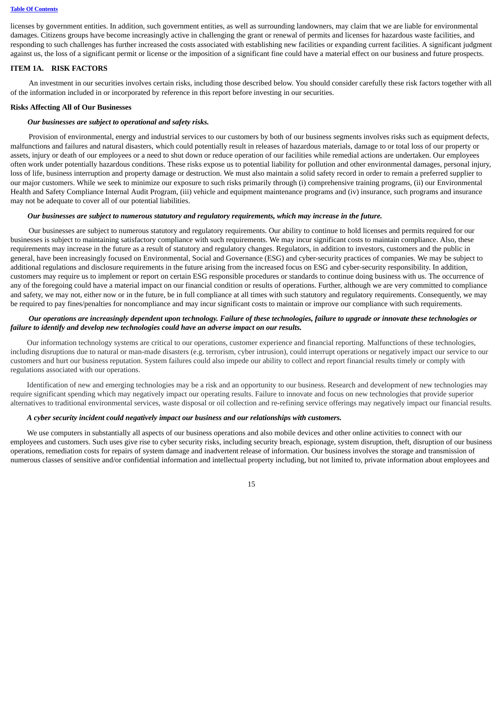licenses by government entities. In addition, such government entities, as well as surrounding landowners, may claim that we are liable for environmental damages. Citizens groups have become increasingly active in challenging the grant or renewal of permits and licenses for hazardous waste facilities, and responding to such challenges has further increased the costs associated with establishing new facilities or expanding current facilities. A significant judgment against us, the loss of a significant permit or license or the imposition of a significant fine could have a material effect on our business and future prospects.

## <span id="page-16-0"></span>**ITEM 1A. RISK FACTORS**

An investment in our securities involves certain risks, including those described below. You should consider carefully these risk factors together with all of the information included in or incorporated by reference in this report before investing in our securities.

## **Risks Affecting All of Our Businesses**

#### *Our businesses are subject to operational and safety risks.*

Provision of environmental, energy and industrial services to our customers by both of our business segments involves risks such as equipment defects, malfunctions and failures and natural disasters, which could potentially result in releases of hazardous materials, damage to or total loss of our property or assets, injury or death of our employees or a need to shut down or reduce operation of our facilities while remedial actions are undertaken. Our employees often work under potentially hazardous conditions. These risks expose us to potential liability for pollution and other environmental damages, personal injury, loss of life, business interruption and property damage or destruction. We must also maintain a solid safety record in order to remain a preferred supplier to our major customers. While we seek to minimize our exposure to such risks primarily through (i) comprehensive training programs, (ii) our Environmental Health and Safety Compliance Internal Audit Program, (iii) vehicle and equipment maintenance programs and (iv) insurance, such programs and insurance may not be adequate to cover all of our potential liabilities.

#### *Our businesses are subject to numerous statutory and regulatory requirements, which may increase in the future.*

Our businesses are subject to numerous statutory and regulatory requirements. Our ability to continue to hold licenses and permits required for our businesses is subject to maintaining satisfactory compliance with such requirements. We may incur significant costs to maintain compliance. Also, these requirements may increase in the future as a result of statutory and regulatory changes. Regulators, in addition to investors, customers and the public in general, have been increasingly focused on Environmental, Social and Governance (ESG) and cyber-security practices of companies. We may be subject to additional regulations and disclosure requirements in the future arising from the increased focus on ESG and cyber-security responsibility. In addition, customers may require us to implement or report on certain ESG responsible procedures or standards to continue doing business with us. The occurrence of any of the foregoing could have a material impact on our financial condition or results of operations. Further, although we are very committed to compliance and safety, we may not, either now or in the future, be in full compliance at all times with such statutory and regulatory requirements. Consequently, we may be required to pay fines/penalties for noncompliance and may incur significant costs to maintain or improve our compliance with such requirements.

## Our operations are increasingly dependent upon technology. Failure of these technologies, failure to upgrade or innovate these technologies or *failure to identify and develop new technologies could have an adverse impact on our results.*

Our information technology systems are critical to our operations, customer experience and financial reporting. Malfunctions of these technologies, including disruptions due to natural or man-made disasters (e.g. terrorism, cyber intrusion), could interrupt operations or negatively impact our service to our customers and hurt our business reputation. System failures could also impede our ability to collect and report financial results timely or comply with regulations associated with our operations.

Identification of new and emerging technologies may be a risk and an opportunity to our business. Research and development of new technologies may require significant spending which may negatively impact our operating results. Failure to innovate and focus on new technologies that provide superior alternatives to traditional environmental services, waste disposal or oil collection and re-refining service offerings may negatively impact our financial results.

#### *A cyber security incident could negatively impact our business and our relationships with customers.*

We use computers in substantially all aspects of our business operations and also mobile devices and other online activities to connect with our employees and customers. Such uses give rise to cyber security risks, including security breach, espionage, system disruption, theft, disruption of our business operations, remediation costs for repairs of system damage and inadvertent release of information. Our business involves the storage and transmission of numerous classes of sensitive and/or confidential information and intellectual property including, but not limited to, private information about employees and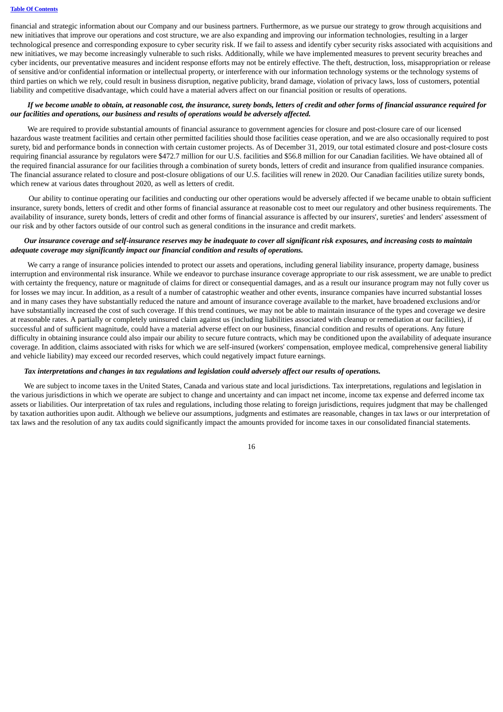financial and strategic information about our Company and our business partners. Furthermore, as we pursue our strategy to grow through acquisitions and new initiatives that improve our operations and cost structure, we are also expanding and improving our information technologies, resulting in a larger technological presence and corresponding exposure to cyber security risk. If we fail to assess and identify cyber security risks associated with acquisitions and new initiatives, we may become increasingly vulnerable to such risks. Additionally, while we have implemented measures to prevent security breaches and cyber incidents, our preventative measures and incident response efforts may not be entirely effective. The theft, destruction, loss, misappropriation or release of sensitive and/or confidential information or intellectual property, or interference with our information technology systems or the technology systems of third parties on which we rely, could result in business disruption, negative publicity, brand damage, violation of privacy laws, loss of customers, potential liability and competitive disadvantage, which could have a material advers affect on our financial position or results of operations.

## If we become unable to obtain, at reasonable cost, the insurance, surety bonds, letters of credit and other forms of financial assurance required for *our facilities and operations, our business and results of operations would be adversely affected.*

We are required to provide substantial amounts of financial assurance to government agencies for closure and post-closure care of our licensed hazardous waste treatment facilities and certain other permitted facilities should those facilities cease operation, and we are also occasionally required to post surety, bid and performance bonds in connection with certain customer projects. As of December 31, 2019, our total estimated closure and post-closure costs requiring financial assurance by regulators were \$472.7 million for our U.S. facilities and \$56.8 million for our Canadian facilities. We have obtained all of the required financial assurance for our facilities through a combination of surety bonds, letters of credit and insurance from qualified insurance companies. The financial assurance related to closure and post-closure obligations of our U.S. facilities will renew in 2020. Our Canadian facilities utilize surety bonds, which renew at various dates throughout 2020, as well as letters of credit.

Our ability to continue operating our facilities and conducting our other operations would be adversely affected if we became unable to obtain sufficient insurance, surety bonds, letters of credit and other forms of financial assurance at reasonable cost to meet our regulatory and other business requirements. The availability of insurance, surety bonds, letters of credit and other forms of financial assurance is affected by our insurers', sureties' and lenders' assessment of our risk and by other factors outside of our control such as general conditions in the insurance and credit markets.

### Our insurance coverage and self-insurance reserves may be inadequate to cover all significant risk exposures, and increasing costs to maintain *adequate coverage may significantly impact our financial condition and results of operations.*

We carry a range of insurance policies intended to protect our assets and operations, including general liability insurance, property damage, business interruption and environmental risk insurance. While we endeavor to purchase insurance coverage appropriate to our risk assessment, we are unable to predict with certainty the frequency, nature or magnitude of claims for direct or consequential damages, and as a result our insurance program may not fully cover us for losses we may incur. In addition, as a result of a number of catastrophic weather and other events, insurance companies have incurred substantial losses and in many cases they have substantially reduced the nature and amount of insurance coverage available to the market, have broadened exclusions and/or have substantially increased the cost of such coverage. If this trend continues, we may not be able to maintain insurance of the types and coverage we desire at reasonable rates. A partially or completely uninsured claim against us (including liabilities associated with cleanup or remediation at our facilities), if successful and of sufficient magnitude, could have a material adverse effect on our business, financial condition and results of operations. Any future difficulty in obtaining insurance could also impair our ability to secure future contracts, which may be conditioned upon the availability of adequate insurance coverage. In addition, claims associated with risks for which we are self-insured (workers' compensation, employee medical, comprehensive general liability and vehicle liability) may exceed our recorded reserves, which could negatively impact future earnings.

### Tax interpretations and changes in tax regulations and legislation could adversely affect our results of operations.

We are subject to income taxes in the United States, Canada and various state and local jurisdictions. Tax interpretations, regulations and legislation in the various jurisdictions in which we operate are subject to change and uncertainty and can impact net income, income tax expense and deferred income tax assets or liabilities. Our interpretation of tax rules and regulations, including those relating to foreign jurisdictions, requires judgment that may be challenged by taxation authorities upon audit. Although we believe our assumptions, judgments and estimates are reasonable, changes in tax laws or our interpretation of tax laws and the resolution of any tax audits could significantly impact the amounts provided for income taxes in our consolidated financial statements.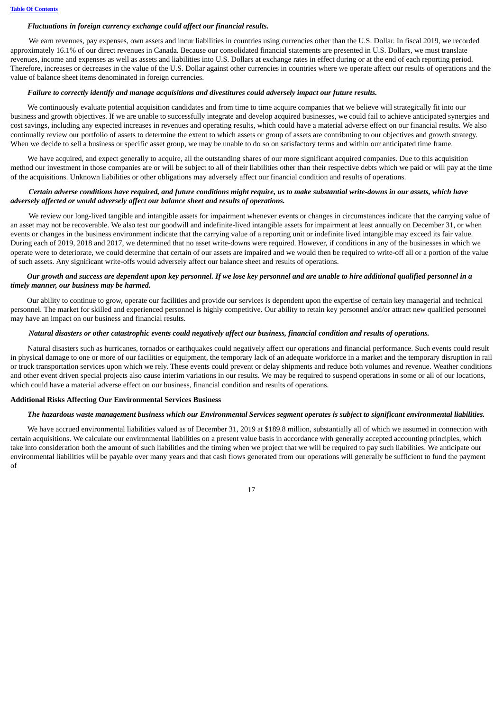### *Fluctuations in foreign currency exchange could affect our financial results.*

We earn revenues, pay expenses, own assets and incur liabilities in countries using currencies other than the U.S. Dollar. In fiscal 2019, we recorded approximately 16.1% of our direct revenues in Canada. Because our consolidated financial statements are presented in U.S. Dollars, we must translate revenues, income and expenses as well as assets and liabilities into U.S. Dollars at exchange rates in effect during or at the end of each reporting period. Therefore, increases or decreases in the value of the U.S. Dollar against other currencies in countries where we operate affect our results of operations and the value of balance sheet items denominated in foreign currencies.

### *Failure to correctly identify and manage acquisitions and divestitures could adversely impact our future results.*

We continuously evaluate potential acquisition candidates and from time to time acquire companies that we believe will strategically fit into our business and growth objectives. If we are unable to successfully integrate and develop acquired businesses, we could fail to achieve anticipated synergies and cost savings, including any expected increases in revenues and operating results, which could have a material adverse effect on our financial results. We also continually review our portfolio of assets to determine the extent to which assets or group of assets are contributing to our objectives and growth strategy. When we decide to sell a business or specific asset group, we may be unable to do so on satisfactory terms and within our anticipated time frame.

We have acquired, and expect generally to acquire, all the outstanding shares of our more significant acquired companies. Due to this acquisition method our investment in those companies are or will be subject to all of their liabilities other than their respective debts which we paid or will pay at the time of the acquisitions. Unknown liabilities or other obligations may adversely affect our financial condition and results of operations.

## Certain adverse conditions have required, and future conditions might require, us to make substantial write-downs in our assets, which have *adversely affected or would adversely affect our balance sheet and results of operations.*

We review our long-lived tangible and intangible assets for impairment whenever events or changes in circumstances indicate that the carrying value of an asset may not be recoverable. We also test our goodwill and indefinite-lived intangible assets for impairment at least annually on December 31, or when events or changes in the business environment indicate that the carrying value of a reporting unit or indefinite lived intangible may exceed its fair value. During each of 2019, 2018 and 2017, we determined that no asset write-downs were required. However, if conditions in any of the businesses in which we operate were to deteriorate, we could determine that certain of our assets are impaired and we would then be required to write-off all or a portion of the value of such assets. Any significant write-offs would adversely affect our balance sheet and results of operations.

## Our growth and success are dependent upon key personnel. If we lose key personnel and are unable to hire additional qualified personnel in a *timely manner, our business may be harmed.*

Our ability to continue to grow, operate our facilities and provide our services is dependent upon the expertise of certain key managerial and technical personnel. The market for skilled and experienced personnel is highly competitive. Our ability to retain key personnel and/or attract new qualified personnel may have an impact on our business and financial results.

#### Natural disasters or other catastrophic events could negatively affect our business, financial condition and results of operations.

Natural disasters such as hurricanes, tornados or earthquakes could negatively affect our operations and financial performance. Such events could result in physical damage to one or more of our facilities or equipment, the temporary lack of an adequate workforce in a market and the temporary disruption in rail or truck transportation services upon which we rely. These events could prevent or delay shipments and reduce both volumes and revenue. Weather conditions and other event driven special projects also cause interim variations in our results. We may be required to suspend operations in some or all of our locations, which could have a material adverse effect on our business, financial condition and results of operations.

#### **Additional Risks Affecting Our Environmental Services Business**

#### The hazardous waste management business which our Environmental Services segment operates is subject to significant environmental liabilities.

We have accrued environmental liabilities valued as of December 31, 2019 at \$189.8 million, substantially all of which we assumed in connection with certain acquisitions. We calculate our environmental liabilities on a present value basis in accordance with generally accepted accounting principles, which take into consideration both the amount of such liabilities and the timing when we project that we will be required to pay such liabilities. We anticipate our environmental liabilities will be payable over many years and that cash flows generated from our operations will generally be sufficient to fund the payment of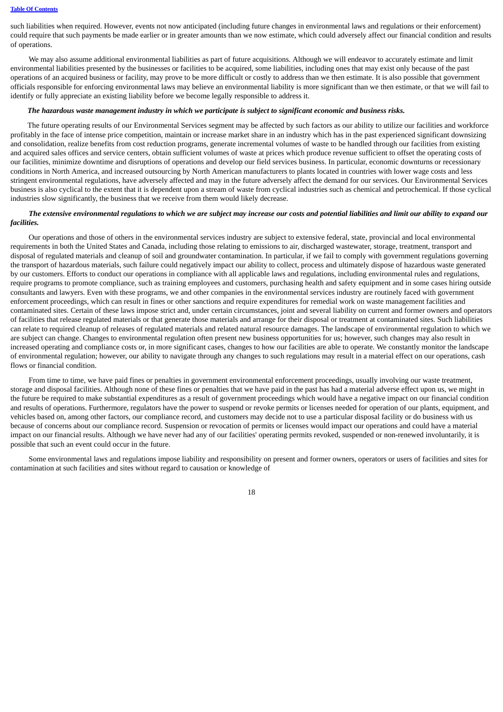such liabilities when required. However, events not now anticipated (including future changes in environmental laws and regulations or their enforcement) could require that such payments be made earlier or in greater amounts than we now estimate, which could adversely affect our financial condition and results of operations.

We may also assume additional environmental liabilities as part of future acquisitions. Although we will endeavor to accurately estimate and limit environmental liabilities presented by the businesses or facilities to be acquired, some liabilities, including ones that may exist only because of the past operations of an acquired business or facility, may prove to be more difficult or costly to address than we then estimate. It is also possible that government officials responsible for enforcing environmental laws may believe an environmental liability is more significant than we then estimate, or that we will fail to identify or fully appreciate an existing liability before we become legally responsible to address it.

#### The hazardous waste management industry in which we participate is subject to significant economic and business risks.

The future operating results of our Environmental Services segment may be affected by such factors as our ability to utilize our facilities and workforce profitably in the face of intense price competition, maintain or increase market share in an industry which has in the past experienced significant downsizing and consolidation, realize benefits from cost reduction programs, generate incremental volumes of waste to be handled through our facilities from existing and acquired sales offices and service centers, obtain sufficient volumes of waste at prices which produce revenue sufficient to offset the operating costs of our facilities, minimize downtime and disruptions of operations and develop our field services business. In particular, economic downturns or recessionary conditions in North America, and increased outsourcing by North American manufacturers to plants located in countries with lower wage costs and less stringent environmental regulations, have adversely affected and may in the future adversely affect the demand for our services. Our Environmental Services business is also cyclical to the extent that it is dependent upon a stream of waste from cyclical industries such as chemical and petrochemical. If those cyclical industries slow significantly, the business that we receive from them would likely decrease.

## The extensive environmental regulations to which we are subject may increase our costs and potential liabilities and limit our ability to expand our *facilities.*

Our operations and those of others in the environmental services industry are subject to extensive federal, state, provincial and local environmental requirements in both the United States and Canada, including those relating to emissions to air, discharged wastewater, storage, treatment, transport and disposal of regulated materials and cleanup of soil and groundwater contamination. In particular, if we fail to comply with government regulations governing the transport of hazardous materials, such failure could negatively impact our ability to collect, process and ultimately dispose of hazardous waste generated by our customers. Efforts to conduct our operations in compliance with all applicable laws and regulations, including environmental rules and regulations, require programs to promote compliance, such as training employees and customers, purchasing health and safety equipment and in some cases hiring outside consultants and lawyers. Even with these programs, we and other companies in the environmental services industry are routinely faced with government enforcement proceedings, which can result in fines or other sanctions and require expenditures for remedial work on waste management facilities and contaminated sites. Certain of these laws impose strict and, under certain circumstances, joint and several liability on current and former owners and operators of facilities that release regulated materials or that generate those materials and arrange for their disposal or treatment at contaminated sites. Such liabilities can relate to required cleanup of releases of regulated materials and related natural resource damages. The landscape of environmental regulation to which we are subject can change. Changes to environmental regulation often present new business opportunities for us; however, such changes may also result in increased operating and compliance costs or, in more significant cases, changes to how our facilities are able to operate. We constantly monitor the landscape of environmental regulation; however, our ability to navigate through any changes to such regulations may result in a material effect on our operations, cash flows or financial condition.

From time to time, we have paid fines or penalties in government environmental enforcement proceedings, usually involving our waste treatment, storage and disposal facilities. Although none of these fines or penalties that we have paid in the past has had a material adverse effect upon us, we might in the future be required to make substantial expenditures as a result of government proceedings which would have a negative impact on our financial condition and results of operations. Furthermore, regulators have the power to suspend or revoke permits or licenses needed for operation of our plants, equipment, and vehicles based on, among other factors, our compliance record, and customers may decide not to use a particular disposal facility or do business with us because of concerns about our compliance record. Suspension or revocation of permits or licenses would impact our operations and could have a material impact on our financial results. Although we have never had any of our facilities' operating permits revoked, suspended or non-renewed involuntarily, it is possible that such an event could occur in the future.

Some environmental laws and regulations impose liability and responsibility on present and former owners, operators or users of facilities and sites for contamination at such facilities and sites without regard to causation or knowledge of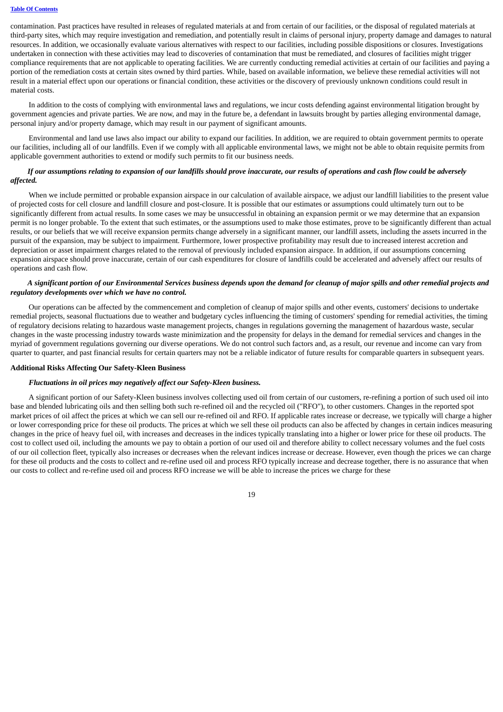contamination. Past practices have resulted in releases of regulated materials at and from certain of our facilities, or the disposal of regulated materials at third-party sites, which may require investigation and remediation, and potentially result in claims of personal injury, property damage and damages to natural resources. In addition, we occasionally evaluate various alternatives with respect to our facilities, including possible dispositions or closures. Investigations undertaken in connection with these activities may lead to discoveries of contamination that must be remediated, and closures of facilities might trigger compliance requirements that are not applicable to operating facilities. We are currently conducting remedial activities at certain of our facilities and paying a portion of the remediation costs at certain sites owned by third parties. While, based on available information, we believe these remedial activities will not result in a material effect upon our operations or financial condition, these activities or the discovery of previously unknown conditions could result in material costs.

In addition to the costs of complying with environmental laws and regulations, we incur costs defending against environmental litigation brought by government agencies and private parties. We are now, and may in the future be, a defendant in lawsuits brought by parties alleging environmental damage, personal injury and/or property damage, which may result in our payment of significant amounts.

Environmental and land use laws also impact our ability to expand our facilities. In addition, we are required to obtain government permits to operate our facilities, including all of our landfills. Even if we comply with all applicable environmental laws, we might not be able to obtain requisite permits from applicable government authorities to extend or modify such permits to fit our business needs.

## If our assumptions relating to expansion of our landfills should prove inaccurate, our results of operations and cash flow could be adversely *affected.*

When we include permitted or probable expansion airspace in our calculation of available airspace, we adjust our landfill liabilities to the present value of projected costs for cell closure and landfill closure and post-closure. It is possible that our estimates or assumptions could ultimately turn out to be significantly different from actual results. In some cases we may be unsuccessful in obtaining an expansion permit or we may determine that an expansion permit is no longer probable. To the extent that such estimates, or the assumptions used to make those estimates, prove to be significantly different than actual results, or our beliefs that we will receive expansion permits change adversely in a significant manner, our landfill assets, including the assets incurred in the pursuit of the expansion, may be subject to impairment. Furthermore, lower prospective profitability may result due to increased interest accretion and depreciation or asset impairment charges related to the removal of previously included expansion airspace. In addition, if our assumptions concerning expansion airspace should prove inaccurate, certain of our cash expenditures for closure of landfills could be accelerated and adversely affect our results of operations and cash flow.

## A significant portion of our Environmental Services business depends upon the demand for cleanup of major spills and other remedial projects and *regulatory developments over which we have no control.*

Our operations can be affected by the commencement and completion of cleanup of major spills and other events, customers' decisions to undertake remedial projects, seasonal fluctuations due to weather and budgetary cycles influencing the timing of customers' spending for remedial activities, the timing of regulatory decisions relating to hazardous waste management projects, changes in regulations governing the management of hazardous waste, secular changes in the waste processing industry towards waste minimization and the propensity for delays in the demand for remedial services and changes in the myriad of government regulations governing our diverse operations. We do not control such factors and, as a result, our revenue and income can vary from quarter to quarter, and past financial results for certain quarters may not be a reliable indicator of future results for comparable quarters in subsequent years.

### **Additional Risks Affecting Our Safety-Kleen Business**

### *Fluctuations in oil prices may negatively affect our Safety-Kleen business.*

A significant portion of our Safety-Kleen business involves collecting used oil from certain of our customers, re-refining a portion of such used oil into base and blended lubricating oils and then selling both such re-refined oil and the recycled oil ("RFO"), to other customers. Changes in the reported spot market prices of oil affect the prices at which we can sell our re-refined oil and RFO. If applicable rates increase or decrease, we typically will charge a higher or lower corresponding price for these oil products. The prices at which we sell these oil products can also be affected by changes in certain indices measuring changes in the price of heavy fuel oil, with increases and decreases in the indices typically translating into a higher or lower price for these oil products. The cost to collect used oil, including the amounts we pay to obtain a portion of our used oil and therefore ability to collect necessary volumes and the fuel costs of our oil collection fleet, typically also increases or decreases when the relevant indices increase or decrease. However, even though the prices we can charge for these oil products and the costs to collect and re-refine used oil and process RFO typically increase and decrease together, there is no assurance that when our costs to collect and re-refine used oil and process RFO increase we will be able to increase the prices we charge for these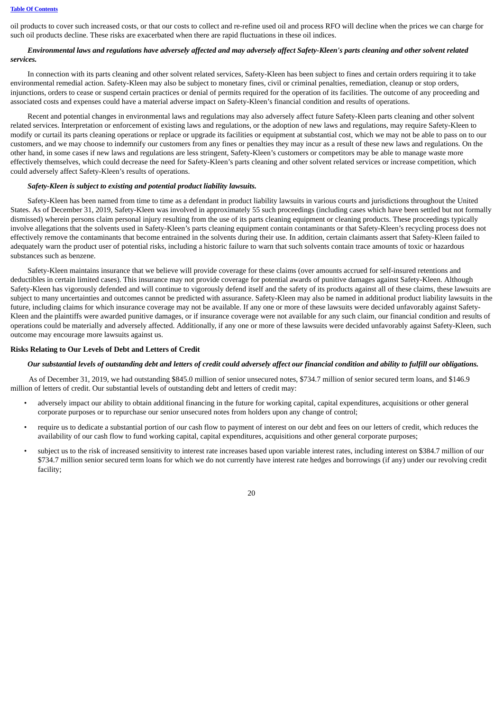oil products to cover such increased costs, or that our costs to collect and re-refine used oil and process RFO will decline when the prices we can charge for such oil products decline. These risks are exacerbated when there are rapid fluctuations in these oil indices.

## Environmental laws and regulations have adversely affected and may adversely affect Safety-Kleen's parts cleaning and other solvent related *services.*

In connection with its parts cleaning and other solvent related services, Safety-Kleen has been subject to fines and certain orders requiring it to take environmental remedial action. Safety-Kleen may also be subject to monetary fines, civil or criminal penalties, remediation, cleanup or stop orders, injunctions, orders to cease or suspend certain practices or denial of permits required for the operation of its facilities. The outcome of any proceeding and associated costs and expenses could have a material adverse impact on Safety-Kleen's financial condition and results of operations.

Recent and potential changes in environmental laws and regulations may also adversely affect future Safety-Kleen parts cleaning and other solvent related services. Interpretation or enforcement of existing laws and regulations, or the adoption of new laws and regulations, may require Safety-Kleen to modify or curtail its parts cleaning operations or replace or upgrade its facilities or equipment at substantial cost, which we may not be able to pass on to our customers, and we may choose to indemnify our customers from any fines or penalties they may incur as a result of these new laws and regulations. On the other hand, in some cases if new laws and regulations are less stringent, Safety-Kleen's customers or competitors may be able to manage waste more effectively themselves, which could decrease the need for Safety-Kleen's parts cleaning and other solvent related services or increase competition, which could adversely affect Safety-Kleen's results of operations.

## *Safety-Kleen is subject to existing and potential product liability lawsuits.*

Safety-Kleen has been named from time to time as a defendant in product liability lawsuits in various courts and jurisdictions throughout the United States. As of December 31, 2019, Safety-Kleen was involved in approximately 55 such proceedings (including cases which have been settled but not formally dismissed) wherein persons claim personal injury resulting from the use of its parts cleaning equipment or cleaning products. These proceedings typically involve allegations that the solvents used in Safety-Kleen's parts cleaning equipment contain contaminants or that Safety-Kleen's recycling process does not effectively remove the contaminants that become entrained in the solvents during their use. In addition, certain claimants assert that Safety-Kleen failed to adequately warn the product user of potential risks, including a historic failure to warn that such solvents contain trace amounts of toxic or hazardous substances such as benzene.

Safety-Kleen maintains insurance that we believe will provide coverage for these claims (over amounts accrued for self-insured retentions and deductibles in certain limited cases). This insurance may not provide coverage for potential awards of punitive damages against Safety-Kleen. Although Safety-Kleen has vigorously defended and will continue to vigorously defend itself and the safety of its products against all of these claims, these lawsuits are subject to many uncertainties and outcomes cannot be predicted with assurance. Safety-Kleen may also be named in additional product liability lawsuits in the future, including claims for which insurance coverage may not be available. If any one or more of these lawsuits were decided unfavorably against Safety-Kleen and the plaintiffs were awarded punitive damages, or if insurance coverage were not available for any such claim, our financial condition and results of operations could be materially and adversely affected. Additionally, if any one or more of these lawsuits were decided unfavorably against Safety-Kleen, such outcome may encourage more lawsuits against us.

### **Risks Relating to Our Levels of Debt and Letters of Credit**

#### Our substantial levels of outstanding debt and letters of credit could adversely affect our financial condition and ability to fulfill our obligations.

As of December 31, 2019, we had outstanding \$845.0 million of senior unsecured notes, \$734.7 million of senior secured term loans, and \$146.9 million of letters of credit. Our substantial levels of outstanding debt and letters of credit may:

- adversely impact our ability to obtain additional financing in the future for working capital, capital expenditures, acquisitions or other general corporate purposes or to repurchase our senior unsecured notes from holders upon any change of control;
- require us to dedicate a substantial portion of our cash flow to payment of interest on our debt and fees on our letters of credit, which reduces the availability of our cash flow to fund working capital, capital expenditures, acquisitions and other general corporate purposes;
- subject us to the risk of increased sensitivity to interest rate increases based upon variable interest rates, including interest on \$384.7 million of our \$734.7 million senior secured term loans for which we do not currently have interest rate hedges and borrowings (if any) under our revolving credit facility;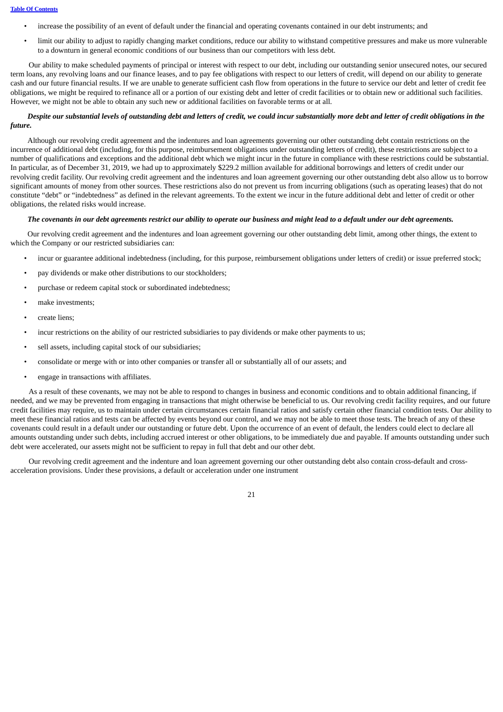- increase the possibility of an event of default under the financial and operating covenants contained in our debt instruments; and
- limit our ability to adjust to rapidly changing market conditions, reduce our ability to withstand competitive pressures and make us more vulnerable to a downturn in general economic conditions of our business than our competitors with less debt.

Our ability to make scheduled payments of principal or interest with respect to our debt, including our outstanding senior unsecured notes, our secured term loans, any revolving loans and our finance leases, and to pay fee obligations with respect to our letters of credit, will depend on our ability to generate cash and our future financial results. If we are unable to generate sufficient cash flow from operations in the future to service our debt and letter of credit fee obligations, we might be required to refinance all or a portion of our existing debt and letter of credit facilities or to obtain new or additional such facilities. However, we might not be able to obtain any such new or additional facilities on favorable terms or at all.

## Despite our substantial levels of outstanding debt and letters of credit, we could incur substantially more debt and letter of credit obligations in the *future.*

Although our revolving credit agreement and the indentures and loan agreements governing our other outstanding debt contain restrictions on the incurrence of additional debt (including, for this purpose, reimbursement obligations under outstanding letters of credit), these restrictions are subject to a number of qualifications and exceptions and the additional debt which we might incur in the future in compliance with these restrictions could be substantial. In particular, as of December 31, 2019, we had up to approximately \$229.2 million available for additional borrowings and letters of credit under our revolving credit facility. Our revolving credit agreement and the indentures and loan agreement governing our other outstanding debt also allow us to borrow significant amounts of money from other sources. These restrictions also do not prevent us from incurring obligations (such as operating leases) that do not constitute "debt" or "indebtedness" as defined in the relevant agreements. To the extent we incur in the future additional debt and letter of credit or other obligations, the related risks would increase.

#### The covenants in our debt agreements restrict our ability to operate our business and might lead to a default under our debt agreements.

Our revolving credit agreement and the indentures and loan agreement governing our other outstanding debt limit, among other things, the extent to which the Company or our restricted subsidiaries can:

- incur or guarantee additional indebtedness (including, for this purpose, reimbursement obligations under letters of credit) or issue preferred stock;
- pay dividends or make other distributions to our stockholders;
- purchase or redeem capital stock or subordinated indebtedness;
- make investments:
- create liens;
- incur restrictions on the ability of our restricted subsidiaries to pay dividends or make other payments to us;
- sell assets, including capital stock of our subsidiaries;
- consolidate or merge with or into other companies or transfer all or substantially all of our assets; and
- engage in transactions with affiliates.

As a result of these covenants, we may not be able to respond to changes in business and economic conditions and to obtain additional financing, if needed, and we may be prevented from engaging in transactions that might otherwise be beneficial to us. Our revolving credit facility requires, and our future credit facilities may require, us to maintain under certain circumstances certain financial ratios and satisfy certain other financial condition tests. Our ability to meet these financial ratios and tests can be affected by events beyond our control, and we may not be able to meet those tests. The breach of any of these covenants could result in a default under our outstanding or future debt. Upon the occurrence of an event of default, the lenders could elect to declare all amounts outstanding under such debts, including accrued interest or other obligations, to be immediately due and payable. If amounts outstanding under such debt were accelerated, our assets might not be sufficient to repay in full that debt and our other debt.

Our revolving credit agreement and the indenture and loan agreement governing our other outstanding debt also contain cross-default and crossacceleration provisions. Under these provisions, a default or acceleration under one instrument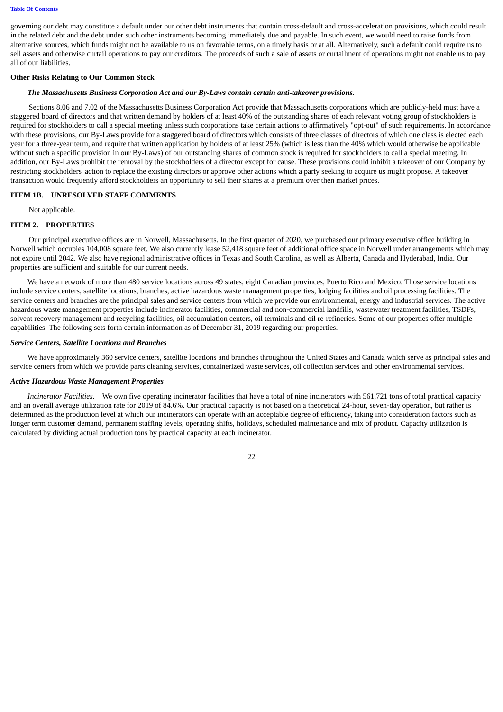governing our debt may constitute a default under our other debt instruments that contain cross-default and cross-acceleration provisions, which could result in the related debt and the debt under such other instruments becoming immediately due and payable. In such event, we would need to raise funds from alternative sources, which funds might not be available to us on favorable terms, on a timely basis or at all. Alternatively, such a default could require us to sell assets and otherwise curtail operations to pay our creditors. The proceeds of such a sale of assets or curtailment of operations might not enable us to pay all of our liabilities.

#### **Other Risks Relating to Our Common Stock**

#### *The Massachusetts Business Corporation Act and our By-Laws contain certain anti-takeover provisions.*

Sections 8.06 and 7.02 of the Massachusetts Business Corporation Act provide that Massachusetts corporations which are publicly-held must have a staggered board of directors and that written demand by holders of at least 40% of the outstanding shares of each relevant voting group of stockholders is required for stockholders to call a special meeting unless such corporations take certain actions to affirmatively "opt-out" of such requirements. In accordance with these provisions, our By-Laws provide for a staggered board of directors which consists of three classes of directors of which one class is elected each year for a three-year term, and require that written application by holders of at least 25% (which is less than the 40% which would otherwise be applicable without such a specific provision in our By-Laws) of our outstanding shares of common stock is required for stockholders to call a special meeting. In addition, our By-Laws prohibit the removal by the stockholders of a director except for cause. These provisions could inhibit a takeover of our Company by restricting stockholders' action to replace the existing directors or approve other actions which a party seeking to acquire us might propose. A takeover transaction would frequently afford stockholders an opportunity to sell their shares at a premium over then market prices.

## <span id="page-23-0"></span>**ITEM 1B. UNRESOLVED STAFF COMMENTS**

Not applicable.

#### <span id="page-23-1"></span>**ITEM 2. PROPERTIES**

Our principal executive offices are in Norwell, Massachusetts. In the first quarter of 2020, we purchased our primary executive office building in Norwell which occupies 104,008 square feet. We also currently lease 52,418 square feet of additional office space in Norwell under arrangements which may not expire until 2042. We also have regional administrative offices in Texas and South Carolina, as well as Alberta, Canada and Hyderabad, India. Our properties are sufficient and suitable for our current needs.

We have a network of more than 480 service locations across 49 states, eight Canadian provinces, Puerto Rico and Mexico. Those service locations include service centers, satellite locations, branches, active hazardous waste management properties, lodging facilities and oil processing facilities. The service centers and branches are the principal sales and service centers from which we provide our environmental, energy and industrial services. The active hazardous waste management properties include incinerator facilities, commercial and non-commercial landfills, wastewater treatment facilities, TSDFs, solvent recovery management and recycling facilities, oil accumulation centers, oil terminals and oil re-refineries. Some of our properties offer multiple capabilities. The following sets forth certain information as of December 31, 2019 regarding our properties.

#### *Service Centers, Satellite Locations and Branches*

We have approximately 360 service centers, satellite locations and branches throughout the United States and Canada which serve as principal sales and service centers from which we provide parts cleaning services, containerized waste services, oil collection services and other environmental services.

#### *Active Hazardous Waste Management Properties*

*Incinerator Facilities.* We own five operating incinerator facilities that have a total of nine incinerators with 561,721 tons of total practical capacity and an overall average utilization rate for 2019 of 84.6%. Our practical capacity is not based on a theoretical 24-hour, seven-day operation, but rather is determined as the production level at which our incinerators can operate with an acceptable degree of efficiency, taking into consideration factors such as longer term customer demand, permanent staffing levels, operating shifts, holidays, scheduled maintenance and mix of product. Capacity utilization is calculated by dividing actual production tons by practical capacity at each incinerator.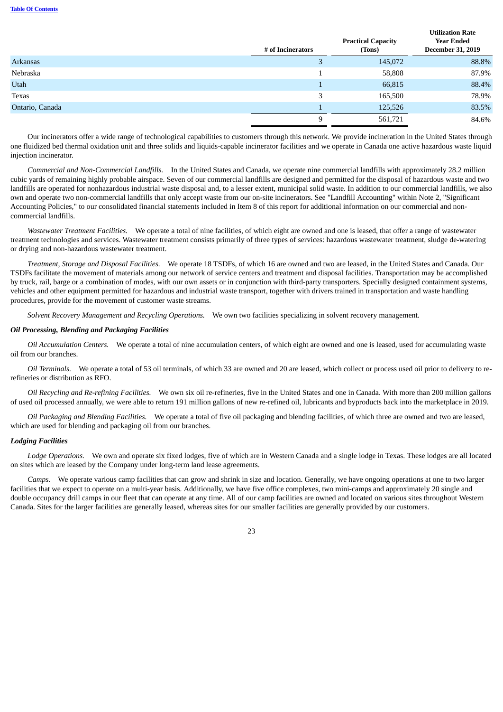|                 | # of Incinerators | <b>Practical Capacity</b><br>(Tons) | <b>Utilization Rate</b><br><b>Year Ended</b><br><b>December 31, 2019</b> |
|-----------------|-------------------|-------------------------------------|--------------------------------------------------------------------------|
| <b>Arkansas</b> | 3                 | 145,072                             | 88.8%                                                                    |
| Nebraska        |                   | 58,808                              | 87.9%                                                                    |
| <b>Utah</b>     |                   | 66,815                              | 88.4%                                                                    |
| <b>Texas</b>    | 3                 | 165,500                             | 78.9%                                                                    |
| Ontario, Canada |                   | 125,526                             | 83.5%                                                                    |
|                 | 9                 | 561,721                             | 84.6%                                                                    |

Our incinerators offer a wide range of technological capabilities to customers through this network. We provide incineration in the United States through one fluidized bed thermal oxidation unit and three solids and liquids-capable incinerator facilities and we operate in Canada one active hazardous waste liquid injection incinerator.

*Commercial and Non-Commercial Landfills.* In the United States and Canada, we operate nine commercial landfills with approximately 28.2 million cubic yards of remaining highly probable airspace. Seven of our commercial landfills are designed and permitted for the disposal of hazardous waste and two landfills are operated for nonhazardous industrial waste disposal and, to a lesser extent, municipal solid waste. In addition to our commercial landfills, we also own and operate two non-commercial landfills that only accept waste from our on-site incinerators. See "Landfill Accounting" within Note 2, "Significant Accounting Policies," to our consolidated financial statements included in Item 8 of this report for additional information on our commercial and noncommercial landfills.

*Wastewater Treatment Facilities.* We operate a total of nine facilities, of which eight are owned and one is leased, that offer a range of wastewater treatment technologies and services. Wastewater treatment consists primarily of three types of services: hazardous wastewater treatment, sludge de-watering or drying and non-hazardous wastewater treatment.

*Treatment, Storage and Disposal Facilities.* We operate 18 TSDFs, of which 16 are owned and two are leased, in the United States and Canada. Our TSDFs facilitate the movement of materials among our network of service centers and treatment and disposal facilities. Transportation may be accomplished by truck, rail, barge or a combination of modes, with our own assets or in conjunction with third-party transporters. Specially designed containment systems, vehicles and other equipment permitted for hazardous and industrial waste transport, together with drivers trained in transportation and waste handling procedures, provide for the movement of customer waste streams.

*Solvent Recovery Management and Recycling Operations.* We own two facilities specializing in solvent recovery management.

## *Oil Processing, Blending and Packaging Facilities*

*Oil Accumulation Centers.* We operate a total of nine accumulation centers, of which eight are owned and one is leased, used for accumulating waste oil from our branches.

*Oil Terminals.* We operate a total of 53 oil terminals, of which 33 are owned and 20 are leased, which collect or process used oil prior to delivery to rerefineries or distribution as RFO.

*Oil Recycling and Re-refining Facilities.* We own six oil re-refineries, five in the United States and one in Canada. With more than 200 million gallons of used oil processed annually, we were able to return 191 million gallons of new re-refined oil, lubricants and byproducts back into the marketplace in 2019.

*Oil Packaging and Blending Facilities.* We operate a total of five oil packaging and blending facilities, of which three are owned and two are leased, which are used for blending and packaging oil from our branches.

### *Lodging Facilities*

*Lodge Operations.* We own and operate six fixed lodges, five of which are in Western Canada and a single lodge in Texas. These lodges are all located on sites which are leased by the Company under long-term land lease agreements.

*Camps.* We operate various camp facilities that can grow and shrink in size and location. Generally, we have ongoing operations at one to two larger facilities that we expect to operate on a multi-year basis. Additionally, we have five office complexes, two mini-camps and approximately 20 single and double occupancy drill camps in our fleet that can operate at any time. All of our camp facilities are owned and located on various sites throughout Western Canada. Sites for the larger facilities are generally leased, whereas sites for our smaller facilities are generally provided by our customers.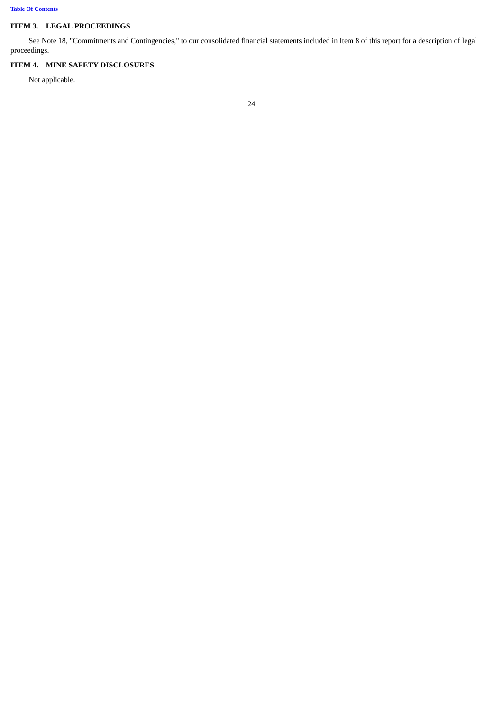## <span id="page-25-0"></span>**ITEM 3. LEGAL PROCEEDINGS**

See Note 18, "Commitments and Contingencies," to our consolidated financial statements included in Item 8 of this report for a description of legal proceedings.

## <span id="page-25-1"></span>**ITEM 4. MINE SAFETY DISCLOSURES**

Not applicable.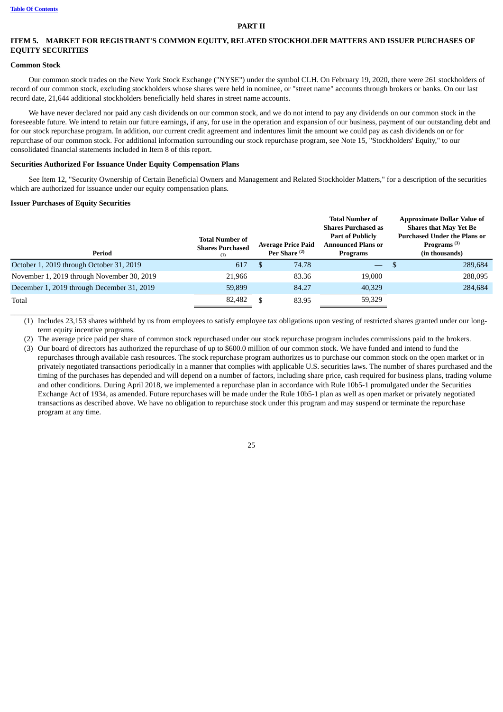#### **PART II**

## <span id="page-26-1"></span><span id="page-26-0"></span>**ITEM 5. MARKET FOR REGISTRANT'S COMMON EQUITY, RELATED STOCKHOLDER MATTERS AND ISSUER PURCHASES OF EQUITY SECURITIES**

#### **Common Stock**

Our common stock trades on the New York Stock Exchange ("NYSE") under the symbol CLH. On February 19, 2020, there were 261 stockholders of record of our common stock, excluding stockholders whose shares were held in nominee, or "street name" accounts through brokers or banks. On our last record date, 21,644 additional stockholders beneficially held shares in street name accounts.

We have never declared nor paid any cash dividends on our common stock, and we do not intend to pay any dividends on our common stock in the foreseeable future. We intend to retain our future earnings, if any, for use in the operation and expansion of our business, payment of our outstanding debt and for our stock repurchase program. In addition, our current credit agreement and indentures limit the amount we could pay as cash dividends on or for repurchase of our common stock. For additional information surrounding our stock repurchase program, see Note 15, "Stockholders' Equity," to our consolidated financial statements included in Item 8 of this report.

## **Securities Authorized For Issuance Under Equity Compensation Plans**

See Item 12, "Security Ownership of Certain Beneficial Owners and Management and Related Stockholder Matters," for a description of the securities which are authorized for issuance under our equity compensation plans.

#### **Issuer Purchases of Equity Securities**

\_\_\_\_\_\_\_\_\_\_\_\_\_\_\_\_\_\_\_\_\_\_

| Period                                     | <b>Total Number of</b><br><b>Shares Purchased</b><br>(1) |   | <b>Average Price Paid</b><br>Per Share <sup>(2)</sup> | <b>Total Number of</b><br><b>Shares Purchased as</b><br><b>Part of Publicly</b><br><b>Announced Plans or</b><br>Programs | <b>Approximate Dollar Value of</b><br><b>Shares that May Yet Be</b><br><b>Purchased Under the Plans or</b><br>Programs $(3)$<br>(in thousands) |
|--------------------------------------------|----------------------------------------------------------|---|-------------------------------------------------------|--------------------------------------------------------------------------------------------------------------------------|------------------------------------------------------------------------------------------------------------------------------------------------|
| October 1, 2019 through October 31, 2019   | 617                                                      | S | 74.78                                                 |                                                                                                                          | 289,684                                                                                                                                        |
| November 1, 2019 through November 30, 2019 | 21,966                                                   |   | 83.36                                                 | 19,000                                                                                                                   | 288,095                                                                                                                                        |
| December 1, 2019 through December 31, 2019 | 59,899                                                   |   | 84.27                                                 | 40,329                                                                                                                   | 284,684                                                                                                                                        |
| Total                                      | 82.482                                                   |   | 83.95                                                 | 59,329                                                                                                                   |                                                                                                                                                |

(1) Includes 23,153 shares withheld by us from employees to satisfy employee tax obligations upon vesting of restricted shares granted under our longterm equity incentive programs.

(2) The average price paid per share of common stock repurchased under our stock repurchase program includes commissions paid to the brokers.

(3) Our board of directors has authorized the repurchase of up to \$600.0 million of our common stock. We have funded and intend to fund the repurchases through available cash resources. The stock repurchase program authorizes us to purchase our common stock on the open market or in privately negotiated transactions periodically in a manner that complies with applicable U.S. securities laws. The number of shares purchased and the timing of the purchases has depended and will depend on a number of factors, including share price, cash required for business plans, trading volume and other conditions. During April 2018, we implemented a repurchase plan in accordance with Rule 10b5-1 promulgated under the Securities Exchange Act of 1934, as amended. Future repurchases will be made under the Rule 10b5-1 plan as well as open market or privately negotiated transactions as described above. We have no obligation to repurchase stock under this program and may suspend or terminate the repurchase program at any time.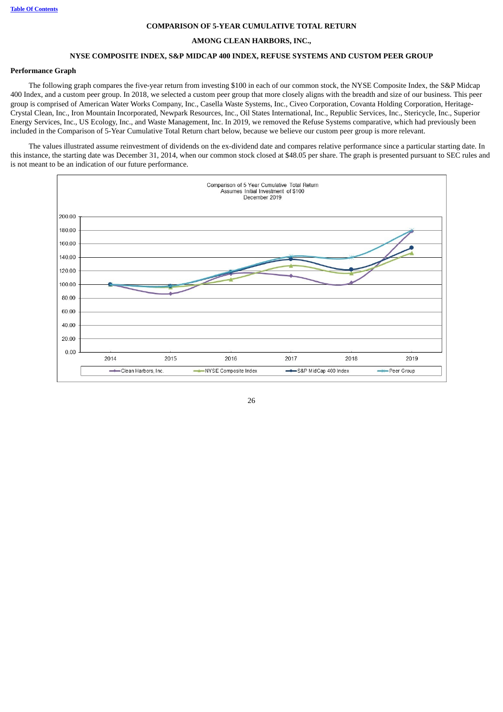## **COMPARISON OF 5-YEAR CUMULATIVE TOTAL RETURN**

## **AMONG CLEAN HARBORS, INC.,**

## **NYSE COMPOSITE INDEX, S&P MIDCAP 400 INDEX, REFUSE SYSTEMS AND CUSTOM PEER GROUP**

### **Performance Graph**

The following graph compares the five-year return from investing \$100 in each of our common stock, the NYSE Composite Index, the S&P Midcap 400 Index, and a custom peer group. In 2018, we selected a custom peer group that more closely aligns with the breadth and size of our business. This peer group is comprised of American Water Works Company, Inc., Casella Waste Systems, Inc., Civeo Corporation, Covanta Holding Corporation, Heritage-Crystal Clean, Inc., Iron Mountain Incorporated, Newpark Resources, Inc., Oil States International, Inc., Republic Services, Inc., Stericycle, Inc., Superior Energy Services, Inc., US Ecology, Inc., and Waste Management, Inc. In 2019, we removed the Refuse Systems comparative, which had previously been included in the Comparison of 5-Year Cumulative Total Return chart below, because we believe our custom peer group is more relevant.

The values illustrated assume reinvestment of dividends on the ex-dividend date and compares relative performance since a particular starting date. In this instance, the starting date was December 31, 2014, when our common stock closed at \$48.05 per share. The graph is presented pursuant to SEC rules and is not meant to be an indication of our future performance.

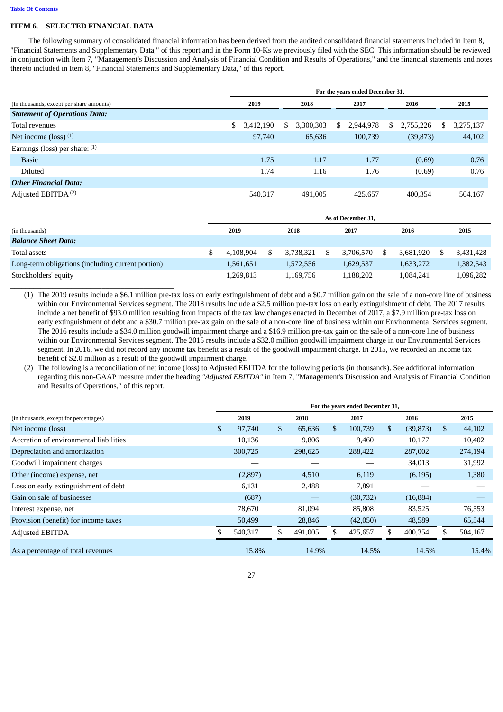## <span id="page-28-0"></span>**ITEM 6. SELECTED FINANCIAL DATA**

\_\_\_\_\_\_\_\_\_\_\_\_\_\_\_\_\_\_\_\_\_\_\_\_\_\_\_\_\_\_\_\_\_\_\_\_\_\_\_\_\_\_\_

The following summary of consolidated financial information has been derived from the audited consolidated financial statements included in Item 8, "Financial Statements and Supplementary Data," of this report and in the Form 10-Ks we previously filed with the SEC. This information should be reviewed in conjunction with Item 7, "Management's Discussion and Analysis of Financial Condition and Results of Operations," and the financial statements and notes thereto included in Item 8, "Financial Statements and Supplementary Data," of this report.

|                                           |    | For the years ended December 31, |    |           |    |           |   |           |   |           |  |
|-------------------------------------------|----|----------------------------------|----|-----------|----|-----------|---|-----------|---|-----------|--|
| (in thousands, except per share amounts)  |    | 2019                             |    | 2018      |    | 2017      |   | 2016      |   | 2015      |  |
| <b>Statement of Operations Data:</b>      |    |                                  |    |           |    |           |   |           |   |           |  |
| Total revenues                            | S. | 3,412,190                        | S. | 3,300,303 | S. | 2,944,978 | S | 2,755,226 | S | 3,275,137 |  |
| Net income $(\text{loss})$ <sup>(1)</sup> |    | 97,740                           |    | 65,636    |    | 100,739   |   | (39, 873) |   | 44,102    |  |
| Earnings (loss) per share: $(1)$          |    |                                  |    |           |    |           |   |           |   |           |  |
| <b>Basic</b>                              |    | 1.75                             |    | 1.17      |    | 1.77      |   | (0.69)    |   | 0.76      |  |
| <b>Diluted</b>                            |    | 1.74                             |    | 1.16      |    | 1.76      |   | (0.69)    |   | 0.76      |  |
| <b>Other Financial Data:</b>              |    |                                  |    |           |    |           |   |           |   |           |  |
| Adjusted EBITDA <sup>(2)</sup>            |    | 540.317                          |    | 491,005   |    | 425,657   |   | 400.354   |   | 504,167   |  |

|                                                   | As of December 31. |  |           |  |           |   |           |  |           |  |  |  |  |
|---------------------------------------------------|--------------------|--|-----------|--|-----------|---|-----------|--|-----------|--|--|--|--|
| (in thousands)                                    | 2019               |  | 2018      |  | 2017      |   | 2016      |  | 2015      |  |  |  |  |
| <b>Balance Sheet Data:</b>                        |                    |  |           |  |           |   |           |  |           |  |  |  |  |
| Total assets                                      | 4.108.904          |  | 3.738.321 |  | 3.706.570 | S | 3.681.920 |  | 3,431,428 |  |  |  |  |
| Long-term obligations (including current portion) | 1,561,651          |  | 1.572.556 |  | 1.629.537 |   | 1,633,272 |  | 1,382,543 |  |  |  |  |
| Stockholders' equity                              | 1,269,813          |  | 1,169,756 |  | 1,188,202 |   | 1,084,241 |  | 1,096,282 |  |  |  |  |

(1) The 2019 results include a \$6.1 million pre-tax loss on early extinguishment of debt and a \$0.7 million gain on the sale of a non-core line of business within our Environmental Services segment. The 2018 results include a \$2.5 million pre-tax loss on early extinguishment of debt. The 2017 results include a net benefit of \$93.0 million resulting from impacts of the tax law changes enacted in December of 2017, a \$7.9 million pre-tax loss on early extinguishment of debt and a \$30.7 million pre-tax gain on the sale of a non-core line of business within our Environmental Services segment. The 2016 results include a \$34.0 million goodwill impairment charge and a \$16.9 million pre-tax gain on the sale of a non-core line of business within our Environmental Services segment. The 2015 results include a \$32.0 million goodwill impairment charge in our Environmental Services segment. In 2016, we did not record any income tax benefit as a result of the goodwill impairment charge. In 2015, we recorded an income tax benefit of \$2.0 million as a result of the goodwill impairment charge.

(2) The following is a reconciliation of net income (loss) to Adjusted EBITDA for the following periods (in thousands). See additional information regarding this non-GAAP measure under the heading *"Adjusted EBITDA"* in Item 7, "Management's Discussion and Analysis of Financial Condition and Results of Operations," of this report.

|                                        | For the years ended December 31, |         |    |         |      |           |      |           |               |         |  |  |  |
|----------------------------------------|----------------------------------|---------|----|---------|------|-----------|------|-----------|---------------|---------|--|--|--|
| (in thousands, except for percentages) |                                  | 2019    |    | 2018    | 2017 |           | 2016 |           |               | 2015    |  |  |  |
| Net income (loss)                      | \$                               | 97,740  | \$ | 65,636  | \$   | 100,739   | \$   | (39, 873) | <sup>\$</sup> | 44,102  |  |  |  |
| Accretion of environmental liabilities |                                  | 10,136  |    | 9,806   |      | 9,460     |      | 10,177    |               | 10,402  |  |  |  |
| Depreciation and amortization          |                                  | 300,725 |    | 298,625 |      | 288,422   |      | 287,002   |               | 274,194 |  |  |  |
| Goodwill impairment charges            |                                  |         |    |         |      |           |      | 34,013    |               | 31,992  |  |  |  |
| Other (income) expense, net            |                                  | (2,897) |    | 4,510   |      | 6,119     |      | (6, 195)  |               | 1,380   |  |  |  |
| Loss on early extinguishment of debt   |                                  | 6,131   |    | 2,488   |      | 7,891     |      |           |               |         |  |  |  |
| Gain on sale of businesses             |                                  | (687)   |    |         |      | (30, 732) |      | (16, 884) |               |         |  |  |  |
| Interest expense, net                  |                                  | 78,670  |    | 81,094  |      | 85,808    |      | 83,525    |               | 76,553  |  |  |  |
| Provision (benefit) for income taxes   |                                  | 50,499  |    | 28,846  |      | (42,050)  |      | 48,589    |               | 65,544  |  |  |  |
| <b>Adjusted EBITDA</b>                 |                                  | 540,317 |    | 491,005 | \$   | 425,657   |      | 400,354   |               | 504,167 |  |  |  |
| As a percentage of total revenues      |                                  | 15.8%   |    | 14.9%   |      | 14.5%     |      | 14.5%     |               | 15.4%   |  |  |  |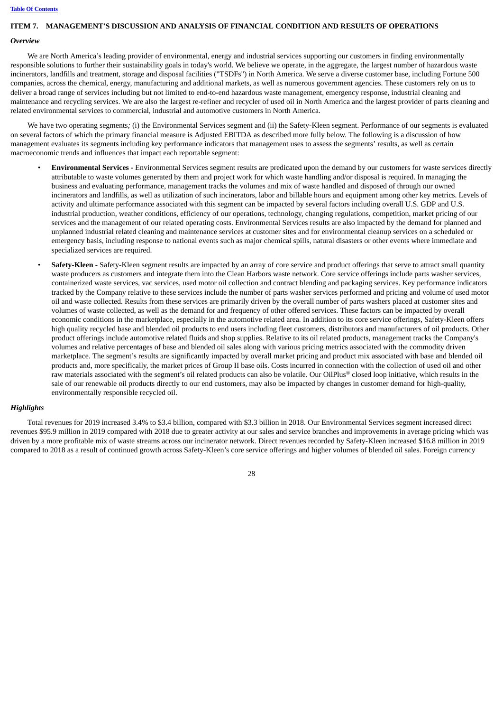## <span id="page-29-0"></span>**ITEM 7. MANAGEMENT'S DISCUSSION AND ANALYSIS OF FINANCIAL CONDITION AND RESULTS OF OPERATIONS**

#### *Overview*

We are North America's leading provider of environmental, energy and industrial services supporting our customers in finding environmentally responsible solutions to further their sustainability goals in today's world. We believe we operate, in the aggregate, the largest number of hazardous waste incinerators, landfills and treatment, storage and disposal facilities ("TSDFs") in North America. We serve a diverse customer base, including Fortune 500 companies, across the chemical, energy, manufacturing and additional markets, as well as numerous government agencies. These customers rely on us to deliver a broad range of services including but not limited to end-to-end hazardous waste management, emergency response, industrial cleaning and maintenance and recycling services. We are also the largest re-refiner and recycler of used oil in North America and the largest provider of parts cleaning and related environmental services to commercial, industrial and automotive customers in North America.

We have two operating segments; (i) the Environmental Services segment and (ii) the Safety-Kleen segment. Performance of our segments is evaluated on several factors of which the primary financial measure is Adjusted EBITDA as described more fully below. The following is a discussion of how management evaluates its segments including key performance indicators that management uses to assess the segments' results, as well as certain macroeconomic trends and influences that impact each reportable segment:

- **Environmental Services -** Environmental Services segment results are predicated upon the demand by our customers for waste services directly attributable to waste volumes generated by them and project work for which waste handling and/or disposal is required. In managing the business and evaluating performance, management tracks the volumes and mix of waste handled and disposed of through our owned incinerators and landfills, as well as utilization of such incinerators, labor and billable hours and equipment among other key metrics. Levels of activity and ultimate performance associated with this segment can be impacted by several factors including overall U.S. GDP and U.S. industrial production, weather conditions, efficiency of our operations, technology, changing regulations, competition, market pricing of our services and the management of our related operating costs. Environmental Services results are also impacted by the demand for planned and unplanned industrial related cleaning and maintenance services at customer sites and for environmental cleanup services on a scheduled or emergency basis, including response to national events such as major chemical spills, natural disasters or other events where immediate and specialized services are required.
- **Safety-Kleen -** Safety-Kleen segment results are impacted by an array of core service and product offerings that serve to attract small quantity waste producers as customers and integrate them into the Clean Harbors waste network. Core service offerings include parts washer services, containerized waste services, vac services, used motor oil collection and contract blending and packaging services. Key performance indicators tracked by the Company relative to these services include the number of parts washer services performed and pricing and volume of used motor oil and waste collected. Results from these services are primarily driven by the overall number of parts washers placed at customer sites and volumes of waste collected, as well as the demand for and frequency of other offered services. These factors can be impacted by overall economic conditions in the marketplace, especially in the automotive related area. In addition to its core service offerings, Safety-Kleen offers high quality recycled base and blended oil products to end users including fleet customers, distributors and manufacturers of oil products. Other product offerings include automotive related fluids and shop supplies. Relative to its oil related products, management tracks the Company's volumes and relative percentages of base and blended oil sales along with various pricing metrics associated with the commodity driven marketplace. The segment's results are significantly impacted by overall market pricing and product mix associated with base and blended oil products and, more specifically, the market prices of Group II base oils. Costs incurred in connection with the collection of used oil and other raw materials associated with the segment's oil related products can also be volatile. Our OilPlus® closed loop initiative, which results in the sale of our renewable oil products directly to our end customers, may also be impacted by changes in customer demand for high-quality, environmentally responsible recycled oil.

#### *Highlights*

Total revenues for 2019 increased 3.4% to \$3.4 billion, compared with \$3.3 billion in 2018. Our Environmental Services segment increased direct revenues \$95.9 million in 2019 compared with 2018 due to greater activity at our sales and service branches and improvements in average pricing which was driven by a more profitable mix of waste streams across our incinerator network. Direct revenues recorded by Safety-Kleen increased \$16.8 million in 2019 compared to 2018 as a result of continued growth across Safety-Kleen's core service offerings and higher volumes of blended oil sales. Foreign currency

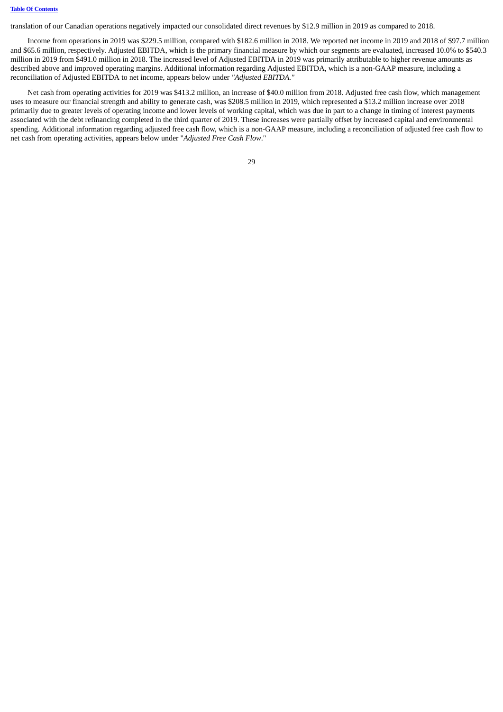## **Table Of [Contents](#page-1-0)**

translation of our Canadian operations negatively impacted our consolidated direct revenues by \$12.9 million in 2019 as compared to 2018.

Income from operations in 2019 was \$229.5 million, compared with \$182.6 million in 2018. We reported net income in 2019 and 2018 of \$97.7 million and \$65.6 million, respectively. Adjusted EBITDA, which is the primary financial measure by which our segments are evaluated, increased 10.0% to \$540.3 million in 2019 from \$491.0 million in 2018. The increased level of Adjusted EBITDA in 2019 was primarily attributable to higher revenue amounts as described above and improved operating margins. Additional information regarding Adjusted EBITDA, which is a non-GAAP measure, including a reconciliation of Adjusted EBITDA to net income, appears below under *"Adjusted EBITDA."*

Net cash from operating activities for 2019 was \$413.2 million, an increase of \$40.0 million from 2018. Adjusted free cash flow, which management uses to measure our financial strength and ability to generate cash, was \$208.5 million in 2019, which represented a \$13.2 million increase over 2018 primarily due to greater levels of operating income and lower levels of working capital, which was due in part to a change in timing of interest payments associated with the debt refinancing completed in the third quarter of 2019. These increases were partially offset by increased capital and environmental spending. Additional information regarding adjusted free cash flow, which is a non-GAAP measure, including a reconciliation of adjusted free cash flow to net cash from operating activities, appears below under "*Adjusted Free Cash Flow*."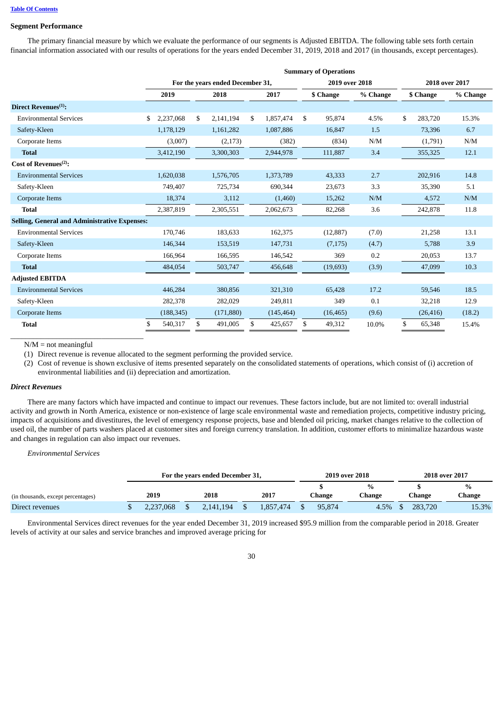## **Segment Performance**

The primary financial measure by which we evaluate the performance of our segments is Adjusted EBITDA. The following table sets forth certain financial information associated with our results of operations for the years ended December 31, 2019, 2018 and 2017 (in thousands, except percentages).

|                                                      | <b>Summary of Operations</b> |            |    |                                  |    |            |    |                |          |           |                |          |  |
|------------------------------------------------------|------------------------------|------------|----|----------------------------------|----|------------|----|----------------|----------|-----------|----------------|----------|--|
|                                                      |                              |            |    | For the years ended December 31, |    |            |    | 2019 over 2018 |          |           | 2018 over 2017 |          |  |
|                                                      |                              | 2019       |    | 2018                             |    | 2017       |    | \$ Change      | % Change | \$ Change |                | % Change |  |
| Direct Revenues $(1)$ :                              |                              |            |    |                                  |    |            |    |                |          |           |                |          |  |
| <b>Environmental Services</b>                        | \$                           | 2,237,068  | \$ | 2,141,194                        | \$ | 1,857,474  | \$ | 95,874         | 4.5%     | \$        | 283,720        | 15.3%    |  |
| Safety-Kleen                                         |                              | 1,178,129  |    | 1,161,282                        |    | 1,087,886  |    | 16,847         | 1.5      |           | 73,396         | 6.7      |  |
| Corporate Items                                      |                              | (3,007)    |    | (2, 173)                         |    | (382)      |    | (834)          | N/M      |           | (1,791)        | N/M      |  |
| <b>Total</b>                                         |                              | 3,412,190  |    | 3,300,303                        |    | 2,944,978  |    | 111,887        | 3.4      |           | 355,325        | 12.1     |  |
| Cost of Revenues $(2)$ :                             |                              |            |    |                                  |    |            |    |                |          |           |                |          |  |
| <b>Environmental Services</b>                        |                              | 1,620,038  |    | 1,576,705                        |    | 1,373,789  |    | 43,333         | 2.7      |           | 202,916        | 14.8     |  |
| Safety-Kleen                                         |                              | 749,407    |    | 725,734                          |    | 690,344    |    | 23,673         | 3.3      |           | 35,390         | 5.1      |  |
| Corporate Items                                      |                              | 18,374     |    | 3,112                            |    | (1,460)    |    | 15,262         | N/M      |           | 4,572          | N/M      |  |
| <b>Total</b>                                         |                              | 2,387,819  |    | 2,305,551                        |    | 2,062,673  |    | 82,268         | 3.6      |           | 242,878        | 11.8     |  |
| <b>Selling, General and Administrative Expenses:</b> |                              |            |    |                                  |    |            |    |                |          |           |                |          |  |
| <b>Environmental Services</b>                        |                              | 170,746    |    | 183.633                          |    | 162,375    |    | (12, 887)      | (7.0)    |           | 21,258         | 13.1     |  |
| Safety-Kleen                                         |                              | 146,344    |    | 153,519                          |    | 147,731    |    | (7, 175)       | (4.7)    |           | 5,788          | 3.9      |  |
| Corporate Items                                      |                              | 166,964    |    | 166,595                          |    | 146,542    |    | 369            | 0.2      |           | 20,053         | 13.7     |  |
| <b>Total</b>                                         |                              | 484,054    |    | 503,747                          |    | 456,648    |    | (19,693)       | (3.9)    |           | 47,099         | 10.3     |  |
| <b>Adjusted EBITDA</b>                               |                              |            |    |                                  |    |            |    |                |          |           |                |          |  |
| <b>Environmental Services</b>                        |                              | 446,284    |    | 380,856                          |    | 321,310    |    | 65,428         | 17.2     |           | 59,546         | 18.5     |  |
| Safety-Kleen                                         |                              | 282,378    |    | 282,029                          |    | 249,811    |    | 349            | 0.1      |           | 32,218         | 12.9     |  |
| Corporate Items                                      |                              | (188, 345) |    | (171, 880)                       |    | (145, 464) |    | (16, 465)      | (9.6)    |           | (26, 416)      | (18.2)   |  |
| <b>Total</b>                                         | \$                           | 540,317    | \$ | 491,005                          | \$ | 425,657    | \$ | 49,312         | 10.0%    | \$        | 65,348         | 15.4%    |  |

 $N/M$  = not meaningful

\_\_\_\_\_\_\_\_\_\_\_\_\_\_\_\_\_\_\_\_\_\_\_\_\_\_\_\_\_\_\_\_\_\_\_

(1) Direct revenue is revenue allocated to the segment performing the provided service.

(2) Cost of revenue is shown exclusive of items presented separately on the consolidated statements of operations, which consist of (i) accretion of environmental liabilities and (ii) depreciation and amortization.

### *Direct Revenues*

There are many factors which have impacted and continue to impact our revenues. These factors include, but are not limited to: overall industrial activity and growth in North America, existence or non-existence of large scale environmental waste and remediation projects, competitive industry pricing, impacts of acquisitions and divestitures, the level of emergency response projects, base and blended oil pricing, market changes relative to the collection of used oil, the number of parts washers placed at customer sites and foreign currency translation. In addition, customer efforts to minimalize hazardous waste and changes in regulation can also impact our revenues.

*Environmental Services*

|                                    |      | For the years ended December 31, | 2019 over 2018 |  |           |  |        | 2018 over 2017 |  |  |         |                |
|------------------------------------|------|----------------------------------|----------------|--|-----------|--|--------|----------------|--|--|---------|----------------|
|                                    | 2019 |                                  | 2018           |  | 2017      |  | Change | $\%$<br>∑hange |  |  | Change  | $\%$<br>Change |
| (in thousands, except percentages) |      |                                  |                |  |           |  |        |                |  |  |         |                |
| Direct revenues                    |      | 2,237,068                        | 2.141.194      |  | 1.857.474 |  | 95,874 | 4.5%           |  |  | 283,720 | 15.3%          |

Environmental Services direct revenues for the year ended December 31, 2019 increased \$95.9 million from the comparable period in 2018. Greater levels of activity at our sales and service branches and improved average pricing for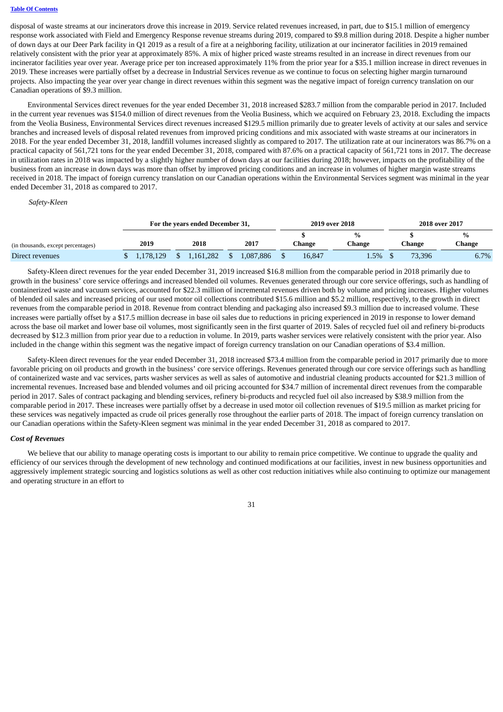#### **Table Of [Contents](#page-1-0)**

disposal of waste streams at our incinerators drove this increase in 2019. Service related revenues increased, in part, due to \$15.1 million of emergency response work associated with Field and Emergency Response revenue streams during 2019, compared to \$9.8 million during 2018. Despite a higher number of down days at our Deer Park facility in Q1 2019 as a result of a fire at a neighboring facility, utilization at our incinerator facilities in 2019 remained relatively consistent with the prior year at approximately 85%. A mix of higher priced waste streams resulted in an increase in direct revenues from our incinerator facilities year over year. Average price per ton increased approximately 11% from the prior year for a \$35.1 million increase in direct revenues in 2019. These increases were partially offset by a decrease in Industrial Services revenue as we continue to focus on selecting higher margin turnaround projects. Also impacting the year over year change in direct revenues within this segment was the negative impact of foreign currency translation on our Canadian operations of \$9.3 million.

Environmental Services direct revenues for the year ended December 31, 2018 increased \$283.7 million from the comparable period in 2017. Included in the current year revenues was \$154.0 million of direct revenues from the Veolia Business, which we acquired on February 23, 2018. Excluding the impacts from the Veolia Business, Environmental Services direct revenues increased \$129.5 million primarily due to greater levels of activity at our sales and service branches and increased levels of disposal related revenues from improved pricing conditions and mix associated with waste streams at our incinerators in 2018. For the year ended December 31, 2018, landfill volumes increased slightly as compared to 2017. The utilization rate at our incinerators was 86.7% on a practical capacity of 561,721 tons for the year ended December 31, 2018, compared with 87.6% on a practical capacity of 561,721 tons in 2017. The decrease in utilization rates in 2018 was impacted by a slightly higher number of down days at our facilities during 2018; however, impacts on the profitability of the business from an increase in down days was more than offset by improved pricing conditions and an increase in volumes of higher margin waste streams received in 2018. The impact of foreign currency translation on our Canadian operations within the Environmental Services segment was minimal in the year ended December 31, 2018 as compared to 2017.

### *Safety-Kleen*

|                                    |  |           |      | For the years ended December 31, |  |           |  |        | 2019 over 2018 |        |  |        | 2018 over 2017 |        |               |  |
|------------------------------------|--|-----------|------|----------------------------------|--|-----------|--|--------|----------------|--------|--|--------|----------------|--------|---------------|--|
|                                    |  |           |      |                                  |  |           |  |        |                | ℅      |  |        | $\%$           |        |               |  |
| (in thousands, except percentages) |  | 2019      | 2018 |                                  |  | 2017      |  | Change |                | Change |  |        |                | Change | <b>Change</b> |  |
| Direct revenues                    |  | 1.178.129 |      | 1,161,282                        |  | 1.087.886 |  | 16,847 |                | 1.5%   |  | 73,396 |                | 6.7%   |               |  |

Safety-Kleen direct revenues for the year ended December 31, 2019 increased \$16.8 million from the comparable period in 2018 primarily due to growth in the business' core service offerings and increased blended oil volumes. Revenues generated through our core service offerings, such as handling of containerized waste and vacuum services, accounted for \$22.3 million of incremental revenues driven both by volume and pricing increases. Higher volumes of blended oil sales and increased pricing of our used motor oil collections contributed \$15.6 million and \$5.2 million, respectively, to the growth in direct revenues from the comparable period in 2018. Revenue from contract blending and packaging also increased \$9.3 million due to increased volume. These increases were partially offset by a \$17.5 million decrease in base oil sales due to reductions in pricing experienced in 2019 in response to lower demand across the base oil market and lower base oil volumes, most significantly seen in the first quarter of 2019. Sales of recycled fuel oil and refinery bi-products decreased by \$12.3 million from prior year due to a reduction in volume. In 2019, parts washer services were relatively consistent with the prior year. Also included in the change within this segment was the negative impact of foreign currency translation on our Canadian operations of \$3.4 million.

Safety-Kleen direct revenues for the year ended December 31, 2018 increased \$73.4 million from the comparable period in 2017 primarily due to more favorable pricing on oil products and growth in the business' core service offerings. Revenues generated through our core service offerings such as handling of containerized waste and vac services, parts washer services as well as sales of automotive and industrial cleaning products accounted for \$21.3 million of incremental revenues. Increased base and blended volumes and oil pricing accounted for \$34.7 million of incremental direct revenues from the comparable period in 2017. Sales of contract packaging and blending services, refinery bi-products and recycled fuel oil also increased by \$38.9 million from the comparable period in 2017. These increases were partially offset by a decrease in used motor oil collection revenues of \$19.5 million as market pricing for these services was negatively impacted as crude oil prices generally rose throughout the earlier parts of 2018. The impact of foreign currency translation on our Canadian operations within the Safety-Kleen segment was minimal in the year ended December 31, 2018 as compared to 2017.

## *Cost of Revenues*

We believe that our ability to manage operating costs is important to our ability to remain price competitive. We continue to upgrade the quality and efficiency of our services through the development of new technology and continued modifications at our facilities, invest in new business opportunities and aggressively implement strategic sourcing and logistics solutions as well as other cost reduction initiatives while also continuing to optimize our management and operating structure in an effort to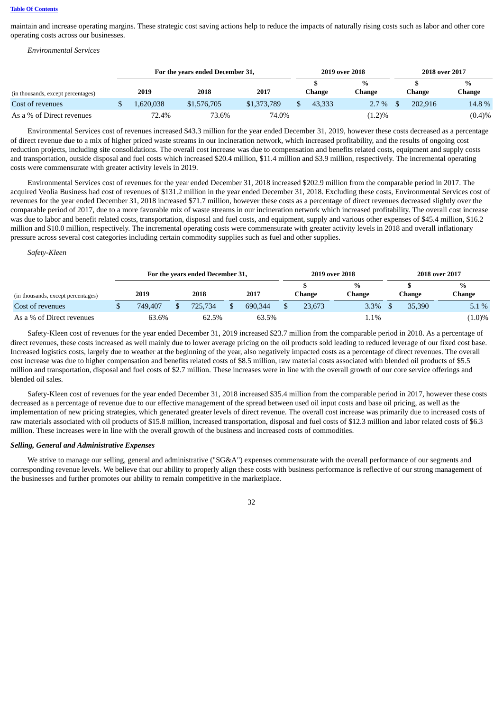### **Table Of [Contents](#page-1-0)**

maintain and increase operating margins. These strategic cost saving actions help to reduce the impacts of naturally rising costs such as labor and other core operating costs across our businesses.

*Environmental Services*

|                                    |           | For the years ended December 31, |             |        | 2019 over 2018          | 2018 over 2017 |         |                         |
|------------------------------------|-----------|----------------------------------|-------------|--------|-------------------------|----------------|---------|-------------------------|
| (in thousands, except percentages) | 2019      | 2018                             | 2017        | Change | $\frac{0}{0}$<br>Change |                | Change  | $\frac{0}{0}$<br>Change |
| Cost of revenues                   | 1.620.038 | \$1,576,705                      | \$1,373,789 | 43.333 | $2.7\%$ \$              |                | 202.916 | 14.8 %                  |
| As a % of Direct revenues          | 72.4%     | 73.6%                            | 74.0%       |        | (1.2)%                  |                |         | (0.4)%                  |

Environmental Services cost of revenues increased \$43.3 million for the year ended December 31, 2019, however these costs decreased as a percentage of direct revenue due to a mix of higher priced waste streams in our incineration network, which increased profitability, and the results of ongoing cost reduction projects, including site consolidations. The overall cost increase was due to compensation and benefits related costs, equipment and supply costs and transportation, outside disposal and fuel costs which increased \$20.4 million, \$11.4 million and \$3.9 million, respectively. The incremental operating costs were commensurate with greater activity levels in 2019.

Environmental Services cost of revenues for the year ended December 31, 2018 increased \$202.9 million from the comparable period in 2017. The acquired Veolia Business had cost of revenues of \$131.2 million in the year ended December 31, 2018. Excluding these costs, Environmental Services cost of revenues for the year ended December 31, 2018 increased \$71.7 million, however these costs as a percentage of direct revenues decreased slightly over the comparable period of 2017, due to a more favorable mix of waste streams in our incineration network which increased profitability. The overall cost increase was due to labor and benefit related costs, transportation, disposal and fuel costs, and equipment, supply and various other expenses of \$45.4 million, \$16.2 million and \$10.0 million, respectively. The incremental operating costs were commensurate with greater activity levels in 2018 and overall inflationary pressure across several cost categories including certain commodity supplies such as fuel and other supplies.

## *Safety-Kleen*

|                                    |  |         | For the years ended December 31,                                   |     |         |  |        | 2019 over 2018 | 2018 over 2017 |           |  |
|------------------------------------|--|---------|--------------------------------------------------------------------|-----|---------|--|--------|----------------|----------------|-----------|--|
|                                    |  | 2019    | $\frac{0}{0}$<br>2017<br>2018<br>Change<br>Change<br><b>Change</b> |     |         |  |        | $\%$<br>Change |                |           |  |
| (in thousands, except percentages) |  |         |                                                                    |     |         |  |        |                |                |           |  |
| Cost of revenues                   |  | 749,407 | 725.734                                                            | \$. | 690,344 |  | 23,673 | 3.3%           | 35,390         | 5.1%      |  |
| As a % of Direct revenues          |  | 63.6%   | 62.5%                                                              |     | 63.5%   |  |        | 1.1%           |                | $(1.0)\%$ |  |

Safety-Kleen cost of revenues for the year ended December 31, 2019 increased \$23.7 million from the comparable period in 2018. As a percentage of direct revenues, these costs increased as well mainly due to lower average pricing on the oil products sold leading to reduced leverage of our fixed cost base. Increased logistics costs, largely due to weather at the beginning of the year, also negatively impacted costs as a percentage of direct revenues. The overall cost increase was due to higher compensation and benefits related costs of \$8.5 million, raw material costs associated with blended oil products of \$5.5 million and transportation, disposal and fuel costs of \$2.7 million. These increases were in line with the overall growth of our core service offerings and blended oil sales.

Safety-Kleen cost of revenues for the year ended December 31, 2018 increased \$35.4 million from the comparable period in 2017, however these costs decreased as a percentage of revenue due to our effective management of the spread between used oil input costs and base oil pricing, as well as the implementation of new pricing strategies, which generated greater levels of direct revenue. The overall cost increase was primarily due to increased costs of raw materials associated with oil products of \$15.8 million, increased transportation, disposal and fuel costs of \$12.3 million and labor related costs of \$6.3 million. These increases were in line with the overall growth of the business and increased costs of commodities.

#### *Selling, General and Administrative Expenses*

We strive to manage our selling, general and administrative ("SG&A") expenses commensurate with the overall performance of our segments and corresponding revenue levels. We believe that our ability to properly align these costs with business performance is reflective of our strong management of the businesses and further promotes our ability to remain competitive in the marketplace.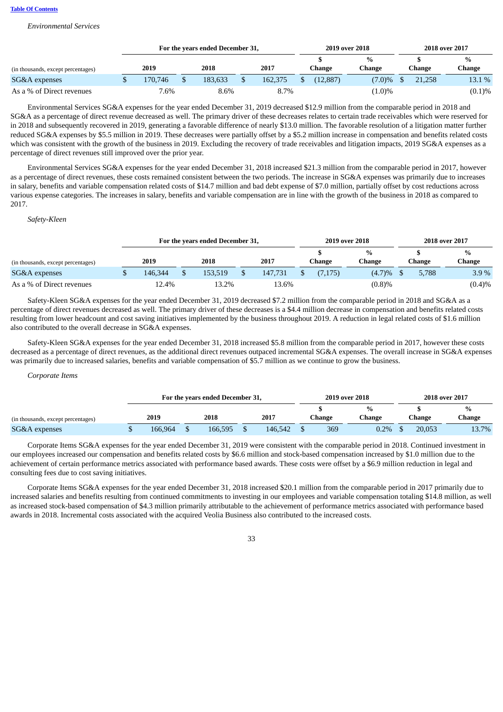## *Environmental Services*

|                                    |         | For the years ended December 31, |         |          | 2019 over 2018                 | 2018 over 2017 |        |                         |
|------------------------------------|---------|----------------------------------|---------|----------|--------------------------------|----------------|--------|-------------------------|
| (in thousands, except percentages) | 2019    | 2018                             | 2017    | Change   | $\frac{0}{0}$<br><b>Change</b> |                | Change | $\frac{0}{0}$<br>Change |
| SG&A expenses                      | 170.746 | 183.633                          | 162.375 | (12.887) | $(7.0)\%$                      |                | 21,258 | 13.1 %                  |
| As a % of Direct revenues          | 7.6%    | 8.6%                             | 8.7%    |          | $(1.0)\%$                      |                |        | (0.1)%                  |

Environmental Services SG&A expenses for the year ended December 31, 2019 decreased \$12.9 million from the comparable period in 2018 and SG&A as a percentage of direct revenue decreased as well. The primary driver of these decreases relates to certain trade receivables which were reserved for in 2018 and subsequently recovered in 2019, generating a favorable difference of nearly \$13.0 million. The favorable resolution of a litigation matter further reduced SG&A expenses by \$5.5 million in 2019. These decreases were partially offset by a \$5.2 million increase in compensation and benefits related costs which was consistent with the growth of the business in 2019. Excluding the recovery of trade receivables and litigation impacts, 2019 SG&A expenses as a percentage of direct revenues still improved over the prior year.

Environmental Services SG&A expenses for the year ended December 31, 2018 increased \$21.3 million from the comparable period in 2017, however as a percentage of direct revenues, these costs remained consistent between the two periods. The increase in SG&A expenses was primarily due to increases in salary, benefits and variable compensation related costs of \$14.7 million and bad debt expense of \$7.0 million, partially offset by cost reductions across various expense categories. The increases in salary, benefits and variable compensation are in line with the growth of the business in 2018 as compared to 2017.

## *Safety-Kleen*

|                                    |         |  | For the years ended December 31, |  |         |  |         | 2019 over 2018 | 2018 over 2017 |        |                         |
|------------------------------------|---------|--|----------------------------------|--|---------|--|---------|----------------|----------------|--------|-------------------------|
| (in thousands, except percentages) | 2019    |  | 2018                             |  | 2017    |  | Change  | $\%$<br>Change |                | Change | $\frac{9}{6}$<br>Change |
| SG&A expenses                      | 146.344 |  | 153.519                          |  | 147.731 |  | (7.175) | $(4.7)\%$      |                | 5.788  | 3.9%                    |
| As a % of Direct revenues          | 12.4%   |  | 13.2%                            |  | 13.6%   |  |         | (0.8)%         |                |        | (0.4)%                  |

Safety-Kleen SG&A expenses for the year ended December 31, 2019 decreased \$7.2 million from the comparable period in 2018 and SG&A as a percentage of direct revenues decreased as well. The primary driver of these decreases is a \$4.4 million decrease in compensation and benefits related costs resulting from lower headcount and cost saving initiatives implemented by the business throughout 2019. A reduction in legal related costs of \$1.6 million also contributed to the overall decrease in SG&A expenses.

Safety-Kleen SG&A expenses for the year ended December 31, 2018 increased \$5.8 million from the comparable period in 2017, however these costs decreased as a percentage of direct revenues, as the additional direct revenues outpaced incremental SG&A expenses. The overall increase in SG&A expenses was primarily due to increased salaries, benefits and variable compensation of \$5.7 million as we continue to grow the business.

### *Corporate Items*

|                                    |         | For the years ended December 31, |  | 2019 over 2018 |  |        |               | 2018 over 2017 |        |               |  |
|------------------------------------|---------|----------------------------------|--|----------------|--|--------|---------------|----------------|--------|---------------|--|
|                                    |         |                                  |  |                |  |        | $\%$          |                |        | $\frac{0}{0}$ |  |
| (in thousands, except percentages) | 2019    | 2018                             |  | 2017           |  | Change | <b>Change</b> |                | Change | Change        |  |
| SG&A expenses                      | 166.964 | 166.595                          |  | 146.542        |  | 369    | $0.2\%$       |                | 20.053 | 13.7%         |  |

Corporate Items SG&A expenses for the year ended December 31, 2019 were consistent with the comparable period in 2018. Continued investment in our employees increased our compensation and benefits related costs by \$6.6 million and stock-based compensation increased by \$1.0 million due to the achievement of certain performance metrics associated with performance based awards. These costs were offset by a \$6.9 million reduction in legal and consulting fees due to cost saving initiatives.

Corporate Items SG&A expenses for the year ended December 31, 2018 increased \$20.1 million from the comparable period in 2017 primarily due to increased salaries and benefits resulting from continued commitments to investing in our employees and variable compensation totaling \$14.8 million, as well as increased stock-based compensation of \$4.3 million primarily attributable to the achievement of performance metrics associated with performance based awards in 2018. Incremental costs associated with the acquired Veolia Business also contributed to the increased costs.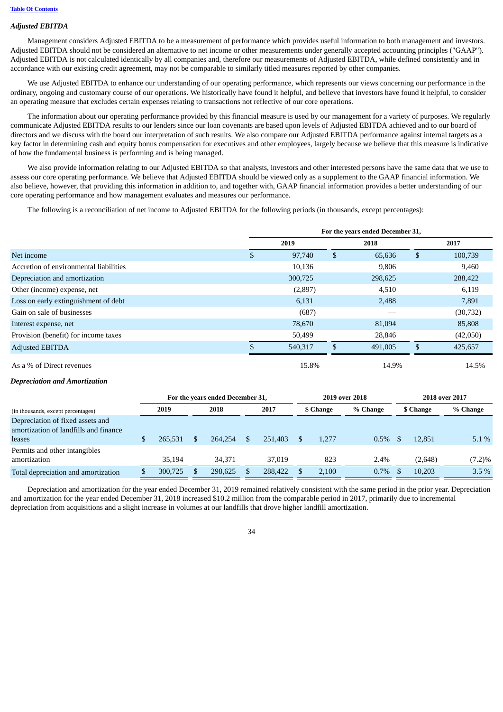## *Adjusted EBITDA*

Management considers Adjusted EBITDA to be a measurement of performance which provides useful information to both management and investors. Adjusted EBITDA should not be considered an alternative to net income or other measurements under generally accepted accounting principles ("GAAP"). Adjusted EBITDA is not calculated identically by all companies and, therefore our measurements of Adjusted EBITDA, while defined consistently and in accordance with our existing credit agreement, may not be comparable to similarly titled measures reported by other companies.

We use Adjusted EBITDA to enhance our understanding of our operating performance, which represents our views concerning our performance in the ordinary, ongoing and customary course of our operations. We historically have found it helpful, and believe that investors have found it helpful, to consider an operating measure that excludes certain expenses relating to transactions not reflective of our core operations.

The information about our operating performance provided by this financial measure is used by our management for a variety of purposes. We regularly communicate Adjusted EBITDA results to our lenders since our loan covenants are based upon levels of Adjusted EBITDA achieved and to our board of directors and we discuss with the board our interpretation of such results. We also compare our Adjusted EBITDA performance against internal targets as a key factor in determining cash and equity bonus compensation for executives and other employees, largely because we believe that this measure is indicative of how the fundamental business is performing and is being managed.

We also provide information relating to our Adjusted EBITDA so that analysts, investors and other interested persons have the same data that we use to assess our core operating performance. We believe that Adjusted EBITDA should be viewed only as a supplement to the GAAP financial information. We also believe, however, that providing this information in addition to, and together with, GAAP financial information provides a better understanding of our core operating performance and how management evaluates and measures our performance.

The following is a reconciliation of net income to Adjusted EBITDA for the following periods (in thousands, except percentages):

|                                        |   | For the years ended December 31, |    |         |   |           |  |  |  |  |  |  |
|----------------------------------------|---|----------------------------------|----|---------|---|-----------|--|--|--|--|--|--|
|                                        |   | 2019                             |    | 2018    |   | 2017      |  |  |  |  |  |  |
| Net income                             | S | 97,740                           | \$ | 65,636  | S | 100,739   |  |  |  |  |  |  |
| Accretion of environmental liabilities |   | 10,136                           |    | 9,806   |   | 9,460     |  |  |  |  |  |  |
| Depreciation and amortization          |   | 300,725                          |    | 298,625 |   | 288,422   |  |  |  |  |  |  |
| Other (income) expense, net            |   | (2,897)                          |    | 4,510   |   | 6,119     |  |  |  |  |  |  |
| Loss on early extinguishment of debt   |   | 6,131                            |    | 2,488   |   | 7,891     |  |  |  |  |  |  |
| Gain on sale of businesses             |   | (687)                            |    |         |   | (30, 732) |  |  |  |  |  |  |
| Interest expense, net                  |   | 78,670                           |    | 81,094  |   | 85,808    |  |  |  |  |  |  |
| Provision (benefit) for income taxes   |   | 50,499                           |    | 28,846  |   | (42,050)  |  |  |  |  |  |  |
| <b>Adjusted EBITDA</b>                 |   | 540,317                          | \$ | 491,005 | S | 425,657   |  |  |  |  |  |  |
| As a % of Direct revenues              |   | 15.8%                            |    | 14.9%   |   | 14.5%     |  |  |  |  |  |  |

## *Depreciation and Amortization*

|                                                                                            |  |         |  | For the years ended December 31, |  |         |  | 2019 over 2018 |          |  | 2018 over 2017 |           |  |
|--------------------------------------------------------------------------------------------|--|---------|--|----------------------------------|--|---------|--|----------------|----------|--|----------------|-----------|--|
| (in thousands, except percentages)                                                         |  | 2019    |  | 2018                             |  | 2017    |  | \$ Change      | % Change |  | \$ Change      | % Change  |  |
| Depreciation of fixed assets and<br>amortization of landfills and finance<br><b>leases</b> |  | 265.531 |  | 264,254                          |  | 251,403 |  | 1.277          | $0.5\%$  |  | 12.851         | $5.1\%$   |  |
| Permits and other intangibles<br>amortization                                              |  | 35.194  |  | 34.371                           |  | 37,019  |  | 823            | 2.4%     |  | (2,648)        | $(7.2)\%$ |  |
| Total depreciation and amortization                                                        |  | 300.725 |  | 298,625                          |  | 288,422 |  | 2,100          | $0.7\%$  |  | 10.203         | $3.5\%$   |  |

Depreciation and amortization for the year ended December 31, 2019 remained relatively consistent with the same period in the prior year. Depreciation and amortization for the year ended December 31, 2018 increased \$10.2 million from the comparable period in 2017, primarily due to incremental depreciation from acquisitions and a slight increase in volumes at our landfills that drove higher landfill amortization.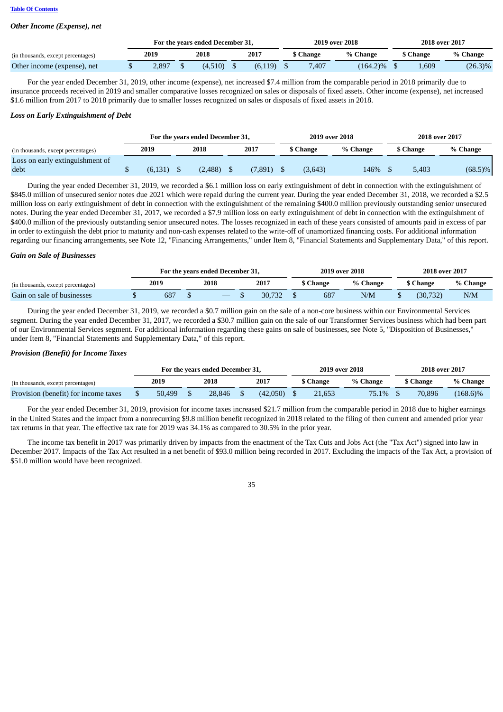#### **Table Of [Contents](#page-1-0)**

## *Other Income (Expense), net*

|                                    |       | For the years ended December 31, |          |                      | 2019 over 2018 |           | 2018 over 2017 |          |
|------------------------------------|-------|----------------------------------|----------|----------------------|----------------|-----------|----------------|----------|
| (in thousands, except percentages) | 2019  | 2018                             | 2017     | % Change<br>. Change |                | \$ Change |                | % Change |
| Other income (expense), net        | 2,897 | (4,510)                          | (6, 119) | 7,407                | $(164.2)\%$    |           | 1,609          | (26.3)%  |

For the year ended December 31, 2019, other income (expense), net increased \$7.4 million from the comparable period in 2018 primarily due to insurance proceeds received in 2019 and smaller comparative losses recognized on sales or disposals of fixed assets. Other income (expense), net increased \$1.6 million from 2017 to 2018 primarily due to smaller losses recognized on sales or disposals of fixed assets in 2018.

## *Loss on Early Extinguishment of Debt*

|                                         |          | For the years ended December 31, |         | 2019 over 2018 |          | 2018 over 2017 |            |  |  |  |
|-----------------------------------------|----------|----------------------------------|---------|----------------|----------|----------------|------------|--|--|--|
| (in thousands, except percentages)      | 2019     | 2018                             | 2017    | \$ Change      | % Change | \$ Change      | % Change   |  |  |  |
| Loss on early extinguishment of<br>debt |          |                                  |         |                | 146%     |                | $(68.5)\%$ |  |  |  |
|                                         | (6, 131) | (2, 488)                         | (7,891) | (3,643)        |          | 5,403          |            |  |  |  |

During the year ended December 31, 2019, we recorded a \$6.1 million loss on early extinguishment of debt in connection with the extinguishment of \$845.0 million of unsecured senior notes due 2021 which were repaid during the current year. During the year ended December 31, 2018, we recorded a \$2.5 million loss on early extinguishment of debt in connection with the extinguishment of the remaining \$400.0 million previously outstanding senior unsecured notes. During the year ended December 31, 2017, we recorded a \$7.9 million loss on early extinguishment of debt in connection with the extinguishment of \$400.0 million of the previously outstanding senior unsecured notes. The losses recognized in each of these years consisted of amounts paid in excess of par in order to extinguish the debt prior to maturity and non-cash expenses related to the write-off of unamortized financing costs. For additional information regarding our financing arrangements, see Note 12, "Financing Arrangements," under Item 8, "Financial Statements and Supplementary Data," of this report.

### *Gain on Sale of Businesses*

|                                    |      | For the years ended December 31, |        | 2019 over 2018 |          | 2018 over 2017 |          |
|------------------------------------|------|----------------------------------|--------|----------------|----------|----------------|----------|
| (in thousands, except percentages) | 2019 | 2018                             | 2017   | Change         | % Change | \$ Change      | % Change |
| Gain on sale of businesses         | 687  | $\hspace{0.05cm}$                | 30.732 | 687            | N/M      | (30, 732)      | N/M      |

During the year ended December 31, 2019, we recorded a \$0.7 million gain on the sale of a non-core business within our Environmental Services segment. During the year ended December 31, 2017, we recorded a \$30.7 million gain on the sale of our Transformer Services business which had been part of our Environmental Services segment. For additional information regarding these gains on sale of businesses, see Note 5, "Disposition of Businesses," under Item 8, "Financial Statements and Supplementary Data," of this report.

## *Provision (Benefit) for Income Taxes*

|                                      |        | For the years ended December 31, |  |          |  | 2019 over 2018  |          |  | 2018 over 2017 |             |  |  |
|--------------------------------------|--------|----------------------------------|--|----------|--|-----------------|----------|--|----------------|-------------|--|--|
| (in thousands, except percentages)   | 2019   | 2018                             |  | 2017     |  | <b>S</b> Change | % Change |  | \$ Change      | % Change    |  |  |
| Provision (benefit) for income taxes | 50.499 | 28.846                           |  | (42.050) |  | 21,653          | 75.1%    |  | 70,896         | $(168.6)\%$ |  |  |

For the year ended December 31, 2019, provision for income taxes increased \$21.7 million from the comparable period in 2018 due to higher earnings in the United States and the impact from a nonrecurring \$9.8 million benefit recognized in 2018 related to the filing of then current and amended prior year tax returns in that year. The effective tax rate for 2019 was 34.1% as compared to 30.5% in the prior year.

The income tax benefit in 2017 was primarily driven by impacts from the enactment of the Tax Cuts and Jobs Act (the "Tax Act") signed into law in December 2017. Impacts of the Tax Act resulted in a net benefit of \$93.0 million being recorded in 2017. Excluding the impacts of the Tax Act, a provision of \$51.0 million would have been recognized.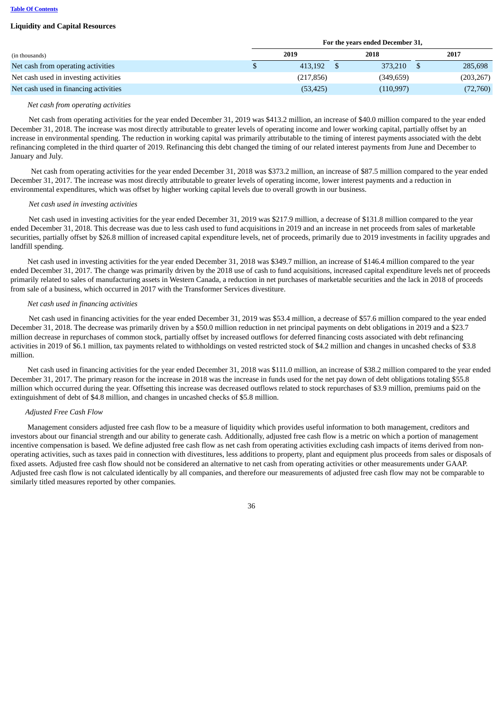## **Liquidity and Capital Resources**

|                                       | For the years ended December 31, |            |  |            |  |            |  |  |  |  |  |  |
|---------------------------------------|----------------------------------|------------|--|------------|--|------------|--|--|--|--|--|--|
| (in thousands)                        |                                  | 2019       |  | 2018       |  | 2017       |  |  |  |  |  |  |
| Net cash from operating activities    |                                  | 413.192    |  | 373.210    |  | 285,698    |  |  |  |  |  |  |
| Net cash used in investing activities |                                  | (217, 856) |  | (349,659)  |  | (203, 267) |  |  |  |  |  |  |
| Net cash used in financing activities |                                  | (53, 425)  |  | (110, 997) |  | (72,760)   |  |  |  |  |  |  |

## *Net cash from operating activities*

Net cash from operating activities for the year ended December 31, 2019 was \$413.2 million, an increase of \$40.0 million compared to the year ended December 31, 2018. The increase was most directly attributable to greater levels of operating income and lower working capital, partially offset by an increase in environmental spending. The reduction in working capital was primarily attributable to the timing of interest payments associated with the debt refinancing completed in the third quarter of 2019. Refinancing this debt changed the timing of our related interest payments from June and December to January and July.

Net cash from operating activities for the year ended December 31, 2018 was \$373.2 million, an increase of \$87.5 million compared to the year ended December 31, 2017. The increase was most directly attributable to greater levels of operating income, lower interest payments and a reduction in environmental expenditures, which was offset by higher working capital levels due to overall growth in our business.

## *Net cash used in investing activities*

Net cash used in investing activities for the year ended December 31, 2019 was \$217.9 million, a decrease of \$131.8 million compared to the year ended December 31, 2018. This decrease was due to less cash used to fund acquisitions in 2019 and an increase in net proceeds from sales of marketable securities, partially offset by \$26.8 million of increased capital expenditure levels, net of proceeds, primarily due to 2019 investments in facility upgrades and landfill spending.

Net cash used in investing activities for the year ended December 31, 2018 was \$349.7 million, an increase of \$146.4 million compared to the year ended December 31, 2017. The change was primarily driven by the 2018 use of cash to fund acquisitions, increased capital expenditure levels net of proceeds primarily related to sales of manufacturing assets in Western Canada, a reduction in net purchases of marketable securities and the lack in 2018 of proceeds from sale of a business, which occurred in 2017 with the Transformer Services divestiture.

## *Net cash used in financing activities*

Net cash used in financing activities for the year ended December 31, 2019 was \$53.4 million, a decrease of \$57.6 million compared to the year ended December 31, 2018. The decrease was primarily driven by a \$50.0 million reduction in net principal payments on debt obligations in 2019 and a \$23.7 million decrease in repurchases of common stock, partially offset by increased outflows for deferred financing costs associated with debt refinancing activities in 2019 of \$6.1 million, tax payments related to withholdings on vested restricted stock of \$4.2 million and changes in uncashed checks of \$3.8 million.

Net cash used in financing activities for the year ended December 31, 2018 was \$111.0 million, an increase of \$38.2 million compared to the year ended December 31, 2017. The primary reason for the increase in 2018 was the increase in funds used for the net pay down of debt obligations totaling \$55.8 million which occurred during the year. Offsetting this increase was decreased outflows related to stock repurchases of \$3.9 million, premiums paid on the extinguishment of debt of \$4.8 million, and changes in uncashed checks of \$5.8 million.

## *Adjusted Free Cash Flow*

Management considers adjusted free cash flow to be a measure of liquidity which provides useful information to both management, creditors and investors about our financial strength and our ability to generate cash. Additionally, adjusted free cash flow is a metric on which a portion of management incentive compensation is based. We define adjusted free cash flow as net cash from operating activities excluding cash impacts of items derived from nonoperating activities, such as taxes paid in connection with divestitures, less additions to property, plant and equipment plus proceeds from sales or disposals of fixed assets. Adjusted free cash flow should not be considered an alternative to net cash from operating activities or other measurements under GAAP. Adjusted free cash flow is not calculated identically by all companies, and therefore our measurements of adjusted free cash flow may not be comparable to similarly titled measures reported by other companies.

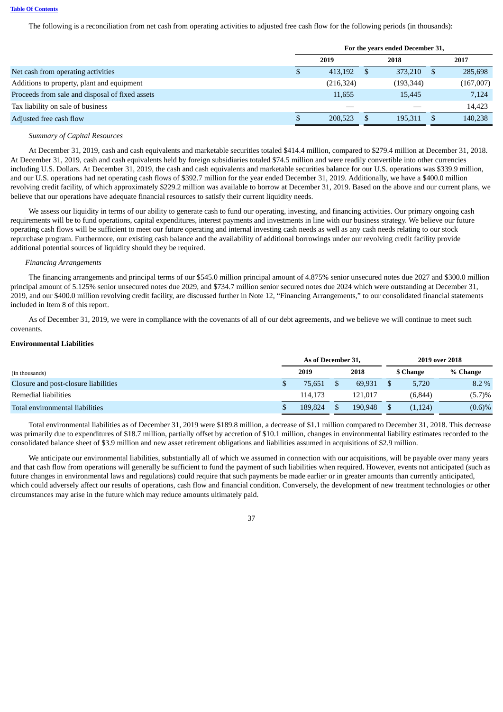The following is a reconciliation from net cash from operating activities to adjusted free cash flow for the following periods (in thousands):

|                                                 | For the years ended December 31, |            |  |            |      |           |  |  |  |  |
|-------------------------------------------------|----------------------------------|------------|--|------------|------|-----------|--|--|--|--|
|                                                 |                                  | 2019       |  | 2018       |      | 2017      |  |  |  |  |
| Net cash from operating activities              |                                  | 413,192    |  | 373.210    | - \$ | 285,698   |  |  |  |  |
| Additions to property, plant and equipment      |                                  | (216, 324) |  | (193, 344) |      | (167,007) |  |  |  |  |
| Proceeds from sale and disposal of fixed assets |                                  | 11,655     |  | 15,445     |      | 7.124     |  |  |  |  |
| Tax liability on sale of business               |                                  |            |  |            |      | 14.423    |  |  |  |  |
| Adjusted free cash flow                         | D                                | 208,523    |  | 195,311    |      | 140,238   |  |  |  |  |

## *Summary of Capital Resources*

At December 31, 2019, cash and cash equivalents and marketable securities totaled \$414.4 million, compared to \$279.4 million at December 31, 2018. At December 31, 2019, cash and cash equivalents held by foreign subsidiaries totaled \$74.5 million and were readily convertible into other currencies including U.S. Dollars. At December 31, 2019, the cash and cash equivalents and marketable securities balance for our U.S. operations was \$339.9 million, and our U.S. operations had net operating cash flows of \$392.7 million for the year ended December 31, 2019. Additionally, we have a \$400.0 million revolving credit facility, of which approximately \$229.2 million was available to borrow at December 31, 2019. Based on the above and our current plans, we believe that our operations have adequate financial resources to satisfy their current liquidity needs.

We assess our liquidity in terms of our ability to generate cash to fund our operating, investing, and financing activities. Our primary ongoing cash requirements will be to fund operations, capital expenditures, interest payments and investments in line with our business strategy. We believe our future operating cash flows will be sufficient to meet our future operating and internal investing cash needs as well as any cash needs relating to our stock repurchase program. Furthermore, our existing cash balance and the availability of additional borrowings under our revolving credit facility provide additional potential sources of liquidity should they be required.

#### *Financing Arrangements*

The financing arrangements and principal terms of our \$545.0 million principal amount of 4.875% senior unsecured notes due 2027 and \$300.0 million principal amount of 5.125% senior unsecured notes due 2029, and \$734.7 million senior secured notes due 2024 which were outstanding at December 31, 2019, and our \$400.0 million revolving credit facility, are discussed further in Note 12, "Financing Arrangements," to our consolidated financial statements included in Item 8 of this report.

As of December 31, 2019, we were in compliance with the covenants of all of our debt agreements, and we believe we will continue to meet such covenants.

### **Environmental Liabilities**

|                                      |   | As of December 31, |         |           | 2019 over 2018 |
|--------------------------------------|---|--------------------|---------|-----------|----------------|
| (in thousands)                       |   | 2019               | 2018    | \$ Change | % Change       |
| Closure and post-closure liabilities | D | 75.651             | 69.931  | 5.720     | $8.2\%$        |
| Remedial liabilities                 |   | 114.173            | 121.017 | (6.844)   | (5.7)%         |
| Total environmental liabilities      |   | 189.824            | 190.948 | (1, 124)  | $(0.6)\%$      |

Total environmental liabilities as of December 31, 2019 were \$189.8 million, a decrease of \$1.1 million compared to December 31, 2018. This decrease was primarily due to expenditures of \$18.7 million, partially offset by accretion of \$10.1 million, changes in environmental liability estimates recorded to the consolidated balance sheet of \$3.9 million and new asset retirement obligations and liabilities assumed in acquisitions of \$2.9 million.

We anticipate our environmental liabilities, substantially all of which we assumed in connection with our acquisitions, will be payable over many years and that cash flow from operations will generally be sufficient to fund the payment of such liabilities when required. However, events not anticipated (such as future changes in environmental laws and regulations) could require that such payments be made earlier or in greater amounts than currently anticipated, which could adversely affect our results of operations, cash flow and financial condition. Conversely, the development of new treatment technologies or other circumstances may arise in the future which may reduce amounts ultimately paid.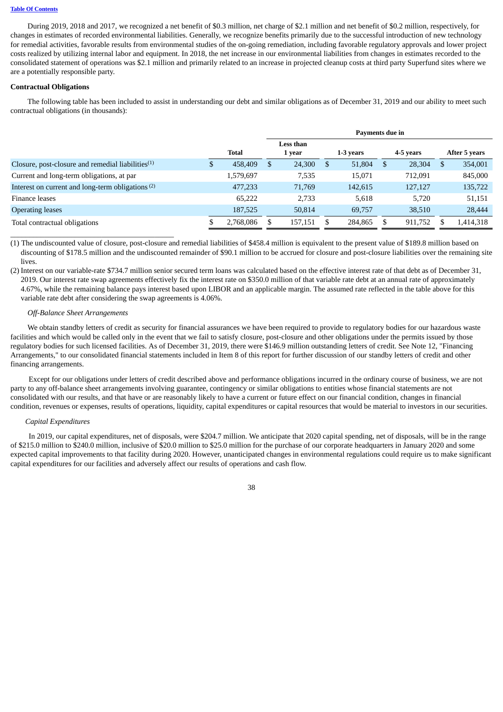During 2019, 2018 and 2017, we recognized a net benefit of \$0.3 million, net charge of \$2.1 million and net benefit of \$0.2 million, respectively, for changes in estimates of recorded environmental liabilities. Generally, we recognize benefits primarily due to the successful introduction of new technology for remedial activities, favorable results from environmental studies of the on-going remediation, including favorable regulatory approvals and lower project costs realized by utilizing internal labor and equipment. In 2018, the net increase in our environmental liabilities from changes in estimates recorded to the consolidated statement of operations was \$2.1 million and primarily related to an increase in projected cleanup costs at third party Superfund sites where we are a potentially responsible party.

## **Contractual Obligations**

The following table has been included to assist in understanding our debt and similar obligations as of December 31, 2019 and our ability to meet such contractual obligations (in thousands):

|                                                      |              | Payments due in |                     |   |           |   |           |  |               |  |  |
|------------------------------------------------------|--------------|-----------------|---------------------|---|-----------|---|-----------|--|---------------|--|--|
|                                                      | <b>Total</b> |                 | Less than<br>1 year |   | 1-3 years |   | 4-5 years |  | After 5 years |  |  |
| Closure, post-closure and remedial liabilities $(1)$ | 458,409      | S               | 24,300              | S | 51,804    | S | 28,304    |  | 354,001       |  |  |
| Current and long-term obligations, at par            | 1,579,697    |                 | 7,535               |   | 15,071    |   | 712,091   |  | 845,000       |  |  |
| Interest on current and long-term obligations $(2)$  | 477,233      |                 | 71,769              |   | 142,615   |   | 127,127   |  | 135,722       |  |  |
| Finance leases                                       | 65.222       |                 | 2,733               |   | 5,618     |   | 5.720     |  | 51,151        |  |  |
| <b>Operating leases</b>                              | 187,525      |                 | 50,814              |   | 69,757    |   | 38,510    |  | 28,444        |  |  |
| Total contractual obligations                        | 2,768,086    |                 | 157,151             |   | 284,865   |   | 911,752   |  | 1,414,318     |  |  |

(1) The undiscounted value of closure, post-closure and remedial liabilities of \$458.4 million is equivalent to the present value of \$189.8 million based on discounting of \$178.5 million and the undiscounted remainder of \$90.1 million to be accrued for closure and post-closure liabilities over the remaining site lives.

(2) Interest on our variable-rate \$734.7 million senior secured term loans was calculated based on the effective interest rate of that debt as of December 31, 2019. Our interest rate swap agreements effectively fix the interest rate on \$350.0 million of that variable rate debt at an annual rate of approximately 4.67%, while the remaining balance pays interest based upon LIBOR and an applicable margin. The assumed rate reflected in the table above for this variable rate debt after considering the swap agreements is 4.06%.

## *Off-Balance Sheet Arrangements*

\_\_\_\_\_\_\_\_\_\_\_\_\_\_\_\_\_\_\_\_\_\_\_\_\_\_\_\_\_\_\_\_\_\_\_\_\_\_\_\_\_\_\_

We obtain standby letters of credit as security for financial assurances we have been required to provide to regulatory bodies for our hazardous waste facilities and which would be called only in the event that we fail to satisfy closure, post-closure and other obligations under the permits issued by those regulatory bodies for such licensed facilities. As of December 31, 2019, there were \$146.9 million outstanding letters of credit. See Note 12, "Financing Arrangements," to our consolidated financial statements included in Item 8 of this report for further discussion of our standby letters of credit and other financing arrangements.

Except for our obligations under letters of credit described above and performance obligations incurred in the ordinary course of business, we are not party to any off-balance sheet arrangements involving guarantee, contingency or similar obligations to entities whose financial statements are not consolidated with our results, and that have or are reasonably likely to have a current or future effect on our financial condition, changes in financial condition, revenues or expenses, results of operations, liquidity, capital expenditures or capital resources that would be material to investors in our securities.

## *Capital Expenditures*

In 2019, our capital expenditures, net of disposals, were \$204.7 million. We anticipate that 2020 capital spending, net of disposals, will be in the range of \$215.0 million to \$240.0 million, inclusive of \$20.0 million to \$25.0 million for the purchase of our corporate headquarters in January 2020 and some expected capital improvements to that facility during 2020. However, unanticipated changes in environmental regulations could require us to make significant capital expenditures for our facilities and adversely affect our results of operations and cash flow.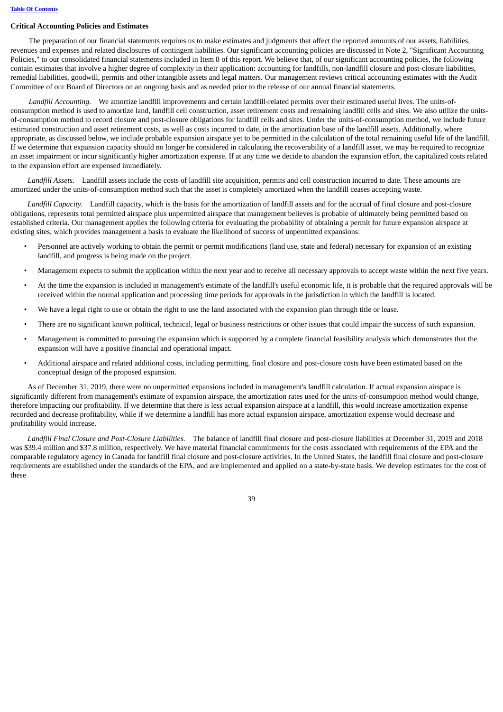## **Critical Accounting Policies and Estimates**

The preparation of our financial statements requires us to make estimates and judgments that affect the reported amounts of our assets, liabilities, revenues and expenses and related disclosures of contingent liabilities. Our significant accounting policies are discussed in Note 2, "Significant Accounting Policies," to our consolidated financial statements included in Item 8 of this report. We believe that, of our significant accounting policies, the following contain estimates that involve a higher degree of complexity in their application: accounting for landfills, non-landfill closure and post-closure liabilities, remedial liabilities, goodwill, permits and other intangible assets and legal matters. Our management reviews critical accounting estimates with the Audit Committee of our Board of Directors on an ongoing basis and as needed prior to the release of our annual financial statements.

*Landfill Accounting.* We amortize landfill improvements and certain landfill-related permits over their estimated useful lives. The units-ofconsumption method is used to amortize land, landfill cell construction, asset retirement costs and remaining landfill cells and sites. We also utilize the unitsof-consumption method to record closure and post-closure obligations for landfill cells and sites. Under the units-of-consumption method, we include future estimated construction and asset retirement costs, as well as costs incurred to date, in the amortization base of the landfill assets. Additionally, where appropriate, as discussed below, we include probable expansion airspace yet to be permitted in the calculation of the total remaining useful life of the landfill. If we determine that expansion capacity should no longer be considered in calculating the recoverability of a landfill asset, we may be required to recognize an asset impairment or incur significantly higher amortization expense. If at any time we decide to abandon the expansion effort, the capitalized costs related to the expansion effort are expensed immediately.

*Landfill Assets.* Landfill assets include the costs of landfill site acquisition, permits and cell construction incurred to date. These amounts are amortized under the units-of-consumption method such that the asset is completely amortized when the landfill ceases accepting waste.

*Landfill Capacity.* Landfill capacity, which is the basis for the amortization of landfill assets and for the accrual of final closure and post-closure obligations, represents total permitted airspace plus unpermitted airspace that management believes is probable of ultimately being permitted based on established criteria. Our management applies the following criteria for evaluating the probability of obtaining a permit for future expansion airspace at existing sites, which provides management a basis to evaluate the likelihood of success of unpermitted expansions:

- Personnel are actively working to obtain the permit or permit modifications (land use, state and federal) necessary for expansion of an existing landfill, and progress is being made on the project.
- Management expects to submit the application within the next year and to receive all necessary approvals to accept waste within the next five years.
- At the time the expansion is included in management's estimate of the landfill's useful economic life, it is probable that the required approvals will be received within the normal application and processing time periods for approvals in the jurisdiction in which the landfill is located.
- We have a legal right to use or obtain the right to use the land associated with the expansion plan through title or lease.
- There are no significant known political, technical, legal or business restrictions or other issues that could impair the success of such expansion.
- Management is committed to pursuing the expansion which is supported by a complete financial feasibility analysis which demonstrates that the expansion will have a positive financial and operational impact.
- Additional airspace and related additional costs, including permitting, final closure and post-closure costs have been estimated based on the conceptual design of the proposed expansion.

As of December 31, 2019, there were no unpermitted expansions included in management's landfill calculation. If actual expansion airspace is significantly different from management's estimate of expansion airspace, the amortization rates used for the units-of-consumption method would change, therefore impacting our profitability. If we determine that there is less actual expansion airspace at a landfill, this would increase amortization expense recorded and decrease profitability, while if we determine a landfill has more actual expansion airspace, amortization expense would decrease and profitability would increase.

*Landfill Final Closure and Post-Closure Liabilities.* The balance of landfill final closure and post-closure liabilities at December 31, 2019 and 2018 was \$39.4 million and \$37.8 million, respectively. We have material financial commitments for the costs associated with requirements of the EPA and the comparable regulatory agency in Canada for landfill final closure and post-closure activities. In the United States, the landfill final closure and post-closure requirements are established under the standards of the EPA, and are implemented and applied on a state-by-state basis. We develop estimates for the cost of these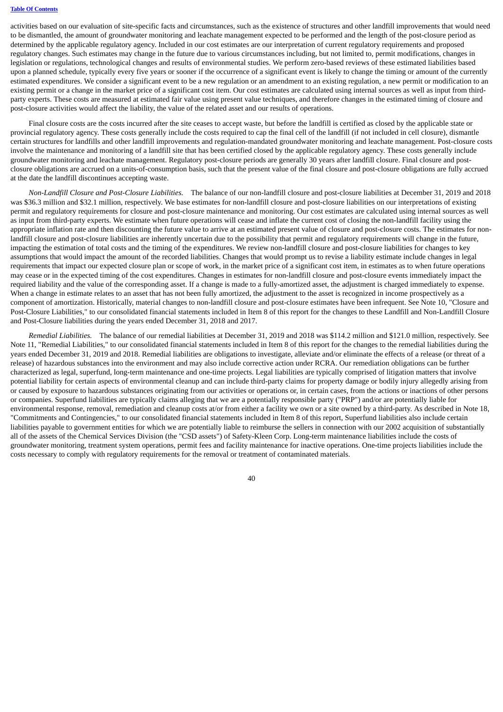activities based on our evaluation of site-specific facts and circumstances, such as the existence of structures and other landfill improvements that would need to be dismantled, the amount of groundwater monitoring and leachate management expected to be performed and the length of the post-closure period as determined by the applicable regulatory agency. Included in our cost estimates are our interpretation of current regulatory requirements and proposed regulatory changes. Such estimates may change in the future due to various circumstances including, but not limited to, permit modifications, changes in legislation or regulations, technological changes and results of environmental studies. We perform zero-based reviews of these estimated liabilities based upon a planned schedule, typically every five years or sooner if the occurrence of a significant event is likely to change the timing or amount of the currently estimated expenditures. We consider a significant event to be a new regulation or an amendment to an existing regulation, a new permit or modification to an existing permit or a change in the market price of a significant cost item. Our cost estimates are calculated using internal sources as well as input from thirdparty experts. These costs are measured at estimated fair value using present value techniques, and therefore changes in the estimated timing of closure and post-closure activities would affect the liability, the value of the related asset and our results of operations.

Final closure costs are the costs incurred after the site ceases to accept waste, but before the landfill is certified as closed by the applicable state or provincial regulatory agency. These costs generally include the costs required to cap the final cell of the landfill (if not included in cell closure), dismantle certain structures for landfills and other landfill improvements and regulation-mandated groundwater monitoring and leachate management. Post-closure costs involve the maintenance and monitoring of a landfill site that has been certified closed by the applicable regulatory agency. These costs generally include groundwater monitoring and leachate management. Regulatory post-closure periods are generally 30 years after landfill closure. Final closure and postclosure obligations are accrued on a units-of-consumption basis, such that the present value of the final closure and post-closure obligations are fully accrued at the date the landfill discontinues accepting waste.

*Non-Landfill Closure and Post-Closure Liabilities.* The balance of our non-landfill closure and post-closure liabilities at December 31, 2019 and 2018 was \$36.3 million and \$32.1 million, respectively. We base estimates for non-landfill closure and post-closure liabilities on our interpretations of existing permit and regulatory requirements for closure and post-closure maintenance and monitoring. Our cost estimates are calculated using internal sources as well as input from third-party experts. We estimate when future operations will cease and inflate the current cost of closing the non-landfill facility using the appropriate inflation rate and then discounting the future value to arrive at an estimated present value of closure and post-closure costs. The estimates for nonlandfill closure and post-closure liabilities are inherently uncertain due to the possibility that permit and regulatory requirements will change in the future, impacting the estimation of total costs and the timing of the expenditures. We review non-landfill closure and post-closure liabilities for changes to key assumptions that would impact the amount of the recorded liabilities. Changes that would prompt us to revise a liability estimate include changes in legal requirements that impact our expected closure plan or scope of work, in the market price of a significant cost item, in estimates as to when future operations may cease or in the expected timing of the cost expenditures. Changes in estimates for non-landfill closure and post-closure events immediately impact the required liability and the value of the corresponding asset. If a change is made to a fully-amortized asset, the adjustment is charged immediately to expense. When a change in estimate relates to an asset that has not been fully amortized, the adjustment to the asset is recognized in income prospectively as a component of amortization. Historically, material changes to non-landfill closure and post-closure estimates have been infrequent. See Note 10, "Closure and Post-Closure Liabilities," to our consolidated financial statements included in Item 8 of this report for the changes to these Landfill and Non-Landfill Closure and Post-Closure liabilities during the years ended December 31, 2018 and 2017.

*Remedial Liabilities.* The balance of our remedial liabilities at December 31, 2019 and 2018 was \$114.2 million and \$121.0 million, respectively. See Note 11, "Remedial Liabilities," to our consolidated financial statements included in Item 8 of this report for the changes to the remedial liabilities during the years ended December 31, 2019 and 2018. Remedial liabilities are obligations to investigate, alleviate and/or eliminate the effects of a release (or threat of a release) of hazardous substances into the environment and may also include corrective action under RCRA. Our remediation obligations can be further characterized as legal, superfund, long-term maintenance and one-time projects. Legal liabilities are typically comprised of litigation matters that involve potential liability for certain aspects of environmental cleanup and can include third-party claims for property damage or bodily injury allegedly arising from or caused by exposure to hazardous substances originating from our activities or operations or, in certain cases, from the actions or inactions of other persons or companies. Superfund liabilities are typically claims alleging that we are a potentially responsible party ("PRP") and/or are potentially liable for environmental response, removal, remediation and cleanup costs at/or from either a facility we own or a site owned by a third-party. As described in Note 18, "Commitments and Contingencies," to our consolidated financial statements included in Item 8 of this report, Superfund liabilities also include certain liabilities payable to government entities for which we are potentially liable to reimburse the sellers in connection with our 2002 acquisition of substantially all of the assets of the Chemical Services Division (the "CSD assets") of Safety-Kleen Corp. Long-term maintenance liabilities include the costs of groundwater monitoring, treatment system operations, permit fees and facility maintenance for inactive operations. One-time projects liabilities include the costs necessary to comply with regulatory requirements for the removal or treatment of contaminated materials.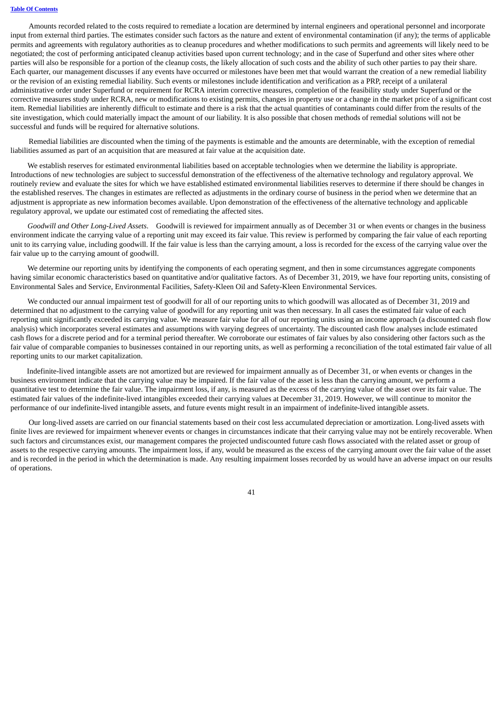#### **Table Of [Contents](#page-1-0)**

Amounts recorded related to the costs required to remediate a location are determined by internal engineers and operational personnel and incorporate input from external third parties. The estimates consider such factors as the nature and extent of environmental contamination (if any); the terms of applicable permits and agreements with regulatory authorities as to cleanup procedures and whether modifications to such permits and agreements will likely need to be negotiated; the cost of performing anticipated cleanup activities based upon current technology; and in the case of Superfund and other sites where other parties will also be responsible for a portion of the cleanup costs, the likely allocation of such costs and the ability of such other parties to pay their share. Each quarter, our management discusses if any events have occurred or milestones have been met that would warrant the creation of a new remedial liability or the revision of an existing remedial liability. Such events or milestones include identification and verification as a PRP, receipt of a unilateral administrative order under Superfund or requirement for RCRA interim corrective measures, completion of the feasibility study under Superfund or the corrective measures study under RCRA, new or modifications to existing permits, changes in property use or a change in the market price of a significant cost item. Remedial liabilities are inherently difficult to estimate and there is a risk that the actual quantities of contaminants could differ from the results of the site investigation, which could materially impact the amount of our liability. It is also possible that chosen methods of remedial solutions will not be successful and funds will be required for alternative solutions.

Remedial liabilities are discounted when the timing of the payments is estimable and the amounts are determinable, with the exception of remedial liabilities assumed as part of an acquisition that are measured at fair value at the acquisition date.

We establish reserves for estimated environmental liabilities based on acceptable technologies when we determine the liability is appropriate. Introductions of new technologies are subject to successful demonstration of the effectiveness of the alternative technology and regulatory approval. We routinely review and evaluate the sites for which we have established estimated environmental liabilities reserves to determine if there should be changes in the established reserves. The changes in estimates are reflected as adjustments in the ordinary course of business in the period when we determine that an adjustment is appropriate as new information becomes available. Upon demonstration of the effectiveness of the alternative technology and applicable regulatory approval, we update our estimated cost of remediating the affected sites.

*Goodwill and Other Long-Lived Assets*. Goodwill is reviewed for impairment annually as of December 31 or when events or changes in the business environment indicate the carrying value of a reporting unit may exceed its fair value. This review is performed by comparing the fair value of each reporting unit to its carrying value, including goodwill. If the fair value is less than the carrying amount, a loss is recorded for the excess of the carrying value over the fair value up to the carrying amount of goodwill.

We determine our reporting units by identifying the components of each operating segment, and then in some circumstances aggregate components having similar economic characteristics based on quantitative and/or qualitative factors. As of December 31, 2019, we have four reporting units, consisting of Environmental Sales and Service, Environmental Facilities, Safety-Kleen Oil and Safety-Kleen Environmental Services.

We conducted our annual impairment test of goodwill for all of our reporting units to which goodwill was allocated as of December 31, 2019 and determined that no adjustment to the carrying value of goodwill for any reporting unit was then necessary. In all cases the estimated fair value of each reporting unit significantly exceeded its carrying value. We measure fair value for all of our reporting units using an income approach (a discounted cash flow analysis) which incorporates several estimates and assumptions with varying degrees of uncertainty. The discounted cash flow analyses include estimated cash flows for a discrete period and for a terminal period thereafter. We corroborate our estimates of fair values by also considering other factors such as the fair value of comparable companies to businesses contained in our reporting units, as well as performing a reconciliation of the total estimated fair value of all reporting units to our market capitalization.

Indefinite-lived intangible assets are not amortized but are reviewed for impairment annually as of December 31, or when events or changes in the business environment indicate that the carrying value may be impaired. If the fair value of the asset is less than the carrying amount, we perform a quantitative test to determine the fair value. The impairment loss, if any, is measured as the excess of the carrying value of the asset over its fair value. The estimated fair values of the indefinite-lived intangibles exceeded their carrying values at December 31, 2019. However, we will continue to monitor the performance of our indefinite-lived intangible assets, and future events might result in an impairment of indefinite-lived intangible assets.

Our long-lived assets are carried on our financial statements based on their cost less accumulated depreciation or amortization. Long-lived assets with finite lives are reviewed for impairment whenever events or changes in circumstances indicate that their carrying value may not be entirely recoverable. When such factors and circumstances exist, our management compares the projected undiscounted future cash flows associated with the related asset or group of assets to the respective carrying amounts. The impairment loss, if any, would be measured as the excess of the carrying amount over the fair value of the asset and is recorded in the period in which the determination is made. Any resulting impairment losses recorded by us would have an adverse impact on our results of operations.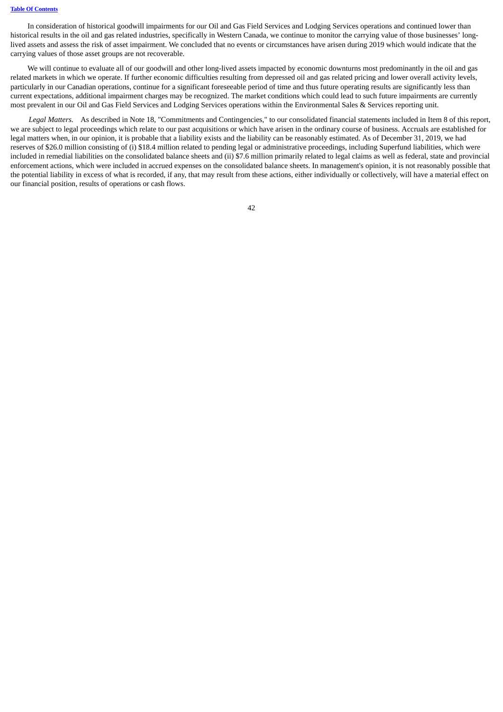In consideration of historical goodwill impairments for our Oil and Gas Field Services and Lodging Services operations and continued lower than historical results in the oil and gas related industries, specifically in Western Canada, we continue to monitor the carrying value of those businesses' longlived assets and assess the risk of asset impairment. We concluded that no events or circumstances have arisen during 2019 which would indicate that the carrying values of those asset groups are not recoverable.

We will continue to evaluate all of our goodwill and other long-lived assets impacted by economic downturns most predominantly in the oil and gas related markets in which we operate. If further economic difficulties resulting from depressed oil and gas related pricing and lower overall activity levels, particularly in our Canadian operations, continue for a significant foreseeable period of time and thus future operating results are significantly less than current expectations, additional impairment charges may be recognized. The market conditions which could lead to such future impairments are currently most prevalent in our Oil and Gas Field Services and Lodging Services operations within the Environmental Sales & Services reporting unit.

*Legal Matters.* As described in Note 18, "Commitments and Contingencies," to our consolidated financial statements included in Item 8 of this report, we are subject to legal proceedings which relate to our past acquisitions or which have arisen in the ordinary course of business. Accruals are established for legal matters when, in our opinion, it is probable that a liability exists and the liability can be reasonably estimated. As of December 31, 2019, we had reserves of \$26.0 million consisting of (i) \$18.4 million related to pending legal or administrative proceedings, including Superfund liabilities, which were included in remedial liabilities on the consolidated balance sheets and (ii) \$7.6 million primarily related to legal claims as well as federal, state and provincial enforcement actions, which were included in accrued expenses on the consolidated balance sheets. In management's opinion, it is not reasonably possible that the potential liability in excess of what is recorded, if any, that may result from these actions, either individually or collectively, will have a material effect on our financial position, results of operations or cash flows.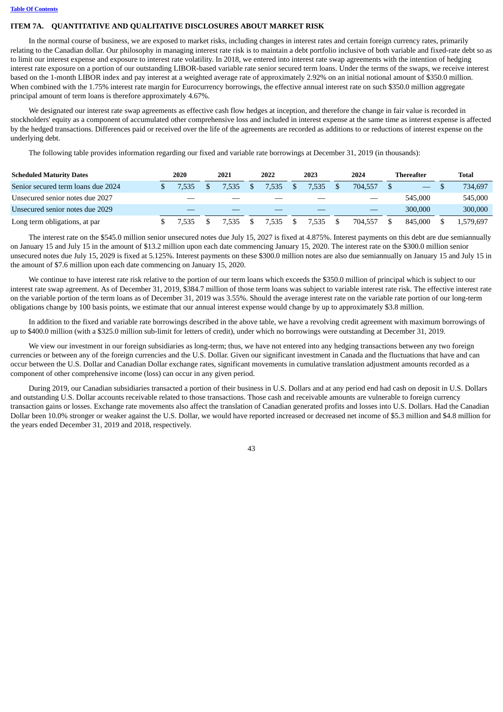## **ITEM 7A. QUANTITATIVE AND QUALITATIVE DISCLOSURES ABOUT MARKET RISK**

In the normal course of business, we are exposed to market risks, including changes in interest rates and certain foreign currency rates, primarily relating to the Canadian dollar. Our philosophy in managing interest rate risk is to maintain a debt portfolio inclusive of both variable and fixed-rate debt so as to limit our interest expense and exposure to interest rate volatility. In 2018, we entered into interest rate swap agreements with the intention of hedging interest rate exposure on a portion of our outstanding LIBOR-based variable rate senior secured term loans. Under the terms of the swaps, we receive interest based on the 1-month LIBOR index and pay interest at a weighted average rate of approximately 2.92% on an initial notional amount of \$350.0 million. When combined with the 1.75% interest rate margin for Eurocurrency borrowings, the effective annual interest rate on such \$350.0 million aggregate principal amount of term loans is therefore approximately 4.67%.

We designated our interest rate swap agreements as effective cash flow hedges at inception, and therefore the change in fair value is recorded in stockholders' equity as a component of accumulated other comprehensive loss and included in interest expense at the same time as interest expense is affected by the hedged transactions. Differences paid or received over the life of the agreements are recorded as additions to or reductions of interest expense on the underlying debt.

The following table provides information regarding our fixed and variable rate borrowings at December 31, 2019 (in thousands):

| <b>Scheduled Maturity Dates</b>    | 2020 | 2021  | 2022  | 2023  | 2024    | Thereafter | <b>Total</b> |
|------------------------------------|------|-------|-------|-------|---------|------------|--------------|
| Senior secured term loans due 2024 |      | 1.535 | 7.535 | '.535 | 704.557 |            | 734.697      |
| Unsecured senior notes due 2027    |      |       |       |       |         | 545,000    | 545,000      |
| Unsecured senior notes due 2029    |      |       |       |       |         | 300,000    | 300,000      |
| Long term obligations, at par      | .535 | .535  | .535  | .535  | 704.557 | 845.000    | 1.579.697    |

The interest rate on the \$545.0 million senior unsecured notes due July 15, 2027 is fixed at 4.875%. Interest payments on this debt are due semiannually on January 15 and July 15 in the amount of \$13.2 million upon each date commencing January 15, 2020. The interest rate on the \$300.0 million senior unsecured notes due July 15, 2029 is fixed at 5.125%. Interest payments on these \$300.0 million notes are also due semiannually on January 15 and July 15 in the amount of \$7.6 million upon each date commencing on January 15, 2020.

We continue to have interest rate risk relative to the portion of our term loans which exceeds the \$350.0 million of principal which is subject to our interest rate swap agreement. As of December 31, 2019, \$384.7 million of those term loans was subject to variable interest rate risk. The effective interest rate on the variable portion of the term loans as of December 31, 2019 was 3.55%. Should the average interest rate on the variable rate portion of our long-term obligations change by 100 basis points, we estimate that our annual interest expense would change by up to approximately \$3.8 million.

In addition to the fixed and variable rate borrowings described in the above table, we have a revolving credit agreement with maximum borrowings of up to \$400.0 million (with a \$325.0 million sub-limit for letters of credit), under which no borrowings were outstanding at December 31, 2019.

We view our investment in our foreign subsidiaries as long-term; thus, we have not entered into any hedging transactions between any two foreign currencies or between any of the foreign currencies and the U.S. Dollar. Given our significant investment in Canada and the fluctuations that have and can occur between the U.S. Dollar and Canadian Dollar exchange rates, significant movements in cumulative translation adjustment amounts recorded as a component of other comprehensive income (loss) can occur in any given period.

During 2019, our Canadian subsidiaries transacted a portion of their business in U.S. Dollars and at any period end had cash on deposit in U.S. Dollars and outstanding U.S. Dollar accounts receivable related to those transactions. Those cash and receivable amounts are vulnerable to foreign currency transaction gains or losses. Exchange rate movements also affect the translation of Canadian generated profits and losses into U.S. Dollars. Had the Canadian Dollar been 10.0% stronger or weaker against the U.S. Dollar, we would have reported increased or decreased net income of \$5.3 million and \$4.8 million for the years ended December 31, 2019 and 2018, respectively.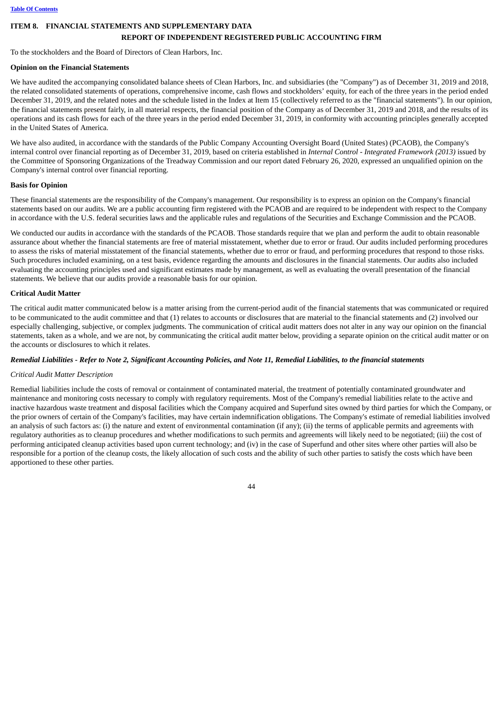## **ITEM 8. FINANCIAL STATEMENTS AND SUPPLEMENTARY DATA**

### **REPORT OF INDEPENDENT REGISTERED PUBLIC ACCOUNTING FIRM**

To the stockholders and the Board of Directors of Clean Harbors, Inc.

#### **Opinion on the Financial Statements**

We have audited the accompanying consolidated balance sheets of Clean Harbors, Inc. and subsidiaries (the "Company") as of December 31, 2019 and 2018, the related consolidated statements of operations, comprehensive income, cash flows and stockholders' equity, for each of the three years in the period ended December 31, 2019, and the related notes and the schedule listed in the Index at Item 15 (collectively referred to as the "financial statements"). In our opinion, the financial statements present fairly, in all material respects, the financial position of the Company as of December 31, 2019 and 2018, and the results of its operations and its cash flows for each of the three years in the period ended December 31, 2019, in conformity with accounting principles generally accepted in the United States of America.

We have also audited, in accordance with the standards of the Public Company Accounting Oversight Board (United States) (PCAOB), the Company's internal control over financial reporting as of December 31, 2019, based on criteria established in *Internal Control - Integrated Framework (2013)* issued by the Committee of Sponsoring Organizations of the Treadway Commission and our report dated February 26, 2020, expressed an unqualified opinion on the Company's internal control over financial reporting.

#### **Basis for Opinion**

These financial statements are the responsibility of the Company's management. Our responsibility is to express an opinion on the Company's financial statements based on our audits. We are a public accounting firm registered with the PCAOB and are required to be independent with respect to the Company in accordance with the U.S. federal securities laws and the applicable rules and regulations of the Securities and Exchange Commission and the PCAOB.

We conducted our audits in accordance with the standards of the PCAOB. Those standards require that we plan and perform the audit to obtain reasonable assurance about whether the financial statements are free of material misstatement, whether due to error or fraud. Our audits included performing procedures to assess the risks of material misstatement of the financial statements, whether due to error or fraud, and performing procedures that respond to those risks. Such procedures included examining, on a test basis, evidence regarding the amounts and disclosures in the financial statements. Our audits also included evaluating the accounting principles used and significant estimates made by management, as well as evaluating the overall presentation of the financial statements. We believe that our audits provide a reasonable basis for our opinion.

#### **Critical Audit Matter**

The critical audit matter communicated below is a matter arising from the current-period audit of the financial statements that was communicated or required to be communicated to the audit committee and that (1) relates to accounts or disclosures that are material to the financial statements and (2) involved our especially challenging, subjective, or complex judgments. The communication of critical audit matters does not alter in any way our opinion on the financial statements, taken as a whole, and we are not, by communicating the critical audit matter below, providing a separate opinion on the critical audit matter or on the accounts or disclosures to which it relates.

### Remedial Liabilities - Refer to Note 2, Significant Accounting Policies, and Note 11, Remedial Liabilities, to the financial statements

### *Critical Audit Matter Description*

Remedial liabilities include the costs of removal or containment of contaminated material, the treatment of potentially contaminated groundwater and maintenance and monitoring costs necessary to comply with regulatory requirements. Most of the Company's remedial liabilities relate to the active and inactive hazardous waste treatment and disposal facilities which the Company acquired and Superfund sites owned by third parties for which the Company, or the prior owners of certain of the Company's facilities, may have certain indemnification obligations. The Company's estimate of remedial liabilities involved an analysis of such factors as: (i) the nature and extent of environmental contamination (if any); (ii) the terms of applicable permits and agreements with regulatory authorities as to cleanup procedures and whether modifications to such permits and agreements will likely need to be negotiated; (iii) the cost of performing anticipated cleanup activities based upon current technology; and (iv) in the case of Superfund and other sites where other parties will also be responsible for a portion of the cleanup costs, the likely allocation of such costs and the ability of such other parties to satisfy the costs which have been apportioned to these other parties.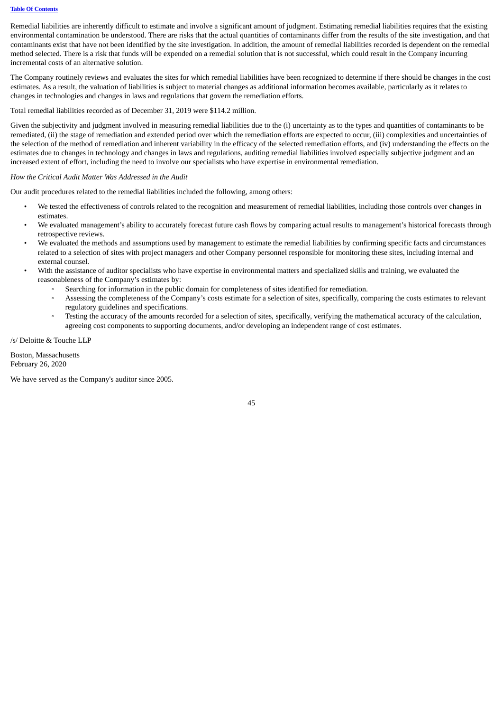#### **Table Of [Contents](#page-1-0)**

Remedial liabilities are inherently difficult to estimate and involve a significant amount of judgment. Estimating remedial liabilities requires that the existing environmental contamination be understood. There are risks that the actual quantities of contaminants differ from the results of the site investigation, and that contaminants exist that have not been identified by the site investigation. In addition, the amount of remedial liabilities recorded is dependent on the remedial method selected. There is a risk that funds will be expended on a remedial solution that is not successful, which could result in the Company incurring incremental costs of an alternative solution.

The Company routinely reviews and evaluates the sites for which remedial liabilities have been recognized to determine if there should be changes in the cost estimates. As a result, the valuation of liabilities is subject to material changes as additional information becomes available, particularly as it relates to changes in technologies and changes in laws and regulations that govern the remediation efforts.

Total remedial liabilities recorded as of December 31, 2019 were \$114.2 million.

Given the subjectivity and judgment involved in measuring remedial liabilities due to the (i) uncertainty as to the types and quantities of contaminants to be remediated, (ii) the stage of remediation and extended period over which the remediation efforts are expected to occur, (iii) complexities and uncertainties of the selection of the method of remediation and inherent variability in the efficacy of the selected remediation efforts, and (iv) understanding the effects on the estimates due to changes in technology and changes in laws and regulations, auditing remedial liabilities involved especially subjective judgment and an increased extent of effort, including the need to involve our specialists who have expertise in environmental remediation.

## *How the Critical Audit Matter Was Addressed in the Audit*

Our audit procedures related to the remedial liabilities included the following, among others:

- We tested the effectiveness of controls related to the recognition and measurement of remedial liabilities, including those controls over changes in estimates.
- We evaluated management's ability to accurately forecast future cash flows by comparing actual results to management's historical forecasts through retrospective reviews.
- We evaluated the methods and assumptions used by management to estimate the remedial liabilities by confirming specific facts and circumstances related to a selection of sites with project managers and other Company personnel responsible for monitoring these sites, including internal and external counsel.
- With the assistance of auditor specialists who have expertise in environmental matters and specialized skills and training, we evaluated the reasonableness of the Company's estimates by:
	- Searching for information in the public domain for completeness of sites identified for remediation.
	- Assessing the completeness of the Company's costs estimate for a selection of sites, specifically, comparing the costs estimates to relevant regulatory guidelines and specifications.
	- Testing the accuracy of the amounts recorded for a selection of sites, specifically, verifying the mathematical accuracy of the calculation, agreeing cost components to supporting documents, and/or developing an independent range of cost estimates.

/s/ Deloitte & Touche LLP

Boston, Massachusetts February 26, 2020

We have served as the Company's auditor since 2005.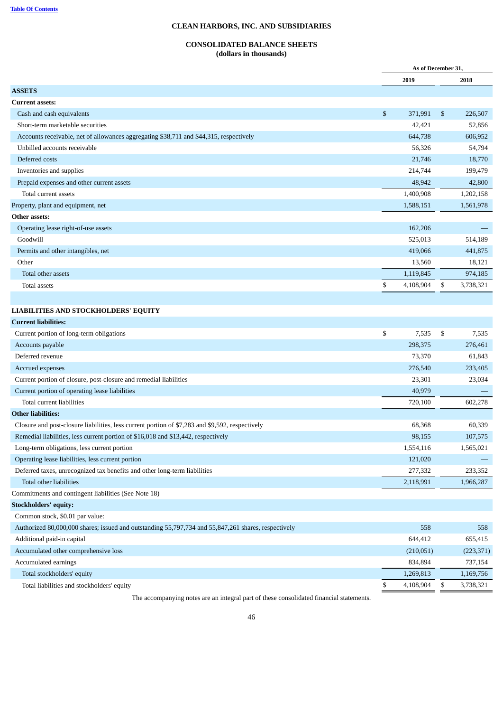# **CONSOLIDATED BALANCE SHEETS (dollars in thousands)**

|                                                                                                 | As of December 31, |                |           |  |
|-------------------------------------------------------------------------------------------------|--------------------|----------------|-----------|--|
|                                                                                                 | 2019               |                | 2018      |  |
| <b>ASSETS</b>                                                                                   |                    |                |           |  |
| <b>Current assets:</b>                                                                          |                    |                |           |  |
| Cash and cash equivalents                                                                       | \$<br>371,991      | $\mathfrak{S}$ | 226,507   |  |
| Short-term marketable securities                                                                | 42,421             |                | 52,856    |  |
| Accounts receivable, net of allowances aggregating \$38,711 and \$44,315, respectively          | 644,738            |                | 606,952   |  |
| Unbilled accounts receivable                                                                    | 56,326             |                | 54,794    |  |
| Deferred costs                                                                                  | 21,746             |                | 18,770    |  |
| Inventories and supplies                                                                        | 214,744            |                | 199,479   |  |
| Prepaid expenses and other current assets                                                       | 48,942             |                | 42,800    |  |
| Total current assets                                                                            | 1,400,908          |                | 1,202,158 |  |
| Property, plant and equipment, net                                                              | 1,588,151          |                | 1,561,978 |  |
| Other assets:                                                                                   |                    |                |           |  |
| Operating lease right-of-use assets                                                             | 162,206            |                |           |  |
| Goodwill                                                                                        | 525,013            |                | 514,189   |  |
| Permits and other intangibles, net                                                              | 419,066            |                | 441,875   |  |
| Other                                                                                           | 13,560             |                | 18,121    |  |
| Total other assets                                                                              | 1,119,845          |                | 974,185   |  |
| <b>Total assets</b>                                                                             | \$<br>4,108,904    | \$             | 3,738,321 |  |
|                                                                                                 |                    |                |           |  |
| <b>LIABILITIES AND STOCKHOLDERS' EQUITY</b>                                                     |                    |                |           |  |
| <b>Current liabilities:</b>                                                                     |                    |                |           |  |
| Current portion of long-term obligations                                                        | \$<br>7,535        | \$             | 7,535     |  |
| Accounts payable                                                                                | 298,375            |                | 276,461   |  |
| Deferred revenue                                                                                | 73,370             |                | 61,843    |  |
| Accrued expenses                                                                                | 276,540            |                | 233,405   |  |
| Current portion of closure, post-closure and remedial liabilities                               | 23,301             |                | 23,034    |  |
| Current portion of operating lease liabilities                                                  | 40,979             |                |           |  |
| Total current liabilities                                                                       | 720,100            |                | 602,278   |  |
| <b>Other liabilities:</b>                                                                       |                    |                |           |  |
| Closure and post-closure liabilities, less current portion of \$7,283 and \$9,592, respectively | 68,368             |                | 60,339    |  |
| Remedial liabilities, less current portion of \$16,018 and \$13,442, respectively               | 98,155             |                | 107,575   |  |
| Long-term obligations, less current portion                                                     | 1,554,116          |                | 1,565,021 |  |
| Operating lease liabilities, less current portion                                               | 121,020            |                |           |  |
| Deferred taxes, unrecognized tax benefits and other long-term liabilities                       | 277,332            |                | 233,352   |  |

Total other liabilities  $\overline{2,118,991}$   $\overline{2,118,991}$   $\overline{2,118,991}$   $\overline{2,118,991}$   $\overline{2,118,991}$   $\overline{2,118,991}$ 

Commitments and contingent liabilities (See Note 18)

# **Stockholders' equity:**

| Common stock, \$0.01 par value:                                                                     |           |            |
|-----------------------------------------------------------------------------------------------------|-----------|------------|
| Authorized 80,000,000 shares; issued and outstanding 55,797,734 and 55,847,261 shares, respectively | 558       | 558        |
| Additional paid-in capital                                                                          | 644,412   | 655,415    |
| Accumulated other comprehensive loss                                                                | (210,051) | (223, 371) |
| Accumulated earnings                                                                                | 834.894   | 737.154    |
| Total stockholders' equity                                                                          | 1,269,813 | 1,169,756  |
| Total liabilities and stockholders' equity                                                          | 4,108,904 | 3,738,321  |

The accompanying notes are an integral part of these consolidated financial statements.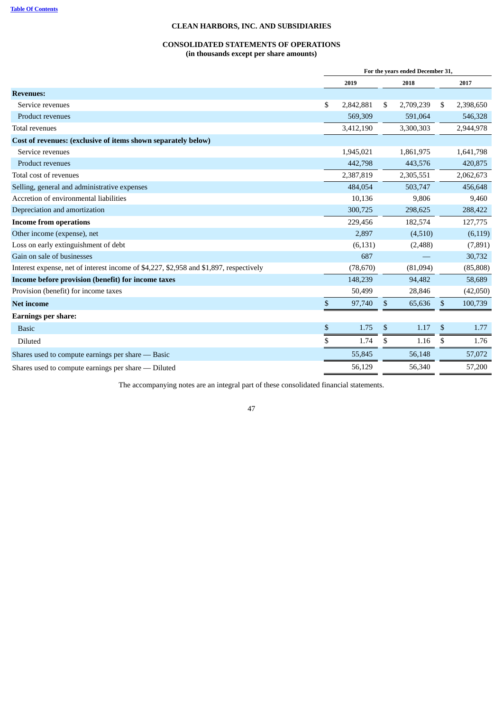# **CONSOLIDATED STATEMENTS OF OPERATIONS (in thousands except per share amounts)**

|                                                                                        |              | For the years ended December 31, |    |           |    |           |  |
|----------------------------------------------------------------------------------------|--------------|----------------------------------|----|-----------|----|-----------|--|
|                                                                                        |              | 2019                             |    | 2018      |    | 2017      |  |
| <b>Revenues:</b>                                                                       |              |                                  |    |           |    |           |  |
| Service revenues                                                                       | \$           | 2,842,881                        | \$ | 2,709,239 | \$ | 2,398,650 |  |
| Product revenues                                                                       |              | 569,309                          |    | 591,064   |    | 546,328   |  |
| <b>Total revenues</b>                                                                  |              | 3,412,190                        |    | 3,300,303 |    | 2,944,978 |  |
| Cost of revenues: (exclusive of items shown separately below)                          |              |                                  |    |           |    |           |  |
| Service revenues                                                                       |              | 1,945,021                        |    | 1,861,975 |    | 1,641,798 |  |
| Product revenues                                                                       |              | 442,798                          |    | 443,576   |    | 420,875   |  |
| Total cost of revenues                                                                 |              | 2,387,819                        |    | 2,305,551 |    | 2,062,673 |  |
| Selling, general and administrative expenses                                           |              | 484,054                          |    | 503,747   |    | 456,648   |  |
| Accretion of environmental liabilities                                                 |              | 10,136                           |    | 9,806     |    | 9,460     |  |
| Depreciation and amortization                                                          |              | 300,725                          |    | 298,625   |    | 288,422   |  |
| <b>Income from operations</b>                                                          |              | 229,456                          |    | 182,574   |    | 127,775   |  |
| Other income (expense), net                                                            |              | 2,897                            |    | (4,510)   |    | (6, 119)  |  |
| Loss on early extinguishment of debt                                                   |              | (6, 131)                         |    | (2,488)   |    | (7, 891)  |  |
| Gain on sale of businesses                                                             |              | 687                              |    |           |    | 30,732    |  |
| Interest expense, net of interest income of \$4,227, \$2,958 and \$1,897, respectively |              | (78, 670)                        |    | (81,094)  |    | (85, 808) |  |
| Income before provision (benefit) for income taxes                                     |              | 148,239                          |    | 94,482    |    | 58,689    |  |
| Provision (benefit) for income taxes                                                   |              | 50,499                           |    | 28,846    |    | (42,050)  |  |
| <b>Net income</b>                                                                      | $\mathbb{S}$ | 97,740                           | \$ | 65,636    | \$ | 100,739   |  |
| <b>Earnings per share:</b>                                                             |              |                                  |    |           |    |           |  |
| <b>Basic</b>                                                                           | \$           | 1.75                             | \$ | 1.17      | \$ | 1.77      |  |
| Diluted                                                                                | \$           | 1.74                             | \$ | 1.16      | \$ | 1.76      |  |
| Shares used to compute earnings per share — Basic                                      |              | 55,845                           |    | 56,148    |    | 57,072    |  |
| Shares used to compute earnings per share - Diluted                                    |              | 56,129                           |    | 56,340    |    | 57,200    |  |

The accompanying notes are an integral part of these consolidated financial statements.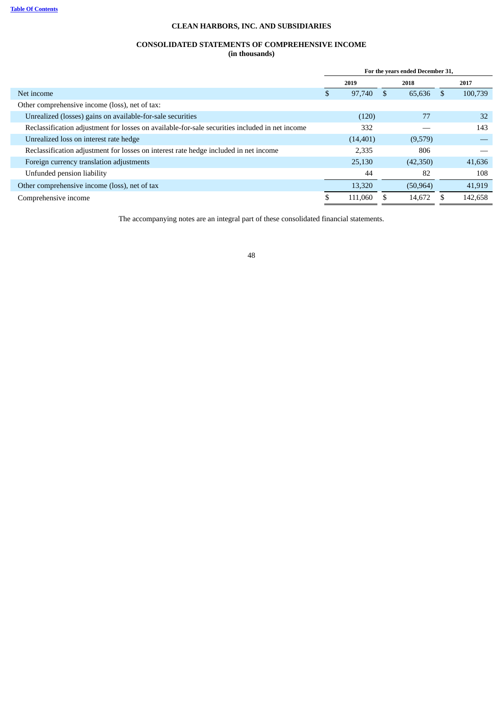# **CONSOLIDATED STATEMENTS OF COMPREHENSIVE INCOME (in thousands)**

|                                                                                                | For the years ended December 31, |           |   |           |  |         |  |
|------------------------------------------------------------------------------------------------|----------------------------------|-----------|---|-----------|--|---------|--|
|                                                                                                |                                  | 2019      |   | 2018      |  | 2017    |  |
| Net income                                                                                     |                                  | 97,740    | S | 65,636    |  | 100,739 |  |
| Other comprehensive income (loss), net of tax:                                                 |                                  |           |   |           |  |         |  |
| Unrealized (losses) gains on available-for-sale securities                                     |                                  | (120)     |   | 77        |  | 32      |  |
| Reclassification adjustment for losses on available-for-sale securities included in net income |                                  | 332       |   |           |  | 143     |  |
| Unrealized loss on interest rate hedge                                                         |                                  | (14, 401) |   | (9,579)   |  |         |  |
| Reclassification adjustment for losses on interest rate hedge included in net income           |                                  | 2.335     |   | 806       |  |         |  |
| Foreign currency translation adjustments                                                       |                                  | 25,130    |   | (42,350)  |  | 41,636  |  |
| Unfunded pension liability                                                                     |                                  | 44        |   | 82        |  | 108     |  |
| Other comprehensive income (loss), net of tax                                                  |                                  | 13.320    |   | (50, 964) |  | 41,919  |  |
| Comprehensive income                                                                           |                                  | 111.060   |   | 14.672    |  | 142,658 |  |

The accompanying notes are an integral part of these consolidated financial statements.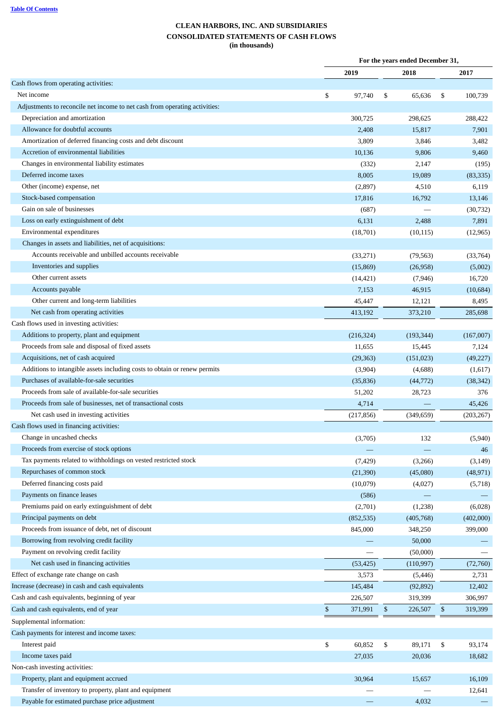# **CLEAN HARBORS, INC. AND SUBSIDIARIES CONSOLIDATED STATEMENTS OF CASH FLOWS (in thousands)**

|                                                                            |                         | For the years ended December 31, |               |  |  |  |
|----------------------------------------------------------------------------|-------------------------|----------------------------------|---------------|--|--|--|
|                                                                            | 2019                    | 2018                             | 2017          |  |  |  |
| Cash flows from operating activities:                                      |                         |                                  |               |  |  |  |
| Net income                                                                 | \$<br>97,740            | 65,636<br>\$                     | \$<br>100,739 |  |  |  |
| Adjustments to reconcile net income to net cash from operating activities: |                         |                                  |               |  |  |  |
| Depreciation and amortization                                              | 300,725                 | 298,625                          | 288,422       |  |  |  |
| Allowance for doubtful accounts                                            | 2,408                   | 15,817                           | 7,901         |  |  |  |
| Amortization of deferred financing costs and debt discount                 | 3,809                   | 3,846                            | 3,482         |  |  |  |
| Accretion of environmental liabilities                                     | 10,136                  | 9,806                            | 9,460         |  |  |  |
| Changes in environmental liability estimates                               | (332)                   | 2,147                            | (195)         |  |  |  |
| Deferred income taxes                                                      | 8,005                   | 19,089                           | (83, 335)     |  |  |  |
| Other (income) expense, net                                                | (2,897)                 | 4,510                            | 6,119         |  |  |  |
| Stock-based compensation                                                   | 17,816                  | 16,792                           | 13,146        |  |  |  |
| Gain on sale of businesses                                                 | (687)                   |                                  | (30, 732)     |  |  |  |
| Loss on early extinguishment of debt                                       | 6,131                   | 2,488                            | 7,891         |  |  |  |
| Environmental expenditures                                                 | (18,701)                | (10, 115)                        | (12,965)      |  |  |  |
| Changes in assets and liabilities, net of acquisitions:                    |                         |                                  |               |  |  |  |
| Accounts receivable and unbilled accounts receivable                       | (33, 271)               | (79, 563)                        | (33,764)      |  |  |  |
| Inventories and supplies                                                   | (15,869)                | (26,958)                         | (5,002)       |  |  |  |
| Other current assets                                                       | (14, 421)               | (7, 946)                         | 16,720        |  |  |  |
| Accounts payable                                                           | 7,153                   | 46,915                           | (10, 684)     |  |  |  |
| Other current and long-term liabilities                                    | 45,447                  | 12,121                           | 8,495         |  |  |  |
| Net cash from operating activities                                         | 413,192                 | 373,210                          | 285,698       |  |  |  |
| Cash flows used in investing activities:                                   |                         |                                  |               |  |  |  |
| Additions to property, plant and equipment                                 | (216, 324)              | (193, 344)                       | (167,007)     |  |  |  |
| Proceeds from sale and disposal of fixed assets                            | 11,655                  | 15,445                           | 7,124         |  |  |  |
| Acquisitions, net of cash acquired                                         | (29, 363)               | (151, 023)                       | (49, 227)     |  |  |  |
| Additions to intangible assets including costs to obtain or renew permits  | (3,904)                 | (4,688)                          | (1,617)       |  |  |  |
| Purchases of available-for-sale securities                                 | (35, 836)               | (44, 772)                        | (38, 342)     |  |  |  |
| Proceeds from sale of available-for-sale securities                        | 51,202                  | 28,723                           | 376           |  |  |  |
| Proceeds from sale of businesses, net of transactional costs               | 4,714                   |                                  | 45,426        |  |  |  |
| Net cash used in investing activities                                      | (217, 856)              | (349, 659)                       | (203, 267)    |  |  |  |
| Cash flows used in financing activities:                                   |                         |                                  |               |  |  |  |
| Change in uncashed checks                                                  | (3,705)                 | 132                              | (5,940)       |  |  |  |
| Proceeds from exercise of stock options                                    |                         |                                  | 46            |  |  |  |
| Tax payments related to withholdings on vested restricted stock            | (7, 429)                | (3,266)                          | (3, 149)      |  |  |  |
| Repurchases of common stock                                                | (21,390)                | (45,080)                         | (48, 971)     |  |  |  |
| Deferred financing costs paid                                              | (10,079)                |                                  |               |  |  |  |
| Payments on finance leases                                                 | (586)                   | (4,027)                          | (5,718)       |  |  |  |
| Premiums paid on early extinguishment of debt                              |                         | (1,238)                          |               |  |  |  |
| Principal payments on debt                                                 | (2,701)                 |                                  | (6,028)       |  |  |  |
| Proceeds from issuance of debt, net of discount                            | (852, 535)              | (405,768)                        | (402,000)     |  |  |  |
| Borrowing from revolving credit facility                                   | 845,000                 | 348,250                          | 399,000       |  |  |  |
| Payment on revolving credit facility                                       |                         | 50,000                           |               |  |  |  |
|                                                                            |                         | (50,000)                         |               |  |  |  |
| Net cash used in financing activities                                      | (53, 425)               | (110, 997)                       | (72,760)      |  |  |  |
| Effect of exchange rate change on cash                                     | 3,573                   | (5, 446)                         | 2,731         |  |  |  |
| Increase (decrease) in cash and cash equivalents                           | 145,484                 | (92, 892)                        | 12,402        |  |  |  |
| Cash and cash equivalents, beginning of year                               | 226,507                 | 319,399                          | 306,997       |  |  |  |
| Cash and cash equivalents, end of year                                     | $\mathbb{S}$<br>371,991 | \$<br>226,507                    | \$<br>319,399 |  |  |  |
| Supplemental information:                                                  |                         |                                  |               |  |  |  |
| Cash payments for interest and income taxes:                               |                         |                                  |               |  |  |  |
| Interest paid                                                              | \$<br>60,852            | \$<br>89,171                     | \$<br>93,174  |  |  |  |
| Income taxes paid                                                          | 27,035                  | 20,036                           | 18,682        |  |  |  |
| Non-cash investing activities:                                             |                         |                                  |               |  |  |  |
| Property, plant and equipment accrued                                      | 30,964                  | 15,657                           | 16,109        |  |  |  |
| Transfer of inventory to property, plant and equipment                     |                         |                                  | 12,641        |  |  |  |
| Payable for estimated purchase price adjustment                            |                         | 4,032                            |               |  |  |  |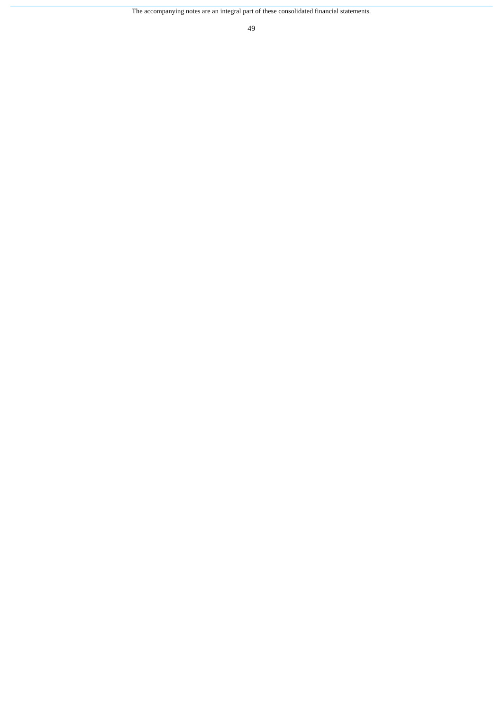The accompanying notes are an integral part of these consolidated financial statements.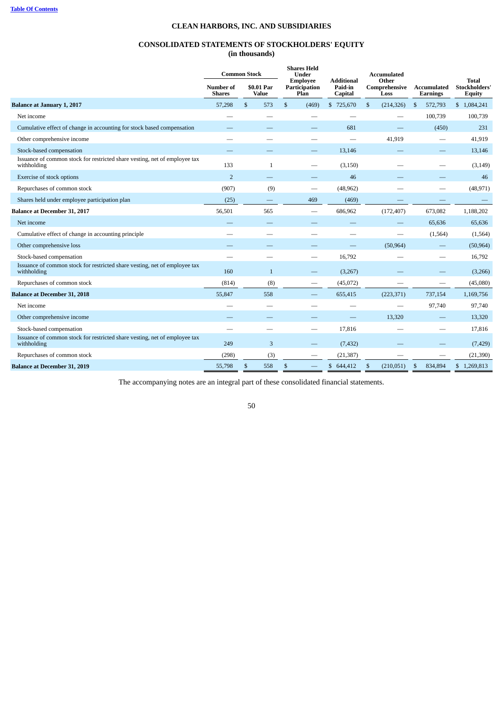# **CONSOLIDATED STATEMENTS OF STOCKHOLDERS' EQUITY (in thousands)**

|                                                                                           | <b>Common Stock</b>        |    |                            |                |                                                 |              | <b>Shares Held</b><br><b>Under</b>      |                                |            |                | Accumulated                    |                                |              |  |  |  |
|-------------------------------------------------------------------------------------------|----------------------------|----|----------------------------|----------------|-------------------------------------------------|--------------|-----------------------------------------|--------------------------------|------------|----------------|--------------------------------|--------------------------------|--------------|--|--|--|
|                                                                                           | Number of<br><b>Shares</b> |    | \$0.01 Par<br><b>Value</b> |                | <b>Employee</b><br><b>Participation</b><br>Plan |              | <b>Additional</b><br>Paid-in<br>Capital | Other<br>Comprehensive<br>Loss |            |                | Accumulated<br><b>Earnings</b> | Stockholders'<br><b>Equity</b> | <b>Total</b> |  |  |  |
| <b>Balance at January 1, 2017</b>                                                         | 57,298                     | \$ | 573                        | $\mathfrak{S}$ | (469)                                           | \$725,670    |                                         | \$                             | (214, 326) | $\mathfrak{S}$ | 572,793                        | \$1,084,241                    |              |  |  |  |
| Net income                                                                                |                            |    |                            |                |                                                 |              |                                         |                                |            |                | 100,739                        |                                | 100,739      |  |  |  |
| Cumulative effect of change in accounting for stock based compensation                    |                            |    |                            |                |                                                 |              | 681                                     |                                |            |                | (450)                          |                                | 231          |  |  |  |
| Other comprehensive income                                                                |                            |    |                            |                |                                                 |              |                                         |                                | 41,919     |                |                                |                                | 41,919       |  |  |  |
| Stock-based compensation                                                                  |                            |    |                            |                |                                                 |              | 13,146                                  |                                |            |                |                                |                                | 13,146       |  |  |  |
| Issuance of common stock for restricted share vesting, net of employee tax<br>withholding | 133                        |    | 1                          |                |                                                 |              | (3, 150)                                |                                |            |                |                                |                                | (3, 149)     |  |  |  |
| Exercise of stock options                                                                 | $\overline{2}$             |    |                            |                |                                                 |              | 46                                      |                                |            |                |                                |                                | 46           |  |  |  |
| Repurchases of common stock                                                               | (907)                      |    | (9)                        |                | $\overline{\phantom{0}}$                        |              | (48, 962)                               |                                |            |                |                                |                                | (48, 971)    |  |  |  |
| Shares held under employee participation plan                                             | (25)                       |    |                            |                | 469                                             |              | (469)                                   |                                |            |                |                                |                                |              |  |  |  |
| <b>Balance at December 31, 2017</b>                                                       | 56,501                     |    | 565                        |                |                                                 |              | 686,962                                 |                                | (172, 407) |                | 673,082                        |                                | 1,188,202    |  |  |  |
| Net income                                                                                |                            |    |                            |                |                                                 |              |                                         |                                |            |                | 65,636                         |                                | 65,636       |  |  |  |
| Cumulative effect of change in accounting principle                                       |                            |    |                            |                |                                                 |              |                                         |                                |            |                | (1, 564)                       |                                | (1,564)      |  |  |  |
| Other comprehensive loss                                                                  |                            |    |                            |                |                                                 |              |                                         |                                | (50, 964)  |                |                                |                                | (50, 964)    |  |  |  |
| Stock-based compensation                                                                  |                            |    |                            |                | $\overline{\phantom{0}}$                        |              | 16,792                                  |                                |            |                | $\overline{\phantom{0}}$       |                                | 16,792       |  |  |  |
| Issuance of common stock for restricted share vesting, net of employee tax<br>withholding | 160                        |    | $\mathbf{1}$               |                |                                                 |              | (3,267)                                 |                                |            |                |                                |                                | (3,266)      |  |  |  |
| Repurchases of common stock                                                               | (814)                      |    | (8)                        |                |                                                 |              | (45,072)                                |                                |            |                |                                |                                | (45,080)     |  |  |  |
| <b>Balance at December 31, 2018</b>                                                       | 55,847                     |    | 558                        |                |                                                 |              | 655,415                                 |                                | (223, 371) |                | 737,154                        |                                | 1,169,756    |  |  |  |
| Net income                                                                                |                            |    |                            |                |                                                 |              |                                         |                                |            |                | 97,740                         |                                | 97,740       |  |  |  |
| Other comprehensive income                                                                |                            |    |                            |                |                                                 |              |                                         |                                | 13,320     |                |                                |                                | 13,320       |  |  |  |
| Stock-based compensation                                                                  |                            |    |                            |                | $\overline{\phantom{0}}$                        |              | 17,816                                  |                                |            |                |                                |                                | 17,816       |  |  |  |
| Issuance of common stock for restricted share vesting, net of employee tax<br>withholding | 249                        |    | 3                          |                |                                                 |              | (7, 432)                                |                                |            |                |                                |                                | (7, 429)     |  |  |  |
| Repurchases of common stock                                                               | (298)                      |    | (3)                        |                |                                                 |              | (21, 387)                               |                                |            |                |                                |                                | (21, 390)    |  |  |  |
| <b>Balance at December 31, 2019</b>                                                       | 55,798                     | \$ | 558                        | $\mathbb{S}$   |                                                 | $\mathbb{S}$ | 644,412                                 | $\mathbb{S}$                   | (210,051)  | \$             | 834,894                        | \$1,269,813                    |              |  |  |  |
|                                                                                           |                            |    |                            |                |                                                 |              |                                         |                                |            |                |                                |                                |              |  |  |  |

The accompanying notes are an integral part of these consolidated financial statements.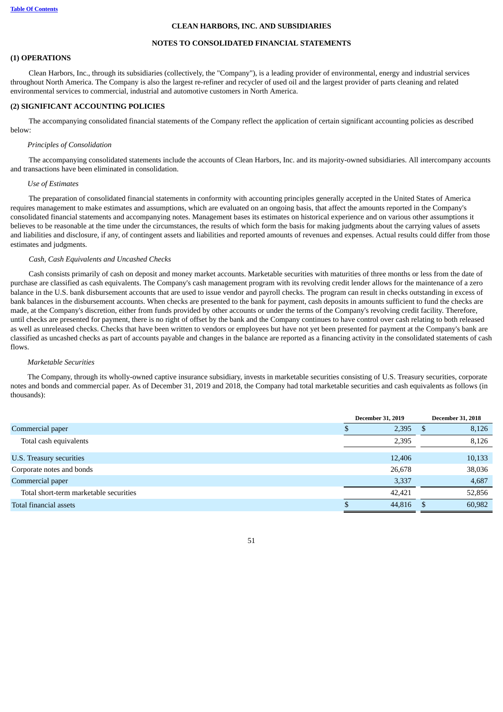## **NOTES TO CONSOLIDATED FINANCIAL STATEMENTS**

## **(1) OPERATIONS**

Clean Harbors, Inc., through its subsidiaries (collectively, the "Company"), is a leading provider of environmental, energy and industrial services throughout North America. The Company is also the largest re-refiner and recycler of used oil and the largest provider of parts cleaning and related environmental services to commercial, industrial and automotive customers in North America.

## **(2) SIGNIFICANT ACCOUNTING POLICIES**

The accompanying consolidated financial statements of the Company reflect the application of certain significant accounting policies as described below:

## *Principles of Consolidation*

The accompanying consolidated statements include the accounts of Clean Harbors, Inc. and its majority-owned subsidiaries. All intercompany accounts and transactions have been eliminated in consolidation.

#### *Use of Estimates*

The preparation of consolidated financial statements in conformity with accounting principles generally accepted in the United States of America requires management to make estimates and assumptions, which are evaluated on an ongoing basis, that affect the amounts reported in the Company's consolidated financial statements and accompanying notes. Management bases its estimates on historical experience and on various other assumptions it believes to be reasonable at the time under the circumstances, the results of which form the basis for making judgments about the carrying values of assets and liabilities and disclosure, if any, of contingent assets and liabilities and reported amounts of revenues and expenses. Actual results could differ from those estimates and judgments.

### *Cash, Cash Equivalents and Uncashed Checks*

Cash consists primarily of cash on deposit and money market accounts. Marketable securities with maturities of three months or less from the date of purchase are classified as cash equivalents. The Company's cash management program with its revolving credit lender allows for the maintenance of a zero balance in the U.S. bank disbursement accounts that are used to issue vendor and payroll checks. The program can result in checks outstanding in excess of bank balances in the disbursement accounts. When checks are presented to the bank for payment, cash deposits in amounts sufficient to fund the checks are made, at the Company's discretion, either from funds provided by other accounts or under the terms of the Company's revolving credit facility. Therefore, until checks are presented for payment, there is no right of offset by the bank and the Company continues to have control over cash relating to both released as well as unreleased checks. Checks that have been written to vendors or employees but have not yet been presented for payment at the Company's bank are classified as uncashed checks as part of accounts payable and changes in the balance are reported as a financing activity in the consolidated statements of cash flows.

#### *Marketable Securities*

The Company, through its wholly-owned captive insurance subsidiary, invests in marketable securities consisting of U.S. Treasury securities, corporate notes and bonds and commercial paper. As of December 31, 2019 and 2018, the Company had total marketable securities and cash equivalents as follows (in thousands):

|                                        | <b>December 31, 2019</b> |    | <b>December 31, 2018</b> |
|----------------------------------------|--------------------------|----|--------------------------|
| Commercial paper                       | 2,395                    | -S | 8,126                    |
| Total cash equivalents                 | 2,395                    |    | 8,126                    |
|                                        |                          |    |                          |
| U.S. Treasury securities               | 12,406                   |    | 10,133                   |
| Corporate notes and bonds              | 26,678                   |    | 38,036                   |
| Commercial paper                       | 3,337                    |    | 4,687                    |
| Total short-term marketable securities | 42,421                   |    | 52,856                   |
| Total financial assets                 | 44,816                   | -S | 60,982                   |
|                                        |                          |    |                          |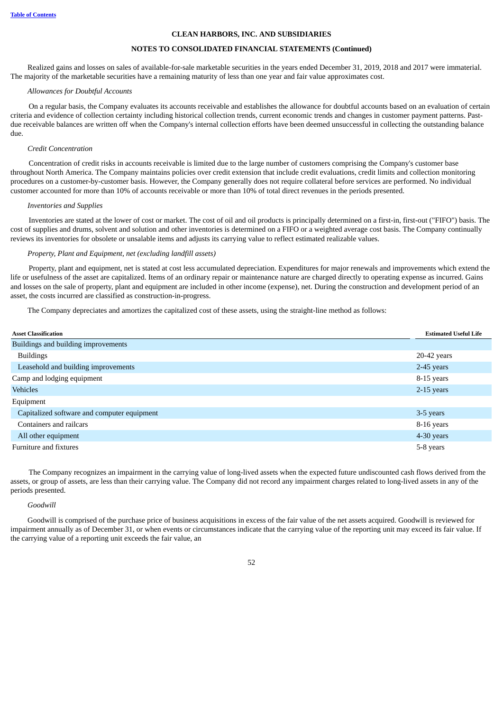### **NOTES TO CONSOLIDATED FINANCIAL STATEMENTS (Continued)**

Realized gains and losses on sales of available-for-sale marketable securities in the years ended December 31, 2019, 2018 and 2017 were immaterial. The majority of the marketable securities have a remaining maturity of less than one year and fair value approximates cost.

### *Allowances for Doubtful Accounts*

On a regular basis, the Company evaluates its accounts receivable and establishes the allowance for doubtful accounts based on an evaluation of certain criteria and evidence of collection certainty including historical collection trends, current economic trends and changes in customer payment patterns. Pastdue receivable balances are written off when the Company's internal collection efforts have been deemed unsuccessful in collecting the outstanding balance due.

## *Credit Concentration*

Concentration of credit risks in accounts receivable is limited due to the large number of customers comprising the Company's customer base throughout North America. The Company maintains policies over credit extension that include credit evaluations, credit limits and collection monitoring procedures on a customer-by-customer basis. However, the Company generally does not require collateral before services are performed. No individual customer accounted for more than 10% of accounts receivable or more than 10% of total direct revenues in the periods presented.

#### *Inventories and Supplies*

Inventories are stated at the lower of cost or market. The cost of oil and oil products is principally determined on a first-in, first-out ("FIFO") basis. The cost of supplies and drums, solvent and solution and other inventories is determined on a FIFO or a weighted average cost basis. The Company continually reviews its inventories for obsolete or unsalable items and adjusts its carrying value to reflect estimated realizable values.

## *Property, Plant and Equipment, net (excluding landfill assets)*

Property, plant and equipment, net is stated at cost less accumulated depreciation. Expenditures for major renewals and improvements which extend the life or usefulness of the asset are capitalized. Items of an ordinary repair or maintenance nature are charged directly to operating expense as incurred. Gains and losses on the sale of property, plant and equipment are included in other income (expense), net. During the construction and development period of an asset, the costs incurred are classified as construction-in-progress.

The Company depreciates and amortizes the capitalized cost of these assets, using the straight-line method as follows:

| <b>Asset Classification</b>                 | <b>Estimated Useful Life</b> |
|---------------------------------------------|------------------------------|
| Buildings and building improvements         |                              |
| <b>Buildings</b>                            | 20-42 years                  |
| Leasehold and building improvements         | 2-45 years                   |
| Camp and lodging equipment                  | 8-15 years                   |
| <b>Vehicles</b>                             | 2-15 years                   |
| Equipment                                   |                              |
| Capitalized software and computer equipment | 3-5 years                    |
| Containers and railcars                     | 8-16 years                   |
| All other equipment                         | 4-30 years                   |
| Furniture and fixtures                      | 5-8 years                    |

The Company recognizes an impairment in the carrying value of long-lived assets when the expected future undiscounted cash flows derived from the assets, or group of assets, are less than their carrying value. The Company did not record any impairment charges related to long-lived assets in any of the periods presented.

## *Goodwill*

Goodwill is comprised of the purchase price of business acquisitions in excess of the fair value of the net assets acquired. Goodwill is reviewed for impairment annually as of December 31, or when events or circumstances indicate that the carrying value of the reporting unit may exceed its fair value. If the carrying value of a reporting unit exceeds the fair value, an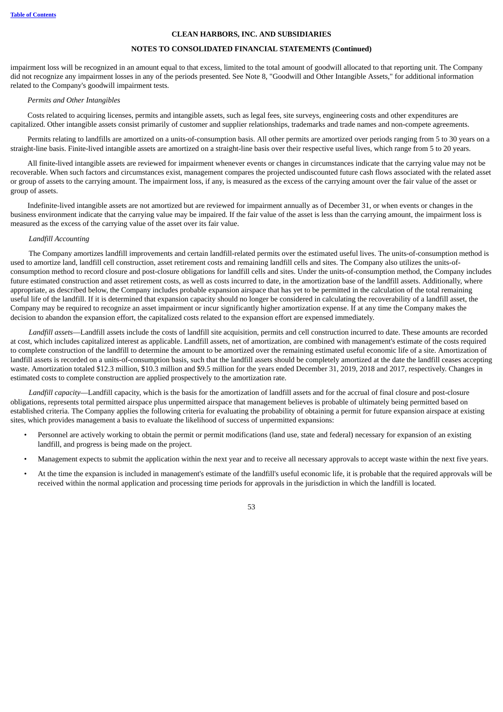#### **NOTES TO CONSOLIDATED FINANCIAL STATEMENTS (Continued)**

impairment loss will be recognized in an amount equal to that excess, limited to the total amount of goodwill allocated to that reporting unit. The Company did not recognize any impairment losses in any of the periods presented. See Note 8, "Goodwill and Other Intangible Assets," for additional information related to the Company's goodwill impairment tests.

### *Permits and Other Intangibles*

Costs related to acquiring licenses, permits and intangible assets, such as legal fees, site surveys, engineering costs and other expenditures are capitalized. Other intangible assets consist primarily of customer and supplier relationships, trademarks and trade names and non-compete agreements.

Permits relating to landfills are amortized on a units-of-consumption basis. All other permits are amortized over periods ranging from 5 to 30 years on a straight-line basis. Finite-lived intangible assets are amortized on a straight-line basis over their respective useful lives, which range from 5 to 20 years.

All finite-lived intangible assets are reviewed for impairment whenever events or changes in circumstances indicate that the carrying value may not be recoverable. When such factors and circumstances exist, management compares the projected undiscounted future cash flows associated with the related asset or group of assets to the carrying amount. The impairment loss, if any, is measured as the excess of the carrying amount over the fair value of the asset or group of assets.

Indefinite-lived intangible assets are not amortized but are reviewed for impairment annually as of December 31, or when events or changes in the business environment indicate that the carrying value may be impaired. If the fair value of the asset is less than the carrying amount, the impairment loss is measured as the excess of the carrying value of the asset over its fair value.

## *Landfill Accounting*

The Company amortizes landfill improvements and certain landfill-related permits over the estimated useful lives. The units-of-consumption method is used to amortize land, landfill cell construction, asset retirement costs and remaining landfill cells and sites. The Company also utilizes the units-ofconsumption method to record closure and post-closure obligations for landfill cells and sites. Under the units-of-consumption method, the Company includes future estimated construction and asset retirement costs, as well as costs incurred to date, in the amortization base of the landfill assets. Additionally, where appropriate, as described below, the Company includes probable expansion airspace that has yet to be permitted in the calculation of the total remaining useful life of the landfill. If it is determined that expansion capacity should no longer be considered in calculating the recoverability of a landfill asset, the Company may be required to recognize an asset impairment or incur significantly higher amortization expense. If at any time the Company makes the decision to abandon the expansion effort, the capitalized costs related to the expansion effort are expensed immediately.

*Landfill assets*—Landfill assets include the costs of landfill site acquisition, permits and cell construction incurred to date. These amounts are recorded at cost, which includes capitalized interest as applicable. Landfill assets, net of amortization, are combined with management's estimate of the costs required to complete construction of the landfill to determine the amount to be amortized over the remaining estimated useful economic life of a site. Amortization of landfill assets is recorded on a units-of-consumption basis, such that the landfill assets should be completely amortized at the date the landfill ceases accepting waste. Amortization totaled \$12.3 million, \$10.3 million and \$9.5 million for the years ended December 31, 2019, 2018 and 2017, respectively. Changes in estimated costs to complete construction are applied prospectively to the amortization rate.

*Landfill capacity*—Landfill capacity, which is the basis for the amortization of landfill assets and for the accrual of final closure and post-closure obligations, represents total permitted airspace plus unpermitted airspace that management believes is probable of ultimately being permitted based on established criteria. The Company applies the following criteria for evaluating the probability of obtaining a permit for future expansion airspace at existing sites, which provides management a basis to evaluate the likelihood of success of unpermitted expansions:

- Personnel are actively working to obtain the permit or permit modifications (land use, state and federal) necessary for expansion of an existing landfill, and progress is being made on the project.
- Management expects to submit the application within the next year and to receive all necessary approvals to accept waste within the next five years.
- At the time the expansion is included in management's estimate of the landfill's useful economic life, it is probable that the required approvals will be received within the normal application and processing time periods for approvals in the jurisdiction in which the landfill is located.

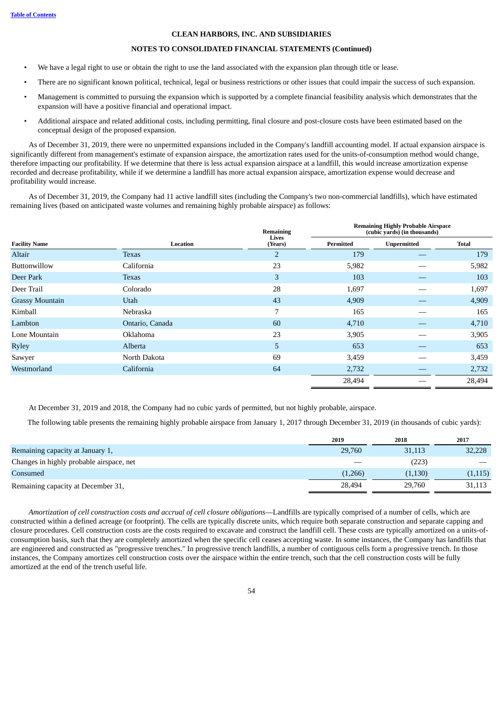### **NOTES TO CONSOLIDATED FINANCIAL STATEMENTS (Continued)**

- We have a legal right to use or obtain the right to use the land associated with the expansion plan through title or lease.
- There are no significant known political, technical, legal or business restrictions or other issues that could impair the success of such expansion.
- Management is committed to pursuing the expansion which is supported by a complete financial feasibility analysis which demonstrates that the expansion will have a positive financial and operational impact.
- Additional airspace and related additional costs, including permitting, final closure and post-closure costs have been estimated based on the conceptual design of the proposed expansion.

As of December 31, 2019, there were no unpermitted expansions included in the Company's landfill accounting model. If actual expansion airspace is significantly different from management's estimate of expansion airspace, the amortization rates used for the units-of-consumption method would change, therefore impacting our profitability. If we determine that there is less actual expansion airspace at a landfill, this would increase amortization expense recorded and decrease profitability, while if we determine a landfill has more actual expansion airspace, amortization expense would decrease and profitability would increase.

As of December 31, 2019, the Company had 11 active landfill sites (including the Company's two non-commercial landfills), which have estimated remaining lives (based on anticipated waste volumes and remaining highly probable airspace) as follows:

|                        |                 | Remaining        | <b>Remaining Highly Probable Airspace</b><br>(cubic yards) (in thousands) |                    |        |
|------------------------|-----------------|------------------|---------------------------------------------------------------------------|--------------------|--------|
| <b>Facility Name</b>   | Location        | Lives<br>(Years) | Permitted                                                                 | <b>Unpermitted</b> | Total  |
| Altair                 | <b>Texas</b>    | $\overline{2}$   | 179                                                                       |                    | 179    |
| Buttonwillow           | California      | 23               | 5,982                                                                     |                    | 5,982  |
| Deer Park              | <b>Texas</b>    | 3                | 103                                                                       |                    | 103    |
| Deer Trail             | Colorado        | 28               | 1,697                                                                     |                    | 1,697  |
| <b>Grassy Mountain</b> | Utah            | 43               | 4,909                                                                     |                    | 4,909  |
| Kimball                | Nebraska        | 7                | 165                                                                       |                    | 165    |
| Lambton                | Ontario, Canada | 60               | 4,710                                                                     |                    | 4,710  |
| Lone Mountain          | Oklahoma        | 23               | 3,905                                                                     |                    | 3,905  |
| <b>Ryley</b>           | Alberta         | 5                | 653                                                                       |                    | 653    |
| Sawyer                 | North Dakota    | 69               | 3,459                                                                     |                    | 3,459  |
| Westmorland            | California      | 64               | 2,732                                                                     |                    | 2,732  |
|                        |                 |                  | 28,494                                                                    |                    | 28,494 |

At December 31, 2019 and 2018, the Company had no cubic yards of permitted, but not highly probable, airspace.

The following table presents the remaining highly probable airspace from January 1, 2017 through December 31, 2019 (in thousands of cubic yards):

|                                          | 2019    | 2018    | 2017                     |
|------------------------------------------|---------|---------|--------------------------|
| Remaining capacity at January 1,         | 29,760  | 31,113  | 32,228                   |
| Changes in highly probable airspace, net |         | (223)   | $\overline{\phantom{0}}$ |
| Consumed                                 | (1,266) | (1,130) | (1, 115)                 |
| Remaining capacity at December 31,       | 28.494  | 29.760  | 31,113                   |

*Amortization of cell construction costs and accrual of cell closure obligations*—Landfills are typically comprised of a number of cells, which are constructed within a defined acreage (or footprint). The cells are typically discrete units, which require both separate construction and separate capping and closure procedures. Cell construction costs are the costs required to excavate and construct the landfill cell. These costs are typically amortized on a units-ofconsumption basis, such that they are completely amortized when the specific cell ceases accepting waste. In some instances, the Company has landfills that are engineered and constructed as "progressive trenches." In progressive trench landfills, a number of contiguous cells form a progressive trench. In those instances, the Company amortizes cell construction costs over the airspace within the entire trench, such that the cell construction costs will be fully amortized at the end of the trench useful life.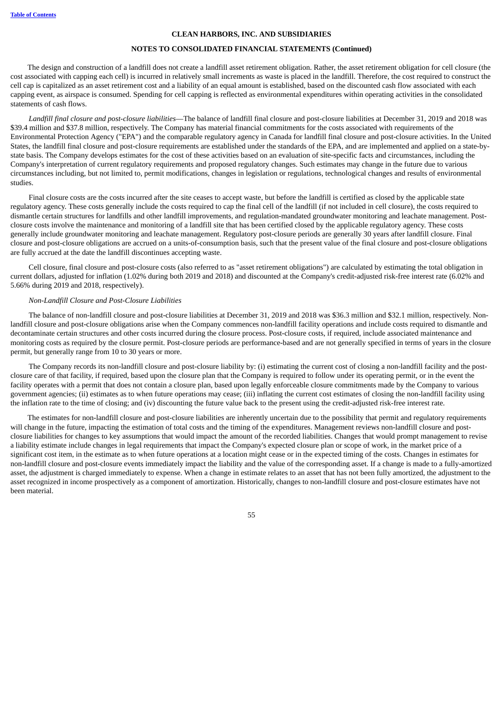#### **NOTES TO CONSOLIDATED FINANCIAL STATEMENTS (Continued)**

The design and construction of a landfill does not create a landfill asset retirement obligation. Rather, the asset retirement obligation for cell closure (the cost associated with capping each cell) is incurred in relatively small increments as waste is placed in the landfill. Therefore, the cost required to construct the cell cap is capitalized as an asset retirement cost and a liability of an equal amount is established, based on the discounted cash flow associated with each capping event, as airspace is consumed. Spending for cell capping is reflected as environmental expenditures within operating activities in the consolidated statements of cash flows.

*Landfill final closure and post-closure liabilities*—The balance of landfill final closure and post-closure liabilities at December 31, 2019 and 2018 was \$39.4 million and \$37.8 million, respectively. The Company has material financial commitments for the costs associated with requirements of the Environmental Protection Agency ("EPA") and the comparable regulatory agency in Canada for landfill final closure and post-closure activities. In the United States, the landfill final closure and post-closure requirements are established under the standards of the EPA, and are implemented and applied on a state-bystate basis. The Company develops estimates for the cost of these activities based on an evaluation of site-specific facts and circumstances, including the Company's interpretation of current regulatory requirements and proposed regulatory changes. Such estimates may change in the future due to various circumstances including, but not limited to, permit modifications, changes in legislation or regulations, technological changes and results of environmental studies.

Final closure costs are the costs incurred after the site ceases to accept waste, but before the landfill is certified as closed by the applicable state regulatory agency. These costs generally include the costs required to cap the final cell of the landfill (if not included in cell closure), the costs required to dismantle certain structures for landfills and other landfill improvements, and regulation-mandated groundwater monitoring and leachate management. Postclosure costs involve the maintenance and monitoring of a landfill site that has been certified closed by the applicable regulatory agency. These costs generally include groundwater monitoring and leachate management. Regulatory post-closure periods are generally 30 years after landfill closure. Final closure and post-closure obligations are accrued on a units-of-consumption basis, such that the present value of the final closure and post-closure obligations are fully accrued at the date the landfill discontinues accepting waste.

Cell closure, final closure and post-closure costs (also referred to as "asset retirement obligations") are calculated by estimating the total obligation in current dollars, adjusted for inflation (1.02% during both 2019 and 2018) and discounted at the Company's credit-adjusted risk-free interest rate (6.02% and 5.66% during 2019 and 2018, respectively).

## *Non-Landfill Closure and Post-Closure Liabilities*

The balance of non-landfill closure and post-closure liabilities at December 31, 2019 and 2018 was \$36.3 million and \$32.1 million, respectively. Nonlandfill closure and post-closure obligations arise when the Company commences non-landfill facility operations and include costs required to dismantle and decontaminate certain structures and other costs incurred during the closure process. Post-closure costs, if required, include associated maintenance and monitoring costs as required by the closure permit. Post-closure periods are performance-based and are not generally specified in terms of years in the closure permit, but generally range from 10 to 30 years or more.

The Company records its non-landfill closure and post-closure liability by: (i) estimating the current cost of closing a non-landfill facility and the postclosure care of that facility, if required, based upon the closure plan that the Company is required to follow under its operating permit, or in the event the facility operates with a permit that does not contain a closure plan, based upon legally enforceable closure commitments made by the Company to various government agencies; (ii) estimates as to when future operations may cease; (iii) inflating the current cost estimates of closing the non-landfill facility using the inflation rate to the time of closing; and (iv) discounting the future value back to the present using the credit-adjusted risk-free interest rate.

The estimates for non-landfill closure and post-closure liabilities are inherently uncertain due to the possibility that permit and regulatory requirements will change in the future, impacting the estimation of total costs and the timing of the expenditures. Management reviews non-landfill closure and postclosure liabilities for changes to key assumptions that would impact the amount of the recorded liabilities. Changes that would prompt management to revise a liability estimate include changes in legal requirements that impact the Company's expected closure plan or scope of work, in the market price of a significant cost item, in the estimate as to when future operations at a location might cease or in the expected timing of the costs. Changes in estimates for non-landfill closure and post-closure events immediately impact the liability and the value of the corresponding asset. If a change is made to a fully-amortized asset, the adjustment is charged immediately to expense. When a change in estimate relates to an asset that has not been fully amortized, the adjustment to the asset recognized in income prospectively as a component of amortization. Historically, changes to non-landfill closure and post-closure estimates have not been material.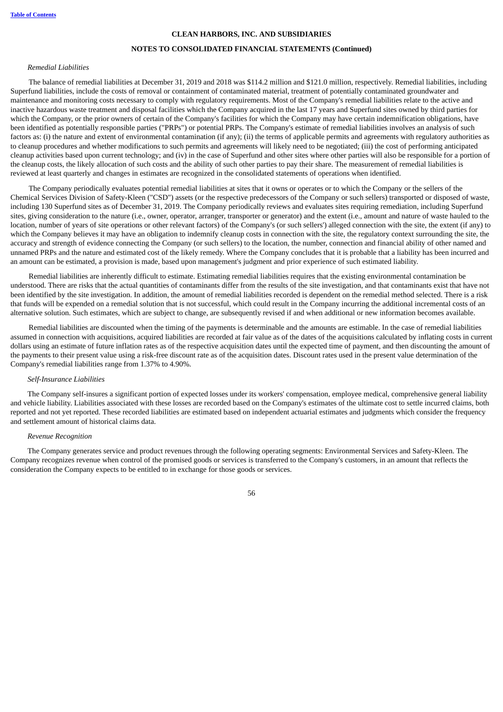#### **NOTES TO CONSOLIDATED FINANCIAL STATEMENTS (Continued)**

### *Remedial Liabilities*

The balance of remedial liabilities at December 31, 2019 and 2018 was \$114.2 million and \$121.0 million, respectively. Remedial liabilities, including Superfund liabilities, include the costs of removal or containment of contaminated material, treatment of potentially contaminated groundwater and maintenance and monitoring costs necessary to comply with regulatory requirements. Most of the Company's remedial liabilities relate to the active and inactive hazardous waste treatment and disposal facilities which the Company acquired in the last 17 years and Superfund sites owned by third parties for which the Company, or the prior owners of certain of the Company's facilities for which the Company may have certain indemnification obligations, have been identified as potentially responsible parties ("PRPs") or potential PRPs. The Company's estimate of remedial liabilities involves an analysis of such factors as: (i) the nature and extent of environmental contamination (if any); (ii) the terms of applicable permits and agreements with regulatory authorities as to cleanup procedures and whether modifications to such permits and agreements will likely need to be negotiated; (iii) the cost of performing anticipated cleanup activities based upon current technology; and (iv) in the case of Superfund and other sites where other parties will also be responsible for a portion of the cleanup costs, the likely allocation of such costs and the ability of such other parties to pay their share. The measurement of remedial liabilities is reviewed at least quarterly and changes in estimates are recognized in the consolidated statements of operations when identified.

The Company periodically evaluates potential remedial liabilities at sites that it owns or operates or to which the Company or the sellers of the Chemical Services Division of Safety-Kleen ("CSD") assets (or the respective predecessors of the Company or such sellers) transported or disposed of waste, including 130 Superfund sites as of December 31, 2019. The Company periodically reviews and evaluates sites requiring remediation, including Superfund sites, giving consideration to the nature (i.e., owner, operator, arranger, transporter or generator) and the extent (i.e., amount and nature of waste hauled to the location, number of years of site operations or other relevant factors) of the Company's (or such sellers') alleged connection with the site, the extent (if any) to which the Company believes it may have an obligation to indemnify cleanup costs in connection with the site, the regulatory context surrounding the site, the accuracy and strength of evidence connecting the Company (or such sellers) to the location, the number, connection and financial ability of other named and unnamed PRPs and the nature and estimated cost of the likely remedy. Where the Company concludes that it is probable that a liability has been incurred and an amount can be estimated, a provision is made, based upon management's judgment and prior experience of such estimated liability.

Remedial liabilities are inherently difficult to estimate. Estimating remedial liabilities requires that the existing environmental contamination be understood. There are risks that the actual quantities of contaminants differ from the results of the site investigation, and that contaminants exist that have not been identified by the site investigation. In addition, the amount of remedial liabilities recorded is dependent on the remedial method selected. There is a risk that funds will be expended on a remedial solution that is not successful, which could result in the Company incurring the additional incremental costs of an alternative solution. Such estimates, which are subject to change, are subsequently revised if and when additional or new information becomes available.

Remedial liabilities are discounted when the timing of the payments is determinable and the amounts are estimable. In the case of remedial liabilities assumed in connection with acquisitions, acquired liabilities are recorded at fair value as of the dates of the acquisitions calculated by inflating costs in current dollars using an estimate of future inflation rates as of the respective acquisition dates until the expected time of payment, and then discounting the amount of the payments to their present value using a risk-free discount rate as of the acquisition dates. Discount rates used in the present value determination of the Company's remedial liabilities range from 1.37% to 4.90%.

#### *Self-Insurance Liabilities*

The Company self-insures a significant portion of expected losses under its workers' compensation, employee medical, comprehensive general liability and vehicle liability. Liabilities associated with these losses are recorded based on the Company's estimates of the ultimate cost to settle incurred claims, both reported and not yet reported. These recorded liabilities are estimated based on independent actuarial estimates and judgments which consider the frequency and settlement amount of historical claims data.

#### *Revenue Recognition*

The Company generates service and product revenues through the following operating segments: Environmental Services and Safety-Kleen. The Company recognizes revenue when control of the promised goods or services is transferred to the Company's customers, in an amount that reflects the consideration the Company expects to be entitled to in exchange for those goods or services.

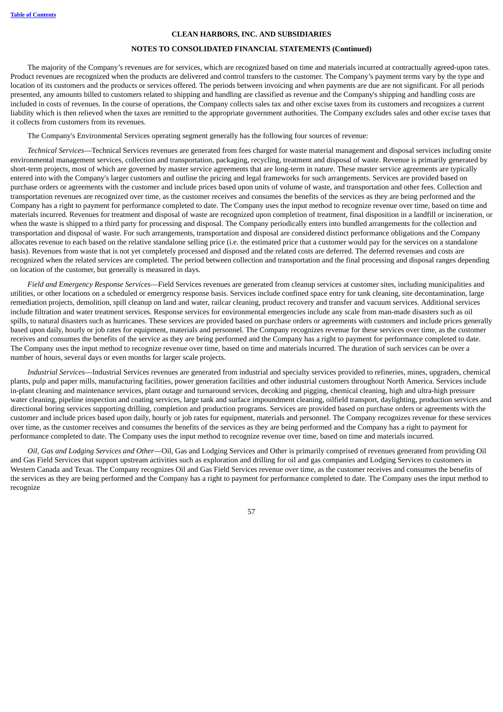#### **NOTES TO CONSOLIDATED FINANCIAL STATEMENTS (Continued)**

The majority of the Company's revenues are for services, which are recognized based on time and materials incurred at contractually agreed-upon rates. Product revenues are recognized when the products are delivered and control transfers to the customer. The Company's payment terms vary by the type and location of its customers and the products or services offered. The periods between invoicing and when payments are due are not significant. For all periods presented, any amounts billed to customers related to shipping and handling are classified as revenue and the Company's shipping and handling costs are included in costs of revenues. In the course of operations, the Company collects sales tax and other excise taxes from its customers and recognizes a current liability which is then relieved when the taxes are remitted to the appropriate government authorities. The Company excludes sales and other excise taxes that it collects from customers from its revenues.

The Company's Environmental Services operating segment generally has the following four sources of revenue:

*Technical Services*—Technical Services revenues are generated from fees charged for waste material management and disposal services including onsite environmental management services, collection and transportation, packaging, recycling, treatment and disposal of waste. Revenue is primarily generated by short-term projects, most of which are governed by master service agreements that are long-term in nature. These master service agreements are typically entered into with the Company's larger customers and outline the pricing and legal frameworks for such arrangements. Services are provided based on purchase orders or agreements with the customer and include prices based upon units of volume of waste, and transportation and other fees. Collection and transportation revenues are recognized over time, as the customer receives and consumes the benefits of the services as they are being performed and the Company has a right to payment for performance completed to date. The Company uses the input method to recognize revenue over time, based on time and materials incurred. Revenues for treatment and disposal of waste are recognized upon completion of treatment, final disposition in a landfill or incineration, or when the waste is shipped to a third party for processing and disposal. The Company periodically enters into bundled arrangements for the collection and transportation and disposal of waste. For such arrangements, transportation and disposal are considered distinct performance obligations and the Company allocates revenue to each based on the relative standalone selling price (i.e. the estimated price that a customer would pay for the services on a standalone basis). Revenues from waste that is not yet completely processed and disposed and the related costs are deferred. The deferred revenues and costs are recognized when the related services are completed. The period between collection and transportation and the final processing and disposal ranges depending on location of the customer, but generally is measured in days.

*Field and Emergency Response Services*—Field Services revenues are generated from cleanup services at customer sites, including municipalities and utilities, or other locations on a scheduled or emergency response basis. Services include confined space entry for tank cleaning, site decontamination, large remediation projects, demolition, spill cleanup on land and water, railcar cleaning, product recovery and transfer and vacuum services. Additional services include filtration and water treatment services. Response services for environmental emergencies include any scale from man-made disasters such as oil spills, to natural disasters such as hurricanes. These services are provided based on purchase orders or agreements with customers and include prices generally based upon daily, hourly or job rates for equipment, materials and personnel. The Company recognizes revenue for these services over time, as the customer receives and consumes the benefits of the service as they are being performed and the Company has a right to payment for performance completed to date. The Company uses the input method to recognize revenue over time, based on time and materials incurred. The duration of such services can be over a number of hours, several days or even months for larger scale projects.

*Industrial Services*—Industrial Services revenues are generated from industrial and specialty services provided to refineries, mines, upgraders, chemical plants, pulp and paper mills, manufacturing facilities, power generation facilities and other industrial customers throughout North America. Services include in-plant cleaning and maintenance services, plant outage and turnaround services, decoking and pigging, chemical cleaning, high and ultra-high pressure water cleaning, pipeline inspection and coating services, large tank and surface impoundment cleaning, oilfield transport, daylighting, production services and directional boring services supporting drilling, completion and production programs. Services are provided based on purchase orders or agreements with the customer and include prices based upon daily, hourly or job rates for equipment, materials and personnel. The Company recognizes revenue for these services over time, as the customer receives and consumes the benefits of the services as they are being performed and the Company has a right to payment for performance completed to date. The Company uses the input method to recognize revenue over time, based on time and materials incurred.

*Oil, Gas and Lodging Services and Other*—Oil, Gas and Lodging Services and Other is primarily comprised of revenues generated from providing Oil and Gas Field Services that support upstream activities such as exploration and drilling for oil and gas companies and Lodging Services to customers in Western Canada and Texas. The Company recognizes Oil and Gas Field Services revenue over time, as the customer receives and consumes the benefits of the services as they are being performed and the Company has a right to payment for performance completed to date. The Company uses the input method to recognize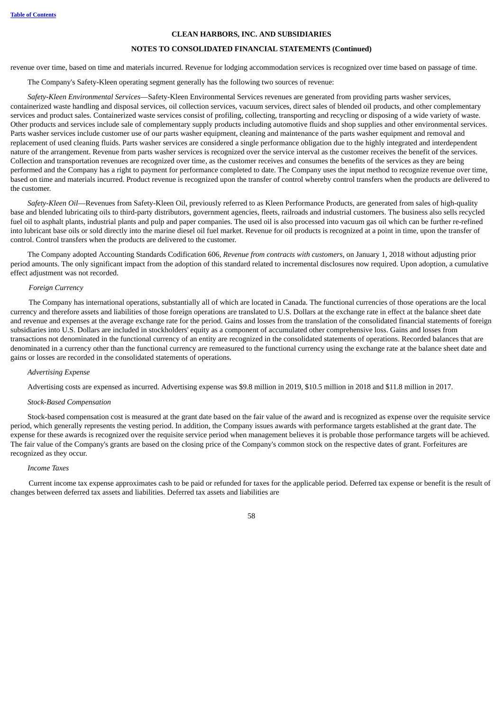### **NOTES TO CONSOLIDATED FINANCIAL STATEMENTS (Continued)**

revenue over time, based on time and materials incurred. Revenue for lodging accommodation services is recognized over time based on passage of time.

#### The Company's Safety-Kleen operating segment generally has the following two sources of revenue:

*Safety-Kleen Environmental Services*—Safety-Kleen Environmental Services revenues are generated from providing parts washer services, containerized waste handling and disposal services, oil collection services, vacuum services, direct sales of blended oil products, and other complementary services and product sales. Containerized waste services consist of profiling, collecting, transporting and recycling or disposing of a wide variety of waste. Other products and services include sale of complementary supply products including automotive fluids and shop supplies and other environmental services. Parts washer services include customer use of our parts washer equipment, cleaning and maintenance of the parts washer equipment and removal and replacement of used cleaning fluids. Parts washer services are considered a single performance obligation due to the highly integrated and interdependent nature of the arrangement. Revenue from parts washer services is recognized over the service interval as the customer receives the benefit of the services. Collection and transportation revenues are recognized over time, as the customer receives and consumes the benefits of the services as they are being performed and the Company has a right to payment for performance completed to date. The Company uses the input method to recognize revenue over time, based on time and materials incurred. Product revenue is recognized upon the transfer of control whereby control transfers when the products are delivered to the customer.

*Safety-Kleen Oil*—Revenues from Safety-Kleen Oil, previously referred to as Kleen Performance Products, are generated from sales of high-quality base and blended lubricating oils to third-party distributors, government agencies, fleets, railroads and industrial customers. The business also sells recycled fuel oil to asphalt plants, industrial plants and pulp and paper companies. The used oil is also processed into vacuum gas oil which can be further re-refined into lubricant base oils or sold directly into the marine diesel oil fuel market. Revenue for oil products is recognized at a point in time, upon the transfer of control. Control transfers when the products are delivered to the customer.

The Company adopted Accounting Standards Codification 606, *Revenue from contracts with customers,* on January 1, 2018 without adjusting prior period amounts. The only significant impact from the adoption of this standard related to incremental disclosures now required. Upon adoption, a cumulative effect adjustment was not recorded.

#### *Foreign Currency*

The Company has international operations, substantially all of which are located in Canada. The functional currencies of those operations are the local currency and therefore assets and liabilities of those foreign operations are translated to U.S. Dollars at the exchange rate in effect at the balance sheet date and revenue and expenses at the average exchange rate for the period. Gains and losses from the translation of the consolidated financial statements of foreign subsidiaries into U.S. Dollars are included in stockholders' equity as a component of accumulated other comprehensive loss. Gains and losses from transactions not denominated in the functional currency of an entity are recognized in the consolidated statements of operations. Recorded balances that are denominated in a currency other than the functional currency are remeasured to the functional currency using the exchange rate at the balance sheet date and gains or losses are recorded in the consolidated statements of operations.

#### *Advertising Expense*

Advertising costs are expensed as incurred. Advertising expense was \$9.8 million in 2019, \$10.5 million in 2018 and \$11.8 million in 2017.

#### *Stock-Based Compensation*

Stock-based compensation cost is measured at the grant date based on the fair value of the award and is recognized as expense over the requisite service period, which generally represents the vesting period. In addition, the Company issues awards with performance targets established at the grant date. The expense for these awards is recognized over the requisite service period when management believes it is probable those performance targets will be achieved. The fair value of the Company's grants are based on the closing price of the Company's common stock on the respective dates of grant. Forfeitures are recognized as they occur.

#### *Income Taxes*

Current income tax expense approximates cash to be paid or refunded for taxes for the applicable period. Deferred tax expense or benefit is the result of changes between deferred tax assets and liabilities. Deferred tax assets and liabilities are

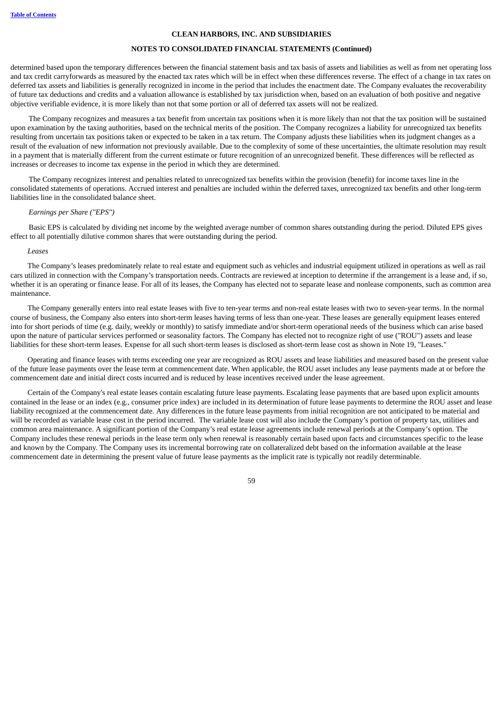#### **NOTES TO CONSOLIDATED FINANCIAL STATEMENTS (Continued)**

determined based upon the temporary differences between the financial statement basis and tax basis of assets and liabilities as well as from net operating loss and tax credit carryforwards as measured by the enacted tax rates which will be in effect when these differences reverse. The effect of a change in tax rates on deferred tax assets and liabilities is generally recognized in income in the period that includes the enactment date. The Company evaluates the recoverability of future tax deductions and credits and a valuation allowance is established by tax jurisdiction when, based on an evaluation of both positive and negative objective verifiable evidence, it is more likely than not that some portion or all of deferred tax assets will not be realized.

The Company recognizes and measures a tax benefit from uncertain tax positions when it is more likely than not that the tax position will be sustained upon examination by the taxing authorities, based on the technical merits of the position. The Company recognizes a liability for unrecognized tax benefits resulting from uncertain tax positions taken or expected to be taken in a tax return. The Company adjusts these liabilities when its judgment changes as a result of the evaluation of new information not previously available. Due to the complexity of some of these uncertainties, the ultimate resolution may result in a payment that is materially different from the current estimate or future recognition of an unrecognized benefit. These differences will be reflected as increases or decreases to income tax expense in the period in which they are determined.

The Company recognizes interest and penalties related to unrecognized tax benefits within the provision (benefit) for income taxes line in the consolidated statements of operations. Accrued interest and penalties are included within the deferred taxes, unrecognized tax benefits and other long-term liabilities line in the consolidated balance sheet.

# *Earnings per Share ("EPS")*

Basic EPS is calculated by dividing net income by the weighted average number of common shares outstanding during the period. Diluted EPS gives effect to all potentially dilutive common shares that were outstanding during the period.

#### *Leases*

The Company's leases predominately relate to real estate and equipment such as vehicles and industrial equipment utilized in operations as well as rail cars utilized in connection with the Company's transportation needs. Contracts are reviewed at inception to determine if the arrangement is a lease and, if so, whether it is an operating or finance lease. For all of its leases, the Company has elected not to separate lease and nonlease components, such as common area maintenance.

The Company generally enters into real estate leases with five to ten-year terms and non-real estate leases with two to seven-year terms. In the normal course of business, the Company also enters into short-term leases having terms of less than one-year. These leases are generally equipment leases entered into for short periods of time (e.g. daily, weekly or monthly) to satisfy immediate and/or short-term operational needs of the business which can arise based upon the nature of particular services performed or seasonality factors. The Company has elected not to recognize right of use ("ROU") assets and lease liabilities for these short-term leases. Expense for all such short-term leases is disclosed as short-term lease cost as shown in Note 19, "Leases."

Operating and finance leases with terms exceeding one year are recognized as ROU assets and lease liabilities and measured based on the present value of the future lease payments over the lease term at commencement date. When applicable, the ROU asset includes any lease payments made at or before the commencement date and initial direct costs incurred and is reduced by lease incentives received under the lease agreement.

Certain of the Company's real estate leases contain escalating future lease payments. Escalating lease payments that are based upon explicit amounts contained in the lease or an index (e.g., consumer price index) are included in its determination of future lease payments to determine the ROU asset and lease liability recognized at the commencement date. Any differences in the future lease payments from initial recognition are not anticipated to be material and will be recorded as variable lease cost in the period incurred. The variable lease cost will also include the Company's portion of property tax, utilities and common area maintenance. A significant portion of the Company's real estate lease agreements include renewal periods at the Company's option. The Company includes these renewal periods in the lease term only when renewal is reasonably certain based upon facts and circumstances specific to the lease and known by the Company. The Company uses its incremental borrowing rate on collateralized debt based on the information available at the lease commencement date in determining the present value of future lease payments as the implicit rate is typically not readily determinable.

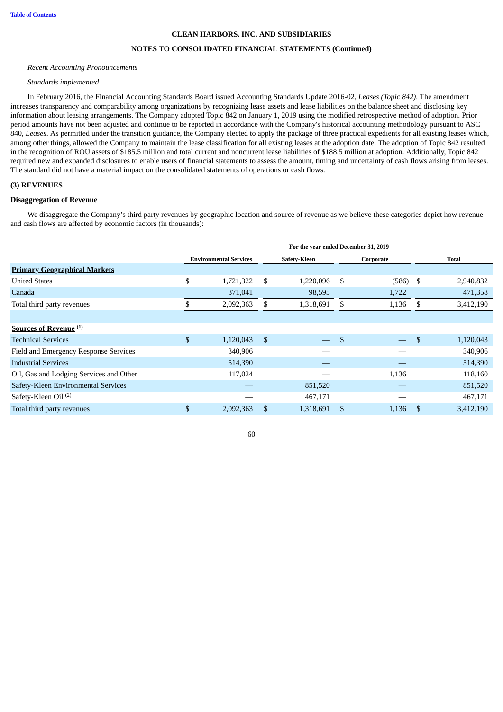### **NOTES TO CONSOLIDATED FINANCIAL STATEMENTS (Continued)**

#### *Recent Accounting Pronouncements*

#### *Standards implemented*

In February 2016, the Financial Accounting Standards Board issued Accounting Standards Update 2016-02, *Leases (Topic 842)*. The amendment increases transparency and comparability among organizations by recognizing lease assets and lease liabilities on the balance sheet and disclosing key information about leasing arrangements. The Company adopted Topic 842 on January 1, 2019 using the modified retrospective method of adoption. Prior period amounts have not been adjusted and continue to be reported in accordance with the Company's historical accounting methodology pursuant to ASC 840, *Leases*. As permitted under the transition guidance, the Company elected to apply the package of three practical expedients for all existing leases which, among other things, allowed the Company to maintain the lease classification for all existing leases at the adoption date. The adoption of Topic 842 resulted in the recognition of ROU assets of \$185.5 million and total current and noncurrent lease liabilities of \$188.5 million at adoption. Additionally, Topic 842 required new and expanded disclosures to enable users of financial statements to assess the amount, timing and uncertainty of cash flows arising from leases. The standard did not have a material impact on the consolidated statements of operations or cash flows.

## **(3) REVENUES**

## **Disaggregation of Revenue**

We disaggregate the Company's third party revenues by geographic location and source of revenue as we believe these categories depict how revenue and cash flows are affected by economic factors (in thousands):

|                                         | For the year ended December 31, 2019 |              |           |               |       |               |              |  |  |  |
|-----------------------------------------|--------------------------------------|--------------|-----------|---------------|-------|---------------|--------------|--|--|--|
|                                         | <b>Environmental Services</b>        | Safety-Kleen |           | Corporate     |       |               | <b>Total</b> |  |  |  |
| <b>Primary Geographical Markets</b>     |                                      |              |           |               |       |               |              |  |  |  |
| <b>United States</b>                    | \$<br>1,721,322                      | \$           | 1,220,096 | \$            | (586) | - \$          | 2,940,832    |  |  |  |
| Canada                                  | 371,041                              |              | 98,595    |               | 1,722 |               | 471,358      |  |  |  |
| Total third party revenues              | 2,092,363                            | \$           | 1,318,691 | \$            | 1,136 | S.            | 3,412,190    |  |  |  |
|                                         |                                      |              |           |               |       |               |              |  |  |  |
| Sources of Revenue (1)                  |                                      |              |           |               |       |               |              |  |  |  |
| <b>Technical Services</b>               | \$<br>1,120,043                      | -\$          |           | <sup>\$</sup> |       | <sup>\$</sup> | 1,120,043    |  |  |  |
| Field and Emergency Response Services   | 340,906                              |              |           |               |       |               | 340,906      |  |  |  |
| <b>Industrial Services</b>              | 514,390                              |              |           |               |       |               | 514,390      |  |  |  |
| Oil, Gas and Lodging Services and Other | 117,024                              |              |           |               | 1,136 |               | 118,160      |  |  |  |
| Safety-Kleen Environmental Services     |                                      |              | 851,520   |               |       |               | 851,520      |  |  |  |
| Safety-Kleen Oil <sup>(2)</sup>         |                                      |              | 467,171   |               |       |               | 467,171      |  |  |  |
| Total third party revenues              | \$<br>2,092,363                      | \$.          | 1,318,691 | -\$           | 1,136 | <sup>\$</sup> | 3,412,190    |  |  |  |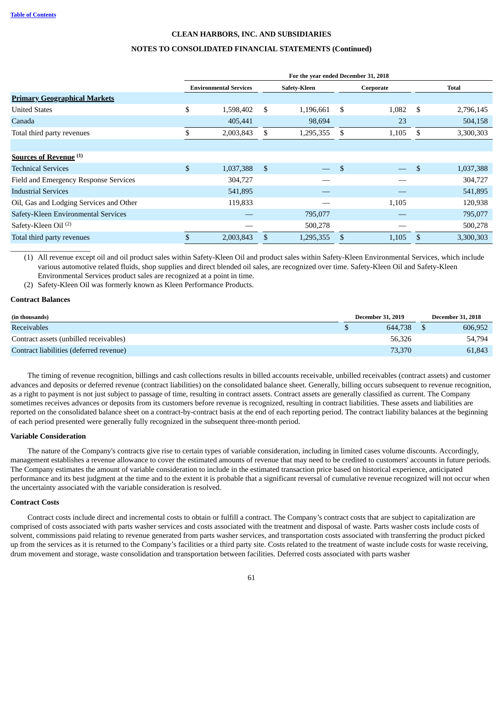## **NOTES TO CONSOLIDATED FINANCIAL STATEMENTS (Continued)**

|                                         | For the year ended December 31, 2018          |           |    |           |              |              |     |           |  |  |
|-----------------------------------------|-----------------------------------------------|-----------|----|-----------|--------------|--------------|-----|-----------|--|--|
|                                         | Safety-Kleen<br><b>Environmental Services</b> |           |    | Corporate |              | <b>Total</b> |     |           |  |  |
| <b>Primary Geographical Markets</b>     |                                               |           |    |           |              |              |     |           |  |  |
| <b>United States</b>                    | \$                                            | 1,598,402 | \$ | 1,196,661 | \$           | 1,082        | \$  | 2,796,145 |  |  |
| Canada                                  |                                               | 405,441   |    | 98,694    |              | 23           |     | 504,158   |  |  |
| Total third party revenues              | \$                                            | 2,003,843 | S  | 1,295,355 | \$           | 1,105        | S.  | 3,300,303 |  |  |
|                                         |                                               |           |    |           |              |              |     |           |  |  |
| <b>Sources of Revenue (1)</b>           |                                               |           |    |           |              |              |     |           |  |  |
| <b>Technical Services</b>               | \$                                            | 1,037,388 | \$ |           | $\mathbb{S}$ |              | \$  | 1,037,388 |  |  |
| Field and Emergency Response Services   |                                               | 304,727   |    |           |              |              |     | 304,727   |  |  |
| <b>Industrial Services</b>              |                                               | 541,895   |    |           |              |              |     | 541,895   |  |  |
| Oil, Gas and Lodging Services and Other |                                               | 119,833   |    |           |              | 1,105        |     | 120,938   |  |  |
| Safety-Kleen Environmental Services     |                                               |           |    | 795,077   |              |              |     | 795,077   |  |  |
| Safety-Kleen Oil <sup>(2)</sup>         |                                               |           |    | 500,278   |              |              |     | 500,278   |  |  |
| Total third party revenues              | \$                                            | 2,003,843 | S  | 1,295,355 | \$           | 1,105        | \$. | 3,300,303 |  |  |

(1) All revenue except oil and oil product sales within Safety-Kleen Oil and product sales within Safety-Kleen Environmental Services, which include various automotive related fluids, shop supplies and direct blended oil sales, are recognized over time. Safety-Kleen Oil and Safety-Kleen Environmental Services product sales are recognized at a point in time.

(2) Safety-Kleen Oil was formerly known as Kleen Performance Products.

## **Contract Balances**

\_\_\_\_\_\_\_\_\_\_\_\_\_\_\_\_\_\_\_\_\_

| (in thousands)                          | <b>December 31, 2019</b> |         | <b>December 31, 2018</b> |  |
|-----------------------------------------|--------------------------|---------|--------------------------|--|
| <b>Receivables</b>                      |                          | 644.738 | 606.952                  |  |
| Contract assets (unbilled receivables)  |                          | 56.326  | 54.794                   |  |
| Contract liabilities (deferred revenue) |                          | 73,370  | 61,843                   |  |

The timing of revenue recognition, billings and cash collections results in billed accounts receivable, unbilled receivables (contract assets) and customer advances and deposits or deferred revenue (contract liabilities) on the consolidated balance sheet. Generally, billing occurs subsequent to revenue recognition, as a right to payment is not just subject to passage of time, resulting in contract assets. Contract assets are generally classified as current. The Company sometimes receives advances or deposits from its customers before revenue is recognized, resulting in contract liabilities. These assets and liabilities are reported on the consolidated balance sheet on a contract-by-contract basis at the end of each reporting period. The contract liability balances at the beginning of each period presented were generally fully recognized in the subsequent three-month period.

## **Variable Consideration**

The nature of the Company's contracts give rise to certain types of variable consideration, including in limited cases volume discounts. Accordingly, management establishes a revenue allowance to cover the estimated amounts of revenue that may need to be credited to customers' accounts in future periods. The Company estimates the amount of variable consideration to include in the estimated transaction price based on historical experience, anticipated performance and its best judgment at the time and to the extent it is probable that a significant reversal of cumulative revenue recognized will not occur when the uncertainty associated with the variable consideration is resolved.

## **Contract Costs**

Contract costs include direct and incremental costs to obtain or fulfill a contract. The Company's contract costs that are subject to capitalization are comprised of costs associated with parts washer services and costs associated with the treatment and disposal of waste. Parts washer costs include costs of solvent, commissions paid relating to revenue generated from parts washer services, and transportation costs associated with transferring the product picked up from the services as it is returned to the Company's facilities or a third party site. Costs related to the treatment of waste include costs for waste receiving, drum movement and storage, waste consolidation and transportation between facilities. Deferred costs associated with parts washer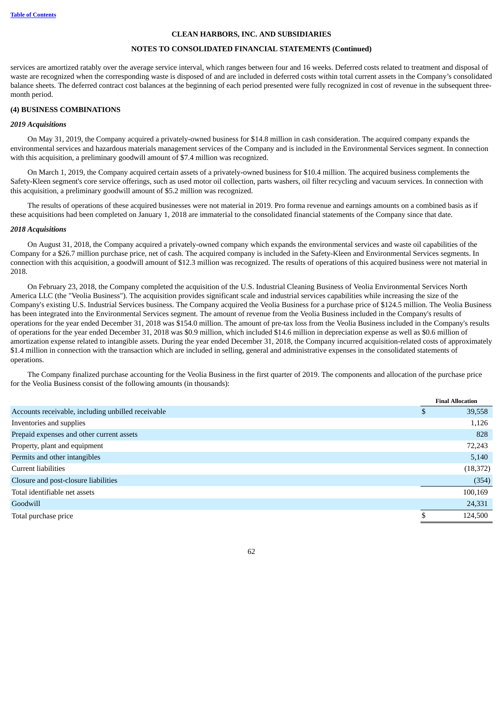### **NOTES TO CONSOLIDATED FINANCIAL STATEMENTS (Continued)**

services are amortized ratably over the average service interval, which ranges between four and 16 weeks. Deferred costs related to treatment and disposal of waste are recognized when the corresponding waste is disposed of and are included in deferred costs within total current assets in the Company's consolidated balance sheets. The deferred contract cost balances at the beginning of each period presented were fully recognized in cost of revenue in the subsequent threemonth period.

## **(4) BUSINESS COMBINATIONS**

## *2019 Acquisitions*

On May 31, 2019, the Company acquired a privately-owned business for \$14.8 million in cash consideration. The acquired company expands the environmental services and hazardous materials management services of the Company and is included in the Environmental Services segment. In connection with this acquisition, a preliminary goodwill amount of \$7.4 million was recognized.

On March 1, 2019, the Company acquired certain assets of a privately-owned business for \$10.4 million. The acquired business complements the Safety-Kleen segment's core service offerings, such as used motor oil collection, parts washers, oil filter recycling and vacuum services. In connection with this acquisition, a preliminary goodwill amount of \$5.2 million was recognized.

The results of operations of these acquired businesses were not material in 2019. Pro forma revenue and earnings amounts on a combined basis as if these acquisitions had been completed on January 1, 2018 are immaterial to the consolidated financial statements of the Company since that date.

#### *2018 Acquisitions*

On August 31, 2018, the Company acquired a privately-owned company which expands the environmental services and waste oil capabilities of the Company for a \$26.7 million purchase price, net of cash. The acquired company is included in the Safety-Kleen and Environmental Services segments. In connection with this acquisition, a goodwill amount of \$12.3 million was recognized. The results of operations of this acquired business were not material in 2018.

On February 23, 2018, the Company completed the acquisition of the U.S. Industrial Cleaning Business of Veolia Environmental Services North America LLC (the "Veolia Business"). The acquisition provides significant scale and industrial services capabilities while increasing the size of the Company's existing U.S. Industrial Services business. The Company acquired the Veolia Business for a purchase price of \$124.5 million. The Veolia Business has been integrated into the Environmental Services segment. The amount of revenue from the Veolia Business included in the Company's results of operations for the year ended December 31, 2018 was \$154.0 million. The amount of pre-tax loss from the Veolia Business included in the Company's results of operations for the year ended December 31, 2018 was \$0.9 million, which included \$14.6 million in depreciation expense as well as \$0.6 million of amortization expense related to intangible assets. During the year ended December 31, 2018, the Company incurred acquisition-related costs of approximately \$1.4 million in connection with the transaction which are included in selling, general and administrative expenses in the consolidated statements of operations.

The Company finalized purchase accounting for the Veolia Business in the first quarter of 2019. The components and allocation of the purchase price for the Veolia Business consist of the following amounts (in thousands):

|                                                    |   | <b>Final Allocation</b> |
|----------------------------------------------------|---|-------------------------|
| Accounts receivable, including unbilled receivable | D | 39,558                  |
| Inventories and supplies                           |   | 1,126                   |
| Prepaid expenses and other current assets          |   | 828                     |
| Property, plant and equipment                      |   | 72,243                  |
| Permits and other intangibles                      |   | 5,140                   |
| Current liabilities                                |   | (18, 372)               |
| Closure and post-closure liabilities               |   | (354)                   |
| Total identifiable net assets                      |   | 100,169                 |
| Goodwill                                           |   | 24,331                  |
| Total purchase price                               |   | 124,500                 |
|                                                    |   |                         |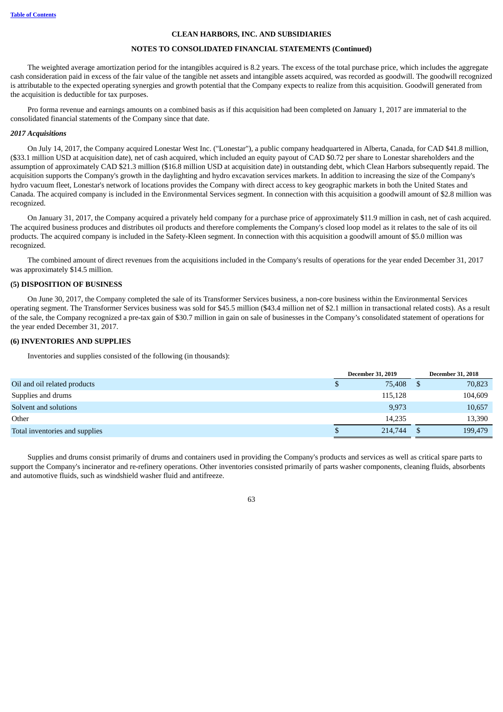### **NOTES TO CONSOLIDATED FINANCIAL STATEMENTS (Continued)**

The weighted average amortization period for the intangibles acquired is 8.2 years. The excess of the total purchase price, which includes the aggregate cash consideration paid in excess of the fair value of the tangible net assets and intangible assets acquired, was recorded as goodwill. The goodwill recognized is attributable to the expected operating synergies and growth potential that the Company expects to realize from this acquisition. Goodwill generated from the acquisition is deductible for tax purposes.

Pro forma revenue and earnings amounts on a combined basis as if this acquisition had been completed on January 1, 2017 are immaterial to the consolidated financial statements of the Company since that date.

#### *2017 Acquisitions*

On July 14, 2017, the Company acquired Lonestar West Inc. ("Lonestar"), a public company headquartered in Alberta, Canada, for CAD \$41.8 million, (\$33.1 million USD at acquisition date), net of cash acquired, which included an equity payout of CAD \$0.72 per share to Lonestar shareholders and the assumption of approximately CAD \$21.3 million (\$16.8 million USD at acquisition date) in outstanding debt, which Clean Harbors subsequently repaid. The acquisition supports the Company's growth in the daylighting and hydro excavation services markets. In addition to increasing the size of the Company's hydro vacuum fleet, Lonestar's network of locations provides the Company with direct access to key geographic markets in both the United States and Canada. The acquired company is included in the Environmental Services segment. In connection with this acquisition a goodwill amount of \$2.8 million was recognized.

On January 31, 2017, the Company acquired a privately held company for a purchase price of approximately \$11.9 million in cash, net of cash acquired. The acquired business produces and distributes oil products and therefore complements the Company's closed loop model as it relates to the sale of its oil products. The acquired company is included in the Safety-Kleen segment. In connection with this acquisition a goodwill amount of \$5.0 million was recognized.

The combined amount of direct revenues from the acquisitions included in the Company's results of operations for the year ended December 31, 2017 was approximately \$14.5 million.

## **(5) DISPOSITION OF BUSINESS**

On June 30, 2017, the Company completed the sale of its Transformer Services business, a non-core business within the Environmental Services operating segment. The Transformer Services business was sold for \$45.5 million (\$43.4 million net of \$2.1 million in transactional related costs). As a result of the sale, the Company recognized a pre-tax gain of \$30.7 million in gain on sale of businesses in the Company's consolidated statement of operations for the year ended December 31, 2017.

### **(6) INVENTORIES AND SUPPLIES**

Inventories and supplies consisted of the following (in thousands):

|                                |    | <b>December 31, 2019</b> | <b>December 31, 2018</b> |
|--------------------------------|----|--------------------------|--------------------------|
| Oil and oil related products   | Φ  | 75,408                   | 70,823                   |
| Supplies and drums             |    | 115,128                  | 104,609                  |
| Solvent and solutions          |    | 9,973                    | 10,657                   |
| Other                          |    | 14.235                   | 13,390                   |
| Total inventories and supplies | ۵D | 214,744                  | 199,479                  |

Supplies and drums consist primarily of drums and containers used in providing the Company's products and services as well as critical spare parts to support the Company's incinerator and re-refinery operations. Other inventories consisted primarily of parts washer components, cleaning fluids, absorbents and automotive fluids, such as windshield washer fluid and antifreeze.

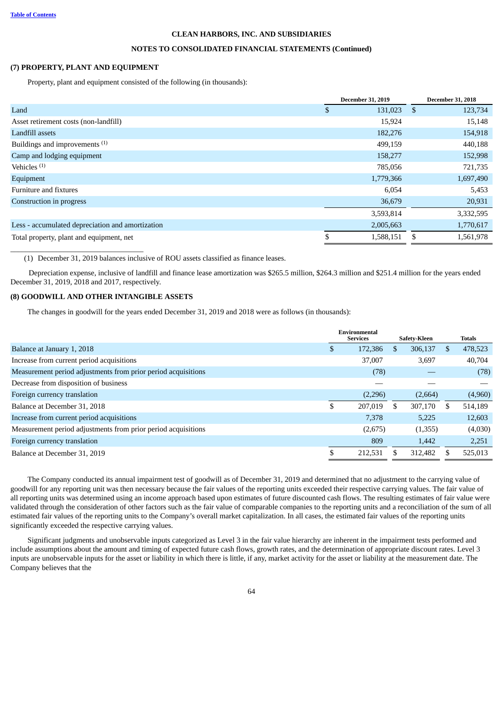### **NOTES TO CONSOLIDATED FINANCIAL STATEMENTS (Continued)**

## **(7) PROPERTY, PLANT AND EQUIPMENT**

Property, plant and equipment consisted of the following (in thousands):

|                                                  | <b>December 31, 2019</b> |      | <b>December 31, 2018</b> |
|--------------------------------------------------|--------------------------|------|--------------------------|
| Land                                             | \$<br>131,023            | - \$ | 123,734                  |
| Asset retirement costs (non-landfill)            | 15,924                   |      | 15,148                   |
| Landfill assets                                  | 182,276                  |      | 154,918                  |
| Buildings and improvements (1)                   | 499,159                  |      | 440,188                  |
| Camp and lodging equipment                       | 158,277                  |      | 152,998                  |
| Vehicles $(1)$                                   | 785,056                  |      | 721,735                  |
| Equipment                                        | 1,779,366                |      | 1,697,490                |
| Furniture and fixtures                           | 6,054                    |      | 5,453                    |
| Construction in progress                         | 36,679                   |      | 20,931                   |
|                                                  | 3,593,814                |      | 3,332,595                |
| Less - accumulated depreciation and amortization | 2,005,663                |      | 1,770,617                |
| Total property, plant and equipment, net         | 1,588,151                |      | 1,561,978                |

(1) December 31, 2019 balances inclusive of ROU assets classified as finance leases.

Depreciation expense, inclusive of landfill and finance lease amortization was \$265.5 million, \$264.3 million and \$251.4 million for the years ended December 31, 2019, 2018 and 2017, respectively.

## **(8) GOODWILL AND OTHER INTANGIBLE ASSETS**

 $\frac{1}{2}$  ,  $\frac{1}{2}$  ,  $\frac{1}{2}$  ,  $\frac{1}{2}$  ,  $\frac{1}{2}$  ,  $\frac{1}{2}$  ,  $\frac{1}{2}$  ,  $\frac{1}{2}$  ,  $\frac{1}{2}$  ,  $\frac{1}{2}$  ,  $\frac{1}{2}$  ,  $\frac{1}{2}$  ,  $\frac{1}{2}$  ,  $\frac{1}{2}$  ,  $\frac{1}{2}$  ,  $\frac{1}{2}$  ,  $\frac{1}{2}$  ,  $\frac{1}{2}$  ,  $\frac{1$ 

The changes in goodwill for the years ended December 31, 2019 and 2018 were as follows (in thousands):

| <b>Services</b> |               |         |              | <b>Totals</b> |
|-----------------|---------------|---------|--------------|---------------|
| \$<br>172,386   | <sup>\$</sup> | 306,137 | \$.          | 478,523       |
| 37,007          |               | 3.697   |              | 40,704        |
| (78)            |               |         |              | (78)          |
|                 |               |         |              |               |
| (2,296)         |               | (2,664) |              | (4,960)       |
| \$<br>207,019   | \$.           | 307,170 |              | 514,189       |
| 7,378           |               | 5.225   |              | 12,603        |
| (2,675)         |               | (1,355) |              | (4,030)       |
| 809             |               | 1,442   |              | 2,251         |
| \$<br>212.531   |               | 312.482 |              | 525,013       |
|                 | Environmental |         | Safety-Kleen |               |

The Company conducted its annual impairment test of goodwill as of December 31, 2019 and determined that no adjustment to the carrying value of goodwill for any reporting unit was then necessary because the fair values of the reporting units exceeded their respective carrying values. The fair value of all reporting units was determined using an income approach based upon estimates of future discounted cash flows. The resulting estimates of fair value were validated through the consideration of other factors such as the fair value of comparable companies to the reporting units and a reconciliation of the sum of all estimated fair values of the reporting units to the Company's overall market capitalization. In all cases, the estimated fair values of the reporting units significantly exceeded the respective carrying values.

Significant judgments and unobservable inputs categorized as Level 3 in the fair value hierarchy are inherent in the impairment tests performed and include assumptions about the amount and timing of expected future cash flows, growth rates, and the determination of appropriate discount rates. Level 3 inputs are unobservable inputs for the asset or liability in which there is little, if any, market activity for the asset or liability at the measurement date. The Company believes that the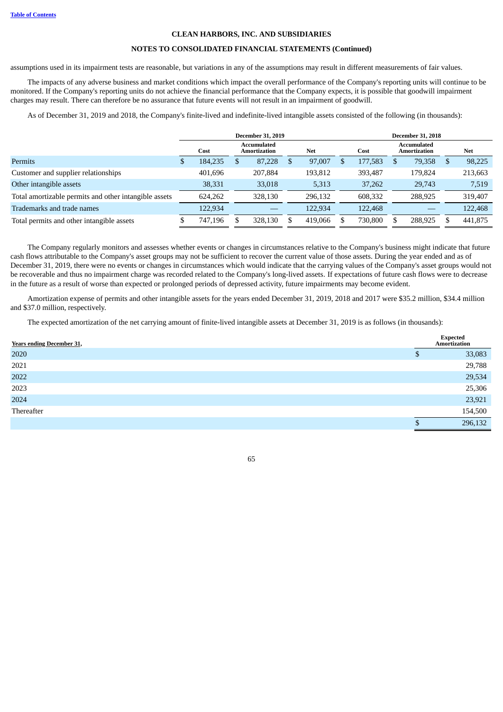## **NOTES TO CONSOLIDATED FINANCIAL STATEMENTS (Continued)**

assumptions used in its impairment tests are reasonable, but variations in any of the assumptions may result in different measurements of fair values.

The impacts of any adverse business and market conditions which impact the overall performance of the Company's reporting units will continue to be monitored. If the Company's reporting units do not achieve the financial performance that the Company expects, it is possible that goodwill impairment charges may result. There can therefore be no assurance that future events will not result in an impairment of goodwill.

As of December 31, 2019 and 2018, the Company's finite-lived and indefinite-lived intangible assets consisted of the following (in thousands):

|                                                       | <b>December 31, 2019</b> |         |  |                                           |                    | <b>December 31, 2018</b> |   |         |                             |         |              |         |     |
|-------------------------------------------------------|--------------------------|---------|--|-------------------------------------------|--------------------|--------------------------|---|---------|-----------------------------|---------|--------------|---------|-----|
|                                                       | Cost                     |         |  | <b>Accumulated</b><br><b>Amortization</b> | <b>Net</b><br>Cost |                          |   |         | Accumulated<br>Amortization |         |              |         | Net |
| <b>Permits</b>                                        | w                        | 184,235 |  | 87,228                                    | S.                 | 97,007                   | Ж | 177,583 | Ж                           | 79,358  | $\mathbf{a}$ | 98,225  |     |
| Customer and supplier relationships                   |                          | 401.696 |  | 207,884                                   |                    | 193,812                  |   | 393,487 |                             | 179,824 |              | 213,663 |     |
| Other intangible assets                               |                          | 38,331  |  | 33,018                                    |                    | 5,313                    |   | 37,262  |                             | 29,743  |              | 7,519   |     |
| Total amortizable permits and other intangible assets |                          | 624.262 |  | 328,130                                   |                    | 296,132                  |   | 608,332 |                             | 288,925 |              | 319,407 |     |
| Trademarks and trade names                            |                          | 122.934 |  |                                           |                    | 122,934                  |   | 122.468 |                             |         |              | 122,468 |     |
| Total permits and other intangible assets             |                          | 747.196 |  | 328.130                                   |                    | 419.066                  |   | 730,800 |                             | 288,925 |              | 441,875 |     |

The Company regularly monitors and assesses whether events or changes in circumstances relative to the Company's business might indicate that future cash flows attributable to the Company's asset groups may not be sufficient to recover the current value of those assets. During the year ended and as of December 31, 2019, there were no events or changes in circumstances which would indicate that the carrying values of the Company's asset groups would not be recoverable and thus no impairment charge was recorded related to the Company's long-lived assets. If expectations of future cash flows were to decrease in the future as a result of worse than expected or prolonged periods of depressed activity, future impairments may become evident.

Amortization expense of permits and other intangible assets for the years ended December 31, 2019, 2018 and 2017 were \$35.2 million, \$34.4 million and \$37.0 million, respectively.

The expected amortization of the net carrying amount of finite-lived intangible assets at December 31, 2019 is as follows (in thousands):

| <b>Years ending December 31,</b> |   | Expected<br>Amortization |
|----------------------------------|---|--------------------------|
| 2020                             | Φ | 33,083                   |
| 2021                             |   | 29,788                   |
| 2022                             |   | 29,534                   |
| 2023                             |   | 25,306                   |
| 2024                             |   | 23,921                   |
| Thereafter                       |   | 154,500                  |
|                                  |   | 296,132                  |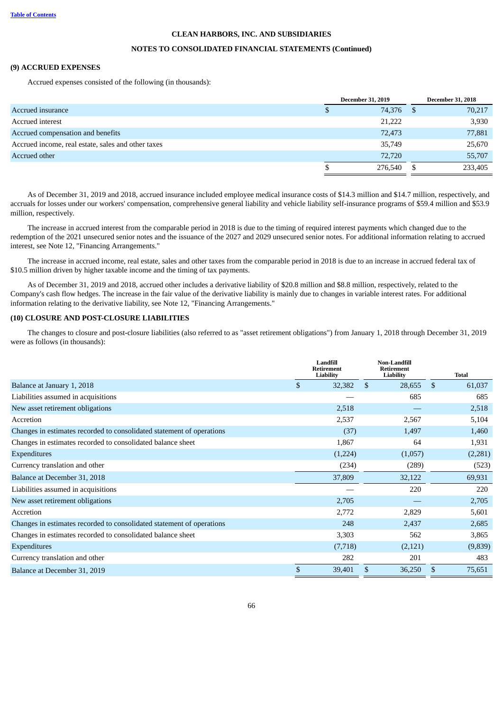## **NOTES TO CONSOLIDATED FINANCIAL STATEMENTS (Continued)**

### **(9) ACCRUED EXPENSES**

Accrued expenses consisted of the following (in thousands):

|                                                    | <b>December 31, 2019</b> |         |      | <b>December 31, 2018</b> |
|----------------------------------------------------|--------------------------|---------|------|--------------------------|
| Accrued insurance                                  |                          | 74,376  | - \$ | 70,217                   |
| Accrued interest                                   |                          | 21,222  |      | 3,930                    |
| Accrued compensation and benefits                  |                          | 72,473  |      | 77,881                   |
| Accrued income, real estate, sales and other taxes |                          | 35,749  |      | 25,670                   |
| Accrued other                                      |                          | 72,720  |      | 55,707                   |
|                                                    |                          | 276,540 |      | 233,405                  |

As of December 31, 2019 and 2018, accrued insurance included employee medical insurance costs of \$14.3 million and \$14.7 million, respectively, and accruals for losses under our workers' compensation, comprehensive general liability and vehicle liability self-insurance programs of \$59.4 million and \$53.9 million, respectively.

The increase in accrued interest from the comparable period in 2018 is due to the timing of required interest payments which changed due to the redemption of the 2021 unsecured senior notes and the issuance of the 2027 and 2029 unsecured senior notes. For additional information relating to accrued interest, see Note 12, "Financing Arrangements."

The increase in accrued income, real estate, sales and other taxes from the comparable period in 2018 is due to an increase in accrued federal tax of \$10.5 million driven by higher taxable income and the timing of tax payments.

As of December 31, 2019 and 2018, accrued other includes a derivative liability of \$20.8 million and \$8.8 million, respectively, related to the Company's cash flow hedges. The increase in the fair value of the derivative liability is mainly due to changes in variable interest rates. For additional information relating to the derivative liability, see Note 12, "Financing Arrangements."

# **(10) CLOSURE AND POST-CLOSURE LIABILITIES**

The changes to closure and post-closure liabilities (also referred to as "asset retirement obligations") from January 1, 2018 through December 31, 2019 were as follows (in thousands):

|                                                                       | Landfill<br><b>Retirement</b><br><b>Liability</b> | Non-Landfill<br><b>Retirement</b><br><b>Liability</b> | <b>Total</b>           |
|-----------------------------------------------------------------------|---------------------------------------------------|-------------------------------------------------------|------------------------|
| Balance at January 1, 2018                                            | $\mathbb{S}$<br>32,382                            | $\mathcal{S}$<br>28,655                               | $\mathbb{S}$<br>61,037 |
| Liabilities assumed in acquisitions                                   |                                                   | 685                                                   | 685                    |
| New asset retirement obligations                                      | 2,518                                             |                                                       | 2,518                  |
| Accretion                                                             | 2,537                                             | 2,567                                                 | 5,104                  |
| Changes in estimates recorded to consolidated statement of operations | (37)                                              | 1,497                                                 | 1,460                  |
| Changes in estimates recorded to consolidated balance sheet           | 1,867                                             | 64                                                    | 1,931                  |
| Expenditures                                                          | (1,224)                                           | (1,057)                                               | (2,281)                |
| Currency translation and other                                        | (234)                                             | (289)                                                 | (523)                  |
| Balance at December 31, 2018                                          | 37,809                                            | 32,122                                                | 69,931                 |
| Liabilities assumed in acquisitions                                   |                                                   | 220                                                   | 220                    |
| New asset retirement obligations                                      | 2,705                                             |                                                       | 2,705                  |
| Accretion                                                             | 2,772                                             | 2,829                                                 | 5,601                  |
| Changes in estimates recorded to consolidated statement of operations | 248                                               | 2,437                                                 | 2,685                  |
| Changes in estimates recorded to consolidated balance sheet           | 3,303                                             | 562                                                   | 3,865                  |
| Expenditures                                                          | (7,718)                                           | (2, 121)                                              | (9,839)                |
| Currency translation and other                                        | 282                                               | 201                                                   | 483                    |
| Balance at December 31, 2019                                          | \$<br>39,401                                      | \$<br>36,250                                          | 75,651<br>\$.          |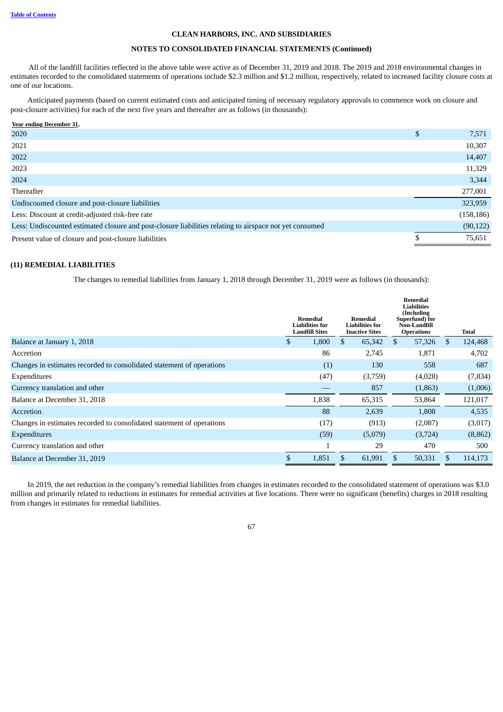## **NOTES TO CONSOLIDATED FINANCIAL STATEMENTS (Continued)**

All of the landfill facilities reflected in the above table were active as of December 31, 2019 and 2018. The 2019 and 2018 environmental changes in estimates recorded to the consolidated statements of operations include \$2.3 million and \$1.2 million, respectively, related to increased facility closure costs at one of our locations.

Anticipated payments (based on current estimated costs and anticipated timing of necessary regulatory approvals to commence work on closure and post-closure activities) for each of the next five years and thereafter are as follows (in thousands):

### **Year ending December 31,**

| Present value of closure and post-closure liabilities                                                   |     | 75,651     |
|---------------------------------------------------------------------------------------------------------|-----|------------|
| Less: Undiscounted estimated closure and post-closure liabilities relating to airspace not yet consumed |     | (90, 122)  |
| Less: Discount at credit-adjusted risk-free rate                                                        |     | (158, 186) |
| Undiscounted closure and post-closure liabilities                                                       |     | 323,959    |
| Thereafter                                                                                              |     | 277,001    |
| 2024                                                                                                    |     | 3,344      |
| 2023                                                                                                    |     | 11,329     |
| 2022                                                                                                    |     | 14,407     |
| 2021                                                                                                    |     | 10,307     |
| 2020                                                                                                    | \$. | 7,571      |
|                                                                                                         |     |            |

## **(11) REMEDIAL LIABILITIES**

The changes to remedial liabilities from January 1, 2018 through December 31, 2019 were as follows (in thousands):

| Remedial<br><b>Liabilities for</b><br>Landfill Sites |     | Remedial<br><b>Liabilities for</b><br><b>Inactive Sites</b> |     |         |                                                                                                     |          |  |  |  |  |  |  |  |  |  |  |  | <b>Total</b> |
|------------------------------------------------------|-----|-------------------------------------------------------------|-----|---------|-----------------------------------------------------------------------------------------------------|----------|--|--|--|--|--|--|--|--|--|--|--|--------------|
| 1,800<br>Ж                                           | \$. | 65,342                                                      | \$. | 57,326  | <sup>\$</sup>                                                                                       | 124,468  |  |  |  |  |  |  |  |  |  |  |  |              |
| 86                                                   |     | 2,745                                                       |     | 1,871   |                                                                                                     | 4,702    |  |  |  |  |  |  |  |  |  |  |  |              |
| (1)                                                  |     | 130                                                         |     | 558     |                                                                                                     | 687      |  |  |  |  |  |  |  |  |  |  |  |              |
| (47)                                                 |     | (3,759)                                                     |     | (4,028) |                                                                                                     | (7, 834) |  |  |  |  |  |  |  |  |  |  |  |              |
|                                                      |     | 857                                                         |     | (1,863) |                                                                                                     | (1,006)  |  |  |  |  |  |  |  |  |  |  |  |              |
| 1,838                                                |     | 65,315                                                      |     | 53,864  |                                                                                                     | 121,017  |  |  |  |  |  |  |  |  |  |  |  |              |
| 88                                                   |     | 2,639                                                       |     | 1,808   |                                                                                                     | 4,535    |  |  |  |  |  |  |  |  |  |  |  |              |
| (17)                                                 |     | (913)                                                       |     | (2,087) |                                                                                                     | (3,017)  |  |  |  |  |  |  |  |  |  |  |  |              |
| (59)                                                 |     | (5,079)                                                     |     | (3,724) |                                                                                                     | (8, 862) |  |  |  |  |  |  |  |  |  |  |  |              |
|                                                      |     | 29                                                          |     | 470     |                                                                                                     | 500      |  |  |  |  |  |  |  |  |  |  |  |              |
| 1,851<br>\$                                          | -S  | 61,991                                                      | \$. | 50,331  | \$.                                                                                                 | 114,173  |  |  |  |  |  |  |  |  |  |  |  |              |
|                                                      |     |                                                             |     |         | Remedial<br><b>Liabilities</b><br>(Including<br>Superfund) for<br>Non-Landfill<br><b>Operations</b> |          |  |  |  |  |  |  |  |  |  |  |  |              |

In 2019, the net reduction in the company's remedial liabilities from changes in estimates recorded to the consolidated statement of operations was \$3.0 million and primarily related to reductions in estimates for remedial activities at five locations. There were no significant (benefits) charges in 2018 resulting from changes in estimates for remedial liabilities.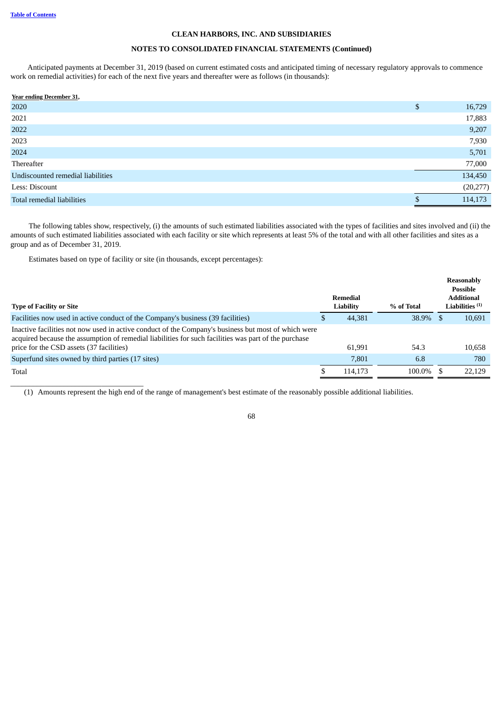## **NOTES TO CONSOLIDATED FINANCIAL STATEMENTS (Continued)**

Anticipated payments at December 31, 2019 (based on current estimated costs and anticipated timing of necessary regulatory approvals to commence work on remedial activities) for each of the next five years and thereafter were as follows (in thousands):

| <b>Year ending December 31,</b>   |              |
|-----------------------------------|--------------|
| 2020                              | \$<br>16,729 |
| 2021                              | 17,883       |
| 2022                              | 9,207        |
| 2023                              | 7,930        |
| 2024                              | 5,701        |
| Thereafter                        | 77,000       |
| Undiscounted remedial liabilities | 134,450      |
| Less: Discount                    | (20, 277)    |
| Total remedial liabilities        | 114,173      |

The following tables show, respectively, (i) the amounts of such estimated liabilities associated with the types of facilities and sites involved and (ii) the amounts of such estimated liabilities associated with each facility or site which represents at least 5% of the total and with all other facilities and sites as a group and as of December 31, 2019.

Estimates based on type of facility or site (in thousands, except percentages):

\_\_\_\_\_\_\_\_\_\_\_\_\_\_\_\_\_\_\_\_\_\_\_\_\_\_\_\_\_\_\_\_\_\_\_

| <b>Type of Facility or Site</b>                                                                                                                                                                             | Remedial<br>Liability | % of Total | Reasonably<br>Possible<br><b>Additional</b><br>Liabilities <sup>(1)</sup> |
|-------------------------------------------------------------------------------------------------------------------------------------------------------------------------------------------------------------|-----------------------|------------|---------------------------------------------------------------------------|
| Facilities now used in active conduct of the Company's business (39 facilities)                                                                                                                             | 44,381                | 38.9%      | 10,691                                                                    |
| Inactive facilities not now used in active conduct of the Company's business but most of which were<br>acquired because the assumption of remedial liabilities for such facilities was part of the purchase |                       |            |                                                                           |
| price for the CSD assets (37 facilities)                                                                                                                                                                    | 61,991                | 54.3       | 10,658                                                                    |
| Superfund sites owned by third parties (17 sites)                                                                                                                                                           | 7,801                 | 6.8        | 780                                                                       |
| Total                                                                                                                                                                                                       | 114,173               | 100.0%     | 22,129                                                                    |

(1) Amounts represent the high end of the range of management's best estimate of the reasonably possible additional liabilities.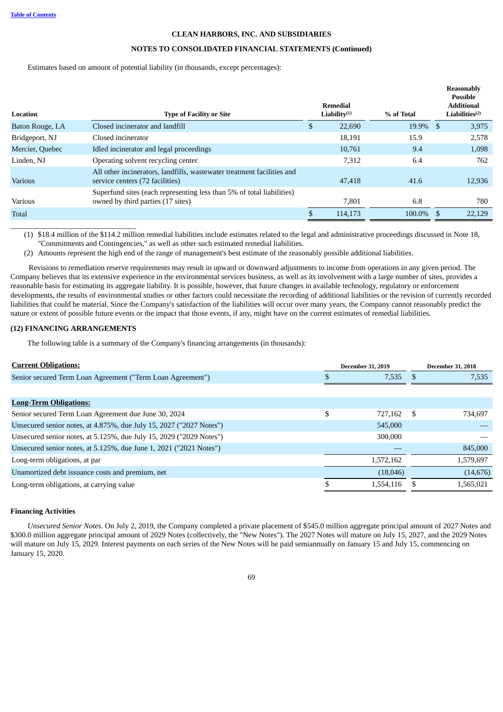### **NOTES TO CONSOLIDATED FINANCIAL STATEMENTS (Continued)**

Estimates based on amount of potential liability (in thousands, except percentages):

| Location        | <b>Type of Facility or Site</b>                                                                            | Remedial<br>Liability $(1)$ | % of Total |    | Reasonably<br><b>Possible</b><br><b>Additional</b><br>Liabilities $(2)$ |
|-----------------|------------------------------------------------------------------------------------------------------------|-----------------------------|------------|----|-------------------------------------------------------------------------|
| Baton Rouge, LA | Closed incinerator and landfill                                                                            | \$<br>22,690                | 19.9%      | -S | 3,975                                                                   |
| Bridgeport, NJ  | Closed incinerator                                                                                         | 18,191                      | 15.9       |    | 2,578                                                                   |
| Mercier, Quebec | Idled incinerator and legal proceedings                                                                    | 10.761                      | 9.4        |    | 1,098                                                                   |
| Linden. NJ      | Operating solvent recycling center                                                                         | 7.312                       | 6.4        |    | 762                                                                     |
| <b>Various</b>  | All other incinerators, landfills, wastewater treatment facilities and<br>service centers (72 facilities)  | 47.418                      | 41.6       |    | 12,936                                                                  |
| <b>Various</b>  | Superfund sites (each representing less than 5% of total liabilities)<br>owned by third parties (17 sites) | 7,801                       | 6.8        |    | 780                                                                     |
| Total           |                                                                                                            | 114,173                     | 100.0%     |    | 22,129                                                                  |

(1) \$18.4 million of the \$114.2 million remedial liabilities include estimates related to the legal and administrative proceedings discussed in Note 18, "Commitments and Contingencies," as well as other such estimated remedial liabilities.

(2) Amounts represent the high end of the range of management's best estimate of the reasonably possible additional liabilities.

Revisions to remediation reserve requirements may result in upward or downward adjustments to income from operations in any given period. The Company believes that its extensive experience in the environmental services business, as well as its involvement with a large number of sites, provides a reasonable basis for estimating its aggregate liability. It is possible, however, that future changes in available technology, regulatory or enforcement developments, the results of environmental studies or other factors could necessitate the recording of additional liabilities or the revision of currently recorded liabilities that could be material. Since the Company's satisfaction of the liabilities will occur over many years, the Company cannot reasonably predict the nature or extent of possible future events or the impact that those events, if any, might have on the current estimates of remedial liabilities.

## **(12) FINANCING ARRANGEMENTS**

\_\_\_\_\_\_\_\_\_\_\_\_\_\_\_\_\_\_\_\_\_\_\_\_\_\_\_\_\_\_\_\_\_

The following table is a summary of the Company's financing arrangements (in thousands):

| <b>Current Obligations:</b>                                         | <b>December 31, 2019</b> |           |      | <b>December 31, 2018</b> |
|---------------------------------------------------------------------|--------------------------|-----------|------|--------------------------|
| Senior secured Term Loan Agreement ("Term Loan Agreement")          |                          | 7,535     |      | 7,535                    |
|                                                                     |                          |           |      |                          |
| <b>Long-Term Obligations:</b>                                       |                          |           |      |                          |
| Senior secured Term Loan Agreement due June 30, 2024                | \$                       | 727.162   | - \$ | 734,697                  |
| Unsecured senior notes, at 4.875%, due July 15, 2027 ("2027 Notes") |                          | 545,000   |      |                          |
| Unsecured senior notes, at 5.125%, due July 15, 2029 ("2029 Notes") |                          | 300,000   |      |                          |
| Unsecured senior notes, at 5.125%, due June 1, 2021 ("2021 Notes")  |                          |           |      | 845,000                  |
| Long-term obligations, at par                                       |                          | 1,572,162 |      | 1,579,697                |
| Unamortized debt issuance costs and premium, net                    |                          | (18,046)  |      | (14, 676)                |
| Long-term obligations, at carrying value                            |                          | 1,554,116 |      | 1,565,021                |

### **Financing Activities**

*Unsecured Senior Notes.* On July 2, 2019, the Company completed a private placement of \$545.0 million aggregate principal amount of 2027 Notes and \$300.0 million aggregate principal amount of 2029 Notes (collectively, the "New Notes"). The 2027 Notes will mature on July 15, 2027, and the 2029 Notes will mature on July 15, 2029. Interest payments on each series of the New Notes will be paid semiannually on January 15 and July 15, commencing on January 15, 2020.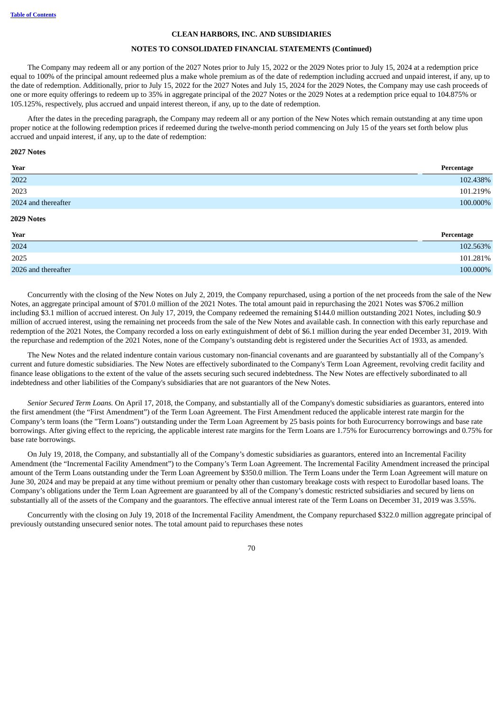#### **NOTES TO CONSOLIDATED FINANCIAL STATEMENTS (Continued)**

The Company may redeem all or any portion of the 2027 Notes prior to July 15, 2022 or the 2029 Notes prior to July 15, 2024 at a redemption price equal to 100% of the principal amount redeemed plus a make whole premium as of the date of redemption including accrued and unpaid interest, if any, up to the date of redemption. Additionally, prior to July 15, 2022 for the 2027 Notes and July 15, 2024 for the 2029 Notes, the Company may use cash proceeds of one or more equity offerings to redeem up to 35% in aggregate principal of the 2027 Notes or the 2029 Notes at a redemption price equal to 104.875% or 105.125%, respectively, plus accrued and unpaid interest thereon, if any, up to the date of redemption.

After the dates in the preceding paragraph, the Company may redeem all or any portion of the New Notes which remain outstanding at any time upon proper notice at the following redemption prices if redeemed during the twelve-month period commencing on July 15 of the years set forth below plus accrued and unpaid interest, if any, up to the date of redemption:

### **2027 Notes**

| Year                | Percentage |
|---------------------|------------|
| 2022                | 102.438%   |
| 2023                | 101.219%   |
| 2024 and thereafter | 100.000%   |
| 2029 Notes          |            |

| Year                | Percentage |
|---------------------|------------|
| 2024                | 102.563%   |
| 2025                | 101.281%   |
| 2026 and thereafter | 100.000%   |

Concurrently with the closing of the New Notes on July 2, 2019, the Company repurchased, using a portion of the net proceeds from the sale of the New Notes, an aggregate principal amount of \$701.0 million of the 2021 Notes. The total amount paid in repurchasing the 2021 Notes was \$706.2 million including \$3.1 million of accrued interest. On July 17, 2019, the Company redeemed the remaining \$144.0 million outstanding 2021 Notes, including \$0.9 million of accrued interest, using the remaining net proceeds from the sale of the New Notes and available cash. In connection with this early repurchase and redemption of the 2021 Notes, the Company recorded a loss on early extinguishment of debt of \$6.1 million during the year ended December 31, 2019. With the repurchase and redemption of the 2021 Notes, none of the Company's outstanding debt is registered under the Securities Act of 1933, as amended.

The New Notes and the related indenture contain various customary non-financial covenants and are guaranteed by substantially all of the Company's current and future domestic subsidiaries. The New Notes are effectively subordinated to the Company's Term Loan Agreement, revolving credit facility and finance lease obligations to the extent of the value of the assets securing such secured indebtedness. The New Notes are effectively subordinated to all indebtedness and other liabilities of the Company's subsidiaries that are not guarantors of the New Notes.

*Senior Secured Term Loans.* On April 17, 2018, the Company, and substantially all of the Company's domestic subsidiaries as guarantors, entered into the first amendment (the "First Amendment") of the Term Loan Agreement. The First Amendment reduced the applicable interest rate margin for the Company's term loans (the "Term Loans") outstanding under the Term Loan Agreement by 25 basis points for both Eurocurrency borrowings and base rate borrowings. After giving effect to the repricing, the applicable interest rate margins for the Term Loans are 1.75% for Eurocurrency borrowings and 0.75% for base rate borrowings.

On July 19, 2018, the Company, and substantially all of the Company's domestic subsidiaries as guarantors, entered into an Incremental Facility Amendment (the "Incremental Facility Amendment") to the Company's Term Loan Agreement. The Incremental Facility Amendment increased the principal amount of the Term Loans outstanding under the Term Loan Agreement by \$350.0 million. The Term Loans under the Term Loan Agreement will mature on June 30, 2024 and may be prepaid at any time without premium or penalty other than customary breakage costs with respect to Eurodollar based loans. The Company's obligations under the Term Loan Agreement are guaranteed by all of the Company's domestic restricted subsidiaries and secured by liens on substantially all of the assets of the Company and the guarantors. The effective annual interest rate of the Term Loans on December 31, 2019 was 3.55%.

Concurrently with the closing on July 19, 2018 of the Incremental Facility Amendment, the Company repurchased \$322.0 million aggregate principal of previously outstanding unsecured senior notes. The total amount paid to repurchases these notes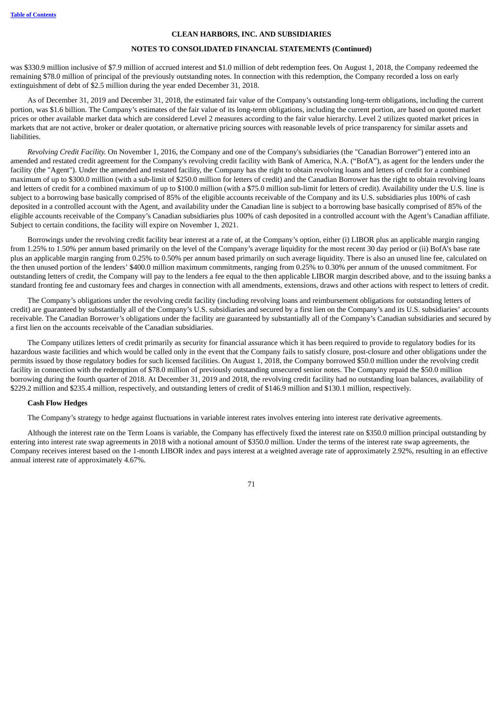#### **NOTES TO CONSOLIDATED FINANCIAL STATEMENTS (Continued)**

was \$330.9 million inclusive of \$7.9 million of accrued interest and \$1.0 million of debt redemption fees. On August 1, 2018, the Company redeemed the remaining \$78.0 million of principal of the previously outstanding notes. In connection with this redemption, the Company recorded a loss on early extinguishment of debt of \$2.5 million during the year ended December 31, 2018.

As of December 31, 2019 and December 31, 2018, the estimated fair value of the Company's outstanding long-term obligations, including the current portion, was \$1.6 billion. The Company's estimates of the fair value of its long-term obligations, including the current portion, are based on quoted market prices or other available market data which are considered Level 2 measures according to the fair value hierarchy. Level 2 utilizes quoted market prices in markets that are not active, broker or dealer quotation, or alternative pricing sources with reasonable levels of price transparency for similar assets and liabilities.

*Revolving Credit Facility.* On November 1, 2016, the Company and one of the Company's subsidiaries (the "Canadian Borrower") entered into an amended and restated credit agreement for the Company's revolving credit facility with Bank of America, N.A. ("BofA"), as agent for the lenders under the facility (the "Agent"). Under the amended and restated facility, the Company has the right to obtain revolving loans and letters of credit for a combined maximum of up to \$300.0 million (with a sub-limit of \$250.0 million for letters of credit) and the Canadian Borrower has the right to obtain revolving loans and letters of credit for a combined maximum of up to \$100.0 million (with a \$75.0 million sub-limit for letters of credit). Availability under the U.S. line is subject to a borrowing base basically comprised of 85% of the eligible accounts receivable of the Company and its U.S. subsidiaries plus 100% of cash deposited in a controlled account with the Agent, and availability under the Canadian line is subject to a borrowing base basically comprised of 85% of the eligible accounts receivable of the Company's Canadian subsidiaries plus 100% of cash deposited in a controlled account with the Agent's Canadian affiliate. Subject to certain conditions, the facility will expire on November 1, 2021.

Borrowings under the revolving credit facility bear interest at a rate of, at the Company's option, either (i) LIBOR plus an applicable margin ranging from 1.25% to 1.50% per annum based primarily on the level of the Company's average liquidity for the most recent 30 day period or (ii) BofA's base rate plus an applicable margin ranging from 0.25% to 0.50% per annum based primarily on such average liquidity. There is also an unused line fee, calculated on the then unused portion of the lenders' \$400.0 million maximum commitments, ranging from 0.25% to 0.30% per annum of the unused commitment. For outstanding letters of credit, the Company will pay to the lenders a fee equal to the then applicable LIBOR margin described above, and to the issuing banks a standard fronting fee and customary fees and charges in connection with all amendments, extensions, draws and other actions with respect to letters of credit.

The Company's obligations under the revolving credit facility (including revolving loans and reimbursement obligations for outstanding letters of credit) are guaranteed by substantially all of the Company's U.S. subsidiaries and secured by a first lien on the Company's and its U.S. subsidiaries' accounts receivable. The Canadian Borrower's obligations under the facility are guaranteed by substantially all of the Company's Canadian subsidiaries and secured by a first lien on the accounts receivable of the Canadian subsidiaries.

The Company utilizes letters of credit primarily as security for financial assurance which it has been required to provide to regulatory bodies for its hazardous waste facilities and which would be called only in the event that the Company fails to satisfy closure, post-closure and other obligations under the permits issued by those regulatory bodies for such licensed facilities. On August 1, 2018, the Company borrowed \$50.0 million under the revolving credit facility in connection with the redemption of \$78.0 million of previously outstanding unsecured senior notes. The Company repaid the \$50.0 million borrowing during the fourth quarter of 2018. At December 31, 2019 and 2018, the revolving credit facility had no outstanding loan balances, availability of \$229.2 million and \$235.4 million, respectively, and outstanding letters of credit of \$146.9 million and \$130.1 million, respectively.

## **Cash Flow Hedges**

The Company's strategy to hedge against fluctuations in variable interest rates involves entering into interest rate derivative agreements.

Although the interest rate on the Term Loans is variable, the Company has effectively fixed the interest rate on \$350.0 million principal outstanding by entering into interest rate swap agreements in 2018 with a notional amount of \$350.0 million. Under the terms of the interest rate swap agreements, the Company receives interest based on the 1-month LIBOR index and pays interest at a weighted average rate of approximately 2.92%, resulting in an effective annual interest rate of approximately 4.67%.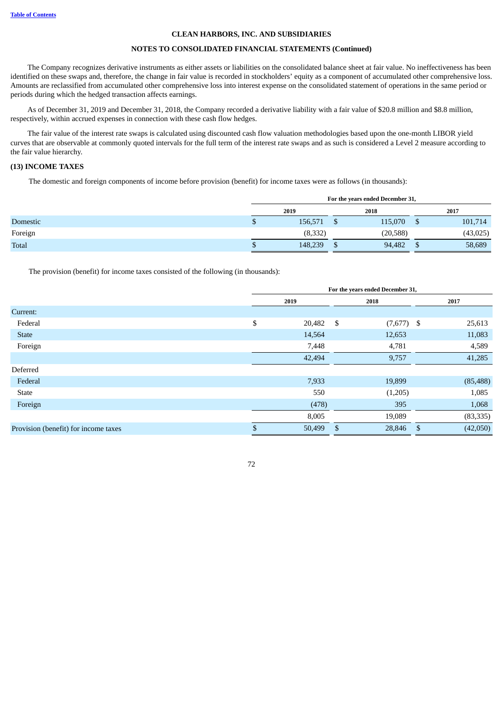### **NOTES TO CONSOLIDATED FINANCIAL STATEMENTS (Continued)**

The Company recognizes derivative instruments as either assets or liabilities on the consolidated balance sheet at fair value. No ineffectiveness has been identified on these swaps and, therefore, the change in fair value is recorded in stockholders' equity as a component of accumulated other comprehensive loss. Amounts are reclassified from accumulated other comprehensive loss into interest expense on the consolidated statement of operations in the same period or periods during which the hedged transaction affects earnings.

As of December 31, 2019 and December 31, 2018, the Company recorded a derivative liability with a fair value of \$20.8 million and \$8.8 million, respectively, within accrued expenses in connection with these cash flow hedges.

The fair value of the interest rate swaps is calculated using discounted cash flow valuation methodologies based upon the one-month LIBOR yield curves that are observable at commonly quoted intervals for the full term of the interest rate swaps and as such is considered a Level 2 measure according to the fair value hierarchy.

# **(13) INCOME TAXES**

The domestic and foreign components of income before provision (benefit) for income taxes were as follows (in thousands):

|          | For the years ended December 31, |         |  |           |  |           |  |  |
|----------|----------------------------------|---------|--|-----------|--|-----------|--|--|
|          |                                  | 2019    |  | 2018      |  | 2017      |  |  |
| Domestic | Φ                                | 156,571 |  | 115,070   |  | 101,714   |  |  |
| Foreign  |                                  | (8,332) |  | (20, 588) |  | (43, 025) |  |  |
| Total    | D                                | 148,239 |  | 94,482    |  | 58,689    |  |  |

The provision (benefit) for income taxes consisted of the following (in thousands):

|                                      | For the years ended December 31, |                           |                |  |  |  |  |  |
|--------------------------------------|----------------------------------|---------------------------|----------------|--|--|--|--|--|
|                                      | 2019                             |                           | 2017           |  |  |  |  |  |
| Current:                             |                                  |                           |                |  |  |  |  |  |
| Federal                              | \$<br>20,482                     | $\mathfrak{s}$<br>(7,677) | -\$<br>25,613  |  |  |  |  |  |
| <b>State</b>                         | 14,564                           | 12,653                    | 11,083         |  |  |  |  |  |
| Foreign                              | 7,448                            | 4,781                     | 4,589          |  |  |  |  |  |
|                                      | 42,494                           | 9,757                     | 41,285         |  |  |  |  |  |
| Deferred                             |                                  |                           |                |  |  |  |  |  |
| Federal                              | 7,933                            | 19,899                    | (85, 488)      |  |  |  |  |  |
| <b>State</b>                         | 550                              | (1,205)                   | 1,085          |  |  |  |  |  |
| Foreign                              | (478)                            | 395                       | 1,068          |  |  |  |  |  |
|                                      | 8,005                            | 19,089                    | (83, 335)      |  |  |  |  |  |
| Provision (benefit) for income taxes | \$<br>50,499                     | \$<br>28,846              | \$<br>(42,050) |  |  |  |  |  |
|                                      |                                  |                           |                |  |  |  |  |  |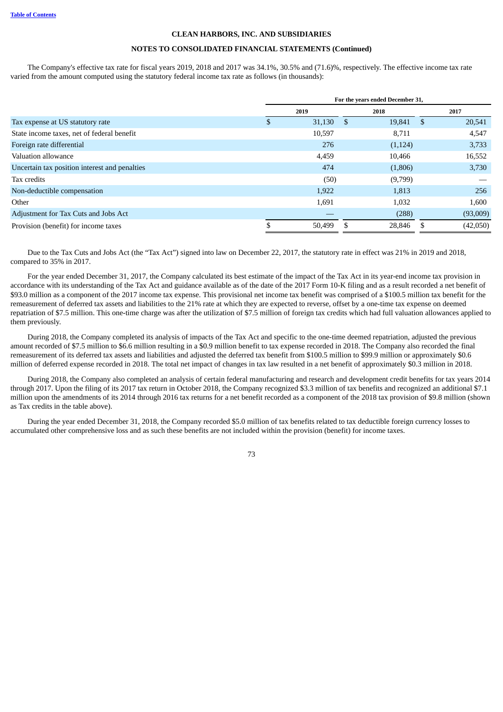### **NOTES TO CONSOLIDATED FINANCIAL STATEMENTS (Continued)**

The Company's effective tax rate for fiscal years 2019, 2018 and 2017 was 34.1%, 30.5% and (71.6)%, respectively. The effective income tax rate varied from the amount computed using the statutory federal income tax rate as follows (in thousands):

|                                               | For the years ended December 31, |        |     |          |      |          |
|-----------------------------------------------|----------------------------------|--------|-----|----------|------|----------|
|                                               | 2019                             |        |     | 2018     |      | 2017     |
| Tax expense at US statutory rate              | \$                               | 31,130 | -\$ | 19,841   | - \$ | 20,541   |
| State income taxes, net of federal benefit    |                                  | 10,597 |     | 8,711    |      | 4,547    |
| Foreign rate differential                     |                                  | 276    |     | (1, 124) |      | 3,733    |
| Valuation allowance                           |                                  | 4,459  |     | 10,466   |      | 16,552   |
| Uncertain tax position interest and penalties |                                  | 474    |     | (1,806)  |      | 3,730    |
| Tax credits                                   |                                  | (50)   |     | (9,799)  |      |          |
| Non-deductible compensation                   |                                  | 1,922  |     | 1,813    |      | 256      |
| Other                                         |                                  | 1,691  |     | 1,032    |      | 1,600    |
| Adjustment for Tax Cuts and Jobs Act          |                                  |        |     | (288)    |      | (93,009) |
| Provision (benefit) for income taxes          | \$.                              | 50.499 |     | 28,846   |      | (42,050) |

Due to the Tax Cuts and Jobs Act (the "Tax Act") signed into law on December 22, 2017, the statutory rate in effect was 21% in 2019 and 2018, compared to 35% in 2017.

For the year ended December 31, 2017, the Company calculated its best estimate of the impact of the Tax Act in its year-end income tax provision in accordance with its understanding of the Tax Act and guidance available as of the date of the 2017 Form 10-K filing and as a result recorded a net benefit of \$93.0 million as a component of the 2017 income tax expense. This provisional net income tax benefit was comprised of a \$100.5 million tax benefit for the remeasurement of deferred tax assets and liabilities to the 21% rate at which they are expected to reverse, offset by a one-time tax expense on deemed repatriation of \$7.5 million. This one-time charge was after the utilization of \$7.5 million of foreign tax credits which had full valuation allowances applied to them previously.

During 2018, the Company completed its analysis of impacts of the Tax Act and specific to the one-time deemed repatriation, adjusted the previous amount recorded of \$7.5 million to \$6.6 million resulting in a \$0.9 million benefit to tax expense recorded in 2018. The Company also recorded the final remeasurement of its deferred tax assets and liabilities and adjusted the deferred tax benefit from \$100.5 million to \$99.9 million or approximately \$0.6 million of deferred expense recorded in 2018. The total net impact of changes in tax law resulted in a net benefit of approximately \$0.3 million in 2018.

During 2018, the Company also completed an analysis of certain federal manufacturing and research and development credit benefits for tax years 2014 through 2017. Upon the filing of its 2017 tax return in October 2018, the Company recognized \$3.3 million of tax benefits and recognized an additional \$7.1 million upon the amendments of its 2014 through 2016 tax returns for a net benefit recorded as a component of the 2018 tax provision of \$9.8 million (shown as Tax credits in the table above).

During the year ended December 31, 2018, the Company recorded \$5.0 million of tax benefits related to tax deductible foreign currency losses to accumulated other comprehensive loss and as such these benefits are not included within the provision (benefit) for income taxes.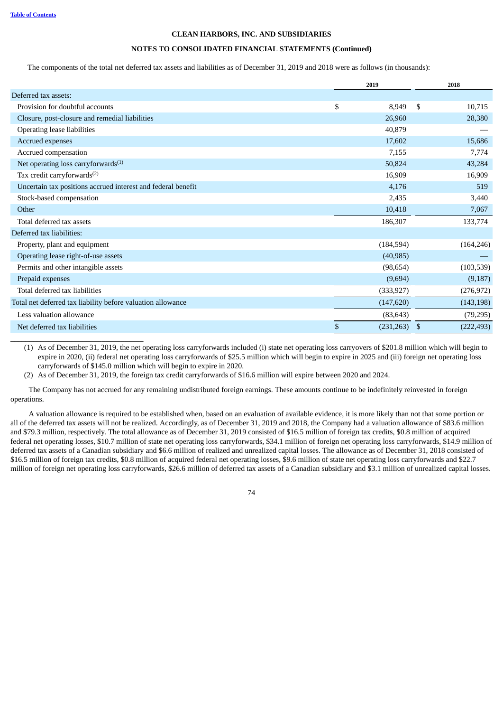\_\_\_\_\_\_\_\_\_\_\_\_\_\_\_\_\_\_\_\_\_\_\_\_\_\_\_\_\_\_\_\_\_\_\_

## **CLEAN HARBORS, INC. AND SUBSIDIARIES**

### **NOTES TO CONSOLIDATED FINANCIAL STATEMENTS (Continued)**

The components of the total net deferred tax assets and liabilities as of December 31, 2019 and 2018 were as follows (in thousands):

|                                                              | 2019             | 2018             |
|--------------------------------------------------------------|------------------|------------------|
| Deferred tax assets:                                         |                  |                  |
| Provision for doubtful accounts                              | \$<br>8,949      | \$<br>10,715     |
| Closure, post-closure and remedial liabilities               | 26,960           | 28,380           |
| Operating lease liabilities                                  | 40.879           |                  |
| Accrued expenses                                             | 17,602           | 15,686           |
| Accrued compensation                                         | 7,155            | 7,774            |
| Net operating loss carryforwards <sup>(1)</sup>              | 50,824           | 43,284           |
| Tax credit carryforwards <sup>(2)</sup>                      | 16,909           | 16,909           |
| Uncertain tax positions accrued interest and federal benefit | 4,176            | 519              |
| Stock-based compensation                                     | 2,435            | 3,440            |
| Other                                                        | 10,418           | 7,067            |
| Total deferred tax assets                                    | 186,307          | 133,774          |
| Deferred tax liabilities:                                    |                  |                  |
| Property, plant and equipment                                | (184, 594)       | (164, 246)       |
| Operating lease right-of-use assets                          | (40, 985)        |                  |
| Permits and other intangible assets                          | (98, 654)        | (103, 539)       |
| Prepaid expenses                                             | (9,694)          | (9,187)          |
| Total deferred tax liabilities                               | (333, 927)       | (276, 972)       |
| Total net deferred tax liability before valuation allowance  | (147, 620)       | (143, 198)       |
| Less valuation allowance                                     | (83, 643)        | (79, 295)        |
| Net deferred tax liabilities                                 | \$<br>(231, 263) | \$<br>(222, 493) |
|                                                              |                  |                  |

(1) As of December 31, 2019, the net operating loss carryforwards included (i) state net operating loss carryovers of \$201.8 million which will begin to expire in 2020, (ii) federal net operating loss carryforwards of \$25.5 million which will begin to expire in 2025 and (iii) foreign net operating loss carryforwards of \$145.0 million which will begin to expire in 2020.

(2) As of December 31, 2019, the foreign tax credit carryforwards of \$16.6 million will expire between 2020 and 2024.

The Company has not accrued for any remaining undistributed foreign earnings. These amounts continue to be indefinitely reinvested in foreign operations.

A valuation allowance is required to be established when, based on an evaluation of available evidence, it is more likely than not that some portion or all of the deferred tax assets will not be realized. Accordingly, as of December 31, 2019 and 2018, the Company had a valuation allowance of \$83.6 million and \$79.3 million, respectively. The total allowance as of December 31, 2019 consisted of \$16.5 million of foreign tax credits, \$0.8 million of acquired federal net operating losses, \$10.7 million of state net operating loss carryforwards, \$34.1 million of foreign net operating loss carryforwards, \$14.9 million of deferred tax assets of a Canadian subsidiary and \$6.6 million of realized and unrealized capital losses. The allowance as of December 31, 2018 consisted of \$16.5 million of foreign tax credits, \$0.8 million of acquired federal net operating losses, \$9.6 million of state net operating loss carryforwards and \$22.7 million of foreign net operating loss carryforwards, \$26.6 million of deferred tax assets of a Canadian subsidiary and \$3.1 million of unrealized capital losses.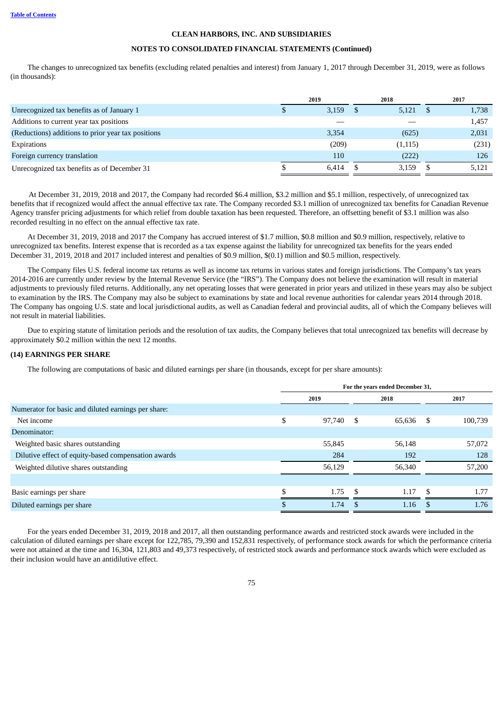### **NOTES TO CONSOLIDATED FINANCIAL STATEMENTS (Continued)**

The changes to unrecognized tax benefits (excluding related penalties and interest) from January 1, 2017 through December 31, 2019, were as follows (in thousands):

|                                                    | 2019       | 2018     | 2017  |
|----------------------------------------------------|------------|----------|-------|
| Unrecognized tax benefits as of January 1          | 3.159<br>Φ | 5,121    | 1,738 |
| Additions to current year tax positions            |            |          | 1,457 |
| (Reductions) additions to prior year tax positions | 3,354      | (625)    | 2,031 |
| Expirations                                        | (209)      | (1, 115) | (231) |
| Foreign currency translation                       | 110        | (222)    | 126   |
| Unrecognized tax benefits as of December 31        | 6.414      | 3,159    | 5,121 |

At December 31, 2019, 2018 and 2017, the Company had recorded \$6.4 million, \$3.2 million and \$5.1 million, respectively, of unrecognized tax benefits that if recognized would affect the annual effective tax rate. The Company recorded \$3.1 million of unrecognized tax benefits for Canadian Revenue Agency transfer pricing adjustments for which relief from double taxation has been requested. Therefore, an offsetting benefit of \$3.1 million was also recorded resulting in no effect on the annual effective tax rate.

At December 31, 2019, 2018 and 2017 the Company has accrued interest of \$1.7 million, \$0.8 million and \$0.9 million, respectively, relative to unrecognized tax benefits. Interest expense that is recorded as a tax expense against the liability for unrecognized tax benefits for the years ended December 31, 2019, 2018 and 2017 included interest and penalties of \$0.9 million, \$(0.1) million and \$0.5 million, respectively.

The Company files U.S. federal income tax returns as well as income tax returns in various states and foreign jurisdictions. The Company's tax years 2014-2016 are currently under review by the Internal Revenue Service (the "IRS"). The Company does not believe the examination will result in material adjustments to previously filed returns. Additionally, any net operating losses that were generated in prior years and utilized in these years may also be subject to examination by the IRS. The Company may also be subject to examinations by state and local revenue authorities for calendar years 2014 through 2018. The Company has ongoing U.S. state and local jurisdictional audits, as well as Canadian federal and provincial audits, all of which the Company believes will not result in material liabilities.

Due to expiring statute of limitation periods and the resolution of tax audits, the Company believes that total unrecognized tax benefits will decrease by approximately \$0.2 million within the next 12 months.

## **(14) EARNINGS PER SHARE**

The following are computations of basic and diluted earnings per share (in thousands, except for per share amounts):

|                                                     | For the years ended December 31, |        |      |        |              |         |  |
|-----------------------------------------------------|----------------------------------|--------|------|--------|--------------|---------|--|
|                                                     |                                  | 2019   | 2018 |        |              | 2017    |  |
| Numerator for basic and diluted earnings per share: |                                  |        |      |        |              |         |  |
| Net income                                          | \$                               | 97,740 | s s  | 65,636 | -S           | 100,739 |  |
| Denominator:                                        |                                  |        |      |        |              |         |  |
| Weighted basic shares outstanding                   |                                  | 55,845 |      | 56,148 |              | 57,072  |  |
| Dilutive effect of equity-based compensation awards |                                  | 284    |      | 192    |              | 128     |  |
| Weighted dilutive shares outstanding                |                                  | 56,129 |      | 56,340 |              | 57,200  |  |
|                                                     |                                  |        |      |        |              |         |  |
| Basic earnings per share                            | \$                               | 1.75   | \$   | 1.17   | \$           | 1.77    |  |
| Diluted earnings per share                          |                                  | 1.74   | - \$ | 1.16   | $\mathbf{s}$ | 1.76    |  |
|                                                     |                                  |        |      |        |              |         |  |

For the years ended December 31, 2019, 2018 and 2017, all then outstanding performance awards and restricted stock awards were included in the calculation of diluted earnings per share except for 122,785, 79,390 and 152,831 respectively, of performance stock awards for which the performance criteria were not attained at the time and 16,304, 121,803 and 49,373 respectively, of restricted stock awards and performance stock awards which were excluded as their inclusion would have an antidilutive effect.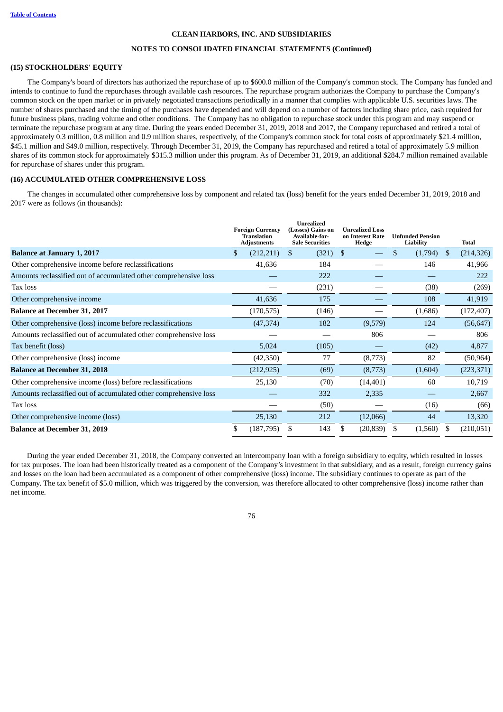### **NOTES TO CONSOLIDATED FINANCIAL STATEMENTS (Continued)**

### **(15) STOCKHOLDERS' EQUITY**

The Company's board of directors has authorized the repurchase of up to \$600.0 million of the Company's common stock. The Company has funded and intends to continue to fund the repurchases through available cash resources. The repurchase program authorizes the Company to purchase the Company's common stock on the open market or in privately negotiated transactions periodically in a manner that complies with applicable U.S. securities laws. The number of shares purchased and the timing of the purchases have depended and will depend on a number of factors including share price, cash required for future business plans, trading volume and other conditions. The Company has no obligation to repurchase stock under this program and may suspend or terminate the repurchase program at any time. During the years ended December 31, 2019, 2018 and 2017, the Company repurchased and retired a total of approximately 0.3 million, 0.8 million and 0.9 million shares, respectively, of the Company's common stock for total costs of approximately \$21.4 million, \$45.1 million and \$49.0 million, respectively. Through December 31, 2019, the Company has repurchased and retired a total of approximately 5.9 million shares of its common stock for approximately \$315.3 million under this program. As of December 31, 2019, an additional \$284.7 million remained available for repurchase of shares under this program.

### **(16) ACCUMULATED OTHER COMPREHENSIVE LOSS**

The changes in accumulated other comprehensive loss by component and related tax (loss) benefit for the years ended December 31, 2019, 2018 and 2017 were as follows (in thousands):

|                                                                  | <b>Foreign Currency</b><br>Translation<br><b>Adjustments</b> |     | Unrealized<br>(Losses) Gains on<br><b>Available-for-</b><br><b>Sale Securities</b> |     | <b>Unrealized Loss</b><br>on Interest Rate<br>Hedge | <b>Unfunded Pension</b><br>Liability |               | Total      |
|------------------------------------------------------------------|--------------------------------------------------------------|-----|------------------------------------------------------------------------------------|-----|-----------------------------------------------------|--------------------------------------|---------------|------------|
| <b>Balance at January 1, 2017</b>                                | \$<br>(212,211)                                              | \$. | (321)                                                                              | -\$ |                                                     | \$<br>(1,794)                        | <sup>\$</sup> | (214, 326) |
| Other comprehensive income before reclassifications              | 41,636                                                       |     | 184                                                                                |     |                                                     | 146                                  |               | 41,966     |
| Amounts reclassified out of accumulated other comprehensive loss |                                                              |     | 222                                                                                |     |                                                     |                                      |               | 222        |
| Tax loss                                                         |                                                              |     | (231)                                                                              |     |                                                     | (38)                                 |               | (269)      |
| Other comprehensive income                                       | 41,636                                                       |     | 175                                                                                |     |                                                     | 108                                  |               | 41,919     |
| <b>Balance at December 31, 2017</b>                              | (170, 575)                                                   |     | (146)                                                                              |     |                                                     | (1,686)                              |               | (172, 407) |
| Other comprehensive (loss) income before reclassifications       | (47, 374)                                                    |     | 182                                                                                |     | (9,579)                                             | 124                                  |               | (56, 647)  |
| Amounts reclassified out of accumulated other comprehensive loss |                                                              |     |                                                                                    |     | 806                                                 |                                      |               | 806        |
| Tax benefit (loss)                                               | 5,024                                                        |     | (105)                                                                              |     |                                                     | (42)                                 |               | 4,877      |
| Other comprehensive (loss) income                                | (42,350)                                                     |     | 77                                                                                 |     | (8,773)                                             | 82                                   |               | (50, 964)  |
| <b>Balance at December 31, 2018</b>                              | (212, 925)                                                   |     | (69)                                                                               |     | (8,773)                                             | (1,604)                              |               | (223, 371) |
| Other comprehensive income (loss) before reclassifications       | 25,130                                                       |     | (70)                                                                               |     | (14, 401)                                           | 60                                   |               | 10,719     |
| Amounts reclassified out of accumulated other comprehensive loss |                                                              |     | 332                                                                                |     | 2,335                                               |                                      |               | 2,667      |
| Tax loss                                                         |                                                              |     | (50)                                                                               |     |                                                     | (16)                                 |               | (66)       |
| Other comprehensive income (loss)                                | 25,130                                                       |     | 212                                                                                |     | (12,066)                                            | 44                                   |               | 13,320     |
| <b>Balance at December 31, 2019</b>                              | (187, 795)                                                   |     | 143                                                                                |     | (20, 839)                                           | (1,560)                              |               | (210, 051) |
|                                                                  |                                                              |     |                                                                                    |     |                                                     |                                      |               |            |

During the year ended December 31, 2018, the Company converted an intercompany loan with a foreign subsidiary to equity, which resulted in losses for tax purposes. The loan had been historically treated as a component of the Company's investment in that subsidiary, and as a result, foreign currency gains and losses on the loan had been accumulated as a component of other comprehensive (loss) income. The subsidiary continues to operate as part of the Company. The tax benefit of \$5.0 million, which was triggered by the conversion, was therefore allocated to other comprehensive (loss) income rather than net income.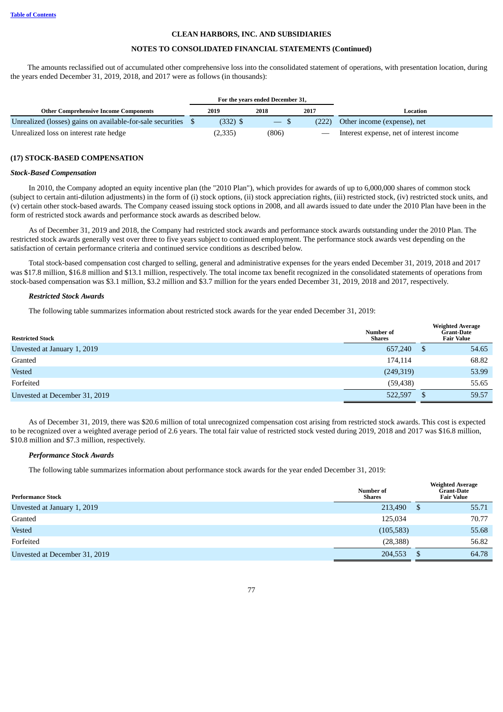#### **NOTES TO CONSOLIDATED FINANCIAL STATEMENTS (Continued)**

The amounts reclassified out of accumulated other comprehensive loss into the consolidated statement of operations, with presentation location, during the years ended December 31, 2019, 2018, and 2017 were as follows (in thousands):

|                                                               | For the years ended December 31, |       |       |                                          |
|---------------------------------------------------------------|----------------------------------|-------|-------|------------------------------------------|
| <b>Other Comprehensive Income Components</b>                  | 2019                             | 2018  | 2017  | Location                                 |
| Unrealized (losses) gains on available-for-sale securities \$ | $(332)$ \$                       | $-$ S | (222) | Other income (expense), net              |
| Unrealized loss on interest rate hedge                        | (2,335)                          | (806) |       | Interest expense, net of interest income |

### **(17) STOCK-BASED COMPENSATION**

### *Stock-Based Compensation*

In 2010, the Company adopted an equity incentive plan (the "2010 Plan"), which provides for awards of up to 6,000,000 shares of common stock (subject to certain anti-dilution adjustments) in the form of (i) stock options, (ii) stock appreciation rights, (iii) restricted stock, (iv) restricted stock units, and (v) certain other stock-based awards. The Company ceased issuing stock options in 2008, and all awards issued to date under the 2010 Plan have been in the form of restricted stock awards and performance stock awards as described below.

As of December 31, 2019 and 2018, the Company had restricted stock awards and performance stock awards outstanding under the 2010 Plan. The restricted stock awards generally vest over three to five years subject to continued employment. The performance stock awards vest depending on the satisfaction of certain performance criteria and continued service conditions as described below.

Total stock-based compensation cost charged to selling, general and administrative expenses for the years ended December 31, 2019, 2018 and 2017 was \$17.8 million, \$16.8 million and \$13.1 million, respectively. The total income tax benefit recognized in the consolidated statements of operations from stock-based compensation was \$3.1 million, \$3.2 million and \$3.7 million for the years ended December 31, 2019, 2018 and 2017, respectively.

#### *Restricted Stock Awards*

The following table summarizes information about restricted stock awards for the year ended December 31, 2019:

| <b>Restricted Stock</b>       | Number of<br><b>Shares</b> |   | <b>Weighted Average</b><br><b>Grant-Date</b><br><b>Fair Value</b> |
|-------------------------------|----------------------------|---|-------------------------------------------------------------------|
| Unvested at January 1, 2019   | 657,240                    | S | 54.65                                                             |
| Granted                       | 174,114                    |   | 68.82                                                             |
| <b>Vested</b>                 | (249,319)                  |   | 53.99                                                             |
| Forfeited                     | (59, 438)                  |   | 55.65                                                             |
| Unvested at December 31, 2019 | 522,597                    | S | 59.57                                                             |

As of December 31, 2019, there was \$20.6 million of total unrecognized compensation cost arising from restricted stock awards. This cost is expected to be recognized over a weighted average period of 2.6 years. The total fair value of restricted stock vested during 2019, 2018 and 2017 was \$16.8 million, \$10.8 million and \$7.3 million, respectively.

### *Performance Stock Awards*

The following table summarizes information about performance stock awards for the year ended December 31, 2019:

| <b>Performance Stock</b>      | Number of<br>Shares | <b>Weighted Average</b><br><b>Grant-Date</b><br><b>Fair Value</b> |       |
|-------------------------------|---------------------|-------------------------------------------------------------------|-------|
| Unvested at January 1, 2019   | 213,490             | <sup>\$</sup>                                                     | 55.71 |
| Granted                       | 125,034             |                                                                   | 70.77 |
| <b>Vested</b>                 | (105, 583)          |                                                                   | 55.68 |
| Forfeited                     | (28, 388)           |                                                                   | 56.82 |
| Unvested at December 31, 2019 | 204,553             |                                                                   | 64.78 |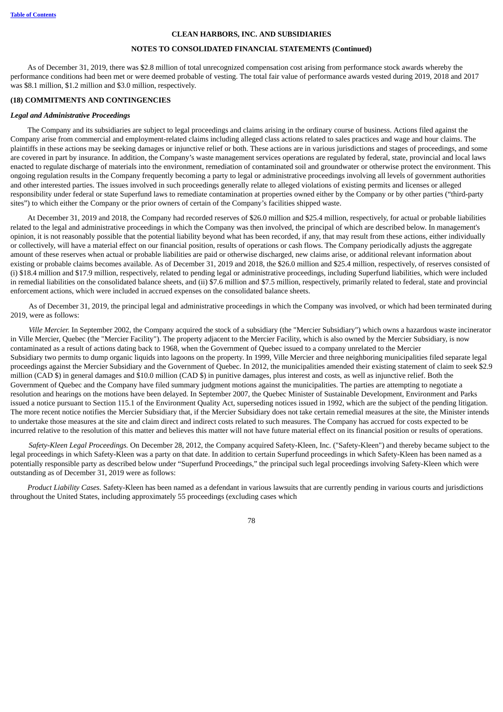#### **NOTES TO CONSOLIDATED FINANCIAL STATEMENTS (Continued)**

As of December 31, 2019, there was \$2.8 million of total unrecognized compensation cost arising from performance stock awards whereby the performance conditions had been met or were deemed probable of vesting. The total fair value of performance awards vested during 2019, 2018 and 2017 was \$8.1 million, \$1.2 million and \$3.0 million, respectively.

### **(18) COMMITMENTS AND CONTINGENCIES**

#### *Legal and Administrative Proceedings*

The Company and its subsidiaries are subject to legal proceedings and claims arising in the ordinary course of business. Actions filed against the Company arise from commercial and employment-related claims including alleged class actions related to sales practices and wage and hour claims. The plaintiffs in these actions may be seeking damages or injunctive relief or both. These actions are in various jurisdictions and stages of proceedings, and some are covered in part by insurance. In addition, the Company's waste management services operations are regulated by federal, state, provincial and local laws enacted to regulate discharge of materials into the environment, remediation of contaminated soil and groundwater or otherwise protect the environment. This ongoing regulation results in the Company frequently becoming a party to legal or administrative proceedings involving all levels of government authorities and other interested parties. The issues involved in such proceedings generally relate to alleged violations of existing permits and licenses or alleged responsibility under federal or state Superfund laws to remediate contamination at properties owned either by the Company or by other parties ("third-party sites") to which either the Company or the prior owners of certain of the Company's facilities shipped waste.

At December 31, 2019 and 2018, the Company had recorded reserves of \$26.0 million and \$25.4 million, respectively, for actual or probable liabilities related to the legal and administrative proceedings in which the Company was then involved, the principal of which are described below. In management's opinion, it is not reasonably possible that the potential liability beyond what has been recorded, if any, that may result from these actions, either individually or collectively, will have a material effect on our financial position, results of operations or cash flows. The Company periodically adjusts the aggregate amount of these reserves when actual or probable liabilities are paid or otherwise discharged, new claims arise, or additional relevant information about existing or probable claims becomes available. As of December 31, 2019 and 2018, the \$26.0 million and \$25.4 million, respectively, of reserves consisted of (i) \$18.4 million and \$17.9 million, respectively, related to pending legal or administrative proceedings, including Superfund liabilities, which were included in remedial liabilities on the consolidated balance sheets, and (ii) \$7.6 million and \$7.5 million, respectively, primarily related to federal, state and provincial enforcement actions, which were included in accrued expenses on the consolidated balance sheets.

As of December 31, 2019, the principal legal and administrative proceedings in which the Company was involved, or which had been terminated during 2019, were as follows:

*Ville Mercier.* In September 2002, the Company acquired the stock of a subsidiary (the "Mercier Subsidiary") which owns a hazardous waste incinerator in Ville Mercier, Quebec (the "Mercier Facility"). The property adjacent to the Mercier Facility, which is also owned by the Mercier Subsidiary, is now contaminated as a result of actions dating back to 1968, when the Government of Quebec issued to a company unrelated to the Mercier Subsidiary two permits to dump organic liquids into lagoons on the property. In 1999, Ville Mercier and three neighboring municipalities filed separate legal proceedings against the Mercier Subsidiary and the Government of Quebec. In 2012, the municipalities amended their existing statement of claim to seek \$2.9 million (CAD \$) in general damages and \$10.0 million (CAD \$) in punitive damages, plus interest and costs, as well as injunctive relief. Both the Government of Quebec and the Company have filed summary judgment motions against the municipalities. The parties are attempting to negotiate a resolution and hearings on the motions have been delayed. In September 2007, the Quebec Minister of Sustainable Development, Environment and Parks issued a notice pursuant to Section 115.1 of the Environment Quality Act, superseding notices issued in 1992, which are the subject of the pending litigation. The more recent notice notifies the Mercier Subsidiary that, if the Mercier Subsidiary does not take certain remedial measures at the site, the Minister intends to undertake those measures at the site and claim direct and indirect costs related to such measures. The Company has accrued for costs expected to be incurred relative to the resolution of this matter and believes this matter will not have future material effect on its financial position or results of operations.

*Safety-Kleen Legal Proceedings.* On December 28, 2012, the Company acquired Safety-Kleen, Inc. ("Safety-Kleen") and thereby became subject to the legal proceedings in which Safety-Kleen was a party on that date. In addition to certain Superfund proceedings in which Safety-Kleen has been named as a potentially responsible party as described below under "Superfund Proceedings," the principal such legal proceedings involving Safety-Kleen which were outstanding as of December 31, 2019 were as follows:

*Product Liability Cases.* Safety-Kleen has been named as a defendant in various lawsuits that are currently pending in various courts and jurisdictions throughout the United States, including approximately 55 proceedings (excluding cases which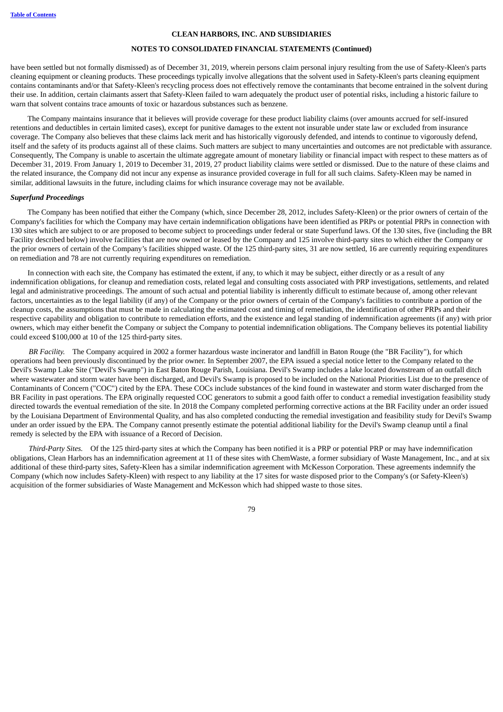#### **NOTES TO CONSOLIDATED FINANCIAL STATEMENTS (Continued)**

have been settled but not formally dismissed) as of December 31, 2019, wherein persons claim personal injury resulting from the use of Safety-Kleen's parts cleaning equipment or cleaning products. These proceedings typically involve allegations that the solvent used in Safety-Kleen's parts cleaning equipment contains contaminants and/or that Safety-Kleen's recycling process does not effectively remove the contaminants that become entrained in the solvent during their use. In addition, certain claimants assert that Safety-Kleen failed to warn adequately the product user of potential risks, including a historic failure to warn that solvent contains trace amounts of toxic or hazardous substances such as benzene.

The Company maintains insurance that it believes will provide coverage for these product liability claims (over amounts accrued for self-insured retentions and deductibles in certain limited cases), except for punitive damages to the extent not insurable under state law or excluded from insurance coverage. The Company also believes that these claims lack merit and has historically vigorously defended, and intends to continue to vigorously defend, itself and the safety of its products against all of these claims. Such matters are subject to many uncertainties and outcomes are not predictable with assurance. Consequently, The Company is unable to ascertain the ultimate aggregate amount of monetary liability or financial impact with respect to these matters as of December 31, 2019. From January 1, 2019 to December 31, 2019, 27 product liability claims were settled or dismissed. Due to the nature of these claims and the related insurance, the Company did not incur any expense as insurance provided coverage in full for all such claims. Safety-Kleen may be named in similar, additional lawsuits in the future, including claims for which insurance coverage may not be available.

### *Superfund Proceedings*

The Company has been notified that either the Company (which, since December 28, 2012, includes Safety-Kleen) or the prior owners of certain of the Company's facilities for which the Company may have certain indemnification obligations have been identified as PRPs or potential PRPs in connection with 130 sites which are subject to or are proposed to become subject to proceedings under federal or state Superfund laws. Of the 130 sites, five (including the BR Facility described below) involve facilities that are now owned or leased by the Company and 125 involve third-party sites to which either the Company or the prior owners of certain of the Company's facilities shipped waste. Of the 125 third-party sites, 31 are now settled, 16 are currently requiring expenditures on remediation and 78 are not currently requiring expenditures on remediation.

In connection with each site, the Company has estimated the extent, if any, to which it may be subject, either directly or as a result of any indemnification obligations, for cleanup and remediation costs, related legal and consulting costs associated with PRP investigations, settlements, and related legal and administrative proceedings. The amount of such actual and potential liability is inherently difficult to estimate because of, among other relevant factors, uncertainties as to the legal liability (if any) of the Company or the prior owners of certain of the Company's facilities to contribute a portion of the cleanup costs, the assumptions that must be made in calculating the estimated cost and timing of remediation, the identification of other PRPs and their respective capability and obligation to contribute to remediation efforts, and the existence and legal standing of indemnification agreements (if any) with prior owners, which may either benefit the Company or subject the Company to potential indemnification obligations. The Company believes its potential liability could exceed \$100,000 at 10 of the 125 third-party sites.

*BR Facility.* The Company acquired in 2002 a former hazardous waste incinerator and landfill in Baton Rouge (the "BR Facility"), for which operations had been previously discontinued by the prior owner. In September 2007, the EPA issued a special notice letter to the Company related to the Devil's Swamp Lake Site ("Devil's Swamp") in East Baton Rouge Parish, Louisiana. Devil's Swamp includes a lake located downstream of an outfall ditch where wastewater and storm water have been discharged, and Devil's Swamp is proposed to be included on the National Priorities List due to the presence of Contaminants of Concern ("COC") cited by the EPA. These COCs include substances of the kind found in wastewater and storm water discharged from the BR Facility in past operations. The EPA originally requested COC generators to submit a good faith offer to conduct a remedial investigation feasibility study directed towards the eventual remediation of the site. In 2018 the Company completed performing corrective actions at the BR Facility under an order issued by the Louisiana Department of Environmental Quality, and has also completed conducting the remedial investigation and feasibility study for Devil's Swamp under an order issued by the EPA. The Company cannot presently estimate the potential additional liability for the Devil's Swamp cleanup until a final remedy is selected by the EPA with issuance of a Record of Decision.

*Third-Party Sites.* Of the 125 third-party sites at which the Company has been notified it is a PRP or potential PRP or may have indemnification obligations, Clean Harbors has an indemnification agreement at 11 of these sites with ChemWaste, a former subsidiary of Waste Management, Inc., and at six additional of these third-party sites, Safety-Kleen has a similar indemnification agreement with McKesson Corporation. These agreements indemnify the Company (which now includes Safety-Kleen) with respect to any liability at the 17 sites for waste disposed prior to the Company's (or Safety-Kleen's) acquisition of the former subsidiaries of Waste Management and McKesson which had shipped waste to those sites.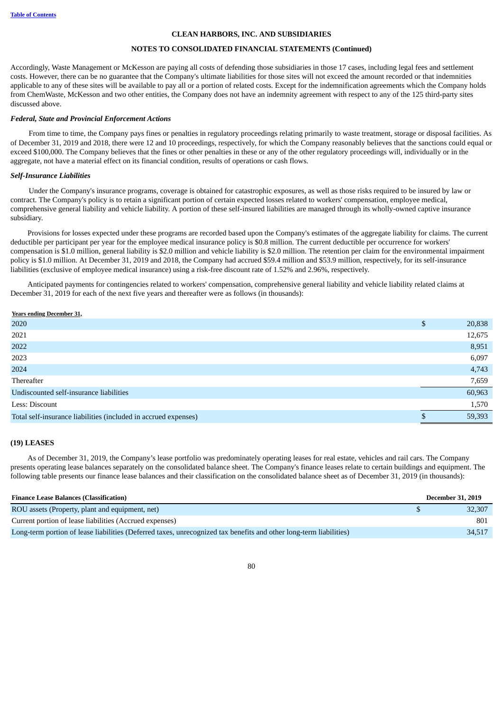### **NOTES TO CONSOLIDATED FINANCIAL STATEMENTS (Continued)**

Accordingly, Waste Management or McKesson are paying all costs of defending those subsidiaries in those 17 cases, including legal fees and settlement costs. However, there can be no guarantee that the Company's ultimate liabilities for those sites will not exceed the amount recorded or that indemnities applicable to any of these sites will be available to pay all or a portion of related costs. Except for the indemnification agreements which the Company holds from ChemWaste, McKesson and two other entities, the Company does not have an indemnity agreement with respect to any of the 125 third-party sites discussed above.

### *Federal, State and Provincial Enforcement Actions*

From time to time, the Company pays fines or penalties in regulatory proceedings relating primarily to waste treatment, storage or disposal facilities. As of December 31, 2019 and 2018, there were 12 and 10 proceedings, respectively, for which the Company reasonably believes that the sanctions could equal or exceed \$100,000. The Company believes that the fines or other penalties in these or any of the other regulatory proceedings will, individually or in the aggregate, not have a material effect on its financial condition, results of operations or cash flows.

### *Self-Insurance Liabilities*

Under the Company's insurance programs, coverage is obtained for catastrophic exposures, as well as those risks required to be insured by law or contract. The Company's policy is to retain a significant portion of certain expected losses related to workers' compensation, employee medical, comprehensive general liability and vehicle liability. A portion of these self-insured liabilities are managed through its wholly-owned captive insurance subsidiary.

Provisions for losses expected under these programs are recorded based upon the Company's estimates of the aggregate liability for claims. The current deductible per participant per year for the employee medical insurance policy is \$0.8 million. The current deductible per occurrence for workers' compensation is \$1.0 million, general liability is \$2.0 million and vehicle liability is \$2.0 million. The retention per claim for the environmental impairment policy is \$1.0 million. At December 31, 2019 and 2018, the Company had accrued \$59.4 million and \$53.9 million, respectively, for its self-insurance liabilities (exclusive of employee medical insurance) using a risk-free discount rate of 1.52% and 2.96%, respectively.

Anticipated payments for contingencies related to workers' compensation, comprehensive general liability and vehicle liability related claims at December 31, 2019 for each of the next five years and thereafter were as follows (in thousands):

| <b>Years ending December 31,</b>                                |              |
|-----------------------------------------------------------------|--------------|
| 2020                                                            | \$<br>20,838 |
| 2021                                                            | 12,675       |
| 2022                                                            | 8,951        |
| 2023                                                            | 6,097        |
| 2024                                                            | 4,743        |
| Thereafter                                                      | 7,659        |
| Undiscounted self-insurance liabilities                         | 60,963       |
| Less: Discount                                                  | 1,570        |
| Total self-insurance liabilities (included in accrued expenses) | 59,393       |
|                                                                 |              |

## **(19) LEASES**

As of December 31, 2019, the Company's lease portfolio was predominately operating leases for real estate, vehicles and rail cars. The Company presents operating lease balances separately on the consolidated balance sheet. The Company's finance leases relate to certain buildings and equipment. The following table presents our finance lease balances and their classification on the consolidated balance sheet as of December 31, 2019 (in thousands):

| <b>December 31, 2019</b> |
|--------------------------|
| 32,307                   |
| 801                      |
| 34.517                   |
|                          |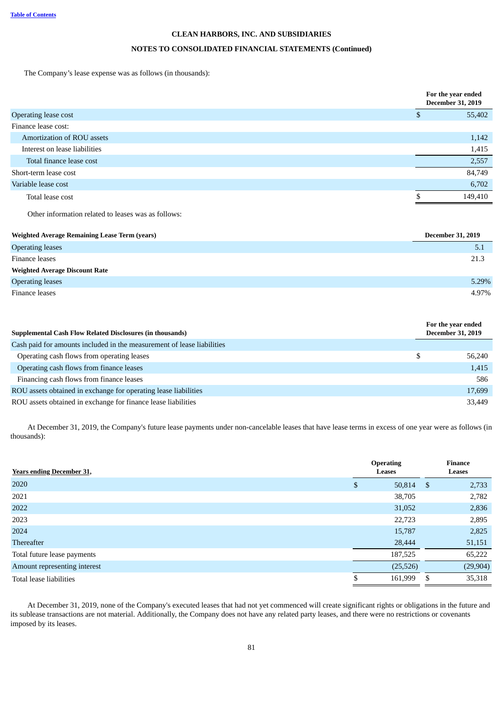## **NOTES TO CONSOLIDATED FINANCIAL STATEMENTS (Continued)**

The Company's lease expense was as follows (in thousands):

|                               | For the year ended<br><b>December 31, 2019</b> |
|-------------------------------|------------------------------------------------|
| Operating lease cost          | 55,402                                         |
| Finance lease cost:           |                                                |
| Amortization of ROU assets    | 1,142                                          |
| Interest on lease liabilities | 1,415                                          |
| Total finance lease cost      | 2,557                                          |
| Short-term lease cost         | 84,749                                         |
| Variable lease cost           | 6,702                                          |
| Total lease cost              | 149,410                                        |

Other information related to leases was as follows:

| <b>Weighted Average Remaining Lease Term (years)</b> | <b>December 31, 2019</b> |
|------------------------------------------------------|--------------------------|
| <b>Operating leases</b>                              | 5.1                      |
| Finance leases                                       | 21.3                     |
| <b>Weighted Average Discount Rate</b>                |                          |
| <b>Operating leases</b>                              | 5.29%                    |
| Finance leases                                       | 4.97%                    |

| <b>Supplemental Cash Flow Related Disclosures (in thousands)</b>       |   | For the year ended<br><b>December 31, 2019</b> |
|------------------------------------------------------------------------|---|------------------------------------------------|
| Cash paid for amounts included in the measurement of lease liabilities |   |                                                |
| Operating cash flows from operating leases                             | S | 56,240                                         |
| Operating cash flows from finance leases                               |   | 1,415                                          |
| Financing cash flows from finance leases                               |   | 586                                            |
| ROU assets obtained in exchange for operating lease liabilities        |   | 17,699                                         |
| ROU assets obtained in exchange for finance lease liabilities          |   | 33,449                                         |

At December 31, 2019, the Company's future lease payments under non-cancelable leases that have lease terms in excess of one year were as follows (in thousands):

| <b>Years ending December 31,</b> | <b>Operating</b><br><b>Leases</b> |           |              | Finance<br><b>Leases</b> |  |  |
|----------------------------------|-----------------------------------|-----------|--------------|--------------------------|--|--|
| 2020                             | \$                                | 50,814    | $\mathsf{S}$ | 2,733                    |  |  |
| 2021                             |                                   | 38,705    |              | 2,782                    |  |  |
| 2022                             |                                   | 31,052    |              | 2,836                    |  |  |
| 2023                             |                                   | 22,723    |              | 2,895                    |  |  |
| 2024                             |                                   | 15,787    |              | 2,825                    |  |  |
| <b>Thereafter</b>                |                                   | 28,444    |              | 51,151                   |  |  |
| Total future lease payments      |                                   | 187,525   |              | 65,222                   |  |  |
| Amount representing interest     |                                   | (25, 526) |              | (29, 904)                |  |  |
| Total lease liabilities          |                                   | 161,999   |              | 35,318                   |  |  |

At December 31, 2019, none of the Company's executed leases that had not yet commenced will create significant rights or obligations in the future and its sublease transactions are not material. Additionally, the Company does not have any related party leases, and there were no restrictions or covenants imposed by its leases.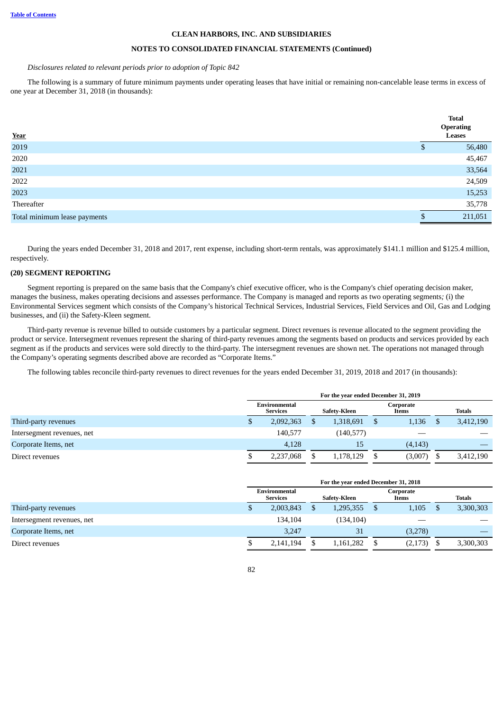### **NOTES TO CONSOLIDATED FINANCIAL STATEMENTS (Continued)**

## *Disclosures related to relevant periods prior to adoption of Topic 842*

The following is a summary of future minimum payments under operating leases that have initial or remaining non-cancelable lease terms in excess of one year at December 31, 2018 (in thousands):

| <b>Year</b>                  |    | <b>Total</b><br><b>Operating</b><br>Leases |
|------------------------------|----|--------------------------------------------|
| 2019                         |    | 56,480                                     |
| 2020                         |    | 45,467                                     |
| 2021                         |    | 33,564                                     |
| 2022                         |    | 24,509                                     |
| 2023                         |    | 15,253                                     |
| Thereafter                   |    | 35,778                                     |
| Total minimum lease payments | ۰D | 211,051                                    |

During the years ended December 31, 2018 and 2017, rent expense, including short-term rentals, was approximately \$141.1 million and \$125.4 million, respectively.

## **(20) SEGMENT REPORTING**

Segment reporting is prepared on the same basis that the Company's chief executive officer, who is the Company's chief operating decision maker, manages the business, makes operating decisions and assesses performance. The Company is managed and reports as two operating segments*;* (i) the Environmental Services segment which consists of the Company's historical Technical Services, Industrial Services, Field Services and Oil, Gas and Lodging businesses, and (ii) the Safety-Kleen segment.

Third-party revenue is revenue billed to outside customers by a particular segment. Direct revenues is revenue allocated to the segment providing the product or service. Intersegment revenues represent the sharing of third-party revenues among the segments based on products and services provided by each segment as if the products and services were sold directly to the third-party. The intersegment revenues are shown net. The operations not managed through the Company's operating segments described above are recorded as "Corporate Items."

The following tables reconcile third-party revenues to direct revenues for the years ended December 31, 2019, 2018 and 2017 (in thousands):

| For the year ended December 31, 2019 |                 |               |            |              |                    |  |               |
|--------------------------------------|-----------------|---------------|------------|--------------|--------------------|--|---------------|
|                                      | <b>Services</b> |               |            |              | Corporate<br>Items |  | <b>Totals</b> |
|                                      | 2,092,363       |               | 1,318,691  |              | 1,136              |  | 3,412,190     |
|                                      | 140,577         |               | (140, 577) |              |                    |  |               |
|                                      | 4.128           |               | 15         |              | (4, 143)           |  |               |
|                                      | 2,237,068       |               | 1,178,129  |              | (3,007)            |  | 3,412,190     |
|                                      |                 | Environmental |            | Safety-Kleen |                    |  |               |

|                            | For the year ended December 31, 2018 |                                  |  |              |  |                    |  |               |
|----------------------------|--------------------------------------|----------------------------------|--|--------------|--|--------------------|--|---------------|
|                            |                                      | Environmental<br><b>Services</b> |  | Safety-Kleen |  | Corporate<br>Items |  | <b>Totals</b> |
| Third-party revenues       |                                      | 2,003,843                        |  | 1,295,355    |  | 1,105              |  | 3,300,303     |
| Intersegment revenues, net |                                      | 134,104                          |  | (134, 104)   |  |                    |  |               |
| Corporate Items, net       |                                      | 3.247                            |  | 31           |  | (3,278)            |  |               |
| Direct revenues            |                                      | 2,141,194                        |  | 1,161,282    |  | (2, 173)           |  | 3,300,303     |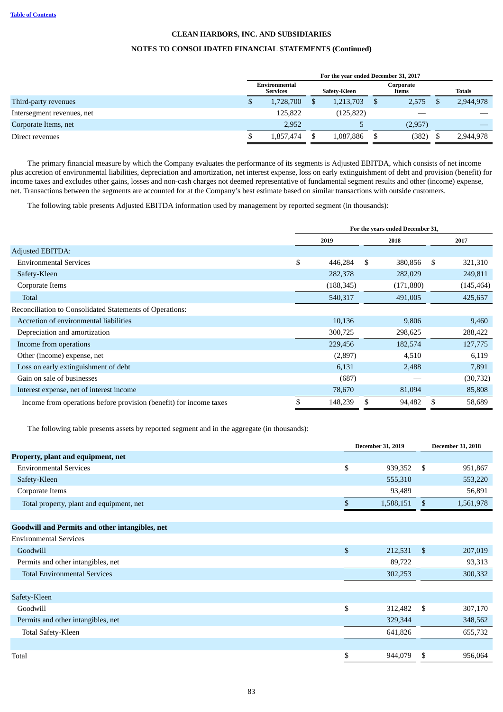## **NOTES TO CONSOLIDATED FINANCIAL STATEMENTS (Continued)**

|                            | For the year ended December 31, 2017 |                                  |  |              |  |                    |  |               |
|----------------------------|--------------------------------------|----------------------------------|--|--------------|--|--------------------|--|---------------|
|                            |                                      | Environmental<br><b>Services</b> |  | Safety-Kleen |  | Corporate<br>Items |  | <b>Totals</b> |
| Third-party revenues       |                                      | 1,728,700                        |  | 1,213,703    |  | 2,575              |  | 2,944,978     |
| Intersegment revenues, net |                                      | 125,822                          |  | (125, 822)   |  |                    |  | __            |
| Corporate Items, net       |                                      | 2,952                            |  |              |  | (2,957)            |  |               |
| Direct revenues            |                                      | 1,857,474                        |  | 1,087,886    |  | (382)              |  | 2,944,978     |

The primary financial measure by which the Company evaluates the performance of its segments is Adjusted EBITDA, which consists of net income plus accretion of environmental liabilities, depreciation and amortization, net interest expense, loss on early extinguishment of debt and provision (benefit) for income taxes and excludes other gains, losses and non-cash charges not deemed representative of fundamental segment results and other (income) expense, net. Transactions between the segments are accounted for at the Company's best estimate based on similar transactions with outside customers.

The following table presents Adjusted EBITDA information used by management by reported segment (in thousands):

|                                                                    | For the years ended December 31, |            |      |            |    |            |
|--------------------------------------------------------------------|----------------------------------|------------|------|------------|----|------------|
|                                                                    |                                  | 2019       | 2018 |            |    | 2017       |
| Adjusted EBITDA:                                                   |                                  |            |      |            |    |            |
| <b>Environmental Services</b>                                      | \$                               | 446,284    | \$   | 380,856    | -S | 321,310    |
| Safety-Kleen                                                       |                                  | 282,378    |      | 282,029    |    | 249,811    |
| Corporate Items                                                    |                                  | (188, 345) |      | (171, 880) |    | (145, 464) |
| Total                                                              |                                  | 540,317    |      | 491,005    |    | 425,657    |
| Reconciliation to Consolidated Statements of Operations:           |                                  |            |      |            |    |            |
| Accretion of environmental liabilities                             |                                  | 10,136     |      | 9,806      |    | 9,460      |
| Depreciation and amortization                                      |                                  | 300,725    |      | 298,625    |    | 288,422    |
| Income from operations                                             |                                  | 229,456    |      | 182,574    |    | 127,775    |
| Other (income) expense, net                                        |                                  | (2,897)    |      | 4,510      |    | 6,119      |
| Loss on early extinguishment of debt                               |                                  | 6,131      |      | 2,488      |    | 7,891      |
| Gain on sale of businesses                                         |                                  | (687)      |      |            |    | (30, 732)  |
| Interest expense, net of interest income                           |                                  | 78,670     |      | 81,094     |    | 85,808     |
| Income from operations before provision (benefit) for income taxes |                                  | 148,239    | \$.  | 94,482     | S  | 58,689     |

The following table presents assets by reported segment and in the aggregate (in thousands):

|                                                 | December 31, 2019 |              | <b>December 31, 2018</b> |
|-------------------------------------------------|-------------------|--------------|--------------------------|
| Property, plant and equipment, net              |                   |              |                          |
| <b>Environmental Services</b>                   | \$<br>939,352     | \$           | 951,867                  |
| Safety-Kleen                                    | 555,310           |              | 553,220                  |
| Corporate Items                                 | 93,489            |              | 56,891                   |
| Total property, plant and equipment, net        | \$<br>1,588,151   | $\mathbb{S}$ | 1,561,978                |
|                                                 |                   |              |                          |
| Goodwill and Permits and other intangibles, net |                   |              |                          |
| <b>Environmental Services</b>                   |                   |              |                          |
| Goodwill                                        | \$<br>212,531     | \$           | 207,019                  |
| Permits and other intangibles, net              | 89,722            |              | 93,313                   |
| <b>Total Environmental Services</b>             | 302,253           |              | 300,332                  |
|                                                 |                   |              |                          |
| Safety-Kleen                                    |                   |              |                          |
| Goodwill                                        | \$<br>312,482     | \$           | 307,170                  |
| Permits and other intangibles, net              | 329,344           |              | 348,562                  |
| <b>Total Safety-Kleen</b>                       | 641,826           |              | 655,732                  |
|                                                 |                   |              |                          |
| Total                                           | \$<br>944,079     | \$           | 956,064                  |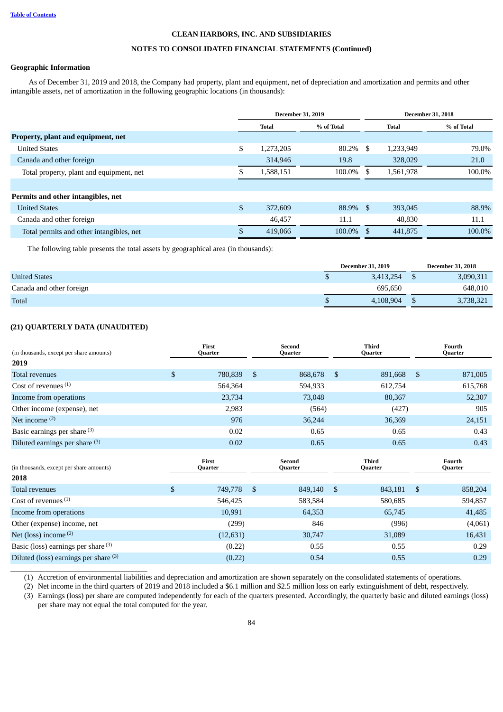## **NOTES TO CONSOLIDATED FINANCIAL STATEMENTS (Continued)**

## **Geographic Information**

As of December 31, 2019 and 2018, the Company had property, plant and equipment, net of depreciation and amortization and permits and other intangible assets, net of amortization in the following geographic locations (in thousands):

|                                          | <b>December 31, 2019</b> |           |            |     | <b>December 31, 2018</b> |            |  |  |
|------------------------------------------|--------------------------|-----------|------------|-----|--------------------------|------------|--|--|
|                                          |                          | Total     | % of Total |     | <b>Total</b>             | % of Total |  |  |
| Property, plant and equipment, net       |                          |           |            |     |                          |            |  |  |
| <b>United States</b>                     | \$                       | 1.273.205 | 80.2%      | \$. | 1.233.949                | 79.0%      |  |  |
| Canada and other foreign                 |                          | 314,946   | 19.8       |     | 328,029                  | 21.0       |  |  |
| Total property, plant and equipment, net |                          | 1,588,151 | 100.0%     |     | 1,561,978                | 100.0%     |  |  |
|                                          |                          |           |            |     |                          |            |  |  |
| Permits and other intangibles, net       |                          |           |            |     |                          |            |  |  |
| <b>United States</b>                     | $\mathbb{S}$             | 372,609   | 88.9%      | -S  | 393.045                  | 88.9%      |  |  |
| Canada and other foreign                 |                          | 46,457    | 11.1       |     | 48,830                   | 11.1       |  |  |
| Total permits and other intangibles, net |                          | 419,066   | 100.0%     | -S  | 441,875                  | 100.0%     |  |  |

The following table presents the total assets by geographical area (in thousands):

|                          | <b>December 31, 2019</b> |           | <b>December 31, 2018</b> |  |
|--------------------------|--------------------------|-----------|--------------------------|--|
| <b>United States</b>     |                          | 3.413.254 | 3,090,311                |  |
| Canada and other foreign |                          | 695.650   | 648,010                  |  |
| <b>Total</b>             |                          | 4.108.904 | 3,738,321                |  |

## **(21) QUARTERLY DATA (UNAUDITED)**

| (in thousands, except per share amounts) |                         | First<br><b>Quarter</b> |                                 | <b>Third</b><br>Second<br><b>Quarter</b><br><b>Quarter</b> |                         |         |                | Fourth<br><b>Quarter</b> |
|------------------------------------------|-------------------------|-------------------------|---------------------------------|------------------------------------------------------------|-------------------------|---------|----------------|--------------------------|
| 2019                                     |                         |                         |                                 |                                                            |                         |         |                |                          |
| Total revenues                           | \$                      | 780,839                 | $\mathfrak{S}$                  | 868,678                                                    | \$                      | 891,668 | $\mathfrak{S}$ | 871,005                  |
| Cost of revenues $(1)$                   |                         | 564,364                 |                                 | 594,933                                                    |                         | 612,754 |                | 615,768                  |
| Income from operations                   |                         | 23,734                  |                                 | 73,048                                                     |                         | 80,367  |                | 52,307                   |
| Other income (expense), net              |                         | 2,983                   |                                 | (564)                                                      |                         | (427)   |                | 905                      |
| Net income <sup>(2)</sup>                |                         | 976                     |                                 | 36,244                                                     |                         | 36,369  |                | 24,151                   |
| Basic earnings per share <sup>(3)</sup>  |                         | 0.02                    |                                 | 0.65                                                       |                         | 0.65    |                | 0.43                     |
| Diluted earnings per share (3)           |                         | 0.02                    |                                 | 0.65                                                       |                         | 0.65    |                | 0.43                     |
| (in thousands, except per share amounts) | First<br><b>Quarter</b> |                         | <b>Second</b><br><b>Quarter</b> |                                                            | <b>Third</b><br>Quarter |         |                | Fourth<br><b>Quarter</b> |
| 2018                                     |                         |                         |                                 |                                                            |                         |         |                |                          |
| Total revenues                           | $\mathbb{S}$            | 749,778                 | \$                              | 849,140                                                    | <sup>\$</sup>           | 843,181 | $\mathfrak{S}$ | 858,204                  |
| Cost of revenues $(1)$                   |                         | 546,425                 |                                 | 583,584                                                    |                         | 580,685 |                | 594,857                  |
| Income from operations                   |                         | 10,991                  |                                 | 64,353                                                     |                         | 65,745  |                | 41,485                   |
| Other (expense) income, net              |                         | (299)                   |                                 | 846                                                        |                         | (996)   |                | (4,061)                  |
| Net (loss) income $(2)$                  |                         | (12, 631)               |                                 | 30,747                                                     |                         | 31,089  |                | 16,431                   |
| Basic (loss) earnings per share $(3)$    |                         | (0.22)                  |                                 | 0.55                                                       |                         | 0.55    |                | 0.29                     |
| Diluted (loss) earnings per share $(3)$  |                         | (0.22)                  |                                 | 0.54                                                       |                         | 0.55    |                | 0.29                     |

(1) Accretion of environmental liabilities and depreciation and amortization are shown separately on the consolidated statements of operations.

(2) Net income in the third quarters of 2019 and 2018 included a \$6.1 million and \$2.5 million loss on early extinguishment of debt, respectively.

(3) Earnings (loss) per share are computed independently for each of the quarters presented. Accordingly, the quarterly basic and diluted earnings (loss) per share may not equal the total computed for the year.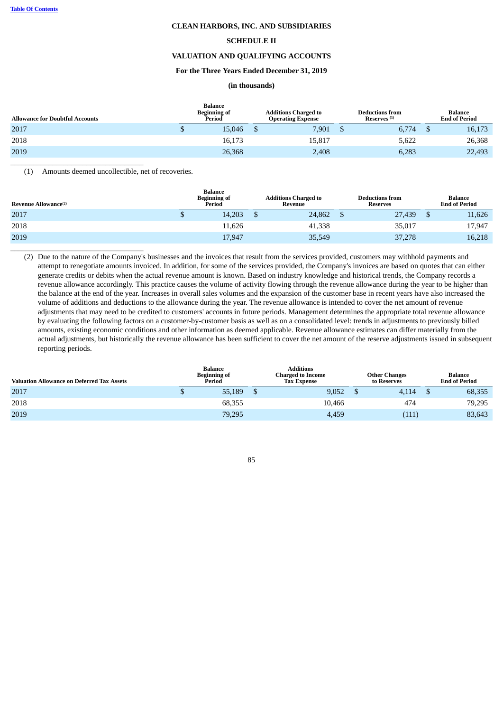### **SCHEDULE II**

## **VALUATION AND QUALIFYING ACCOUNTS**

#### **For the Three Years Ended December 31, 2019**

## **(in thousands)**

<span id="page-87-0"></span>

| <b>Allowance for Doubtful Accounts</b> | <b>Balance</b><br><b>Beginning of</b><br>Period | <b>Additions Charged to</b><br><b>Operating Expense</b> | <b>Deductions from</b><br>Reserves <sup>(1)</sup> | Balance<br><b>End of Period</b> |
|----------------------------------------|-------------------------------------------------|---------------------------------------------------------|---------------------------------------------------|---------------------------------|
| 2017                                   | 15.046                                          | 7,901                                                   | 6.774                                             | 16,173                          |
| 2018                                   | 16.173                                          | 15,817                                                  | 5,622                                             | 26,368                          |
| 2019                                   | 26,368                                          | 2,408                                                   | 6,283                                             | 22,493                          |

(1) Amounts deemed uncollectible, net of recoveries.

 $\frac{1}{2}$  ,  $\frac{1}{2}$  ,  $\frac{1}{2}$  ,  $\frac{1}{2}$  ,  $\frac{1}{2}$  ,  $\frac{1}{2}$  ,  $\frac{1}{2}$  ,  $\frac{1}{2}$  ,  $\frac{1}{2}$  ,  $\frac{1}{2}$  ,  $\frac{1}{2}$  ,  $\frac{1}{2}$  ,  $\frac{1}{2}$  ,  $\frac{1}{2}$  ,  $\frac{1}{2}$  ,  $\frac{1}{2}$  ,  $\frac{1}{2}$  ,  $\frac{1}{2}$  ,  $\frac{1$ 

\_\_\_\_\_\_\_\_\_\_\_\_\_\_\_\_\_\_\_\_\_\_\_\_\_\_\_\_\_\_\_\_\_\_\_

| Revenue Allowance <sup>(2)</sup> | <b>Balance</b><br><b>Beginning of</b><br>Period | <b>Additions Charged to</b><br>Revenue | <b>Deductions from</b><br><b>Reserves</b> | <b>Balance</b><br><b>End of Period</b> |
|----------------------------------|-------------------------------------------------|----------------------------------------|-------------------------------------------|----------------------------------------|
| 2017                             | 14,203                                          | 24,862                                 | 27,439                                    | 11,626                                 |
| 2018                             | 11,626                                          | 41,338                                 | 35,017                                    | 17,947                                 |
| 2019                             | 17,947                                          | 35,549                                 | 37,278                                    | 16,218                                 |

(2) Due to the nature of the Company's businesses and the invoices that result from the services provided, customers may withhold payments and attempt to renegotiate amounts invoiced. In addition, for some of the services provided, the Company's invoices are based on quotes that can either generate credits or debits when the actual revenue amount is known. Based on industry knowledge and historical trends, the Company records a revenue allowance accordingly. This practice causes the volume of activity flowing through the revenue allowance during the year to be higher than the balance at the end of the year. Increases in overall sales volumes and the expansion of the customer base in recent years have also increased the volume of additions and deductions to the allowance during the year. The revenue allowance is intended to cover the net amount of revenue adjustments that may need to be credited to customers' accounts in future periods. Management determines the appropriate total revenue allowance by evaluating the following factors on a customer-by-customer basis as well as on a consolidated level: trends in adjustments to previously billed amounts, existing economic conditions and other information as deemed applicable. Revenue allowance estimates can differ materially from the actual adjustments, but historically the revenue allowance has been sufficient to cover the net amount of the reserve adjustments issued in subsequent reporting periods.

| <b>Valuation Allowance on Deferred Tax Assets</b> | <b>Balance</b><br><b>Beginning of</b><br>Period | Additions<br>Charged to Income<br>Tax Expense | <b>Other Changes</b><br>to Reserves | Balance<br><b>End of Period</b> |
|---------------------------------------------------|-------------------------------------------------|-----------------------------------------------|-------------------------------------|---------------------------------|
| 2017                                              | 55,189                                          | 9,052                                         | 4,114                               | 68,355                          |
| 2018                                              | 68,355                                          | 10.466                                        | 474                                 | 79,295                          |
| 2019                                              | 79,295                                          | 4.459                                         | (111)                               | 83,643                          |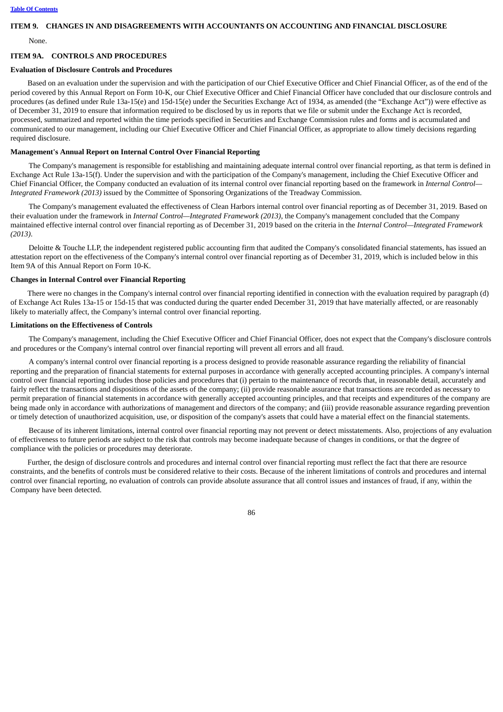### **ITEM 9. CHANGES IN AND DISAGREEMENTS WITH ACCOUNTANTS ON ACCOUNTING AND FINANCIAL DISCLOSURE**

None.

## **ITEM 9A. CONTROLS AND PROCEDURES**

### **Evaluation of Disclosure Controls and Procedures**

Based on an evaluation under the supervision and with the participation of our Chief Executive Officer and Chief Financial Officer, as of the end of the period covered by this Annual Report on Form 10-K, our Chief Executive Officer and Chief Financial Officer have concluded that our disclosure controls and procedures (as defined under Rule 13a-15(e) and 15d-15(e) under the Securities Exchange Act of 1934, as amended (the "Exchange Act")) were effective as of December 31, 2019 to ensure that information required to be disclosed by us in reports that we file or submit under the Exchange Act is recorded, processed, summarized and reported within the time periods specified in Securities and Exchange Commission rules and forms and is accumulated and communicated to our management, including our Chief Executive Officer and Chief Financial Officer, as appropriate to allow timely decisions regarding required disclosure.

## **Management's Annual Report on Internal Control Over Financial Reporting**

The Company's management is responsible for establishing and maintaining adequate internal control over financial reporting, as that term is defined in Exchange Act Rule 13a-15(f). Under the supervision and with the participation of the Company's management, including the Chief Executive Officer and Chief Financial Officer, the Company conducted an evaluation of its internal control over financial reporting based on the framework in *Internal Control— Integrated Framework (2013)* issued by the Committee of Sponsoring Organizations of the Treadway Commission.

The Company's management evaluated the effectiveness of Clean Harbors internal control over financial reporting as of December 31, 2019. Based on their evaluation under the framework in *Internal Control—Integrated Framework (2013)*, the Company's management concluded that the Company maintained effective internal control over financial reporting as of December 31, 2019 based on the criteria in the *Internal Control—Integrated Framework (2013)*.

Deloitte & Touche LLP, the independent registered public accounting firm that audited the Company's consolidated financial statements, has issued an attestation report on the effectiveness of the Company's internal control over financial reporting as of December 31, 2019, which is included below in this Item 9A of this Annual Report on Form 10-K.

#### **Changes in Internal Control over Financial Reporting**

There were no changes in the Company's internal control over financial reporting identified in connection with the evaluation required by paragraph (d) of Exchange Act Rules 13a-15 or 15d-15 that was conducted during the quarter ended December 31, 2019 that have materially affected, or are reasonably likely to materially affect, the Company's internal control over financial reporting.

### **Limitations on the Effectiveness of Controls**

The Company's management, including the Chief Executive Officer and Chief Financial Officer, does not expect that the Company's disclosure controls and procedures or the Company's internal control over financial reporting will prevent all errors and all fraud.

A company's internal control over financial reporting is a process designed to provide reasonable assurance regarding the reliability of financial reporting and the preparation of financial statements for external purposes in accordance with generally accepted accounting principles. A company's internal control over financial reporting includes those policies and procedures that (i) pertain to the maintenance of records that, in reasonable detail, accurately and fairly reflect the transactions and dispositions of the assets of the company; (ii) provide reasonable assurance that transactions are recorded as necessary to permit preparation of financial statements in accordance with generally accepted accounting principles, and that receipts and expenditures of the company are being made only in accordance with authorizations of management and directors of the company; and (iii) provide reasonable assurance regarding prevention or timely detection of unauthorized acquisition, use, or disposition of the company's assets that could have a material effect on the financial statements.

Because of its inherent limitations, internal control over financial reporting may not prevent or detect misstatements. Also, projections of any evaluation of effectiveness to future periods are subject to the risk that controls may become inadequate because of changes in conditions, or that the degree of compliance with the policies or procedures may deteriorate.

Further, the design of disclosure controls and procedures and internal control over financial reporting must reflect the fact that there are resource constraints, and the benefits of controls must be considered relative to their costs. Because of the inherent limitations of controls and procedures and internal control over financial reporting, no evaluation of controls can provide absolute assurance that all control issues and instances of fraud, if any, within the Company have been detected.

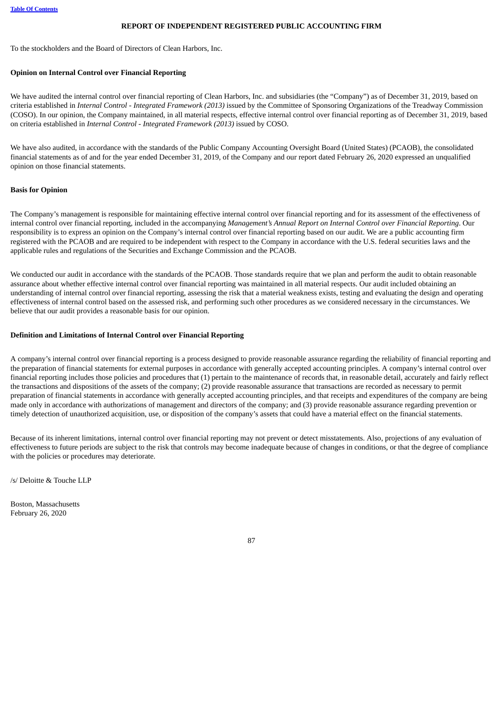## **REPORT OF INDEPENDENT REGISTERED PUBLIC ACCOUNTING FIRM**

To the stockholders and the Board of Directors of Clean Harbors, Inc.

### **Opinion on Internal Control over Financial Reporting**

We have audited the internal control over financial reporting of Clean Harbors, Inc. and subsidiaries (the "Company") as of December 31, 2019, based on criteria established in *Internal Control - Integrated Framework (2013)* issued by the Committee of Sponsoring Organizations of the Treadway Commission (COSO). In our opinion, the Company maintained, in all material respects, effective internal control over financial reporting as of December 31, 2019, based on criteria established in *Internal Control - Integrated Framework (2013)* issued by COSO.

We have also audited, in accordance with the standards of the Public Company Accounting Oversight Board (United States) (PCAOB), the consolidated financial statements as of and for the year ended December 31, 2019, of the Company and our report dated February 26, 2020 expressed an unqualified opinion on those financial statements.

### **Basis for Opinion**

The Company's management is responsible for maintaining effective internal control over financial reporting and for its assessment of the effectiveness of internal control over financial reporting, included in the accompanying *Management's Annual Report on Internal Control over Financial Reporting*. Our responsibility is to express an opinion on the Company's internal control over financial reporting based on our audit. We are a public accounting firm registered with the PCAOB and are required to be independent with respect to the Company in accordance with the U.S. federal securities laws and the applicable rules and regulations of the Securities and Exchange Commission and the PCAOB.

We conducted our audit in accordance with the standards of the PCAOB. Those standards require that we plan and perform the audit to obtain reasonable assurance about whether effective internal control over financial reporting was maintained in all material respects. Our audit included obtaining an understanding of internal control over financial reporting, assessing the risk that a material weakness exists, testing and evaluating the design and operating effectiveness of internal control based on the assessed risk, and performing such other procedures as we considered necessary in the circumstances. We believe that our audit provides a reasonable basis for our opinion.

#### **Definition and Limitations of Internal Control over Financial Reporting**

A company's internal control over financial reporting is a process designed to provide reasonable assurance regarding the reliability of financial reporting and the preparation of financial statements for external purposes in accordance with generally accepted accounting principles. A company's internal control over financial reporting includes those policies and procedures that (1) pertain to the maintenance of records that, in reasonable detail, accurately and fairly reflect the transactions and dispositions of the assets of the company; (2) provide reasonable assurance that transactions are recorded as necessary to permit preparation of financial statements in accordance with generally accepted accounting principles, and that receipts and expenditures of the company are being made only in accordance with authorizations of management and directors of the company; and (3) provide reasonable assurance regarding prevention or timely detection of unauthorized acquisition, use, or disposition of the company's assets that could have a material effect on the financial statements.

Because of its inherent limitations, internal control over financial reporting may not prevent or detect misstatements. Also, projections of any evaluation of effectiveness to future periods are subject to the risk that controls may become inadequate because of changes in conditions, or that the degree of compliance with the policies or procedures may deteriorate.

/s/ Deloitte & Touche LLP

Boston, Massachusetts February 26, 2020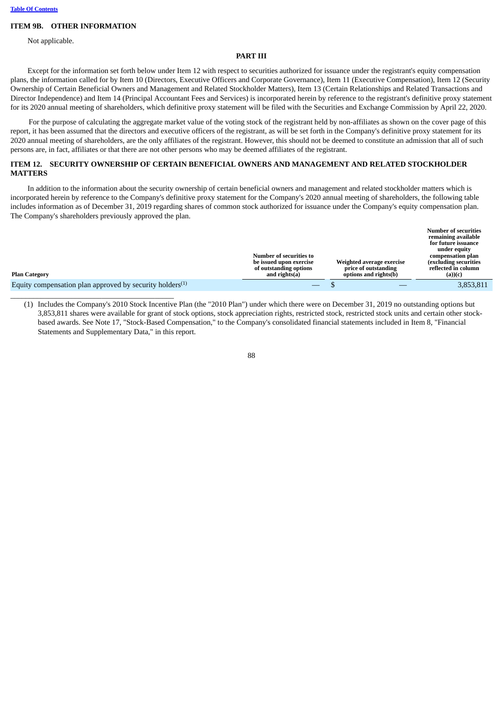## **ITEM 9B. OTHER INFORMATION**

\_\_\_\_\_\_\_\_\_\_\_\_\_\_\_\_\_\_\_\_\_\_\_\_\_\_\_\_\_\_\_\_\_\_\_\_\_\_\_\_\_\_\_

Not applicable.

### **PART III**

Except for the information set forth below under Item 12 with respect to securities authorized for issuance under the registrant's equity compensation plans, the information called for by Item 10 (Directors, Executive Officers and Corporate Governance), Item 11 (Executive Compensation), Item 12 (Security Ownership of Certain Beneficial Owners and Management and Related Stockholder Matters), Item 13 (Certain Relationships and Related Transactions and Director Independence) and Item 14 (Principal Accountant Fees and Services) is incorporated herein by reference to the registrant's definitive proxy statement for its 2020 annual meeting of shareholders, which definitive proxy statement will be filed with the Securities and Exchange Commission by April 22, 2020.

For the purpose of calculating the aggregate market value of the voting stock of the registrant held by non-affiliates as shown on the cover page of this report, it has been assumed that the directors and executive officers of the registrant, as will be set forth in the Company's definitive proxy statement for its 2020 annual meeting of shareholders, are the only affiliates of the registrant. However, this should not be deemed to constitute an admission that all of such persons are, in fact, affiliates or that there are not other persons who may be deemed affiliates of the registrant.

### **ITEM 12. SECURITY OWNERSHIP OF CERTAIN BENEFICIAL OWNERS AND MANAGEMENT AND RELATED STOCKHOLDER MATTERS**

In addition to the information about the security ownership of certain beneficial owners and management and related stockholder matters which is incorporated herein by reference to the Company's definitive proxy statement for the Company's 2020 annual meeting of shareholders, the following table includes information as of December 31, 2019 regarding shares of common stock authorized for issuance under the Company's equity compensation plan. The Company's shareholders previously approved the plan.

| <b>Plan Category</b>                                        | <b>Number of securities to</b><br>be issued upon exercise<br>of outstanding options<br>and rights(a) | Weighted average exercise<br>price of outstanding<br>options and rights(b) | <b>Number of securities</b><br>remaining available<br>for future issuance<br>under equity<br>compensation plan<br>(excluding securities)<br>reflected in column<br>$(a))$ (c) |
|-------------------------------------------------------------|------------------------------------------------------------------------------------------------------|----------------------------------------------------------------------------|-------------------------------------------------------------------------------------------------------------------------------------------------------------------------------|
| Equity compensation plan approved by security holders $(1)$ |                                                                                                      |                                                                            | 3,853,811                                                                                                                                                                     |

(1) Includes the Company's 2010 Stock Incentive Plan (the "2010 Plan") under which there were on December 31, 2019 no outstanding options but 3,853,811 shares were available for grant of stock options, stock appreciation rights, restricted stock, restricted stock units and certain other stockbased awards. See Note 17, "Stock-Based Compensation," to the Company's consolidated financial statements included in Item 8, "Financial Statements and Supplementary Data," in this report.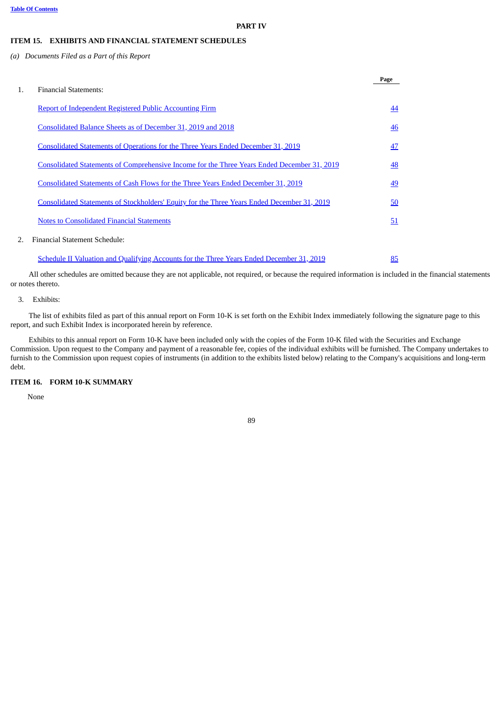#### **PART IV**

## **ITEM 15. EXHIBITS AND FINANCIAL STATEMENT SCHEDULES**

*(a) Documents Filed as a Part of this Report*

|    |                                                                                                    | Page |
|----|----------------------------------------------------------------------------------------------------|------|
| 1. | <b>Financial Statements:</b>                                                                       |      |
|    | Report of Independent Registered Public Accounting Firm                                            | 44   |
|    | Consolidated Balance Sheets as of December 31, 2019 and 2018                                       | 46   |
|    | <b>Consolidated Statements of Operations for the Three Years Ended December 31, 2019</b>           | 47   |
|    | Consolidated Statements of Comprehensive Income for the Three Years Ended December 31, 2019        | 48   |
|    | Consolidated Statements of Cash Flows for the Three Years Ended December 31, 2019                  | 49   |
|    | <u>Consolidated Statements of Stockholders' Equity for the Three Years Ended December 31, 2019</u> | 50   |
|    | <b>Notes to Consolidated Financial Statements</b>                                                  | 51   |
| 2. | Financial Statement Schedule:                                                                      |      |
|    | Schedule II Valuation and Qualifying Accounts for the Three Years Ended December 31, 2019          | 85   |

All other schedules are omitted because they are not applicable, not required, or because the required information is included in the financial statements or notes thereto.

3. Exhibits:

The list of exhibits filed as part of this annual report on Form 10-K is set forth on the Exhibit Index immediately following the signature page to this report, and such Exhibit Index is incorporated herein by reference.

Exhibits to this annual report on Form 10-K have been included only with the copies of the Form 10-K filed with the Securities and Exchange Commission. Upon request to the Company and payment of a reasonable fee, copies of the individual exhibits will be furnished. The Company undertakes to furnish to the Commission upon request copies of instruments (in addition to the exhibits listed below) relating to the Company's acquisitions and long-term debt.

### **ITEM 16. FORM 10-K SUMMARY**

None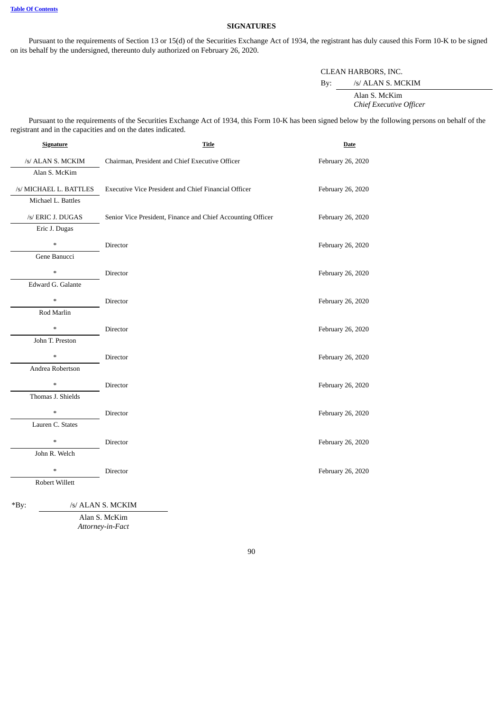## **SIGNATURES**

Pursuant to the requirements of Section 13 or 15(d) of the Securities Exchange Act of 1934, the registrant has duly caused this Form 10-K to be signed on its behalf by the undersigned, thereunto duly authorized on February 26, 2020.

# CLEAN HARBORS, INC. By: /s/ ALAN S. MCKIM Alan S. McKim

*Chief Executive Officer*

Pursuant to the requirements of the Securities Exchange Act of 1934, this Form 10-K has been signed below by the following persons on behalf of the registrant and in the capacities and on the dates indicated.

| <b>Signature</b>       | <b>Title</b>                                                | <b>Date</b>       |
|------------------------|-------------------------------------------------------------|-------------------|
| /s/ ALAN S. MCKIM      | Chairman, President and Chief Executive Officer             | February 26, 2020 |
| Alan S. McKim          |                                                             |                   |
| /s/ MICHAEL L. BATTLES | <b>Executive Vice President and Chief Financial Officer</b> | February 26, 2020 |
| Michael L. Battles     |                                                             |                   |
| /s/ ERIC J. DUGAS      | Senior Vice President, Finance and Chief Accounting Officer | February 26, 2020 |
| Eric J. Dugas          |                                                             |                   |
| *                      | Director                                                    | February 26, 2020 |
| Gene Banucci           |                                                             |                   |
| *                      | Director                                                    | February 26, 2020 |
| Edward G. Galante      |                                                             |                   |
| *                      | Director                                                    | February 26, 2020 |
| Rod Marlin             |                                                             |                   |
| *                      | Director                                                    | February 26, 2020 |
| John T. Preston        |                                                             |                   |
| *                      | Director                                                    | February 26, 2020 |
| Andrea Robertson       |                                                             |                   |
| *                      | Director                                                    | February 26, 2020 |
| Thomas J. Shields      |                                                             |                   |
| *                      | Director                                                    | February 26, 2020 |
| Lauren C. States       |                                                             |                   |
| *                      | Director                                                    | February 26, 2020 |
| John R. Welch          |                                                             |                   |
| *                      | Director                                                    | February 26, 2020 |
| Robert Willett         |                                                             |                   |

\*By: /s/ ALAN S. MCKIM

Alan S. McKim *Attorney-in-Fact*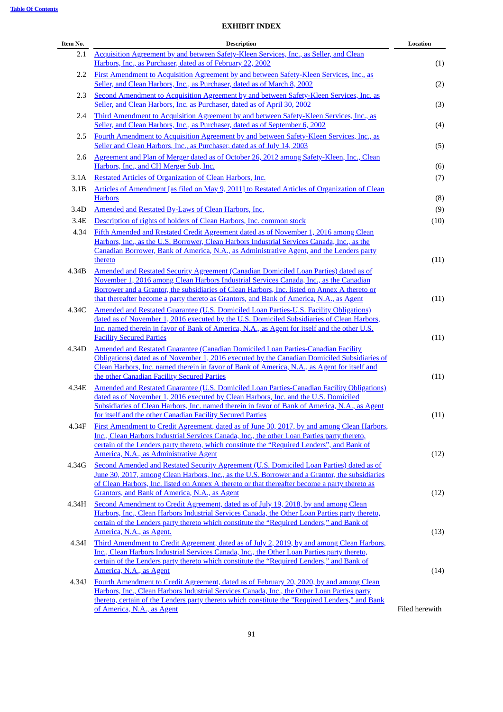# **EXHIBIT INDEX**

| Item No. | <b>Description</b>                                                                                                                                                                                                                                                                                                                      | Location       |
|----------|-----------------------------------------------------------------------------------------------------------------------------------------------------------------------------------------------------------------------------------------------------------------------------------------------------------------------------------------|----------------|
| 2.1      | Acquisition Agreement by and between Safety-Kleen Services, Inc., as Seller, and Clean                                                                                                                                                                                                                                                  |                |
|          | Harbors, Inc., as Purchaser, dated as of February 22, 2002                                                                                                                                                                                                                                                                              | (1)            |
| 2.2      | First Amendment to Acquisition Agreement by and between Safety-Kleen Services, Inc., as<br>Seller, and Clean Harbors, Inc., as Purchaser, dated as of March 8, 2002                                                                                                                                                                     | (2)            |
| 2.3      | Second Amendment to Acquisition Agreement by and between Safety-Kleen Services, Inc. as                                                                                                                                                                                                                                                 |                |
|          | Seller, and Clean Harbors, Inc. as Purchaser, dated as of April 30, 2002                                                                                                                                                                                                                                                                | (3)            |
| 2.4      | Third Amendment to Acquisition Agreement by and between Safety-Kleen Services, Inc., as<br>Seller, and Clean Harbors, Inc., as Purchaser, dated as of September 6, 2002                                                                                                                                                                 | (4)            |
| 2.5      | Fourth Amendment to Acquisition Agreement by and between Safety-Kleen Services, Inc., as<br>Seller and Clean Harbors, Inc., as Purchaser, dated as of July 14, 2003                                                                                                                                                                     | (5)            |
| 2.6      | Agreement and Plan of Merger dated as of October 26, 2012 among Safety-Kleen, Inc., Clean                                                                                                                                                                                                                                               |                |
|          | Harbors, Inc., and CH Merger Sub, Inc.                                                                                                                                                                                                                                                                                                  | (6)            |
| 3.1A     | Restated Articles of Organization of Clean Harbors, Inc.                                                                                                                                                                                                                                                                                | (7)            |
| 3.1B     | Articles of Amendment [as filed on May 9, 2011] to Restated Articles of Organization of Clean<br><b>Harbors</b>                                                                                                                                                                                                                         | (8)            |
| 3.4D     | Amended and Restated By-Laws of Clean Harbors, Inc.                                                                                                                                                                                                                                                                                     | (9)            |
| 3.4E     | Description of rights of holders of Clean Harbors, Inc. common stock                                                                                                                                                                                                                                                                    | (10)           |
| 4.34     | Fifth Amended and Restated Credit Agreement dated as of November 1, 2016 among Clean<br>Harbors, Inc., as the U.S. Borrower, Clean Harbors Industrial Services Canada, Inc., as the                                                                                                                                                     |                |
|          | Canadian Borrower, Bank of America, N.A., as Administrative Agent, and the Lenders party<br>thereto                                                                                                                                                                                                                                     | (11)           |
| 4.34B    | <u>Amended and Restated Security Agreement (Canadian Domiciled Loan Parties) dated as of</u>                                                                                                                                                                                                                                            |                |
|          | November 1, 2016 among Clean Harbors Industrial Services Canada, Inc., as the Canadian<br>Borrower and a Grantor, the subsidiaries of Clean Harbors, Inc. listed on Annex A thereto or                                                                                                                                                  |                |
|          | that thereafter become a party thereto as Grantors, and Bank of America, N.A., as Agent                                                                                                                                                                                                                                                 | (11)           |
| 4.34C    | Amended and Restated Guarantee (U.S. Domiciled Loan Parties-U.S. Facility Obligations)<br>dated as of November 1, 2016 executed by the U.S. Domiciled Subsidiaries of Clean Harbors,<br>Inc. named therein in favor of Bank of America, N.A., as Agent for itself and the other U.S.                                                    |                |
|          | <b>Facility Secured Parties</b>                                                                                                                                                                                                                                                                                                         | (11)           |
| 4.34D    | <b>Amended and Restated Guarantee (Canadian Domiciled Loan Parties-Canadian Facility</b><br>Obligations) dated as of November 1, 2016 executed by the Canadian Domiciled Subsidiaries of<br>Clean Harbors, Inc. named therein in favor of Bank of America, N.A., as Agent for itself and<br>the other Canadian Facility Secured Parties | (11)           |
| 4.34E    | Amended and Restated Guarantee (U.S. Domiciled Loan Parties-Canadian Facility Obligations)                                                                                                                                                                                                                                              |                |
|          | dated as of November 1, 2016 executed by Clean Harbors, Inc. and the U.S. Domiciled                                                                                                                                                                                                                                                     |                |
|          | Subsidiaries of Clean Harbors, Inc. named therein in favor of Bank of America, N.A., as Agent<br>for itself and the other Canadian Facility Secured Parties                                                                                                                                                                             | (11)           |
| 4.34F    | First Amendment to Credit Agreement, dated as of June 30, 2017, by and among Clean Harbors,<br>Inc., Clean Harbors Industrial Services Canada, Inc., the other Loan Parties party thereto,<br>certain of the Lenders party thereto, which constitute the "Required Lenders", and Bank of                                                |                |
|          | America, N.A., as Administrative Agent                                                                                                                                                                                                                                                                                                  | (12)           |
| 4.34G    | Second Amended and Restated Security Agreement (U.S. Domiciled Loan Parties) dated as of<br>June 30, 2017, among Clean Harbors, Inc., as the U.S. Borrower and a Grantor, the subsidiaries<br>of Clean Harbors, Inc. listed on Annex A thereto or that thereafter become a party thereto as                                             |                |
|          | Grantors, and Bank of America, N.A., as Agent                                                                                                                                                                                                                                                                                           | (12)           |
| 4.34H    | Second Amendment to Credit Agreement, dated as of July 19, 2018, by and among Clean<br>Harbors, Inc., Clean Harbors Industrial Services Canada, the Other Loan Parties party thereto,                                                                                                                                                   |                |
|          | certain of the Lenders party thereto which constitute the "Required Lenders," and Bank of<br>America, N.A., as Agent.                                                                                                                                                                                                                   | (13)           |
| 4.34I    | Third Amendment to Credit Agreement, dated as of July 2, 2019, by and among Clean Harbors,                                                                                                                                                                                                                                              |                |
|          | Inc., Clean Harbors Industrial Services Canada, Inc., the Other Loan Parties party thereto,                                                                                                                                                                                                                                             |                |
|          | certain of the Lenders party thereto which constitute the "Required Lenders," and Bank of<br>America, N.A., as Agent                                                                                                                                                                                                                    | (14)           |
| 4.34J    | Fourth Amendment to Credit Agreement, dated as of February 20, 2020, by and among Clean<br>Harbors, Inc., Clean Harbors Industrial Services Canada, Inc., the Other Loan Parties party                                                                                                                                                  |                |
|          | thereto, certain of the Lenders party thereto which constitute the "Required Lenders," and Bank                                                                                                                                                                                                                                         |                |
|          | of America, N.A., as Agent                                                                                                                                                                                                                                                                                                              | Filed herewith |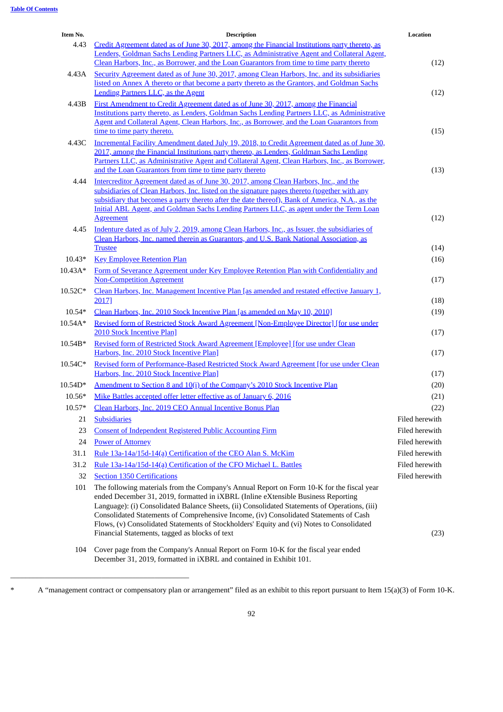| Item No. | <b>Description</b>                                                                                                                                                                             | <b>Location</b> |
|----------|------------------------------------------------------------------------------------------------------------------------------------------------------------------------------------------------|-----------------|
| 4.43     | Credit Agreement dated as of June 30, 2017, among the Financial Institutions party thereto, as                                                                                                 |                 |
|          | Lenders, Goldman Sachs Lending Partners LLC, as Administrative Agent and Collateral Agent,                                                                                                     |                 |
|          | Clean Harbors, Inc., as Borrower, and the Loan Guarantors from time to time party thereto                                                                                                      | (12)            |
| 4.43A    | Security Agreement dated as of June 30, 2017, among Clean Harbors, Inc. and its subsidiaries                                                                                                   |                 |
|          | listed on Annex A thereto or that become a party thereto as the Grantors, and Goldman Sachs<br>Lending Partners LLC, as the Agent                                                              |                 |
|          |                                                                                                                                                                                                | (12)            |
| 4.43B    | First Amendment to Credit Agreement dated as of June 30, 2017, among the Financial<br>Institutions party thereto, as Lenders, Goldman Sachs Lending Partners LLC, as Administrative            |                 |
|          | Agent and Collateral Agent, Clean Harbors, Inc., as Borrower, and the Loan Guarantors from                                                                                                     |                 |
|          | time to time party thereto.                                                                                                                                                                    | (15)            |
| 4.43C    | Incremental Facility Amendment dated July 19, 2018, to Credit Agreement dated as of June 30,                                                                                                   |                 |
|          | 2017, among the Financial Institutions party thereto, as Lenders, Goldman Sachs Lending                                                                                                        |                 |
|          | Partners LLC, as Administrative Agent and Collateral Agent, Clean Harbors, Inc., as Borrower,                                                                                                  |                 |
|          | and the Loan Guarantors from time to time party thereto                                                                                                                                        | (13)            |
| 4.44     | Intercreditor Agreement dated as of June 30, 2017, among Clean Harbors, Inc., and the                                                                                                          |                 |
|          | subsidiaries of Clean Harbors, Inc. listed on the signature pages thereto (together with any<br>subsidiary that becomes a party thereto after the date thereof), Bank of America, N.A., as the |                 |
|          | Initial ABL Agent, and Goldman Sachs Lending Partners LLC, as agent under the Term Loan                                                                                                        |                 |
|          | <b>Agreement</b>                                                                                                                                                                               | (12)            |
| 4.45     | Indenture dated as of July 2, 2019, among Clean Harbors, Inc., as Issuer, the subsidiaries of                                                                                                  |                 |
|          | Clean Harbors, Inc. named therein as Guarantors, and U.S. Bank National Association, as                                                                                                        |                 |
|          | <b>Trustee</b>                                                                                                                                                                                 | (14)            |
| $10.43*$ | <b>Key Employee Retention Plan</b>                                                                                                                                                             | (16)            |
| 10.43A*  | Form of Severance Agreement under Key Employee Retention Plan with Confidentiality and                                                                                                         |                 |
|          | <b>Non-Competition Agreement</b>                                                                                                                                                               | (17)            |
| 10.52C*  | Clean Harbors, Inc. Management Incentive Plan [as amended and restated effective January 1,                                                                                                    |                 |
|          | 2017]                                                                                                                                                                                          | (18)            |
| 10.54*   | Clean Harbors, Inc. 2010 Stock Incentive Plan [as amended on May 10, 2010]                                                                                                                     | (19)            |
| 10.54A*  | Revised form of Restricted Stock Award Agreement [Non-Employee Director] [for use under                                                                                                        |                 |
|          | 2010 Stock Incentive Plan]                                                                                                                                                                     | (17)            |
| 10.54B*  | Revised form of Restricted Stock Award Agreement [Employee] [for use under Clean                                                                                                               |                 |
|          | Harbors, Inc. 2010 Stock Incentive Plan]                                                                                                                                                       | (17)            |
| 10.54C*  | Revised form of Performance-Based Restricted Stock Award Agreement [for use under Clean                                                                                                        |                 |
|          | Harbors, Inc. 2010 Stock Incentive Plan]                                                                                                                                                       | (17)            |
| 10.54D*  | Amendment to Section 8 and 10(i) of the Company's 2010 Stock Incentive Plan                                                                                                                    | (20)            |
| $10.56*$ | Mike Battles accepted offer letter effective as of January 6, 2016                                                                                                                             | (21)            |
| $10.57*$ | Clean Harbors, Inc. 2019 CEO Annual Incentive Bonus Plan                                                                                                                                       | (22)            |
| 21       | <b>Subsidiaries</b>                                                                                                                                                                            | Filed herewith  |
| 23       | <b>Consent of Independent Registered Public Accounting Firm</b>                                                                                                                                | Filed herewith  |
| 24       | <b>Power of Attorney</b>                                                                                                                                                                       | Filed herewith  |
| 31.1     | Rule 13a-14a/15d-14(a) Certification of the CEO Alan S. McKim                                                                                                                                  | Filed herewith  |
| 31.2     | Rule 13a-14a/15d-14(a) Certification of the CFO Michael L. Battles                                                                                                                             | Filed herewith  |
| 32       | <b>Section 1350 Certifications</b>                                                                                                                                                             | Filed herewith  |
| 101      | The following materials from the Company's Annual Report on Form 10-K for the fiscal year                                                                                                      |                 |
|          | ended December 31, 2019, formatted in iXBRL (Inline eXtensible Business Reporting                                                                                                              |                 |
|          | Language): (i) Consolidated Balance Sheets, (ii) Consolidated Statements of Operations, (iii)                                                                                                  |                 |
|          | Consolidated Statements of Comprehensive Income, (iv) Consolidated Statements of Cash<br>Flows, (v) Consolidated Statements of Stockholders' Equity and (vi) Notes to Consolidated             |                 |
|          | Financial Statements, tagged as blocks of text                                                                                                                                                 | (23)            |
|          |                                                                                                                                                                                                |                 |
| 104      | Cover page from the Company's Annual Report on Form 10-K for the fiscal year ended<br>December 31, 2019, formatted in iXBRL and contained in Exhibit 101.                                      |                 |

\_\_\_\_\_\_\_\_\_\_\_\_\_\_\_\_\_\_\_\_\_\_\_\_\_\_\_\_\_\_\_\_\_\_\_\_\_\_\_\_\_\_\_\_\_\_\_

<sup>\*</sup> A "management contract or compensatory plan or arrangement" filed as an exhibit to this report pursuant to Item 15(a)(3) of Form 10-K.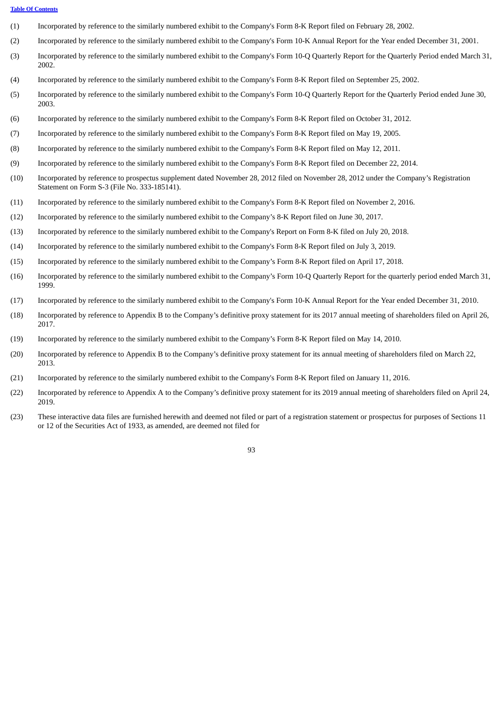**Table Of [Contents](#page-1-0)**

- (1) Incorporated by reference to the similarly numbered exhibit to the Company's Form 8-K Report filed on February 28, 2002.
- (2) Incorporated by reference to the similarly numbered exhibit to the Company's Form 10-K Annual Report for the Year ended December 31, 2001.
- (3) Incorporated by reference to the similarly numbered exhibit to the Company's Form 10-Q Quarterly Report for the Quarterly Period ended March 31, 2002.
- (4) Incorporated by reference to the similarly numbered exhibit to the Company's Form 8-K Report filed on September 25, 2002.
- (5) Incorporated by reference to the similarly numbered exhibit to the Company's Form 10-Q Quarterly Report for the Quarterly Period ended June 30, 2003.
- (6) Incorporated by reference to the similarly numbered exhibit to the Company's Form 8-K Report filed on October 31, 2012.
- (7) Incorporated by reference to the similarly numbered exhibit to the Company's Form 8-K Report filed on May 19, 2005.
- (8) Incorporated by reference to the similarly numbered exhibit to the Company's Form 8-K Report filed on May 12, 2011.
- (9) Incorporated by reference to the similarly numbered exhibit to the Company's Form 8-K Report filed on December 22, 2014.
- (10) Incorporated by reference to prospectus supplement dated November 28, 2012 filed on November 28, 2012 under the Company's Registration Statement on Form S-3 (File No. 333-185141).
- (11) Incorporated by reference to the similarly numbered exhibit to the Company's Form 8-K Report filed on November 2, 2016.
- (12) Incorporated by reference to the similarly numbered exhibit to the Company's 8-K Report filed on June 30, 2017.
- (13) Incorporated by reference to the similarly numbered exhibit to the Company's Report on Form 8-K filed on July 20, 2018.
- (14) Incorporated by reference to the similarly numbered exhibit to the Company's Form 8-K Report filed on July 3, 2019.
- (15) Incorporated by reference to the similarly numbered exhibit to the Company's Form 8-K Report filed on April 17, 2018.
- (16) Incorporated by reference to the similarly numbered exhibit to the Company's Form 10-Q Quarterly Report for the quarterly period ended March 31, 1999.
- (17) Incorporated by reference to the similarly numbered exhibit to the Company's Form 10-K Annual Report for the Year ended December 31, 2010.
- (18) Incorporated by reference to Appendix B to the Company's definitive proxy statement for its 2017 annual meeting of shareholders filed on April 26, 2017.
- (19) Incorporated by reference to the similarly numbered exhibit to the Company's Form 8-K Report filed on May 14, 2010.
- (20) Incorporated by reference to Appendix B to the Company's definitive proxy statement for its annual meeting of shareholders filed on March 22, 2013.
- (21) Incorporated by reference to the similarly numbered exhibit to the Company's Form 8-K Report filed on January 11, 2016.
- (22) Incorporated by reference to Appendix A to the Company's definitive proxy statement for its 2019 annual meeting of shareholders filed on April 24, 2019.
- (23) These interactive data files are furnished herewith and deemed not filed or part of a registration statement or prospectus for purposes of Sections 11 or 12 of the Securities Act of 1933, as amended, are deemed not filed for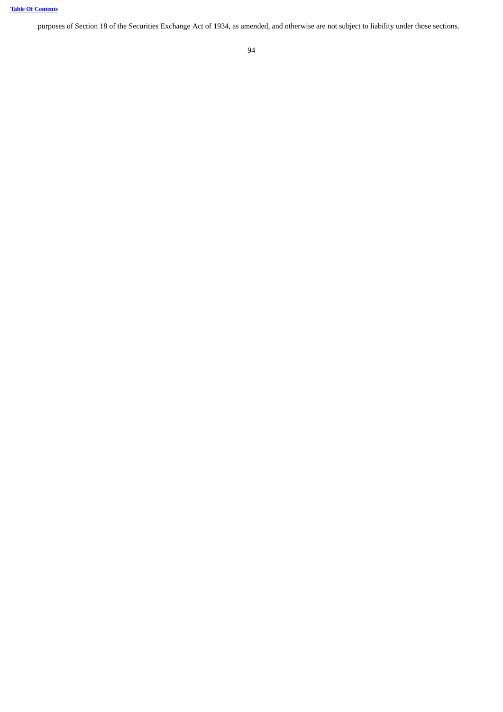purposes of Section 18 of the Securities Exchange Act of 1934, as amended, and otherwise are not subject to liability under those sections.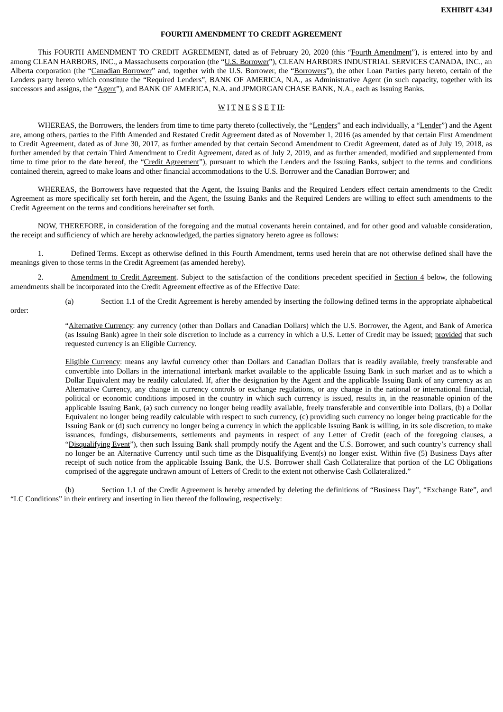## **FOURTH AMENDMENT TO CREDIT AGREEMENT**

<span id="page-97-0"></span>This FOURTH AMENDMENT TO CREDIT AGREEMENT, dated as of February 20, 2020 (this "Fourth Amendment"), is entered into by and among CLEAN HARBORS, INC., a Massachusetts corporation (the "U.S. Borrower"), CLEAN HARBORS INDUSTRIAL SERVICES CANADA, INC., an Alberta corporation (the "Canadian Borrower" and, together with the U.S. Borrower, the "Borrowers"), the other Loan Parties party hereto, certain of the Lenders party hereto which constitute the "Required Lenders", BANK OF AMERICA, N.A., as Administrative Agent (in such capacity, together with its successors and assigns, the "Agent"), and BANK OF AMERICA, N.A. and JPMORGAN CHASE BANK, N.A., each as Issuing Banks.

## WITNESSETH:

WHEREAS, the Borrowers, the lenders from time to time party thereto (collectively, the "Lenders" and each individually, a "Lender") and the Agent are, among others, parties to the Fifth Amended and Restated Credit Agreement dated as of November 1, 2016 (as amended by that certain First Amendment to Credit Agreement, dated as of June 30, 2017, as further amended by that certain Second Amendment to Credit Agreement, dated as of July 19, 2018, as further amended by that certain Third Amendment to Credit Agreement, dated as of July 2, 2019, and as further amended, modified and supplemented from time to time prior to the date hereof, the "Credit Agreement"), pursuant to which the Lenders and the Issuing Banks, subject to the terms and conditions contained therein, agreed to make loans and other financial accommodations to the U.S. Borrower and the Canadian Borrower; and

WHEREAS, the Borrowers have requested that the Agent, the Issuing Banks and the Required Lenders effect certain amendments to the Credit Agreement as more specifically set forth herein, and the Agent, the Issuing Banks and the Required Lenders are willing to effect such amendments to the Credit Agreement on the terms and conditions hereinafter set forth.

NOW, THEREFORE, in consideration of the foregoing and the mutual covenants herein contained, and for other good and valuable consideration, the receipt and sufficiency of which are hereby acknowledged, the parties signatory hereto agree as follows:

1. Defined Terms. Except as otherwise defined in this Fourth Amendment, terms used herein that are not otherwise defined shall have the meanings given to those terms in the Credit Agreement (as amended hereby).

Amendment to Credit Agreement. Subject to the satisfaction of the conditions precedent specified in Section 4 below, the following amendments shall be incorporated into the Credit Agreement effective as of the Effective Date:

(a) Section 1.1 of the Credit Agreement is hereby amended by inserting the following defined terms in the appropriate alphabetical

order:

"Alternative Currency: any currency (other than Dollars and Canadian Dollars) which the U.S. Borrower, the Agent, and Bank of America (as Issuing Bank) agree in their sole discretion to include as a currency in which a U.S. Letter of Credit may be issued; provided that such requested currency is an Eligible Currency.

Eligible Currency: means any lawful currency other than Dollars and Canadian Dollars that is readily available, freely transferable and convertible into Dollars in the international interbank market available to the applicable Issuing Bank in such market and as to which a Dollar Equivalent may be readily calculated. If, after the designation by the Agent and the applicable Issuing Bank of any currency as an Alternative Currency, any change in currency controls or exchange regulations, or any change in the national or international financial, political or economic conditions imposed in the country in which such currency is issued, results in, in the reasonable opinion of the applicable Issuing Bank, (a) such currency no longer being readily available, freely transferable and convertible into Dollars, (b) a Dollar Equivalent no longer being readily calculable with respect to such currency, (c) providing such currency no longer being practicable for the Issuing Bank or (d) such currency no longer being a currency in which the applicable Issuing Bank is willing, in its sole discretion, to make issuances, fundings, disbursements, settlements and payments in respect of any Letter of Credit (each of the foregoing clauses, a "Disqualifying Event"), then such Issuing Bank shall promptly notify the Agent and the U.S. Borrower, and such country's currency shall no longer be an Alternative Currency until such time as the Disqualifying Event(s) no longer exist. Within five (5) Business Days after receipt of such notice from the applicable Issuing Bank, the U.S. Borrower shall Cash Collateralize that portion of the LC Obligations comprised of the aggregate undrawn amount of Letters of Credit to the extent not otherwise Cash Collateralized."

(b) Section 1.1 of the Credit Agreement is hereby amended by deleting the definitions of "Business Day", "Exchange Rate", and "LC Conditions" in their entirety and inserting in lieu thereof the following, respectively: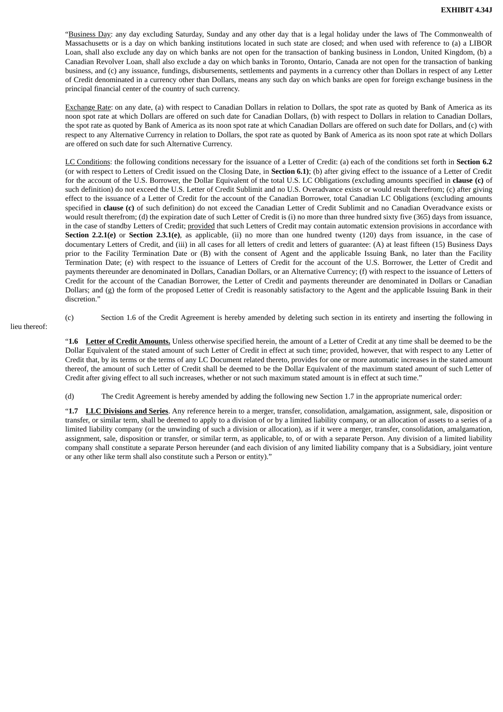"Business Day: any day excluding Saturday, Sunday and any other day that is a legal holiday under the laws of The Commonwealth of Massachusetts or is a day on which banking institutions located in such state are closed; and when used with reference to (a) a LIBOR Loan, shall also exclude any day on which banks are not open for the transaction of banking business in London, United Kingdom, (b) a Canadian Revolver Loan, shall also exclude a day on which banks in Toronto, Ontario, Canada are not open for the transaction of banking business, and (c) any issuance, fundings, disbursements, settlements and payments in a currency other than Dollars in respect of any Letter of Credit denominated in a currency other than Dollars, means any such day on which banks are open for foreign exchange business in the principal financial center of the country of such currency.

Exchange Rate: on any date, (a) with respect to Canadian Dollars in relation to Dollars, the spot rate as quoted by Bank of America as its noon spot rate at which Dollars are offered on such date for Canadian Dollars, (b) with respect to Dollars in relation to Canadian Dollars, the spot rate as quoted by Bank of America as its noon spot rate at which Canadian Dollars are offered on such date for Dollars, and (c) with respect to any Alternative Currency in relation to Dollars, the spot rate as quoted by Bank of America as its noon spot rate at which Dollars are offered on such date for such Alternative Currency.

LC Conditions: the following conditions necessary for the issuance of a Letter of Credit: (a) each of the conditions set forth in **Section 6.2** (or with respect to Letters of Credit issued on the Closing Date, in **Section 6.1)**; (b) after giving effect to the issuance of a Letter of Credit for the account of the U.S. Borrower, the Dollar Equivalent of the total U.S. LC Obligations (excluding amounts specified in **clause (c)** of such definition) do not exceed the U.S. Letter of Credit Sublimit and no U.S. Overadvance exists or would result therefrom; (c) after giving effect to the issuance of a Letter of Credit for the account of the Canadian Borrower, total Canadian LC Obligations (excluding amounts specified in **clause (c)** of such definition) do not exceed the Canadian Letter of Credit Sublimit and no Canadian Overadvance exists or would result therefrom; (d) the expiration date of such Letter of Credit is (i) no more than three hundred sixty five (365) days from issuance, in the case of standby Letters of Credit; provided that such Letters of Credit may contain automatic extension provisions in accordance with **Section 2.2.1(e)** or **Section 2.3.1(e)**, as applicable, (ii) no more than one hundred twenty (120) days from issuance, in the case of documentary Letters of Credit, and (iii) in all cases for all letters of credit and letters of guarantee: (A) at least fifteen (15) Business Days prior to the Facility Termination Date or (B) with the consent of Agent and the applicable Issuing Bank, no later than the Facility Termination Date; (e) with respect to the issuance of Letters of Credit for the account of the U.S. Borrower, the Letter of Credit and payments thereunder are denominated in Dollars, Canadian Dollars, or an Alternative Currency; (f) with respect to the issuance of Letters of Credit for the account of the Canadian Borrower, the Letter of Credit and payments thereunder are denominated in Dollars or Canadian Dollars; and (g) the form of the proposed Letter of Credit is reasonably satisfactory to the Agent and the applicable Issuing Bank in their discretion."

lieu thereof:

(c) Section 1.6 of the Credit Agreement is hereby amended by deleting such section in its entirety and inserting the following in

"**1.6 Letter of Credit Amounts.** Unless otherwise specified herein, the amount of a Letter of Credit at any time shall be deemed to be the Dollar Equivalent of the stated amount of such Letter of Credit in effect at such time; provided, however, that with respect to any Letter of Credit that, by its terms or the terms of any LC Document related thereto, provides for one or more automatic increases in the stated amount thereof, the amount of such Letter of Credit shall be deemed to be the Dollar Equivalent of the maximum stated amount of such Letter of Credit after giving effect to all such increases, whether or not such maximum stated amount is in effect at such time."

(d) The Credit Agreement is hereby amended by adding the following new Section 1.7 in the appropriate numerical order:

"**1.7 LLC Divisions and Series**. Any reference herein to a merger, transfer, consolidation, amalgamation, assignment, sale, disposition or transfer, or similar term, shall be deemed to apply to a division of or by a limited liability company, or an allocation of assets to a series of a limited liability company (or the unwinding of such a division or allocation), as if it were a merger, transfer, consolidation, amalgamation, assignment, sale, disposition or transfer, or similar term, as applicable, to, of or with a separate Person. Any division of a limited liability company shall constitute a separate Person hereunder (and each division of any limited liability company that is a Subsidiary, joint venture or any other like term shall also constitute such a Person or entity)."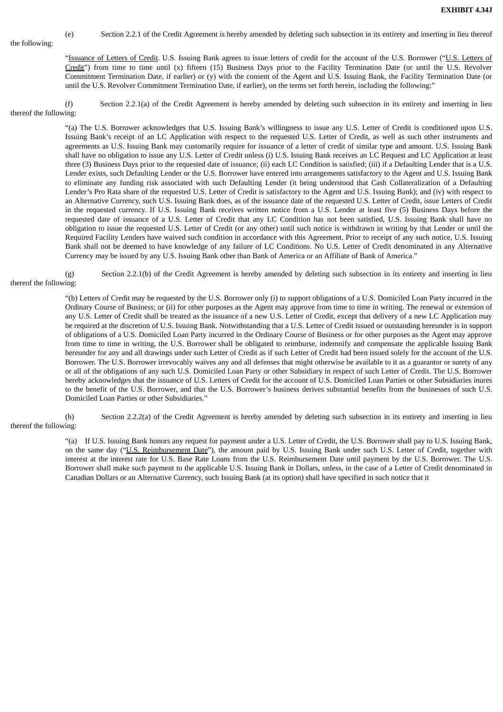the following:

**EXHIBIT 4.34J**

"Issuance of Letters of Credit. U.S. Issuing Bank agrees to issue letters of credit for the account of the U.S. Borrower ("U.S. Letters of Credit") from time to time until (x) fifteen (15) Business Days prior to the Facility Termination Date (or until the U.S. Revolver Commitment Termination Date, if earlier) or (y) with the consent of the Agent and U.S. Issuing Bank, the Facility Termination Date (or until the U.S. Revolver Commitment Termination Date, if earlier), on the terms set forth herein, including the following:"

thereof the following:

(f) Section 2.2.1(a) of the Credit Agreement is hereby amended by deleting such subsection in its entirety and inserting in lieu

"(a) The U.S. Borrower acknowledges that U.S. Issuing Bank's willingness to issue any U.S. Letter of Credit is conditioned upon U.S. Issuing Bank's receipt of an LC Application with respect to the requested U.S. Letter of Credit, as well as such other instruments and agreements as U.S. Issuing Bank may customarily require for issuance of a letter of credit of similar type and amount. U.S. Issuing Bank shall have no obligation to issue any U.S. Letter of Credit unless (i) U.S. Issuing Bank receives an LC Request and LC Application at least three (3) Business Days prior to the requested date of issuance; (ii) each LC Condition is satisfied; (iii) if a Defaulting Lender that is a U.S. Lender exists, such Defaulting Lender or the U.S. Borrower have entered into arrangements satisfactory to the Agent and U.S. Issuing Bank to eliminate any funding risk associated with such Defaulting Lender (it being understood that Cash Collateralization of a Defaulting Lender's Pro Rata share of the requested U.S. Letter of Credit is satisfactory to the Agent and U.S. Issuing Bank); and (iv) with respect to an Alternative Currency, such U.S. Issuing Bank does, as of the issuance date of the requested U.S. Letter of Credit, issue Letters of Credit in the requested currency. If U.S. Issuing Bank receives written notice from a U.S. Lender at least five (5) Business Days before the requested date of issuance of a U.S. Letter of Credit that any LC Condition has not been satisfied, U.S. Issuing Bank shall have no obligation to issue the requested U.S. Letter of Credit (or any other) until such notice is withdrawn in writing by that Lender or until the Required Facility Lenders have waived such condition in accordance with this Agreement. Prior to receipt of any such notice, U.S. Issuing Bank shall not be deemed to have knowledge of any failure of LC Conditions. No U.S. Letter of Credit denominated in any Alternative Currency may be issued by any U.S. Issuing Bank other than Bank of America or an Affiliate of Bank of America."

(g) Section 2.2.1(b) of the Credit Agreement is hereby amended by deleting such subsection in its entirety and inserting in lieu thereof the following:

> "(b) Letters of Credit may be requested by the U.S. Borrower only (i) to support obligations of a U.S. Domiciled Loan Party incurred in the Ordinary Course of Business; or (ii) for other purposes as the Agent may approve from time to time in writing. The renewal or extension of any U.S. Letter of Credit shall be treated as the issuance of a new U.S. Letter of Credit, except that delivery of a new LC Application may be required at the discretion of U.S. Issuing Bank. Notwithstanding that a U.S. Letter of Credit issued or outstanding hereunder is in support of obligations of a U.S. Domiciled Loan Party incurred in the Ordinary Course of Business or for other purposes as the Agent may approve from time to time in writing, the U.S. Borrower shall be obligated to reimburse, indemnify and compensate the applicable Issuing Bank hereunder for any and all drawings under such Letter of Credit as if such Letter of Credit had been issued solely for the account of the U.S. Borrower. The U.S. Borrower irrevocably waives any and all defenses that might otherwise be available to it as a guarantor or surety of any or all of the obligations of any such U.S. Domiciled Loan Party or other Subsidiary in respect of such Letter of Credit. The U.S. Borrower hereby acknowledges that the issuance of U.S. Letters of Credit for the account of U.S. Domiciled Loan Parties or other Subsidiaries inures to the benefit of the U.S. Borrower, and that the U.S. Borrower's business derives substantial benefits from the businesses of such U.S. Domiciled Loan Parties or other Subsidiaries."

(h) Section 2.2.2(a) of the Credit Agreement is hereby amended by deleting such subsection in its entirety and inserting in lieu thereof the following:

> "(a) If U.S. Issuing Bank honors any request for payment under a U.S. Letter of Credit, the U.S. Borrower shall pay to U.S. Issuing Bank, on the same day ("U.S. Reimbursement Date"), the amount paid by U.S. Issuing Bank under such U.S. Letter of Credit, together with interest at the interest rate for U.S. Base Rate Loans from the U.S. Reimbursement Date until payment by the U.S. Borrower. The U.S. Borrower shall make such payment to the applicable U.S. Issuing Bank in Dollars, unless, in the case of a Letter of Credit denominated in Canadian Dollars or an Alternative Currency, such Issuing Bank (at its option) shall have specified in such notice that it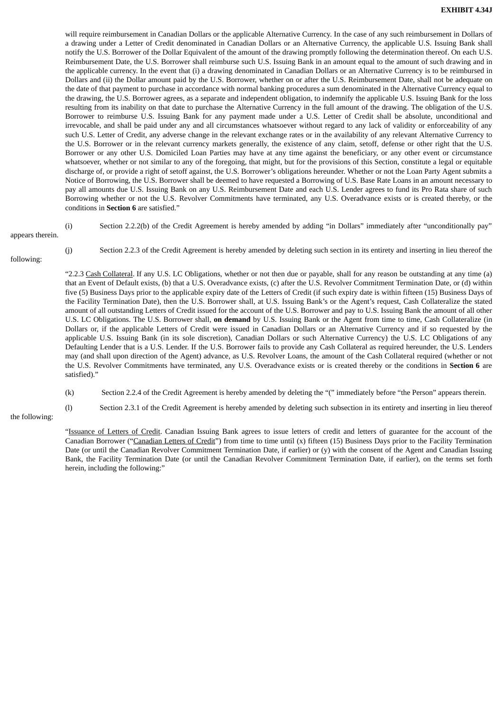will require reimbursement in Canadian Dollars or the applicable Alternative Currency. In the case of any such reimbursement in Dollars of a drawing under a Letter of Credit denominated in Canadian Dollars or an Alternative Currency, the applicable U.S. Issuing Bank shall notify the U.S. Borrower of the Dollar Equivalent of the amount of the drawing promptly following the determination thereof. On each U.S. Reimbursement Date, the U.S. Borrower shall reimburse such U.S. Issuing Bank in an amount equal to the amount of such drawing and in the applicable currency. In the event that (i) a drawing denominated in Canadian Dollars or an Alternative Currency is to be reimbursed in Dollars and (ii) the Dollar amount paid by the U.S. Borrower, whether on or after the U.S. Reimbursement Date, shall not be adequate on the date of that payment to purchase in accordance with normal banking procedures a sum denominated in the Alternative Currency equal to the drawing, the U.S. Borrower agrees, as a separate and independent obligation, to indemnify the applicable U.S. Issuing Bank for the loss resulting from its inability on that date to purchase the Alternative Currency in the full amount of the drawing. The obligation of the U.S. Borrower to reimburse U.S. Issuing Bank for any payment made under a U.S. Letter of Credit shall be absolute, unconditional and irrevocable, and shall be paid under any and all circumstances whatsoever without regard to any lack of validity or enforceability of any such U.S. Letter of Credit, any adverse change in the relevant exchange rates or in the availability of any relevant Alternative Currency to the U.S. Borrower or in the relevant currency markets generally, the existence of any claim, setoff, defense or other right that the U.S. Borrower or any other U.S. Domiciled Loan Parties may have at any time against the beneficiary, or any other event or circumstance whatsoever, whether or not similar to any of the foregoing, that might, but for the provisions of this Section, constitute a legal or equitable discharge of, or provide a right of setoff against, the U.S. Borrower's obligations hereunder. Whether or not the Loan Party Agent submits a Notice of Borrowing, the U.S. Borrower shall be deemed to have requested a Borrowing of U.S. Base Rate Loans in an amount necessary to pay all amounts due U.S. Issuing Bank on any U.S. Reimbursement Date and each U.S. Lender agrees to fund its Pro Rata share of such Borrowing whether or not the U.S. Revolver Commitments have terminated, any U.S. Overadvance exists or is created thereby, or the conditions in **Section 6** are satisfied."

appears therein.

following:

(j) Section 2.2.3 of the Credit Agreement is hereby amended by deleting such section in its entirety and inserting in lieu thereof the

(i) Section 2.2.2(b) of the Credit Agreement is hereby amended by adding "in Dollars" immediately after "unconditionally pay"

"2.2.3 Cash Collateral. If any U.S. LC Obligations, whether or not then due or payable, shall for any reason be outstanding at any time (a) that an Event of Default exists, (b) that a U.S. Overadvance exists, (c) after the U.S. Revolver Commitment Termination Date, or (d) within five (5) Business Days prior to the applicable expiry date of the Letters of Credit (if such expiry date is within fifteen (15) Business Days of the Facility Termination Date), then the U.S. Borrower shall, at U.S. Issuing Bank's or the Agent's request, Cash Collateralize the stated amount of all outstanding Letters of Credit issued for the account of the U.S. Borrower and pay to U.S. Issuing Bank the amount of all other U.S. LC Obligations. The U.S. Borrower shall, **on demand** by U.S. Issuing Bank or the Agent from time to time, Cash Collateralize (in Dollars or, if the applicable Letters of Credit were issued in Canadian Dollars or an Alternative Currency and if so requested by the applicable U.S. Issuing Bank (in its sole discretion), Canadian Dollars or such Alternative Currency) the U.S. LC Obligations of any Defaulting Lender that is a U.S. Lender. If the U.S. Borrower fails to provide any Cash Collateral as required hereunder, the U.S. Lenders may (and shall upon direction of the Agent) advance, as U.S. Revolver Loans, the amount of the Cash Collateral required (whether or not the U.S. Revolver Commitments have terminated, any U.S. Overadvance exists or is created thereby or the conditions in **Section 6** are satisfied)."

- (k) Section 2.2.4 of the Credit Agreement is hereby amended by deleting the "(" immediately before "the Person" appears therein.
- (l) Section 2.3.1 of the Credit Agreement is hereby amended by deleting such subsection in its entirety and inserting in lieu thereof

the following:

"Issuance of Letters of Credit. Canadian Issuing Bank agrees to issue letters of credit and letters of guarantee for the account of the Canadian Borrower ("Canadian Letters of Credit") from time to time until (x) fifteen (15) Business Days prior to the Facility Termination Date (or until the Canadian Revolver Commitment Termination Date, if earlier) or (y) with the consent of the Agent and Canadian Issuing Bank, the Facility Termination Date (or until the Canadian Revolver Commitment Termination Date, if earlier), on the terms set forth herein, including the following:"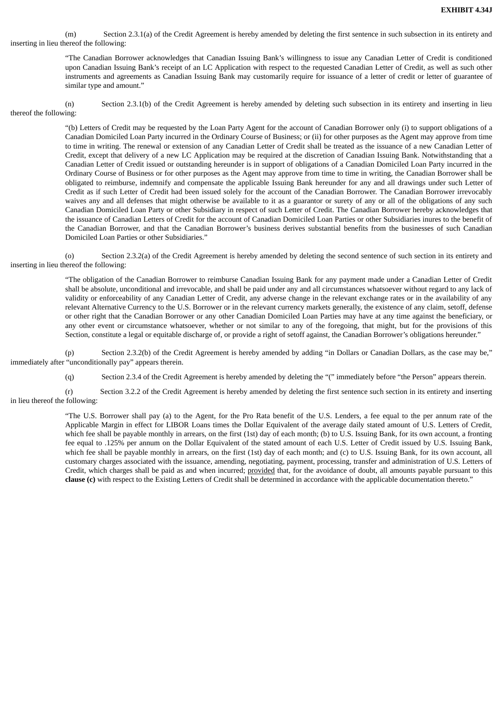(m) Section 2.3.1(a) of the Credit Agreement is hereby amended by deleting the first sentence in such subsection in its entirety and inserting in lieu thereof the following:

> "The Canadian Borrower acknowledges that Canadian Issuing Bank's willingness to issue any Canadian Letter of Credit is conditioned upon Canadian Issuing Bank's receipt of an LC Application with respect to the requested Canadian Letter of Credit, as well as such other instruments and agreements as Canadian Issuing Bank may customarily require for issuance of a letter of credit or letter of guarantee of similar type and amount."

(n) Section 2.3.1(b) of the Credit Agreement is hereby amended by deleting such subsection in its entirety and inserting in lieu thereof the following:

> "(b) Letters of Credit may be requested by the Loan Party Agent for the account of Canadian Borrower only (i) to support obligations of a Canadian Domiciled Loan Party incurred in the Ordinary Course of Business; or (ii) for other purposes as the Agent may approve from time to time in writing. The renewal or extension of any Canadian Letter of Credit shall be treated as the issuance of a new Canadian Letter of Credit, except that delivery of a new LC Application may be required at the discretion of Canadian Issuing Bank. Notwithstanding that a Canadian Letter of Credit issued or outstanding hereunder is in support of obligations of a Canadian Domiciled Loan Party incurred in the Ordinary Course of Business or for other purposes as the Agent may approve from time to time in writing, the Canadian Borrower shall be obligated to reimburse, indemnify and compensate the applicable Issuing Bank hereunder for any and all drawings under such Letter of Credit as if such Letter of Credit had been issued solely for the account of the Canadian Borrower. The Canadian Borrower irrevocably waives any and all defenses that might otherwise be available to it as a guarantor or surety of any or all of the obligations of any such Canadian Domiciled Loan Party or other Subsidiary in respect of such Letter of Credit. The Canadian Borrower hereby acknowledges that the issuance of Canadian Letters of Credit for the account of Canadian Domiciled Loan Parties or other Subsidiaries inures to the benefit of the Canadian Borrower, and that the Canadian Borrower's business derives substantial benefits from the businesses of such Canadian Domiciled Loan Parties or other Subsidiaries."

(o) Section 2.3.2(a) of the Credit Agreement is hereby amended by deleting the second sentence of such section in its entirety and inserting in lieu thereof the following:

> "The obligation of the Canadian Borrower to reimburse Canadian Issuing Bank for any payment made under a Canadian Letter of Credit shall be absolute, unconditional and irrevocable, and shall be paid under any and all circumstances whatsoever without regard to any lack of validity or enforceability of any Canadian Letter of Credit, any adverse change in the relevant exchange rates or in the availability of any relevant Alternative Currency to the U.S. Borrower or in the relevant currency markets generally, the existence of any claim, setoff, defense or other right that the Canadian Borrower or any other Canadian Domiciled Loan Parties may have at any time against the beneficiary, or any other event or circumstance whatsoever, whether or not similar to any of the foregoing, that might, but for the provisions of this Section, constitute a legal or equitable discharge of, or provide a right of setoff against, the Canadian Borrower's obligations hereunder."

(p) Section 2.3.2(b) of the Credit Agreement is hereby amended by adding "in Dollars or Canadian Dollars, as the case may be," immediately after "unconditionally pay" appears therein.

(q) Section 2.3.4 of the Credit Agreement is hereby amended by deleting the "(" immediately before "the Person" appears therein.

(r) Section 3.2.2 of the Credit Agreement is hereby amended by deleting the first sentence such section in its entirety and inserting in lieu thereof the following:

> "The U.S. Borrower shall pay (a) to the Agent, for the Pro Rata benefit of the U.S. Lenders, a fee equal to the per annum rate of the Applicable Margin in effect for LIBOR Loans times the Dollar Equivalent of the average daily stated amount of U.S. Letters of Credit, which fee shall be payable monthly in arrears, on the first (1st) day of each month; (b) to U.S. Issuing Bank, for its own account, a fronting fee equal to .125% per annum on the Dollar Equivalent of the stated amount of each U.S. Letter of Credit issued by U.S. Issuing Bank, which fee shall be payable monthly in arrears, on the first (1st) day of each month; and (c) to U.S. Issuing Bank, for its own account, all customary charges associated with the issuance, amending, negotiating, payment, processing, transfer and administration of U.S. Letters of Credit, which charges shall be paid as and when incurred; provided that, for the avoidance of doubt, all amounts payable pursuant to this **clause (c)** with respect to the Existing Letters of Credit shall be determined in accordance with the applicable documentation thereto."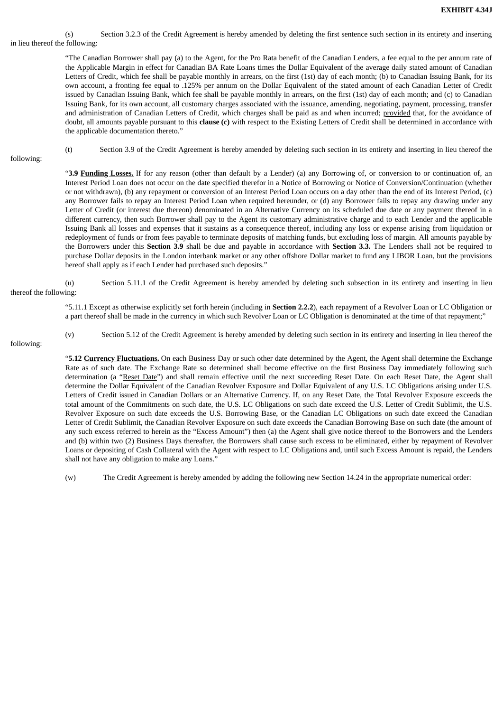(s) Section 3.2.3 of the Credit Agreement is hereby amended by deleting the first sentence such section in its entirety and inserting in lieu thereof the following:

> "The Canadian Borrower shall pay (a) to the Agent, for the Pro Rata benefit of the Canadian Lenders, a fee equal to the per annum rate of the Applicable Margin in effect for Canadian BA Rate Loans times the Dollar Equivalent of the average daily stated amount of Canadian Letters of Credit, which fee shall be payable monthly in arrears, on the first (1st) day of each month; (b) to Canadian Issuing Bank, for its own account, a fronting fee equal to .125% per annum on the Dollar Equivalent of the stated amount of each Canadian Letter of Credit issued by Canadian Issuing Bank, which fee shall be payable monthly in arrears, on the first (1st) day of each month; and (c) to Canadian Issuing Bank, for its own account, all customary charges associated with the issuance, amending, negotiating, payment, processing, transfer and administration of Canadian Letters of Credit, which charges shall be paid as and when incurred; provided that, for the avoidance of doubt, all amounts payable pursuant to this **clause (c)** with respect to the Existing Letters of Credit shall be determined in accordance with the applicable documentation thereto."

following:

(t) Section 3.9 of the Credit Agreement is hereby amended by deleting such section in its entirety and inserting in lieu thereof the

"**3.9 Funding Losses.** If for any reason (other than default by a Lender) (a) any Borrowing of, or conversion to or continuation of, an Interest Period Loan does not occur on the date specified therefor in a Notice of Borrowing or Notice of Conversion/Continuation (whether or not withdrawn), (b) any repayment or conversion of an Interest Period Loan occurs on a day other than the end of its Interest Period, (c) any Borrower fails to repay an Interest Period Loan when required hereunder, or (d) any Borrower fails to repay any drawing under any Letter of Credit (or interest due thereon) denominated in an Alternative Currency on its scheduled due date or any payment thereof in a different currency, then such Borrower shall pay to the Agent its customary administrative charge and to each Lender and the applicable Issuing Bank all losses and expenses that it sustains as a consequence thereof, including any loss or expense arising from liquidation or redeployment of funds or from fees payable to terminate deposits of matching funds, but excluding loss of margin. All amounts payable by the Borrowers under this **Section 3.9** shall be due and payable in accordance with **Section 3.3.** The Lenders shall not be required to purchase Dollar deposits in the London interbank market or any other offshore Dollar market to fund any LIBOR Loan, but the provisions hereof shall apply as if each Lender had purchased such deposits."

(u) Section 5.11.1 of the Credit Agreement is hereby amended by deleting such subsection in its entirety and inserting in lieu thereof the following:

> "5.11.1 Except as otherwise explicitly set forth herein (including in **Section 2.2.2**), each repayment of a Revolver Loan or LC Obligation or a part thereof shall be made in the currency in which such Revolver Loan or LC Obligation is denominated at the time of that repayment;"

(v) Section 5.12 of the Credit Agreement is hereby amended by deleting such section in its entirety and inserting in lieu thereof the

following:

"**5.12 Currency Fluctuations.** On each Business Day or such other date determined by the Agent, the Agent shall determine the Exchange Rate as of such date. The Exchange Rate so determined shall become effective on the first Business Day immediately following such determination (a "Reset Date") and shall remain effective until the next succeeding Reset Date. On each Reset Date, the Agent shall determine the Dollar Equivalent of the Canadian Revolver Exposure and Dollar Equivalent of any U.S. LC Obligations arising under U.S. Letters of Credit issued in Canadian Dollars or an Alternative Currency. If, on any Reset Date, the Total Revolver Exposure exceeds the total amount of the Commitments on such date, the U.S. LC Obligations on such date exceed the U.S. Letter of Credit Sublimit, the U.S. Revolver Exposure on such date exceeds the U.S. Borrowing Base, or the Canadian LC Obligations on such date exceed the Canadian Letter of Credit Sublimit, the Canadian Revolver Exposure on such date exceeds the Canadian Borrowing Base on such date (the amount of any such excess referred to herein as the "Excess Amount") then (a) the Agent shall give notice thereof to the Borrowers and the Lenders and (b) within two (2) Business Days thereafter, the Borrowers shall cause such excess to be eliminated, either by repayment of Revolver Loans or depositing of Cash Collateral with the Agent with respect to LC Obligations and, until such Excess Amount is repaid, the Lenders shall not have any obligation to make any Loans."

(w) The Credit Agreement is hereby amended by adding the following new Section 14.24 in the appropriate numerical order: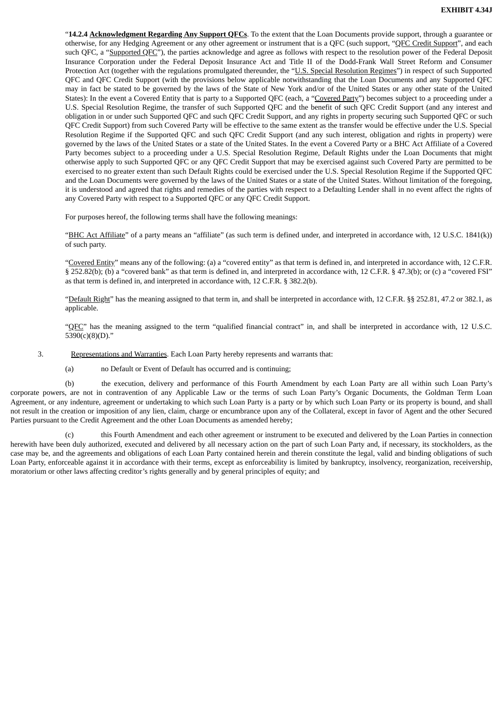"**14.2.4 Acknowledgment Regarding Any Support QFCs**. To the extent that the Loan Documents provide support, through a guarantee or otherwise, for any Hedging Agreement or any other agreement or instrument that is a QFC (such support, "QFC Credit Support", and each such QFC, a "Supported QFC"), the parties acknowledge and agree as follows with respect to the resolution power of the Federal Deposit Insurance Corporation under the Federal Deposit Insurance Act and Title II of the Dodd-Frank Wall Street Reform and Consumer Protection Act (together with the regulations promulgated thereunder, the "U.S. Special Resolution Regimes") in respect of such Supported QFC and QFC Credit Support (with the provisions below applicable notwithstanding that the Loan Documents and any Supported QFC may in fact be stated to be governed by the laws of the State of New York and/or of the United States or any other state of the United States): In the event a Covered Entity that is party to a Supported QFC (each, a "Covered Party") becomes subject to a proceeding under a U.S. Special Resolution Regime, the transfer of such Supported QFC and the benefit of such QFC Credit Support (and any interest and obligation in or under such Supported QFC and such QFC Credit Support, and any rights in property securing such Supported QFC or such QFC Credit Support) from such Covered Party will be effective to the same extent as the transfer would be effective under the U.S. Special Resolution Regime if the Supported QFC and such QFC Credit Support (and any such interest, obligation and rights in property) were governed by the laws of the United States or a state of the United States. In the event a Covered Party or a BHC Act Affiliate of a Covered Party becomes subject to a proceeding under a U.S. Special Resolution Regime, Default Rights under the Loan Documents that might otherwise apply to such Supported QFC or any QFC Credit Support that may be exercised against such Covered Party are permitted to be exercised to no greater extent than such Default Rights could be exercised under the U.S. Special Resolution Regime if the Supported QFC and the Loan Documents were governed by the laws of the United States or a state of the United States. Without limitation of the foregoing, it is understood and agreed that rights and remedies of the parties with respect to a Defaulting Lender shall in no event affect the rights of any Covered Party with respect to a Supported QFC or any QFC Credit Support.

For purposes hereof, the following terms shall have the following meanings:

"BHC Act Affiliate" of a party means an "affiliate" (as such term is defined under, and interpreted in accordance with, 12 U.S.C. 1841(k)) of such party.

"Covered Entity" means any of the following: (a) a "covered entity" as that term is defined in, and interpreted in accordance with, 12 C.F.R. § 252.82(b); (b) a "covered bank" as that term is defined in, and interpreted in accordance with, 12 C.F.R. § 47.3(b); or (c) a "covered FSI" as that term is defined in, and interpreted in accordance with, 12 C.F.R. § 382.2(b).

"Default Right" has the meaning assigned to that term in, and shall be interpreted in accordance with, 12 C.F.R. §§ 252.81, 47.2 or 382.1, as applicable.

"QFC" has the meaning assigned to the term "qualified financial contract" in, and shall be interpreted in accordance with, 12 U.S.C. 5390(c)(8)(D)."

3. Representations and Warranties. Each Loan Party hereby represents and warrants that:

(a) no Default or Event of Default has occurred and is continuing;

(b) the execution, delivery and performance of this Fourth Amendment by each Loan Party are all within such Loan Party's corporate powers, are not in contravention of any Applicable Law or the terms of such Loan Party's Organic Documents, the Goldman Term Loan Agreement, or any indenture, agreement or undertaking to which such Loan Party is a party or by which such Loan Party or its property is bound, and shall not result in the creation or imposition of any lien, claim, charge or encumbrance upon any of the Collateral, except in favor of Agent and the other Secured Parties pursuant to the Credit Agreement and the other Loan Documents as amended hereby;

(c) this Fourth Amendment and each other agreement or instrument to be executed and delivered by the Loan Parties in connection herewith have been duly authorized, executed and delivered by all necessary action on the part of such Loan Party and, if necessary, its stockholders, as the case may be, and the agreements and obligations of each Loan Party contained herein and therein constitute the legal, valid and binding obligations of such Loan Party, enforceable against it in accordance with their terms, except as enforceability is limited by bankruptcy, insolvency, reorganization, receivership, moratorium or other laws affecting creditor's rights generally and by general principles of equity; and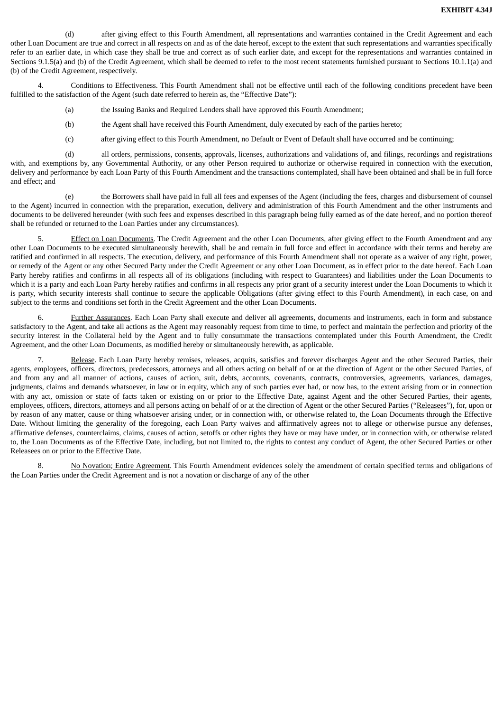(d) after giving effect to this Fourth Amendment, all representations and warranties contained in the Credit Agreement and each other Loan Document are true and correct in all respects on and as of the date hereof, except to the extent that such representations and warranties specifically refer to an earlier date, in which case they shall be true and correct as of such earlier date, and except for the representations and warranties contained in Sections 9.1.5(a) and (b) of the Credit Agreement, which shall be deemed to refer to the most recent statements furnished pursuant to Sections 10.1.1(a) and (b) of the Credit Agreement, respectively.

4. Conditions to Effectiveness. This Fourth Amendment shall not be effective until each of the following conditions precedent have been fulfilled to the satisfaction of the Agent (such date referred to herein as, the "*Effective Date*"):

- (a) the Issuing Banks and Required Lenders shall have approved this Fourth Amendment;
- (b) the Agent shall have received this Fourth Amendment, duly executed by each of the parties hereto;
- (c) after giving effect to this Fourth Amendment, no Default or Event of Default shall have occurred and be continuing;

(d) all orders, permissions, consents, approvals, licenses, authorizations and validations of, and filings, recordings and registrations with, and exemptions by, any Governmental Authority, or any other Person required to authorize or otherwise required in connection with the execution, delivery and performance by each Loan Party of this Fourth Amendment and the transactions contemplated, shall have been obtained and shall be in full force and effect; and

(e) the Borrowers shall have paid in full all fees and expenses of the Agent (including the fees, charges and disbursement of counsel to the Agent) incurred in connection with the preparation, execution, delivery and administration of this Fourth Amendment and the other instruments and documents to be delivered hereunder (with such fees and expenses described in this paragraph being fully earned as of the date hereof, and no portion thereof shall be refunded or returned to the Loan Parties under any circumstances).

5. Effect on Loan Documents. The Credit Agreement and the other Loan Documents, after giving effect to the Fourth Amendment and any other Loan Documents to be executed simultaneously herewith, shall be and remain in full force and effect in accordance with their terms and hereby are ratified and confirmed in all respects. The execution, delivery, and performance of this Fourth Amendment shall not operate as a waiver of any right, power, or remedy of the Agent or any other Secured Party under the Credit Agreement or any other Loan Document, as in effect prior to the date hereof. Each Loan Party hereby ratifies and confirms in all respects all of its obligations (including with respect to Guarantees) and liabilities under the Loan Documents to which it is a party and each Loan Party hereby ratifies and confirms in all respects any prior grant of a security interest under the Loan Documents to which it is party, which security interests shall continue to secure the applicable Obligations (after giving effect to this Fourth Amendment), in each case, on and subject to the terms and conditions set forth in the Credit Agreement and the other Loan Documents.

Further Assurances. Each Loan Party shall execute and deliver all agreements, documents and instruments, each in form and substance satisfactory to the Agent, and take all actions as the Agent may reasonably request from time to time, to perfect and maintain the perfection and priority of the security interest in the Collateral held by the Agent and to fully consummate the transactions contemplated under this Fourth Amendment, the Credit Agreement, and the other Loan Documents, as modified hereby or simultaneously herewith, as applicable.

Release. Each Loan Party hereby remises, releases, acquits, satisfies and forever discharges Agent and the other Secured Parties, their agents, employees, officers, directors, predecessors, attorneys and all others acting on behalf of or at the direction of Agent or the other Secured Parties, of and from any and all manner of actions, causes of action, suit, debts, accounts, covenants, contracts, controversies, agreements, variances, damages, judgments, claims and demands whatsoever, in law or in equity, which any of such parties ever had, or now has, to the extent arising from or in connection with any act, omission or state of facts taken or existing on or prior to the Effective Date, against Agent and the other Secured Parties, their agents, employees, officers, directors, attorneys and all persons acting on behalf of or at the direction of Agent or the other Secured Parties ("Releasees"), for, upon or by reason of any matter, cause or thing whatsoever arising under, or in connection with, or otherwise related to, the Loan Documents through the Effective Date. Without limiting the generality of the foregoing, each Loan Party waives and affirmatively agrees not to allege or otherwise pursue any defenses, affirmative defenses, counterclaims, claims, causes of action, setoffs or other rights they have or may have under, or in connection with, or otherwise related to, the Loan Documents as of the Effective Date, including, but not limited to, the rights to contest any conduct of Agent, the other Secured Parties or other Releasees on or prior to the Effective Date.

8. No Novation; Entire Agreement. This Fourth Amendment evidences solely the amendment of certain specified terms and obligations of the Loan Parties under the Credit Agreement and is not a novation or discharge of any of the other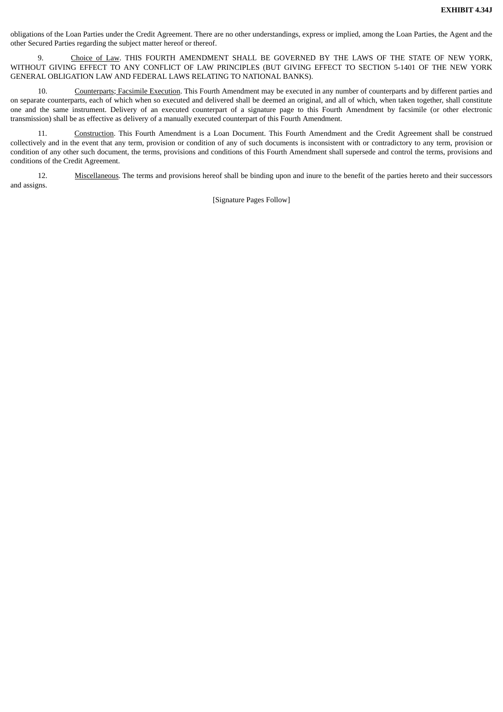obligations of the Loan Parties under the Credit Agreement. There are no other understandings, express or implied, among the Loan Parties, the Agent and the other Secured Parties regarding the subject matter hereof or thereof.

9. Choice of Law. THIS FOURTH AMENDMENT SHALL BE GOVERNED BY THE LAWS OF THE STATE OF NEW YORK, WITHOUT GIVING EFFECT TO ANY CONFLICT OF LAW PRINCIPLES (BUT GIVING EFFECT TO SECTION 5-1401 OF THE NEW YORK GENERAL OBLIGATION LAW AND FEDERAL LAWS RELATING TO NATIONAL BANKS).

10. Counterparts; Facsimile Execution. This Fourth Amendment may be executed in any number of counterparts and by different parties and on separate counterparts, each of which when so executed and delivered shall be deemed an original, and all of which, when taken together, shall constitute one and the same instrument. Delivery of an executed counterpart of a signature page to this Fourth Amendment by facsimile (or other electronic transmission) shall be as effective as delivery of a manually executed counterpart of this Fourth Amendment.

11. Construction. This Fourth Amendment is a Loan Document. This Fourth Amendment and the Credit Agreement shall be construed collectively and in the event that any term, provision or condition of any of such documents is inconsistent with or contradictory to any term, provision or condition of any other such document, the terms, provisions and conditions of this Fourth Amendment shall supersede and control the terms, provisions and conditions of the Credit Agreement.

12. Miscellaneous. The terms and provisions hereof shall be binding upon and inure to the benefit of the parties hereto and their successors and assigns.

[Signature Pages Follow]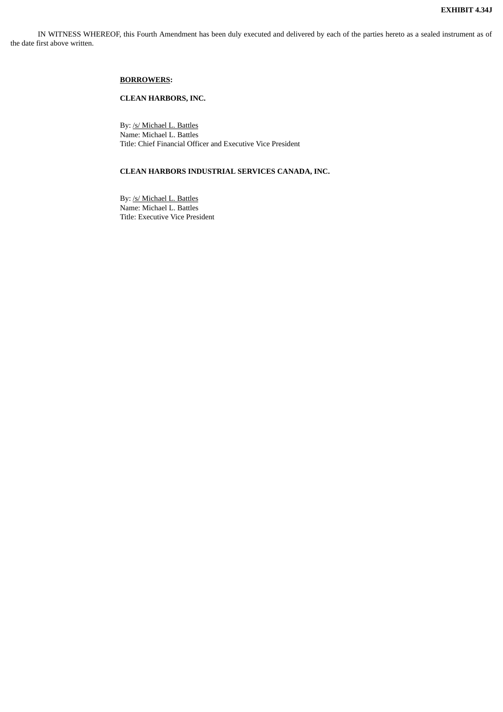IN WITNESS WHEREOF, this Fourth Amendment has been duly executed and delivered by each of the parties hereto as a sealed instrument as of the date first above written.

## **BORROWERS:**

# **CLEAN HARBORS, INC.**

By: /s/ Michael L. Battles Name: Michael L. Battles Title: Chief Financial Officer and Executive Vice President

## **CLEAN HARBORS INDUSTRIAL SERVICES CANADA, INC.**

By: /s/ Michael L. Battles Name: Michael L. Battles Title: Executive Vice President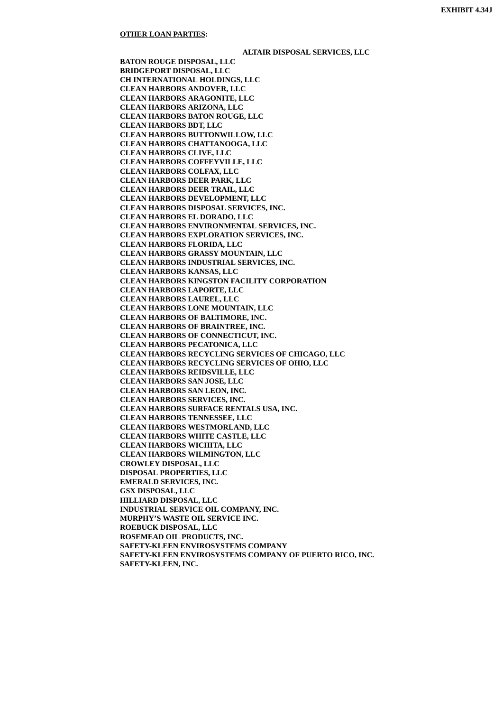## **OTHER LOAN PARTIES:**

**ALTAIR DISPOSAL SERVICES, LLC BATON ROUGE DISPOSAL, LLC BRIDGEPORT DISPOSAL, LLC CH INTERNATIONAL HOLDINGS, LLC CLEAN HARBORS ANDOVER, LLC CLEAN HARBORS ARAGONITE, LLC CLEAN HARBORS ARIZONA, LLC CLEAN HARBORS BATON ROUGE, LLC CLEAN HARBORS BDT, LLC CLEAN HARBORS BUTTONWILLOW, LLC CLEAN HARBORS CHATTANOOGA, LLC CLEAN HARBORS CLIVE, LLC CLEAN HARBORS COFFEYVILLE, LLC CLEAN HARBORS COLFAX, LLC CLEAN HARBORS DEER PARK, LLC CLEAN HARBORS DEER TRAIL, LLC CLEAN HARBORS DEVELOPMENT, LLC CLEAN HARBORS DISPOSAL SERVICES, INC. CLEAN HARBORS EL DORADO, LLC CLEAN HARBORS ENVIRONMENTAL SERVICES, INC. CLEAN HARBORS EXPLORATION SERVICES, INC. CLEAN HARBORS FLORIDA, LLC CLEAN HARBORS GRASSY MOUNTAIN, LLC CLEAN HARBORS INDUSTRIAL SERVICES, INC. CLEAN HARBORS KANSAS, LLC CLEAN HARBORS KINGSTON FACILITY CORPORATION CLEAN HARBORS LAPORTE, LLC CLEAN HARBORS LAUREL, LLC CLEAN HARBORS LONE MOUNTAIN, LLC CLEAN HARBORS OF BALTIMORE, INC. CLEAN HARBORS OF BRAINTREE, INC. CLEAN HARBORS OF CONNECTICUT, INC. CLEAN HARBORS PECATONICA, LLC CLEAN HARBORS RECYCLING SERVICES OF CHICAGO, LLC CLEAN HARBORS RECYCLING SERVICES OF OHIO, LLC CLEAN HARBORS REIDSVILLE, LLC CLEAN HARBORS SAN JOSE, LLC CLEAN HARBORS SAN LEON, INC. CLEAN HARBORS SERVICES, INC. CLEAN HARBORS SURFACE RENTALS USA, INC. CLEAN HARBORS TENNESSEE, LLC CLEAN HARBORS WESTMORLAND, LLC CLEAN HARBORS WHITE CASTLE, LLC CLEAN HARBORS WICHITA, LLC CLEAN HARBORS WILMINGTON, LLC CROWLEY DISPOSAL, LLC DISPOSAL PROPERTIES, LLC EMERALD SERVICES, INC. GSX DISPOSAL, LLC HILLIARD DISPOSAL, LLC INDUSTRIAL SERVICE OIL COMPANY, INC. MURPHY'S WASTE OIL SERVICE INC. ROEBUCK DISPOSAL, LLC ROSEMEAD OIL PRODUCTS, INC. SAFETY-KLEEN ENVIROSYSTEMS COMPANY SAFETY-KLEEN ENVIROSYSTEMS COMPANY OF PUERTO RICO, INC. SAFETY-KLEEN, INC.**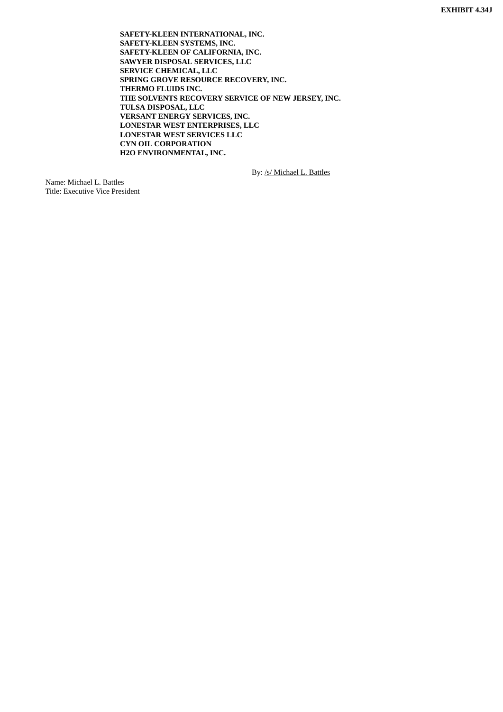**SAFETY-KLEEN INTERNATIONAL, INC. SAFETY-KLEEN SYSTEMS, INC. SAFETY-KLEEN OF CALIFORNIA, INC. SAWYER DISPOSAL SERVICES, LLC SERVICE CHEMICAL, LLC SPRING GROVE RESOURCE RECOVERY, INC. THERMO FLUIDS INC. THE SOLVENTS RECOVERY SERVICE OF NEW JERSEY, INC. TULSA DISPOSAL, LLC VERSANT ENERGY SERVICES, INC. LONESTAR WEST ENTERPRISES, LLC LONESTAR WEST SERVICES LLC CYN OIL CORPORATION H2O ENVIRONMENTAL, INC.**

By: /s/ Michael L. Battles

Name: Michael L. Battles Title: Executive Vice President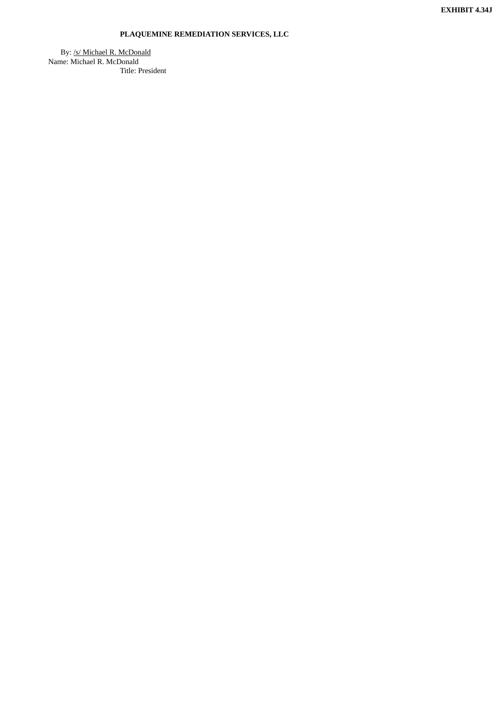# **PLAQUEMINE REMEDIATION SERVICES, LLC**

By: /s/ Michael R. McDonald Name: Michael R. McDonald Title: President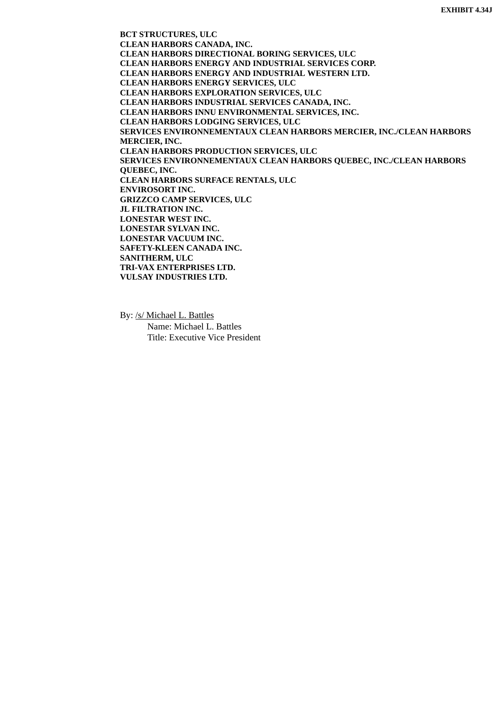**BCT STRUCTURES, ULC CLEAN HARBORS CANADA, INC. CLEAN HARBORS DIRECTIONAL BORING SERVICES, ULC CLEAN HARBORS ENERGY AND INDUSTRIAL SERVICES CORP. CLEAN HARBORS ENERGY AND INDUSTRIAL WESTERN LTD. CLEAN HARBORS ENERGY SERVICES, ULC CLEAN HARBORS EXPLORATION SERVICES, ULC CLEAN HARBORS INDUSTRIAL SERVICES CANADA, INC. CLEAN HARBORS INNU ENVIRONMENTAL SERVICES, INC. CLEAN HARBORS LODGING SERVICES, ULC SERVICES ENVIRONNEMENTAUX CLEAN HARBORS MERCIER, INC./CLEAN HARBORS MERCIER, INC. CLEAN HARBORS PRODUCTION SERVICES, ULC SERVICES ENVIRONNEMENTAUX CLEAN HARBORS QUEBEC, INC./CLEAN HARBORS QUEBEC, INC. CLEAN HARBORS SURFACE RENTALS, ULC ENVIROSORT INC. GRIZZCO CAMP SERVICES, ULC JL FILTRATION INC. LONESTAR WEST INC. LONESTAR SYLVAN INC. LONESTAR VACUUM INC. SAFETY-KLEEN CANADA INC. SANITHERM, ULC TRI-VAX ENTERPRISES LTD. VULSAY INDUSTRIES LTD.**

By: /s/ Michael L. Battles Name: Michael L. Battles Title: Executive Vice President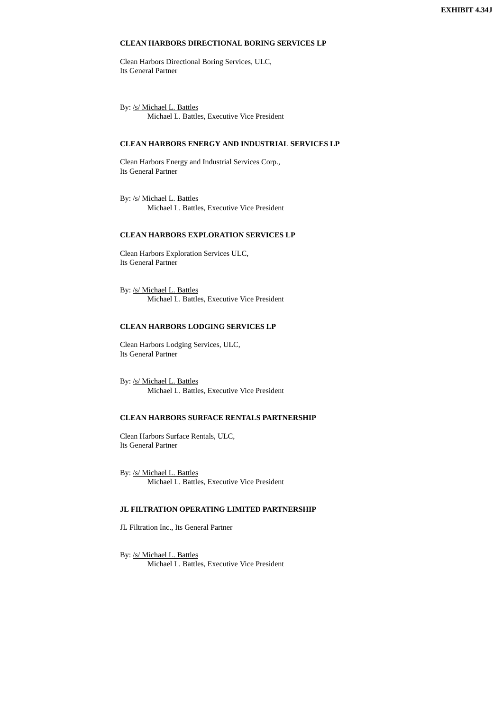### **CLEAN HARBORS DIRECTIONAL BORING SERVICES LP**

Clean Harbors Directional Boring Services, ULC, Its General Partner

By: /s/ Michael L. Battles Michael L. Battles, Executive Vice President

### **CLEAN HARBORS ENERGY AND INDUSTRIAL SERVICES LP**

Clean Harbors Energy and Industrial Services Corp., Its General Partner

By: /s/ Michael L. Battles Michael L. Battles, Executive Vice President

### **CLEAN HARBORS EXPLORATION SERVICES LP**

Clean Harbors Exploration Services ULC, Its General Partner

By: /s/ Michael L. Battles Michael L. Battles, Executive Vice President

#### **CLEAN HARBORS LODGING SERVICES LP**

Clean Harbors Lodging Services, ULC, Its General Partner

By: /s/ Michael L. Battles Michael L. Battles, Executive Vice President

#### **CLEAN HARBORS SURFACE RENTALS PARTNERSHIP**

Clean Harbors Surface Rentals, ULC, Its General Partner

By: /s/ Michael L. Battles Michael L. Battles, Executive Vice President

#### **JL FILTRATION OPERATING LIMITED PARTNERSHIP**

JL Filtration Inc., Its General Partner

By: /s/ Michael L. Battles Michael L. Battles, Executive Vice President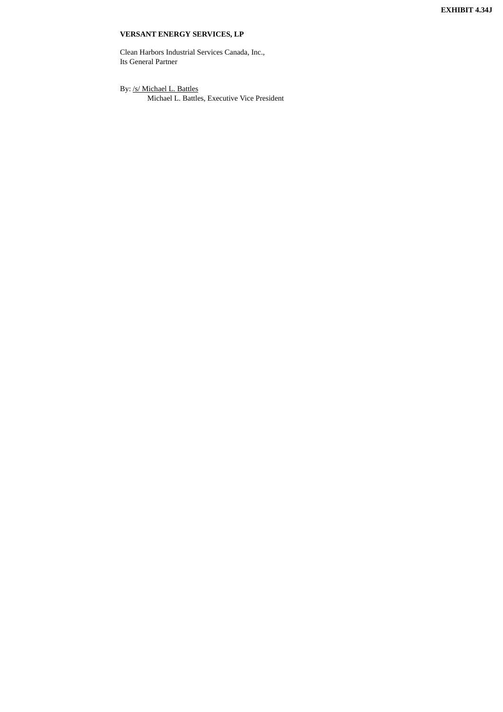# **VERSANT ENERGY SERVICES, LP**

Clean Harbors Industrial Services Canada, Inc., Its General Partner

By: /s/ Michael L. Battles Michael L. Battles, Executive Vice President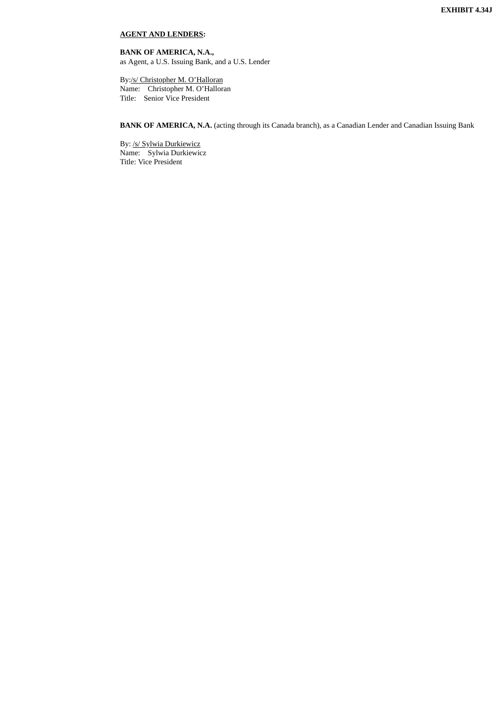# **AGENT AND LENDERS:**

# **BANK OF AMERICA, N.A.,**

as Agent, a U.S. Issuing Bank, and a U.S. Lender

By:/s/ Christopher M. O'Halloran Name: Christopher M. O'Halloran Title: Senior Vice President

**BANK OF AMERICA, N.A.** (acting through its Canada branch), as a Canadian Lender and Canadian Issuing Bank

By: /s/ Sylwia Durkiewicz Name: Sylwia Durkiewicz Title: Vice President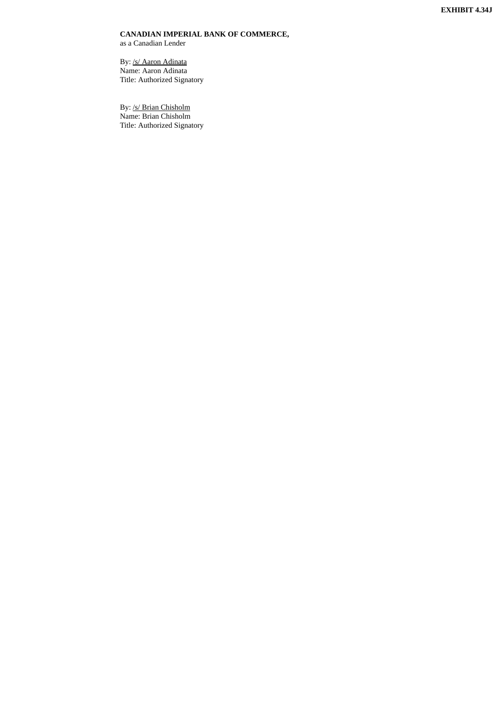# **CANADIAN IMPERIAL BANK OF COMMERCE,**

as a Canadian Lender

By: /s/ Aaron Adinata Name: Aaron Adinata Title: Authorized Signatory

By: /s/ Brian Chisholm Name: Brian Chisholm Title: Authorized Signatory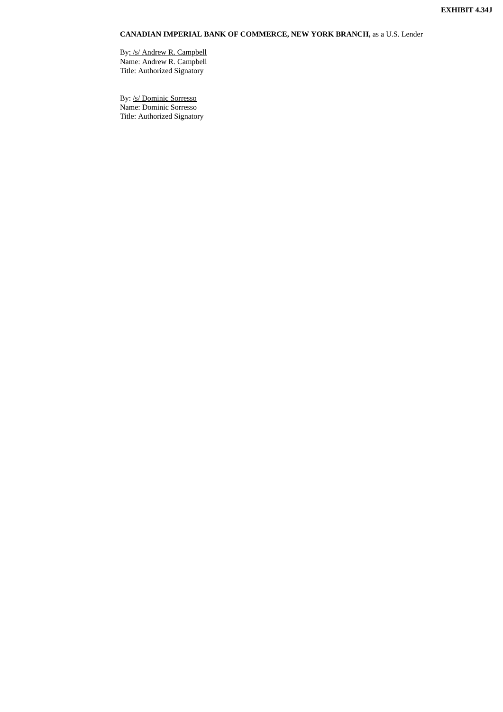# **CANADIAN IMPERIAL BANK OF COMMERCE, NEW YORK BRANCH,** as a U.S. Lender

By: /s/ Andrew R. Campbell Name: Andrew R. Campbell Title: Authorized Signatory

By: /s/ Dominic Sorresso Name: Dominic Sorresso Title: Authorized Signatory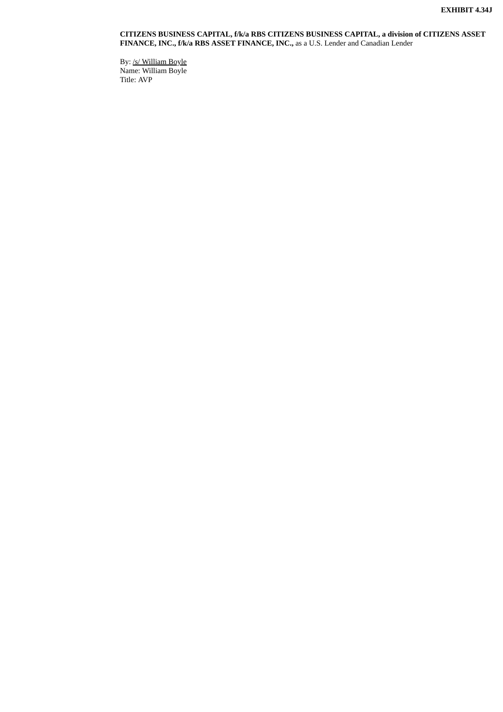**CITIZENS BUSINESS CAPITAL, f/k/a RBS CITIZENS BUSINESS CAPITAL, a division of CITIZENS ASSET FINANCE, INC., f/k/a RBS ASSET FINANCE, INC.,** as a U.S. Lender and Canadian Lender

By: /s/ William Boyle Name: William Boyle Title: AVP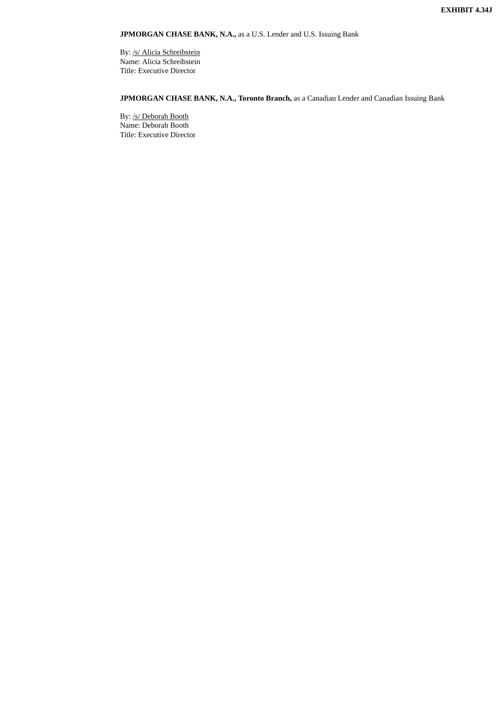**JPMORGAN CHASE BANK, N.A.,** as a U.S. Lender and U.S. Issuing Bank

By: /s/ Alicia Schreibstein Name: Alicia Schreibstein Title: Executive Director

# **JPMORGAN CHASE BANK, N.A., Toronto Branch,** as a Canadian Lender and Canadian Issuing Bank

By: /s/ Deborah Booth Name: Deborah Booth Title: Executive Director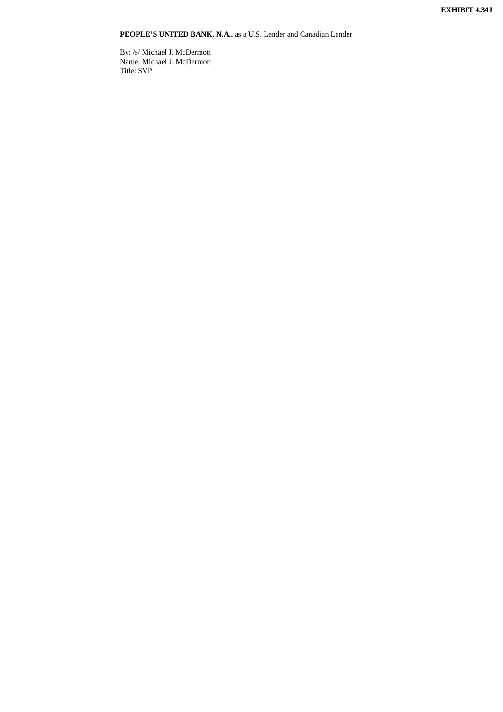**PEOPLE'S UNITED BANK, N.A.,** as a U.S. Lender and Canadian Lender

By: /s/ Michael J. McDermott Name: Michael J. McDermott Title: SVP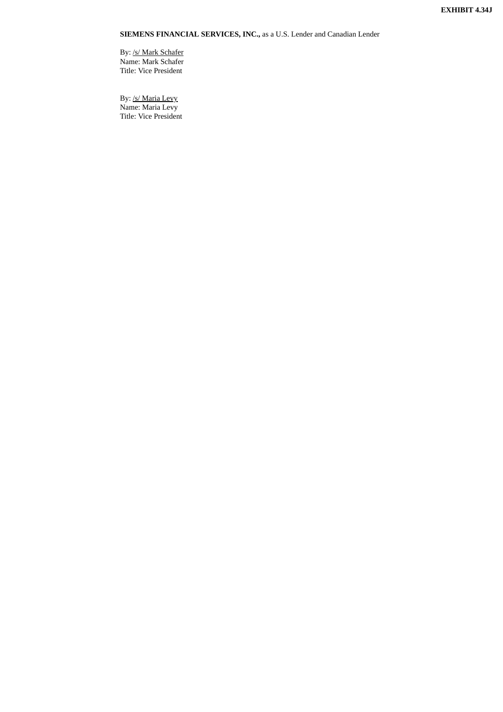# **SIEMENS FINANCIAL SERVICES, INC.,** as a U.S. Lender and Canadian Lender

By: /s/ Mark Schafer Name: Mark Schafer Title: Vice President

By: /s/ Maria Levy Name: Maria Levy Title: Vice President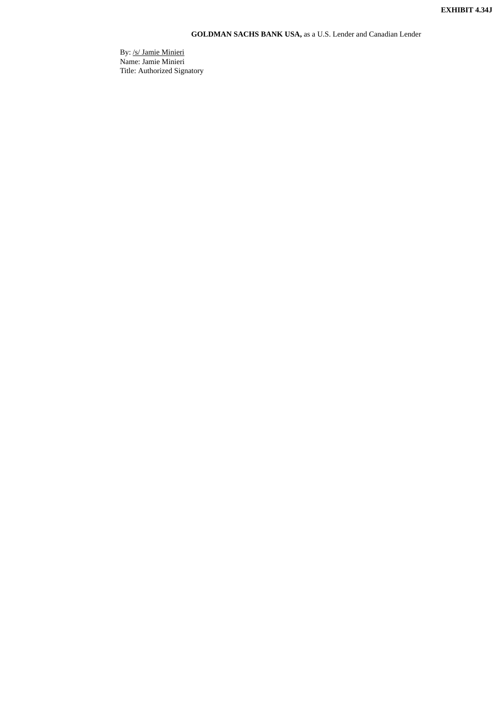# **GOLDMAN SACHS BANK USA,** as a U.S. Lender and Canadian Lender

By: /s/ Jamie Minieri Name: Jamie Minieri Title: Authorized Signatory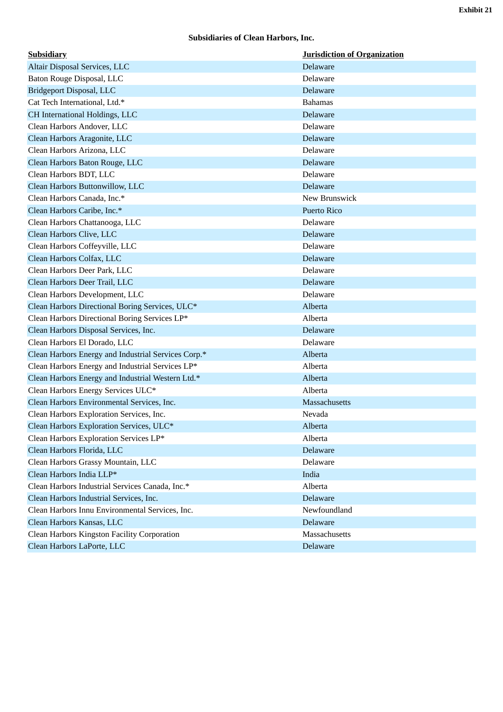# **Subsidiaries of Clean Harbors, Inc.**

| <b>Subsidiary</b>                                   | <b>Jurisdiction of Organization</b> |
|-----------------------------------------------------|-------------------------------------|
| Altair Disposal Services, LLC                       | Delaware                            |
| Baton Rouge Disposal, LLC                           | Delaware                            |
| Bridgeport Disposal, LLC                            | Delaware                            |
| Cat Tech International, Ltd.*                       | <b>Bahamas</b>                      |
| CH International Holdings, LLC                      | Delaware                            |
| Clean Harbors Andover, LLC                          | Delaware                            |
| Clean Harbors Aragonite, LLC                        | Delaware                            |
| Clean Harbors Arizona, LLC                          | Delaware                            |
| Clean Harbors Baton Rouge, LLC                      | Delaware                            |
| Clean Harbors BDT, LLC                              | Delaware                            |
| Clean Harbors Buttonwillow, LLC                     | Delaware                            |
| Clean Harbors Canada, Inc.*                         | New Brunswick                       |
| Clean Harbors Caribe, Inc.*                         | <b>Puerto Rico</b>                  |
| Clean Harbors Chattanooga, LLC                      | Delaware                            |
| Clean Harbors Clive, LLC                            | Delaware                            |
| Clean Harbors Coffeyville, LLC                      | Delaware                            |
| Clean Harbors Colfax, LLC                           | Delaware                            |
| Clean Harbors Deer Park, LLC                        | Delaware                            |
| Clean Harbors Deer Trail, LLC                       | <b>Delaware</b>                     |
| Clean Harbors Development, LLC                      | Delaware                            |
| Clean Harbors Directional Boring Services, ULC*     | Alberta                             |
| Clean Harbors Directional Boring Services LP*       | Alberta                             |
| Clean Harbors Disposal Services, Inc.               | Delaware                            |
| Clean Harbors El Dorado, LLC                        | Delaware                            |
| Clean Harbors Energy and Industrial Services Corp.* | Alberta                             |
| Clean Harbors Energy and Industrial Services LP*    | Alberta                             |
| Clean Harbors Energy and Industrial Western Ltd.*   | Alberta                             |
| Clean Harbors Energy Services ULC*                  | Alberta                             |
| Clean Harbors Environmental Services, Inc.          | Massachusetts                       |
| Clean Harbors Exploration Services, Inc.            | Nevada                              |
| Clean Harbors Exploration Services, ULC*            | Alberta                             |
| Clean Harbors Exploration Services LP*              | Alberta                             |
| Clean Harbors Florida, LLC                          | Delaware                            |
| Clean Harbors Grassy Mountain, LLC                  | Delaware                            |
| Clean Harbors India LLP*                            | India                               |
| Clean Harbors Industrial Services Canada, Inc.*     | Alberta                             |
| Clean Harbors Industrial Services, Inc.             | Delaware                            |
| Clean Harbors Innu Environmental Services, Inc.     | Newfoundland                        |
| Clean Harbors Kansas, LLC                           | Delaware                            |
| Clean Harbors Kingston Facility Corporation         | Massachusetts                       |
| Clean Harbors LaPorte, LLC                          | Delaware                            |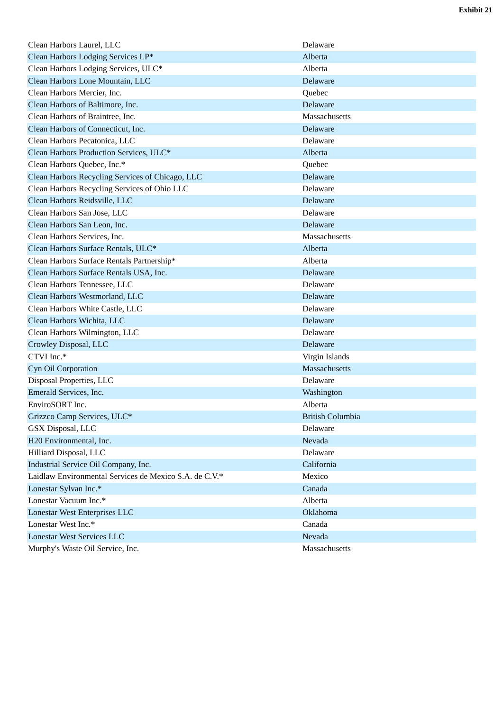| Clean Harbors Laurel, LLC                              | Delaware                |
|--------------------------------------------------------|-------------------------|
| Clean Harbors Lodging Services LP*                     | Alberta                 |
| Clean Harbors Lodging Services, ULC*                   | Alberta                 |
| Clean Harbors Lone Mountain, LLC                       | Delaware                |
| Clean Harbors Mercier, Inc.                            | Quebec                  |
| Clean Harbors of Baltimore, Inc.                       | Delaware                |
| Clean Harbors of Braintree, Inc.                       | Massachusetts           |
| Clean Harbors of Connecticut, Inc.                     | Delaware                |
| Clean Harbors Pecatonica, LLC                          | Delaware                |
| Clean Harbors Production Services, ULC*                | Alberta                 |
| Clean Harbors Quebec, Inc.*                            | Quebec                  |
| Clean Harbors Recycling Services of Chicago, LLC       | Delaware                |
| Clean Harbors Recycling Services of Ohio LLC           | Delaware                |
| Clean Harbors Reidsville, LLC                          | Delaware                |
| Clean Harbors San Jose, LLC                            | Delaware                |
| Clean Harbors San Leon, Inc.                           | Delaware                |
| Clean Harbors Services, Inc.                           | Massachusetts           |
| Clean Harbors Surface Rentals, ULC*                    | Alberta                 |
| Clean Harbors Surface Rentals Partnership*             | Alberta                 |
| Clean Harbors Surface Rentals USA, Inc.                | Delaware                |
| Clean Harbors Tennessee, LLC                           | Delaware                |
| Clean Harbors Westmorland, LLC                         | Delaware                |
| Clean Harbors White Castle, LLC                        | Delaware                |
| Clean Harbors Wichita, LLC                             | Delaware                |
| Clean Harbors Wilmington, LLC                          | Delaware                |
| Crowley Disposal, LLC                                  | Delaware                |
| CTVI Inc.*                                             | Virgin Islands          |
| Cyn Oil Corporation                                    | Massachusetts           |
| Disposal Properties, LLC                               | Delaware                |
| Emerald Services, Inc.                                 | Washington              |
| EnviroSORT Inc.                                        | Alberta                 |
| Grizzco Camp Services, ULC*                            | <b>British Columbia</b> |
| GSX Disposal, LLC                                      | Delaware                |
| H20 Environmental, Inc.                                | Nevada                  |
| Hilliard Disposal, LLC                                 | Delaware                |
| Industrial Service Oil Company, Inc.                   | California              |
| Laidlaw Environmental Services de Mexico S.A. de C.V.* | Mexico                  |
| Lonestar Sylvan Inc.*                                  | Canada                  |
| Lonestar Vacuum Inc.*                                  | Alberta                 |
| Lonestar West Enterprises LLC                          | Oklahoma                |
| Lonestar West Inc.*                                    | Canada                  |
| <b>Lonestar West Services LLC</b>                      | Nevada                  |
| Murphy's Waste Oil Service, Inc.                       | Massachusetts           |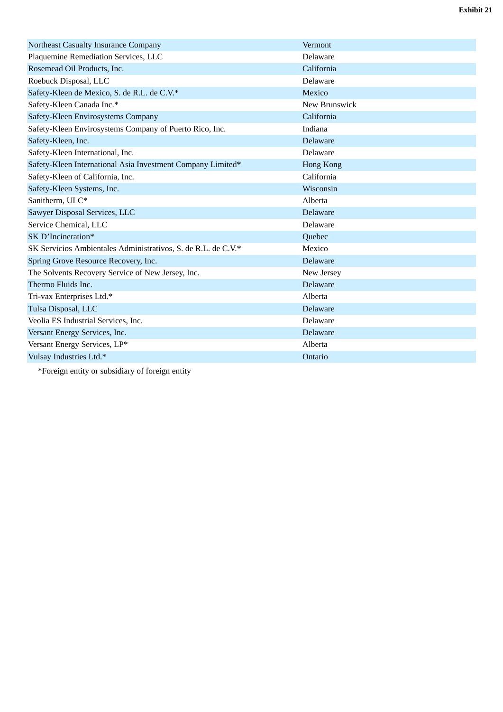| Northeast Casualty Insurance Company                          | Vermont          |
|---------------------------------------------------------------|------------------|
| Plaquemine Remediation Services, LLC                          | Delaware         |
| Rosemead Oil Products, Inc.                                   | California       |
| Roebuck Disposal, LLC                                         | Delaware         |
| Safety-Kleen de Mexico, S. de R.L. de C.V.*                   | Mexico           |
| Safety-Kleen Canada Inc.*                                     | New Brunswick    |
| Safety-Kleen Envirosystems Company                            | California       |
| Safety-Kleen Envirosystems Company of Puerto Rico, Inc.       | Indiana          |
| Safety-Kleen, Inc.                                            | Delaware         |
| Safety-Kleen International, Inc.                              | Delaware         |
| Safety-Kleen International Asia Investment Company Limited*   | <b>Hong Kong</b> |
| Safety-Kleen of California, Inc.                              | California       |
| Safety-Kleen Systems, Inc.                                    | Wisconsin        |
| Sanitherm, ULC*                                               | Alberta          |
| Sawyer Disposal Services, LLC                                 | Delaware         |
| Service Chemical, LLC                                         | Delaware         |
| SK D'Incineration*                                            | Quebec           |
| SK Servicios Ambientales Administrativos, S. de R.L. de C.V.* | Mexico           |
| Spring Grove Resource Recovery, Inc.                          | Delaware         |
| The Solvents Recovery Service of New Jersey, Inc.             | New Jersey       |
| Thermo Fluids Inc.                                            | <b>Delaware</b>  |
| Tri-vax Enterprises Ltd.*                                     | Alberta          |
| Tulsa Disposal, LLC                                           | Delaware         |
| Veolia ES Industrial Services, Inc.                           | Delaware         |
| Versant Energy Services, Inc.                                 | Delaware         |
| Versant Energy Services, LP*                                  | Alberta          |
| Vulsay Industries Ltd.*                                       | Ontario          |

\*Foreign entity or subsidiary of foreign entity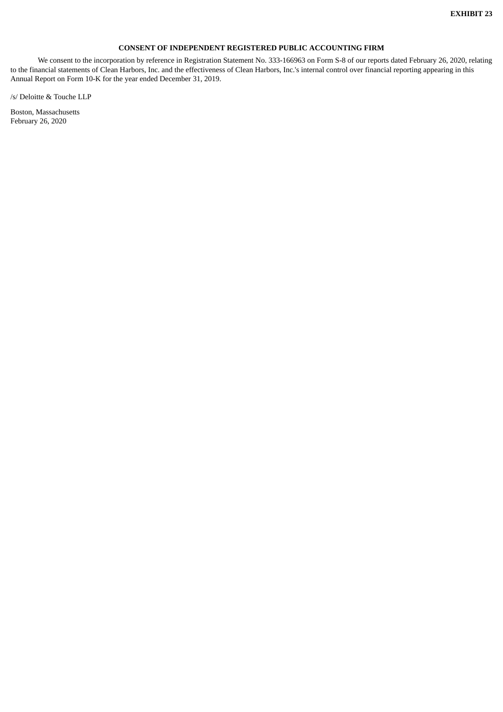### **CONSENT OF INDEPENDENT REGISTERED PUBLIC ACCOUNTING FIRM**

We consent to the incorporation by reference in Registration Statement No. 333-166963 on Form S-8 of our reports dated February 26, 2020, relating to the financial statements of Clean Harbors, Inc. and the effectiveness of Clean Harbors, Inc.'s internal control over financial reporting appearing in this Annual Report on Form 10-K for the year ended December 31, 2019.

/s/ Deloitte & Touche LLP

Boston, Massachusetts February 26, 2020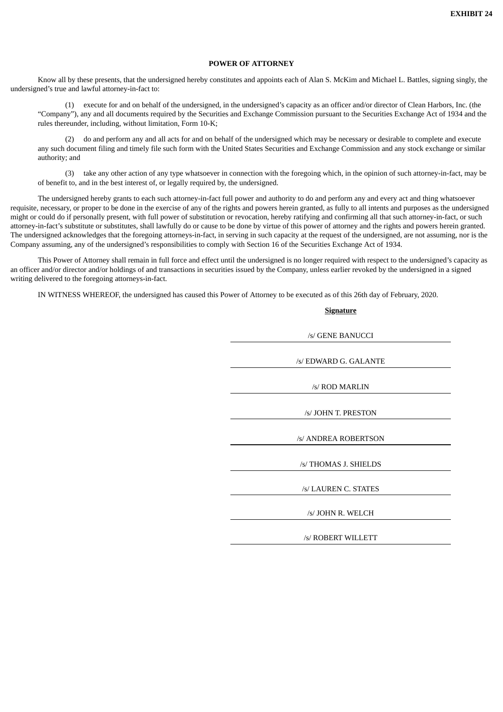#### **POWER OF ATTORNEY**

Know all by these presents, that the undersigned hereby constitutes and appoints each of Alan S. McKim and Michael L. Battles, signing singly, the undersigned's true and lawful attorney-in-fact to:

(1) execute for and on behalf of the undersigned, in the undersigned's capacity as an officer and/or director of Clean Harbors, Inc. (the "Company"), any and all documents required by the Securities and Exchange Commission pursuant to the Securities Exchange Act of 1934 and the rules thereunder, including, without limitation, Form 10-K;

(2) do and perform any and all acts for and on behalf of the undersigned which may be necessary or desirable to complete and execute any such document filing and timely file such form with the United States Securities and Exchange Commission and any stock exchange or similar authority; and

(3) take any other action of any type whatsoever in connection with the foregoing which, in the opinion of such attorney-in-fact, may be of benefit to, and in the best interest of, or legally required by, the undersigned.

The undersigned hereby grants to each such attorney-in-fact full power and authority to do and perform any and every act and thing whatsoever requisite, necessary, or proper to be done in the exercise of any of the rights and powers herein granted, as fully to all intents and purposes as the undersigned might or could do if personally present, with full power of substitution or revocation, hereby ratifying and confirming all that such attorney-in-fact, or such attorney-in-fact's substitute or substitutes, shall lawfully do or cause to be done by virtue of this power of attorney and the rights and powers herein granted. The undersigned acknowledges that the foregoing attorneys-in-fact, in serving in such capacity at the request of the undersigned, are not assuming, nor is the Company assuming, any of the undersigned's responsibilities to comply with Section 16 of the Securities Exchange Act of 1934.

This Power of Attorney shall remain in full force and effect until the undersigned is no longer required with respect to the undersigned's capacity as an officer and/or director and/or holdings of and transactions in securities issued by the Company, unless earlier revoked by the undersigned in a signed writing delivered to the foregoing attorneys-in-fact.

IN WITNESS WHEREOF, the undersigned has caused this Power of Attorney to be executed as of this 26th day of February, 2020.

/s/ GENE BANUCCI /s/ EDWARD G. GALANTE /s/ ROD MARLIN /s/ JOHN T. PRESTON /s/ ANDREA ROBERTSON /s/ THOMAS J. SHIELDS /s/ LAUREN C. STATES /s/ JOHN R. WELCH /s/ ROBERT WILLETT

**Signature**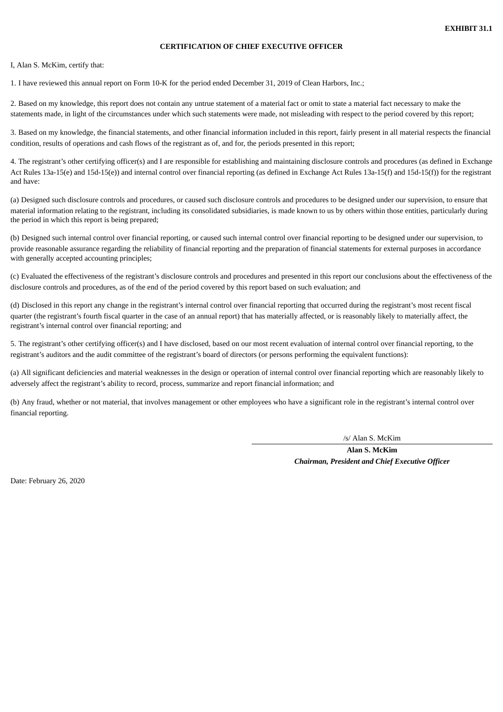#### **CERTIFICATION OF CHIEF EXECUTIVE OFFICER**

I, Alan S. McKim, certify that:

1. I have reviewed this annual report on Form 10-K for the period ended December 31, 2019 of Clean Harbors, Inc.;

2. Based on my knowledge, this report does not contain any untrue statement of a material fact or omit to state a material fact necessary to make the statements made, in light of the circumstances under which such statements were made, not misleading with respect to the period covered by this report;

3. Based on my knowledge, the financial statements, and other financial information included in this report, fairly present in all material respects the financial condition, results of operations and cash flows of the registrant as of, and for, the periods presented in this report;

4. The registrant's other certifying officer(s) and I are responsible for establishing and maintaining disclosure controls and procedures (as defined in Exchange Act Rules 13a-15(e) and 15d-15(e)) and internal control over financial reporting (as defined in Exchange Act Rules 13a-15(f) and 15d-15(f)) for the registrant and have:

(a) Designed such disclosure controls and procedures, or caused such disclosure controls and procedures to be designed under our supervision, to ensure that material information relating to the registrant, including its consolidated subsidiaries, is made known to us by others within those entities, particularly during the period in which this report is being prepared;

(b) Designed such internal control over financial reporting, or caused such internal control over financial reporting to be designed under our supervision, to provide reasonable assurance regarding the reliability of financial reporting and the preparation of financial statements for external purposes in accordance with generally accepted accounting principles;

(c) Evaluated the effectiveness of the registrant's disclosure controls and procedures and presented in this report our conclusions about the effectiveness of the disclosure controls and procedures, as of the end of the period covered by this report based on such evaluation; and

(d) Disclosed in this report any change in the registrant's internal control over financial reporting that occurred during the registrant's most recent fiscal quarter (the registrant's fourth fiscal quarter in the case of an annual report) that has materially affected, or is reasonably likely to materially affect, the registrant's internal control over financial reporting; and

5. The registrant's other certifying officer(s) and I have disclosed, based on our most recent evaluation of internal control over financial reporting, to the registrant's auditors and the audit committee of the registrant's board of directors (or persons performing the equivalent functions):

(a) All significant deficiencies and material weaknesses in the design or operation of internal control over financial reporting which are reasonably likely to adversely affect the registrant's ability to record, process, summarize and report financial information; and

(b) Any fraud, whether or not material, that involves management or other employees who have a significant role in the registrant's internal control over financial reporting.

/s/ Alan S. McKim

**Alan S. McKim** *Chairman, President and Chief Executive Officer*

Date: February 26, 2020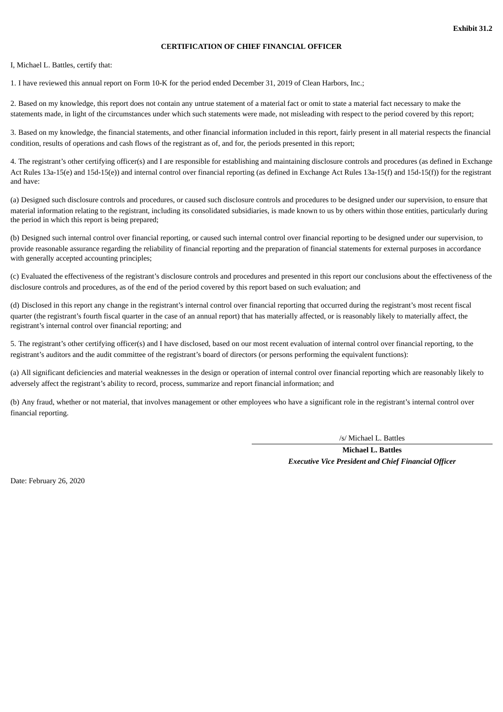#### **CERTIFICATION OF CHIEF FINANCIAL OFFICER**

I, Michael L. Battles, certify that:

1. I have reviewed this annual report on Form 10-K for the period ended December 31, 2019 of Clean Harbors, Inc.;

2. Based on my knowledge, this report does not contain any untrue statement of a material fact or omit to state a material fact necessary to make the statements made, in light of the circumstances under which such statements were made, not misleading with respect to the period covered by this report;

3. Based on my knowledge, the financial statements, and other financial information included in this report, fairly present in all material respects the financial condition, results of operations and cash flows of the registrant as of, and for, the periods presented in this report;

4. The registrant's other certifying officer(s) and I are responsible for establishing and maintaining disclosure controls and procedures (as defined in Exchange Act Rules 13a-15(e) and 15d-15(e)) and internal control over financial reporting (as defined in Exchange Act Rules 13a-15(f) and 15d-15(f)) for the registrant and have:

(a) Designed such disclosure controls and procedures, or caused such disclosure controls and procedures to be designed under our supervision, to ensure that material information relating to the registrant, including its consolidated subsidiaries, is made known to us by others within those entities, particularly during the period in which this report is being prepared;

(b) Designed such internal control over financial reporting, or caused such internal control over financial reporting to be designed under our supervision, to provide reasonable assurance regarding the reliability of financial reporting and the preparation of financial statements for external purposes in accordance with generally accepted accounting principles;

(c) Evaluated the effectiveness of the registrant's disclosure controls and procedures and presented in this report our conclusions about the effectiveness of the disclosure controls and procedures, as of the end of the period covered by this report based on such evaluation; and

(d) Disclosed in this report any change in the registrant's internal control over financial reporting that occurred during the registrant's most recent fiscal quarter (the registrant's fourth fiscal quarter in the case of an annual report) that has materially affected, or is reasonably likely to materially affect, the registrant's internal control over financial reporting; and

5. The registrant's other certifying officer(s) and I have disclosed, based on our most recent evaluation of internal control over financial reporting, to the registrant's auditors and the audit committee of the registrant's board of directors (or persons performing the equivalent functions):

(a) All significant deficiencies and material weaknesses in the design or operation of internal control over financial reporting which are reasonably likely to adversely affect the registrant's ability to record, process, summarize and report financial information; and

(b) Any fraud, whether or not material, that involves management or other employees who have a significant role in the registrant's internal control over financial reporting.

/s/ Michael L. Battles

**Michael L. Battles** *Executive Vice President and Chief Financial Officer*

Date: February 26, 2020